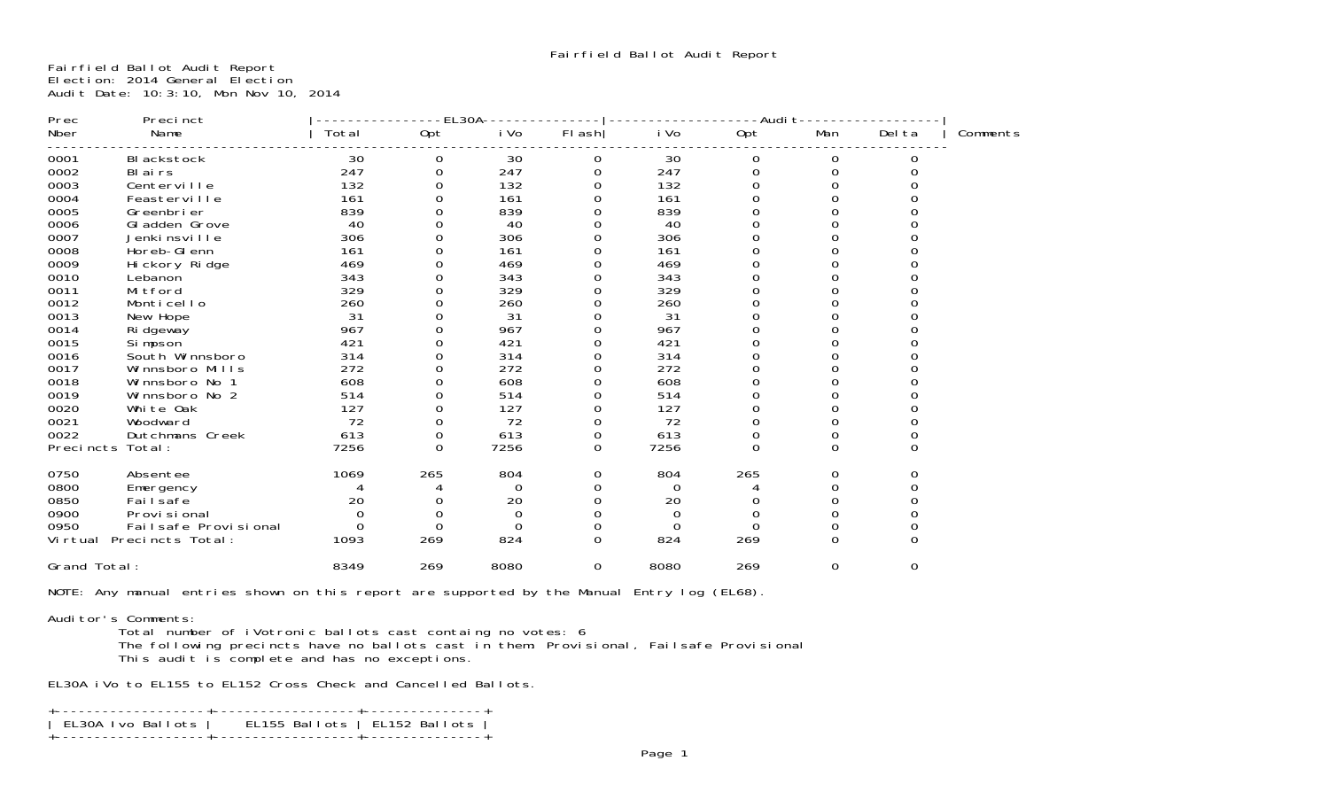Fairfield Ballot Audit Report Election: 2014 General Election Audit Date: 10:3:10, Mon Nov 10, 2014

| Precinct<br>Prec             |       | EL30A    |          |          |      | -Audi t  |          |        |          |
|------------------------------|-------|----------|----------|----------|------|----------|----------|--------|----------|
| Nber<br>Name                 | Total | Opt      | i Vo     | FI ash   | i Vo | 0pt      | Man      | Del ta | Comments |
| 0001<br>BI ackstock          | 30    | 0        | 30       | 0        | 30   | 0        | 0        |        |          |
| 0002<br>BI ai rs             | 247   | 0        | 247      |          | 247  | 0        | 0        |        |          |
| 0003<br>Centerville          | 132   |          | 132      |          | 132  |          |          |        |          |
| 0004<br>Feasterville         | 161   |          | 161      |          | 161  |          |          |        |          |
| 0005<br>Greenbrier           | 839   |          | 839      |          | 839  |          |          |        |          |
| 0006<br>Gl adden Grove       | 40    |          | 40       |          | 40   |          |          |        |          |
| 0007<br>Jenkinsville         | 306   |          | 306      |          | 306  |          |          |        |          |
| 0008<br>Horeb-GI enn         | 161   |          | 161      |          | 161  |          |          |        |          |
| 0009<br>Hi ckory Ri dge      | 469   |          | 469      |          | 469  |          |          |        |          |
| 0010<br>Lebanon              | 343   |          | 343      |          | 343  |          |          |        |          |
| 0011<br>Mi tford             | 329   |          | 329      |          | 329  |          |          |        |          |
| 0012<br>Monticello           | 260   |          | 260      |          | 260  |          |          |        |          |
| 0013<br>New Hope             | 31    |          | 31       |          | 31   |          |          |        |          |
| 0014<br>Ri dgeway            | 967   |          | 967      |          | 967  |          |          |        |          |
| 0015<br>Si mpson             | 421   |          | 421      |          | 421  |          |          |        |          |
| 0016<br>South Winnsboro      | 314   |          | 314      |          | 314  |          |          |        |          |
| 0017<br>Winnsboro Mills      | 272   |          | 272      |          | 272  |          |          |        |          |
| 0018<br>Winnsboro No 1       | 608   |          | 608      |          | 608  |          |          |        |          |
| 0019<br>Winnsboro No 2       | 514   |          | 514      |          | 514  |          |          |        |          |
| 0020<br>White Oak            | 127   |          | 127      |          | 127  |          |          |        |          |
| 0021<br>Woodward             | 72    |          | 72       | ი        | 72   |          |          |        |          |
| 0022<br>Dutchmans Creek      | 613   | 0        | 613      | 0        | 613  | 0        |          |        |          |
| Precincts<br>Total:          | 7256  | $\Omega$ | 7256     | $\Omega$ | 7256 | $\Omega$ | 0        | 0      |          |
| 0750<br>Absentee             | 1069  | 265      | 804      | 0        | 804  | 265      |          |        |          |
| 0800<br>Emergency            |       |          | $\Omega$ |          | 0    |          |          |        |          |
| 0850<br>Fai I safe           | 20    |          | 20       |          | 20   |          |          |        |          |
| 0900<br>Provi si onal        | 0     |          | 0        |          | 0    |          |          |        |          |
| 0950<br>Failsafe Provisional | 0     | 0        | O        |          | O    | O        |          |        |          |
| Virtual Precincts Total:     | 1093  | 269      | 824      | 0        | 824  | 269      | $\Omega$ |        |          |
| Grand Total:                 | 8349  | 269      | 8080     | 0        | 8080 | 269      | 0        | 0      |          |
|                              |       |          |          |          |      |          |          |        |          |

NOTE: Any manual entries shown on this report are supported by the Manual Entry log (EL68).

## Auditor's Comments:

 Total number of iVotronic ballots cast containg no votes: 6 The following precincts have no ballots cast in them: Provisional, Failsafe Provisional

This audit is complete and has no exceptions.

EL30A iVo to EL155 to EL152 Cross Check and Cancelled Ballots.

| EL30A Ivo Ballots   EL155 Ballots   EL152 Ballots |
|---------------------------------------------------|
|                                                   |
|                                                   |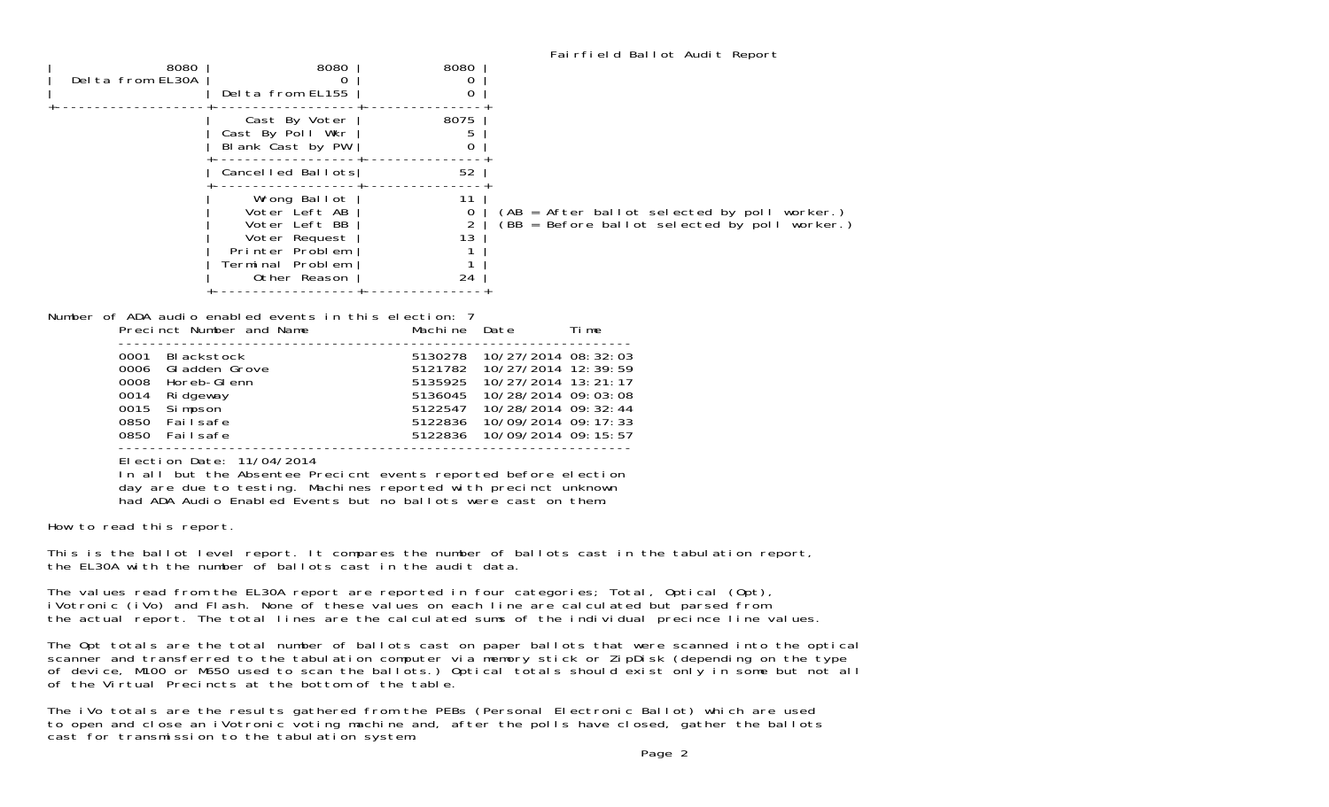| 8080<br>Delta from EL30A                                                                                             | 8080<br>$\Omega$<br>Delta from EL155                                                                                                                                                                                               | 8080<br>$\overline{0}$<br>$\boldsymbol{0}$                           |                                                                                                                                                                                       |
|----------------------------------------------------------------------------------------------------------------------|------------------------------------------------------------------------------------------------------------------------------------------------------------------------------------------------------------------------------------|----------------------------------------------------------------------|---------------------------------------------------------------------------------------------------------------------------------------------------------------------------------------|
|                                                                                                                      | Cast By Voter<br>Cast By Poll Wkr<br>Blank Cast by PW                                                                                                                                                                              | 8075<br>5.<br>$\boldsymbol{0}$                                       |                                                                                                                                                                                       |
|                                                                                                                      | Cancelled Ballots                                                                                                                                                                                                                  | 52                                                                   |                                                                                                                                                                                       |
|                                                                                                                      | Wrong Ballot<br>Voter Left AB<br>Voter Left BB<br>Voter Request<br>Printer Problem<br>Terminal Problem<br>Other Reason                                                                                                             | $- - -$<br>11<br>0<br>$\overline{2}$<br>13<br>1<br>$\mathbf 1$<br>24 | (AB = After ballot selected by poll worker.)<br>$(BB = Before ballot selected by poll worker.)$                                                                                       |
| Number of ADA audio enabled events in this election: 7                                                               | Precinct Number and Name                                                                                                                                                                                                           | Machine Date                                                         | Ti me                                                                                                                                                                                 |
| BI ackstock<br>0001<br>0006<br>0008<br>0014<br>Ri dgeway<br>0015<br>Si mpson<br>0850<br>Failsafe<br>0850<br>Failsafe | Gl adden Grove<br>Horeb-GI enn                                                                                                                                                                                                     | 5121782<br>5135925<br>5136045<br>5122836<br>5122836                  | 5130278 10/27/2014 08:32:03<br>10/27/2014 12:39:59<br>10/27/2014 13: 21: 17<br>10/28/2014 09:03:08<br>5122547 10/28/2014 09: 32: 44<br>10/09/2014 09: 17: 33<br>10/09/2014 09: 15: 57 |
|                                                                                                                      | Election Date: 11/04/2014<br>In all but the Absentee Precicnt events reported before election<br>day are due to testing. Machines reported with precinct unknown<br>had ADA Audio Enabled Events but no ballots were cast on them. |                                                                      |                                                                                                                                                                                       |
| How to read this report.                                                                                             |                                                                                                                                                                                                                                    |                                                                      |                                                                                                                                                                                       |

This is the ballot level report. It compares the number of ballots cast in the tabulation report, the EL30A with the number of ballots cast in the audit data.

The values read from the EL30A report are reported in four categories; Total, Optical (Opt), iVotronic (iVo) and Flash. None of these values on each line are calculated but parsed from the actual report. The total lines are the calculated sums of the individual precince line values.

The Opt totals are the total number of ballots cast on paper ballots that were scanned into the optical scanner and transferred to the tabulation computer via memory stick or ZipDisk (depending on the type of device, M100 or M650 used to scan the ballots.) Optical totals should exist only in some but not all of the Virtual Precincts at the bottom of the table.

The iVo totals are the results gathered from the PEBs (Personal Electronic Ballot) which are used to open and close an iVotronic voting machine and, after the polls have closed, gather the ballots cast for transmission to the tabulation system.

Fairfield Ballot Audit Report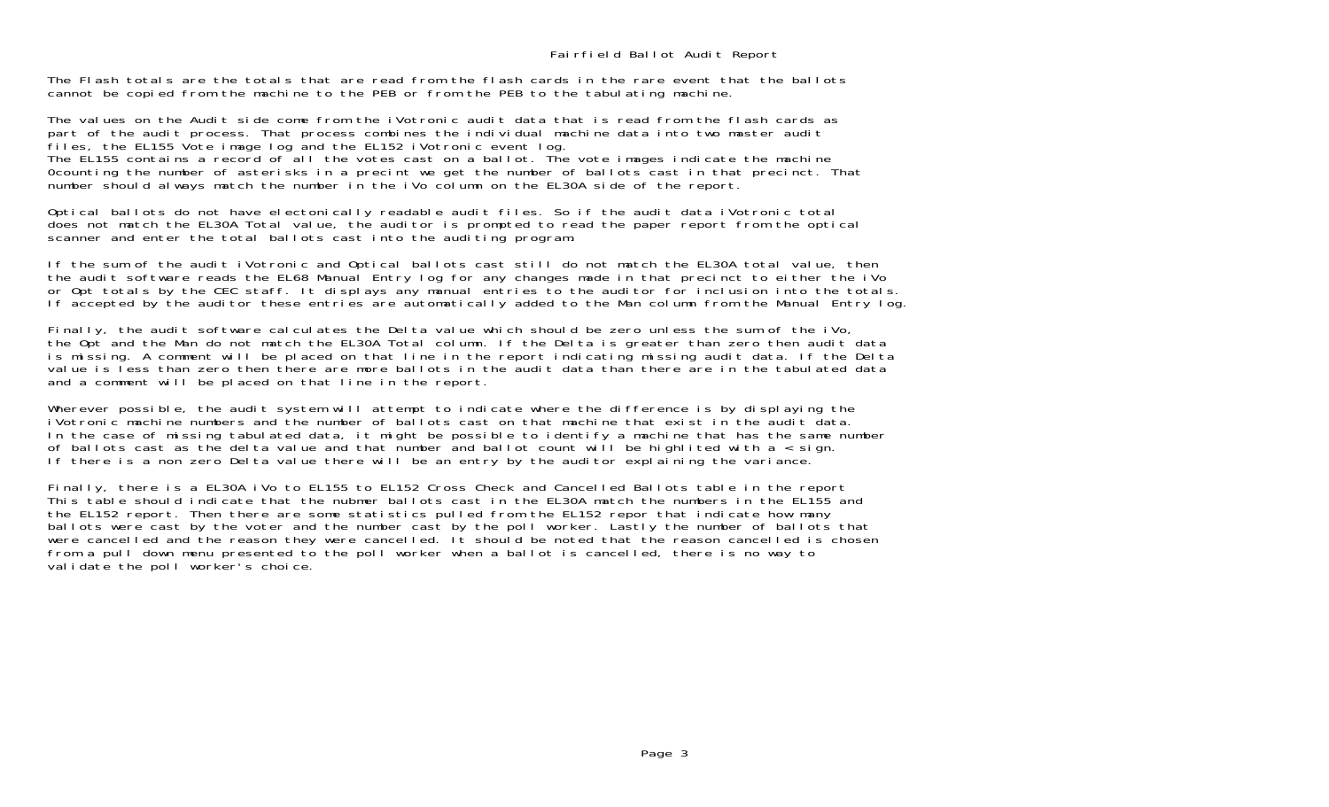The Flash totals are the totals that are read from the flash cards in the rare event that the ballotscannot be copied from the machine to the PEB or from the PEB to the tabulating machine.

The values on the Audit side come from the iVotronic audit data that is read from the flash cards as part of the audit process. That process combines the individual machine data into two master audit files, the EL155 Vote image log and the EL152 iVotronic event log. The EL155 contains a record of all the votes cast on a ballot. The vote images indicate the machine 0counting the number of asterisks in a precint we get the number of ballots cast in that precinct. That number should always match the number in the iVo column on the EL30A side of the report.

Optical ballots do not have electonically readable audit files. So if the audit data iVotronic total does not match the EL30A Total value, the auditor is prompted to read the paper report from the optical scanner and enter the total ballots cast into the auditing program.

If the sum of the audit iVotronic and Optical ballots cast still do not match the EL30A total value, then the audit software reads the EL68 Manual Entry log for any changes made in that precinct to either the iVo or Opt totals by the CEC staff. It displays any manual entries to the auditor for inclusion into the totals. If accepted by the auditor these entries are automatically added to the Man column from the Manual Entry log.

Finally, the audit software calculates the Delta value which should be zero unless the sum of the iVo, the Opt and the Man do not match the EL30A Total column. If the Delta is greater than zero then audit data is missing. A comment will be placed on that line in the report indicating missing audit data. If the Delta value is less than zero then there are more ballots in the audit data than there are in the tabulated data and a comment will be placed on that line in the report.

Wherever possible, the audit system will attempt to indicate where the difference is by displaying the iVotronic machine numbers and the number of ballots cast on that machine that exist in the audit data. In the case of missing tabulated data, it might be possible to identify a machine that has the same number of ballots cast as the delta value and that number and ballot count will be highlited with a < sign. If there is a non zero Delta value there will be an entry by the auditor explaining the variance.

Finally, there is a EL30A iVo to EL155 to EL152 Cross Check and Cancelled Ballots table in the report This table should indicate that the nubmer ballots cast in the EL30A match the numbers in the EL155 and the EL152 report. Then there are some statistics pulled from the EL152 repor that indicate how many ballots were cast by the voter and the number cast by the poll worker. Lastly the number of ballots that were cancelled and the reason they were cancelled. It should be noted that the reason cancelled is chosen from a pull down menu presented to the poll worker when a ballot is cancelled, there is no way to validate the poll worker's choice.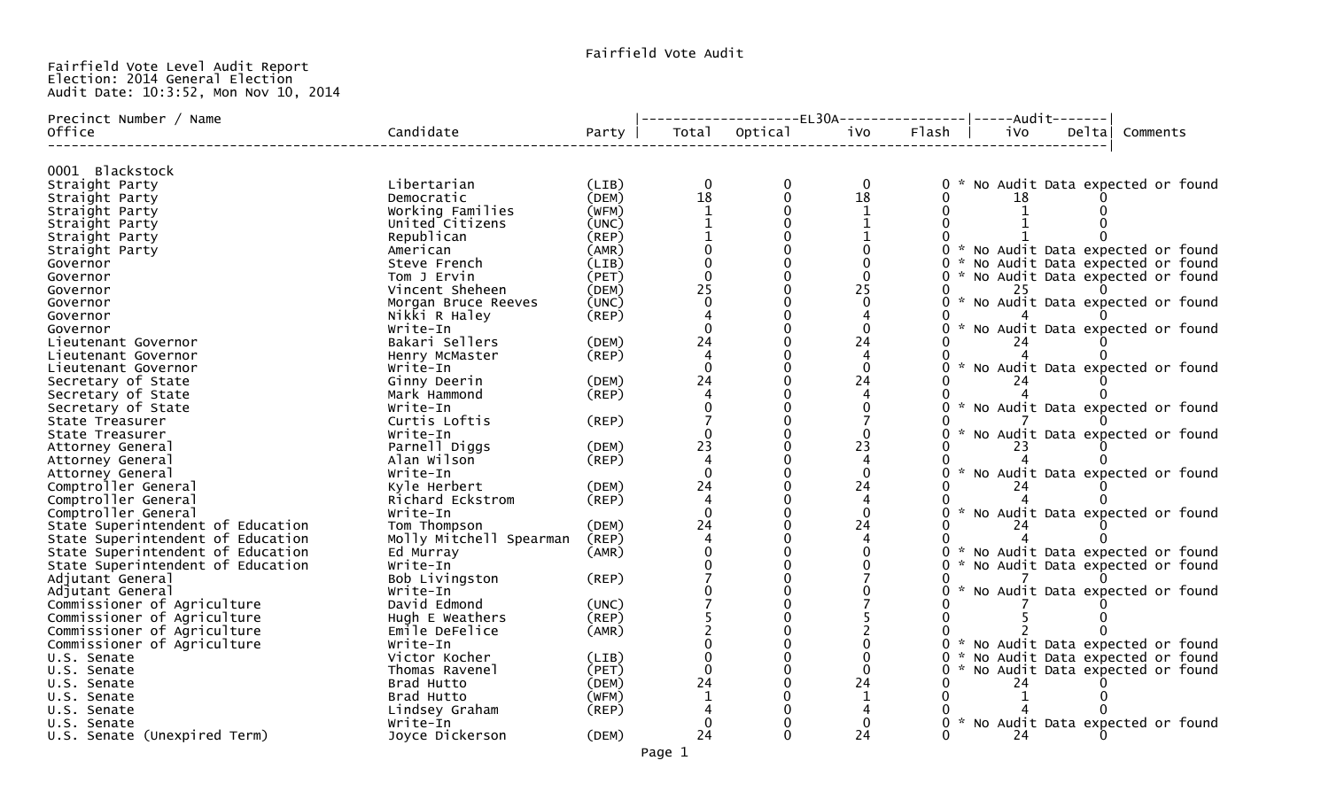## Fairfield Vote Level Audit Report Election: 2014 General Election Audit Date: 10:3:52, Mon Nov 10, 2014

| iVo<br>Flash  <br>Total<br>ivo<br>Delta<br>Office<br>Party<br>Comments<br>0001 Blackstock<br>Libertarian<br>0 * No Audit Data expected or found<br>Straight Party<br>$\Omega$<br>$\Omega$<br>(LIB)<br>0<br>18<br>18<br>(DEM)<br>$\mathbf 0$<br>Democratic<br>Straight Party<br>18<br>Working Families<br>(WFM)<br>Straight Party<br>United Citizens<br>(UNC)<br>Straight Party<br>Republican<br>(REP)<br>Straight Party<br>0 * No Audit Data expected or found<br>American<br>(AMR)<br>Straight Party<br>(LIB)<br>0 * No Audit Data expected or found<br>Governor<br>Steve French<br>(PET)<br>$\Omega$<br>0 * No Audit Data expected or found<br>Governor<br>Tom J Ervin<br>25<br>25<br>Vincent Sheheen<br>(DEM)<br>25<br>0<br>Governor<br>* No Audit Data expected or found<br>Morgan Bruce Reeves<br>(UNC)<br>Governor<br>(REP)<br>Nikki R Haley<br>Governor<br>0 * No Audit Data expected or found<br>Write-In<br>Governor<br>24<br>(DEM)<br>24<br>Bakari Sellers<br>Lieutenant Governor<br>(REP)<br>Lieutenant Governor<br>Henry McMaster<br>0 * No Audit Data expected or found<br>$\Omega$<br>$\Omega$<br>Write-In<br>Lieutenant Governor<br>24<br>24<br>Secretary of State<br>Ginny Deerin<br>(DEM)<br>Secretary of State<br>Mark Hammond<br>(REP)<br>0 * No Audit Data expected or found<br>Secretary of State<br>Write-In<br>Curtis Loftis<br>State Treasurer<br>(REP)<br>0 * No Audit Data expected or found<br>Write-In<br>State Treasurer<br>23<br>Parnell Diggs<br>23<br>(DEM)<br>Attorney General<br>23<br>Alan Wilson<br>(REP)<br>Attorney General<br>* No Audit Data expected or found<br>Write-In<br>$\Omega$<br>Attorney General<br>24<br>24<br>Comptroller General<br>Kyle Herbert<br>(DEM)<br>Comptroller General<br>Richard Eckstrom<br>$($ REP $)$<br>0 * No Audit Data expected or found<br>Comptroller General<br>$\Omega$<br>Write-In<br>24<br>24<br>State Superintendent of Education<br>Tom Thompson<br>(DEM)<br>State Superintendent of Education<br>Molly Mitchell Spearman<br>(REP)<br>State Superintendent of Education<br>0 * No Audit Data expected or found<br>Ed Murray<br>(AMR)<br>State Superintendent of Education<br>* No Audit Data expected or found<br>Write-In<br>Adjutant General<br>Bob Livingston<br>(REP)<br>* No Audit Data expected or found<br>Adjutant General<br>Write-In<br>Commissioner of Agriculture<br>David Edmond<br>(UNC)<br>Commissioner of Agriculture<br>(REP)<br>Hugh E Weathers<br>Commissioner of Agriculture<br>Emile DeFelice<br>(AMR)<br>Commissioner of Agriculture<br>0 * No Audit Data expected or found<br>Write-In<br>0 * No Audit Data expected or found<br>Victor Kocher<br>U.S. Senate<br>(LIB)<br>(PET)<br>0 * No Audit Data expected or found<br>$\mathbf{0}$<br>Thomas Ravenel<br>$\Omega$<br>U.S. Senate<br>24<br>24<br>Brad Hutto<br>(DEM)<br>U.S. Senate<br>24<br>(WFM)<br>Brad Hutto<br>-1<br>U.S. Senate<br>Lindsey Graham<br>(REP)<br>U.S. Senate<br>0 * No Audit Data expected or found<br>Write-In<br>U.S. Senate<br>24<br>(DEM)<br>24<br>24 | Precinct Number / Name       |                 |  | ----------------EL30A----------------- -----Audit------- |  |  |  |  |
|--------------------------------------------------------------------------------------------------------------------------------------------------------------------------------------------------------------------------------------------------------------------------------------------------------------------------------------------------------------------------------------------------------------------------------------------------------------------------------------------------------------------------------------------------------------------------------------------------------------------------------------------------------------------------------------------------------------------------------------------------------------------------------------------------------------------------------------------------------------------------------------------------------------------------------------------------------------------------------------------------------------------------------------------------------------------------------------------------------------------------------------------------------------------------------------------------------------------------------------------------------------------------------------------------------------------------------------------------------------------------------------------------------------------------------------------------------------------------------------------------------------------------------------------------------------------------------------------------------------------------------------------------------------------------------------------------------------------------------------------------------------------------------------------------------------------------------------------------------------------------------------------------------------------------------------------------------------------------------------------------------------------------------------------------------------------------------------------------------------------------------------------------------------------------------------------------------------------------------------------------------------------------------------------------------------------------------------------------------------------------------------------------------------------------------------------------------------------------------------------------------------------------------------------------------------------------------------------------------------------------------------------------------------------------------------------------------------------------------------------------------------------------------------------------------------------------------------------------------------------------------------------------------------------------------------------------------------------------------------------------------------------------------------|------------------------------|-----------------|--|----------------------------------------------------------|--|--|--|--|
|                                                                                                                                                                                                                                                                                                                                                                                                                                                                                                                                                                                                                                                                                                                                                                                                                                                                                                                                                                                                                                                                                                                                                                                                                                                                                                                                                                                                                                                                                                                                                                                                                                                                                                                                                                                                                                                                                                                                                                                                                                                                                                                                                                                                                                                                                                                                                                                                                                                                                                                                                                                                                                                                                                                                                                                                                                                                                                                                                                                                                                      |                              | Candidate       |  | Optical                                                  |  |  |  |  |
|                                                                                                                                                                                                                                                                                                                                                                                                                                                                                                                                                                                                                                                                                                                                                                                                                                                                                                                                                                                                                                                                                                                                                                                                                                                                                                                                                                                                                                                                                                                                                                                                                                                                                                                                                                                                                                                                                                                                                                                                                                                                                                                                                                                                                                                                                                                                                                                                                                                                                                                                                                                                                                                                                                                                                                                                                                                                                                                                                                                                                                      |                              |                 |  |                                                          |  |  |  |  |
|                                                                                                                                                                                                                                                                                                                                                                                                                                                                                                                                                                                                                                                                                                                                                                                                                                                                                                                                                                                                                                                                                                                                                                                                                                                                                                                                                                                                                                                                                                                                                                                                                                                                                                                                                                                                                                                                                                                                                                                                                                                                                                                                                                                                                                                                                                                                                                                                                                                                                                                                                                                                                                                                                                                                                                                                                                                                                                                                                                                                                                      |                              |                 |  |                                                          |  |  |  |  |
|                                                                                                                                                                                                                                                                                                                                                                                                                                                                                                                                                                                                                                                                                                                                                                                                                                                                                                                                                                                                                                                                                                                                                                                                                                                                                                                                                                                                                                                                                                                                                                                                                                                                                                                                                                                                                                                                                                                                                                                                                                                                                                                                                                                                                                                                                                                                                                                                                                                                                                                                                                                                                                                                                                                                                                                                                                                                                                                                                                                                                                      |                              |                 |  |                                                          |  |  |  |  |
|                                                                                                                                                                                                                                                                                                                                                                                                                                                                                                                                                                                                                                                                                                                                                                                                                                                                                                                                                                                                                                                                                                                                                                                                                                                                                                                                                                                                                                                                                                                                                                                                                                                                                                                                                                                                                                                                                                                                                                                                                                                                                                                                                                                                                                                                                                                                                                                                                                                                                                                                                                                                                                                                                                                                                                                                                                                                                                                                                                                                                                      |                              |                 |  |                                                          |  |  |  |  |
|                                                                                                                                                                                                                                                                                                                                                                                                                                                                                                                                                                                                                                                                                                                                                                                                                                                                                                                                                                                                                                                                                                                                                                                                                                                                                                                                                                                                                                                                                                                                                                                                                                                                                                                                                                                                                                                                                                                                                                                                                                                                                                                                                                                                                                                                                                                                                                                                                                                                                                                                                                                                                                                                                                                                                                                                                                                                                                                                                                                                                                      |                              |                 |  |                                                          |  |  |  |  |
|                                                                                                                                                                                                                                                                                                                                                                                                                                                                                                                                                                                                                                                                                                                                                                                                                                                                                                                                                                                                                                                                                                                                                                                                                                                                                                                                                                                                                                                                                                                                                                                                                                                                                                                                                                                                                                                                                                                                                                                                                                                                                                                                                                                                                                                                                                                                                                                                                                                                                                                                                                                                                                                                                                                                                                                                                                                                                                                                                                                                                                      |                              |                 |  |                                                          |  |  |  |  |
|                                                                                                                                                                                                                                                                                                                                                                                                                                                                                                                                                                                                                                                                                                                                                                                                                                                                                                                                                                                                                                                                                                                                                                                                                                                                                                                                                                                                                                                                                                                                                                                                                                                                                                                                                                                                                                                                                                                                                                                                                                                                                                                                                                                                                                                                                                                                                                                                                                                                                                                                                                                                                                                                                                                                                                                                                                                                                                                                                                                                                                      |                              |                 |  |                                                          |  |  |  |  |
|                                                                                                                                                                                                                                                                                                                                                                                                                                                                                                                                                                                                                                                                                                                                                                                                                                                                                                                                                                                                                                                                                                                                                                                                                                                                                                                                                                                                                                                                                                                                                                                                                                                                                                                                                                                                                                                                                                                                                                                                                                                                                                                                                                                                                                                                                                                                                                                                                                                                                                                                                                                                                                                                                                                                                                                                                                                                                                                                                                                                                                      |                              |                 |  |                                                          |  |  |  |  |
|                                                                                                                                                                                                                                                                                                                                                                                                                                                                                                                                                                                                                                                                                                                                                                                                                                                                                                                                                                                                                                                                                                                                                                                                                                                                                                                                                                                                                                                                                                                                                                                                                                                                                                                                                                                                                                                                                                                                                                                                                                                                                                                                                                                                                                                                                                                                                                                                                                                                                                                                                                                                                                                                                                                                                                                                                                                                                                                                                                                                                                      |                              |                 |  |                                                          |  |  |  |  |
|                                                                                                                                                                                                                                                                                                                                                                                                                                                                                                                                                                                                                                                                                                                                                                                                                                                                                                                                                                                                                                                                                                                                                                                                                                                                                                                                                                                                                                                                                                                                                                                                                                                                                                                                                                                                                                                                                                                                                                                                                                                                                                                                                                                                                                                                                                                                                                                                                                                                                                                                                                                                                                                                                                                                                                                                                                                                                                                                                                                                                                      |                              |                 |  |                                                          |  |  |  |  |
|                                                                                                                                                                                                                                                                                                                                                                                                                                                                                                                                                                                                                                                                                                                                                                                                                                                                                                                                                                                                                                                                                                                                                                                                                                                                                                                                                                                                                                                                                                                                                                                                                                                                                                                                                                                                                                                                                                                                                                                                                                                                                                                                                                                                                                                                                                                                                                                                                                                                                                                                                                                                                                                                                                                                                                                                                                                                                                                                                                                                                                      |                              |                 |  |                                                          |  |  |  |  |
|                                                                                                                                                                                                                                                                                                                                                                                                                                                                                                                                                                                                                                                                                                                                                                                                                                                                                                                                                                                                                                                                                                                                                                                                                                                                                                                                                                                                                                                                                                                                                                                                                                                                                                                                                                                                                                                                                                                                                                                                                                                                                                                                                                                                                                                                                                                                                                                                                                                                                                                                                                                                                                                                                                                                                                                                                                                                                                                                                                                                                                      |                              |                 |  |                                                          |  |  |  |  |
|                                                                                                                                                                                                                                                                                                                                                                                                                                                                                                                                                                                                                                                                                                                                                                                                                                                                                                                                                                                                                                                                                                                                                                                                                                                                                                                                                                                                                                                                                                                                                                                                                                                                                                                                                                                                                                                                                                                                                                                                                                                                                                                                                                                                                                                                                                                                                                                                                                                                                                                                                                                                                                                                                                                                                                                                                                                                                                                                                                                                                                      |                              |                 |  |                                                          |  |  |  |  |
|                                                                                                                                                                                                                                                                                                                                                                                                                                                                                                                                                                                                                                                                                                                                                                                                                                                                                                                                                                                                                                                                                                                                                                                                                                                                                                                                                                                                                                                                                                                                                                                                                                                                                                                                                                                                                                                                                                                                                                                                                                                                                                                                                                                                                                                                                                                                                                                                                                                                                                                                                                                                                                                                                                                                                                                                                                                                                                                                                                                                                                      |                              |                 |  |                                                          |  |  |  |  |
|                                                                                                                                                                                                                                                                                                                                                                                                                                                                                                                                                                                                                                                                                                                                                                                                                                                                                                                                                                                                                                                                                                                                                                                                                                                                                                                                                                                                                                                                                                                                                                                                                                                                                                                                                                                                                                                                                                                                                                                                                                                                                                                                                                                                                                                                                                                                                                                                                                                                                                                                                                                                                                                                                                                                                                                                                                                                                                                                                                                                                                      |                              |                 |  |                                                          |  |  |  |  |
|                                                                                                                                                                                                                                                                                                                                                                                                                                                                                                                                                                                                                                                                                                                                                                                                                                                                                                                                                                                                                                                                                                                                                                                                                                                                                                                                                                                                                                                                                                                                                                                                                                                                                                                                                                                                                                                                                                                                                                                                                                                                                                                                                                                                                                                                                                                                                                                                                                                                                                                                                                                                                                                                                                                                                                                                                                                                                                                                                                                                                                      |                              |                 |  |                                                          |  |  |  |  |
|                                                                                                                                                                                                                                                                                                                                                                                                                                                                                                                                                                                                                                                                                                                                                                                                                                                                                                                                                                                                                                                                                                                                                                                                                                                                                                                                                                                                                                                                                                                                                                                                                                                                                                                                                                                                                                                                                                                                                                                                                                                                                                                                                                                                                                                                                                                                                                                                                                                                                                                                                                                                                                                                                                                                                                                                                                                                                                                                                                                                                                      |                              |                 |  |                                                          |  |  |  |  |
|                                                                                                                                                                                                                                                                                                                                                                                                                                                                                                                                                                                                                                                                                                                                                                                                                                                                                                                                                                                                                                                                                                                                                                                                                                                                                                                                                                                                                                                                                                                                                                                                                                                                                                                                                                                                                                                                                                                                                                                                                                                                                                                                                                                                                                                                                                                                                                                                                                                                                                                                                                                                                                                                                                                                                                                                                                                                                                                                                                                                                                      |                              |                 |  |                                                          |  |  |  |  |
|                                                                                                                                                                                                                                                                                                                                                                                                                                                                                                                                                                                                                                                                                                                                                                                                                                                                                                                                                                                                                                                                                                                                                                                                                                                                                                                                                                                                                                                                                                                                                                                                                                                                                                                                                                                                                                                                                                                                                                                                                                                                                                                                                                                                                                                                                                                                                                                                                                                                                                                                                                                                                                                                                                                                                                                                                                                                                                                                                                                                                                      |                              |                 |  |                                                          |  |  |  |  |
|                                                                                                                                                                                                                                                                                                                                                                                                                                                                                                                                                                                                                                                                                                                                                                                                                                                                                                                                                                                                                                                                                                                                                                                                                                                                                                                                                                                                                                                                                                                                                                                                                                                                                                                                                                                                                                                                                                                                                                                                                                                                                                                                                                                                                                                                                                                                                                                                                                                                                                                                                                                                                                                                                                                                                                                                                                                                                                                                                                                                                                      |                              |                 |  |                                                          |  |  |  |  |
|                                                                                                                                                                                                                                                                                                                                                                                                                                                                                                                                                                                                                                                                                                                                                                                                                                                                                                                                                                                                                                                                                                                                                                                                                                                                                                                                                                                                                                                                                                                                                                                                                                                                                                                                                                                                                                                                                                                                                                                                                                                                                                                                                                                                                                                                                                                                                                                                                                                                                                                                                                                                                                                                                                                                                                                                                                                                                                                                                                                                                                      |                              |                 |  |                                                          |  |  |  |  |
|                                                                                                                                                                                                                                                                                                                                                                                                                                                                                                                                                                                                                                                                                                                                                                                                                                                                                                                                                                                                                                                                                                                                                                                                                                                                                                                                                                                                                                                                                                                                                                                                                                                                                                                                                                                                                                                                                                                                                                                                                                                                                                                                                                                                                                                                                                                                                                                                                                                                                                                                                                                                                                                                                                                                                                                                                                                                                                                                                                                                                                      |                              |                 |  |                                                          |  |  |  |  |
|                                                                                                                                                                                                                                                                                                                                                                                                                                                                                                                                                                                                                                                                                                                                                                                                                                                                                                                                                                                                                                                                                                                                                                                                                                                                                                                                                                                                                                                                                                                                                                                                                                                                                                                                                                                                                                                                                                                                                                                                                                                                                                                                                                                                                                                                                                                                                                                                                                                                                                                                                                                                                                                                                                                                                                                                                                                                                                                                                                                                                                      |                              |                 |  |                                                          |  |  |  |  |
|                                                                                                                                                                                                                                                                                                                                                                                                                                                                                                                                                                                                                                                                                                                                                                                                                                                                                                                                                                                                                                                                                                                                                                                                                                                                                                                                                                                                                                                                                                                                                                                                                                                                                                                                                                                                                                                                                                                                                                                                                                                                                                                                                                                                                                                                                                                                                                                                                                                                                                                                                                                                                                                                                                                                                                                                                                                                                                                                                                                                                                      |                              |                 |  |                                                          |  |  |  |  |
|                                                                                                                                                                                                                                                                                                                                                                                                                                                                                                                                                                                                                                                                                                                                                                                                                                                                                                                                                                                                                                                                                                                                                                                                                                                                                                                                                                                                                                                                                                                                                                                                                                                                                                                                                                                                                                                                                                                                                                                                                                                                                                                                                                                                                                                                                                                                                                                                                                                                                                                                                                                                                                                                                                                                                                                                                                                                                                                                                                                                                                      |                              |                 |  |                                                          |  |  |  |  |
|                                                                                                                                                                                                                                                                                                                                                                                                                                                                                                                                                                                                                                                                                                                                                                                                                                                                                                                                                                                                                                                                                                                                                                                                                                                                                                                                                                                                                                                                                                                                                                                                                                                                                                                                                                                                                                                                                                                                                                                                                                                                                                                                                                                                                                                                                                                                                                                                                                                                                                                                                                                                                                                                                                                                                                                                                                                                                                                                                                                                                                      |                              |                 |  |                                                          |  |  |  |  |
|                                                                                                                                                                                                                                                                                                                                                                                                                                                                                                                                                                                                                                                                                                                                                                                                                                                                                                                                                                                                                                                                                                                                                                                                                                                                                                                                                                                                                                                                                                                                                                                                                                                                                                                                                                                                                                                                                                                                                                                                                                                                                                                                                                                                                                                                                                                                                                                                                                                                                                                                                                                                                                                                                                                                                                                                                                                                                                                                                                                                                                      |                              |                 |  |                                                          |  |  |  |  |
|                                                                                                                                                                                                                                                                                                                                                                                                                                                                                                                                                                                                                                                                                                                                                                                                                                                                                                                                                                                                                                                                                                                                                                                                                                                                                                                                                                                                                                                                                                                                                                                                                                                                                                                                                                                                                                                                                                                                                                                                                                                                                                                                                                                                                                                                                                                                                                                                                                                                                                                                                                                                                                                                                                                                                                                                                                                                                                                                                                                                                                      |                              |                 |  |                                                          |  |  |  |  |
|                                                                                                                                                                                                                                                                                                                                                                                                                                                                                                                                                                                                                                                                                                                                                                                                                                                                                                                                                                                                                                                                                                                                                                                                                                                                                                                                                                                                                                                                                                                                                                                                                                                                                                                                                                                                                                                                                                                                                                                                                                                                                                                                                                                                                                                                                                                                                                                                                                                                                                                                                                                                                                                                                                                                                                                                                                                                                                                                                                                                                                      |                              |                 |  |                                                          |  |  |  |  |
|                                                                                                                                                                                                                                                                                                                                                                                                                                                                                                                                                                                                                                                                                                                                                                                                                                                                                                                                                                                                                                                                                                                                                                                                                                                                                                                                                                                                                                                                                                                                                                                                                                                                                                                                                                                                                                                                                                                                                                                                                                                                                                                                                                                                                                                                                                                                                                                                                                                                                                                                                                                                                                                                                                                                                                                                                                                                                                                                                                                                                                      |                              |                 |  |                                                          |  |  |  |  |
|                                                                                                                                                                                                                                                                                                                                                                                                                                                                                                                                                                                                                                                                                                                                                                                                                                                                                                                                                                                                                                                                                                                                                                                                                                                                                                                                                                                                                                                                                                                                                                                                                                                                                                                                                                                                                                                                                                                                                                                                                                                                                                                                                                                                                                                                                                                                                                                                                                                                                                                                                                                                                                                                                                                                                                                                                                                                                                                                                                                                                                      |                              |                 |  |                                                          |  |  |  |  |
|                                                                                                                                                                                                                                                                                                                                                                                                                                                                                                                                                                                                                                                                                                                                                                                                                                                                                                                                                                                                                                                                                                                                                                                                                                                                                                                                                                                                                                                                                                                                                                                                                                                                                                                                                                                                                                                                                                                                                                                                                                                                                                                                                                                                                                                                                                                                                                                                                                                                                                                                                                                                                                                                                                                                                                                                                                                                                                                                                                                                                                      |                              |                 |  |                                                          |  |  |  |  |
|                                                                                                                                                                                                                                                                                                                                                                                                                                                                                                                                                                                                                                                                                                                                                                                                                                                                                                                                                                                                                                                                                                                                                                                                                                                                                                                                                                                                                                                                                                                                                                                                                                                                                                                                                                                                                                                                                                                                                                                                                                                                                                                                                                                                                                                                                                                                                                                                                                                                                                                                                                                                                                                                                                                                                                                                                                                                                                                                                                                                                                      |                              |                 |  |                                                          |  |  |  |  |
|                                                                                                                                                                                                                                                                                                                                                                                                                                                                                                                                                                                                                                                                                                                                                                                                                                                                                                                                                                                                                                                                                                                                                                                                                                                                                                                                                                                                                                                                                                                                                                                                                                                                                                                                                                                                                                                                                                                                                                                                                                                                                                                                                                                                                                                                                                                                                                                                                                                                                                                                                                                                                                                                                                                                                                                                                                                                                                                                                                                                                                      |                              |                 |  |                                                          |  |  |  |  |
|                                                                                                                                                                                                                                                                                                                                                                                                                                                                                                                                                                                                                                                                                                                                                                                                                                                                                                                                                                                                                                                                                                                                                                                                                                                                                                                                                                                                                                                                                                                                                                                                                                                                                                                                                                                                                                                                                                                                                                                                                                                                                                                                                                                                                                                                                                                                                                                                                                                                                                                                                                                                                                                                                                                                                                                                                                                                                                                                                                                                                                      |                              |                 |  |                                                          |  |  |  |  |
|                                                                                                                                                                                                                                                                                                                                                                                                                                                                                                                                                                                                                                                                                                                                                                                                                                                                                                                                                                                                                                                                                                                                                                                                                                                                                                                                                                                                                                                                                                                                                                                                                                                                                                                                                                                                                                                                                                                                                                                                                                                                                                                                                                                                                                                                                                                                                                                                                                                                                                                                                                                                                                                                                                                                                                                                                                                                                                                                                                                                                                      |                              |                 |  |                                                          |  |  |  |  |
|                                                                                                                                                                                                                                                                                                                                                                                                                                                                                                                                                                                                                                                                                                                                                                                                                                                                                                                                                                                                                                                                                                                                                                                                                                                                                                                                                                                                                                                                                                                                                                                                                                                                                                                                                                                                                                                                                                                                                                                                                                                                                                                                                                                                                                                                                                                                                                                                                                                                                                                                                                                                                                                                                                                                                                                                                                                                                                                                                                                                                                      |                              |                 |  |                                                          |  |  |  |  |
|                                                                                                                                                                                                                                                                                                                                                                                                                                                                                                                                                                                                                                                                                                                                                                                                                                                                                                                                                                                                                                                                                                                                                                                                                                                                                                                                                                                                                                                                                                                                                                                                                                                                                                                                                                                                                                                                                                                                                                                                                                                                                                                                                                                                                                                                                                                                                                                                                                                                                                                                                                                                                                                                                                                                                                                                                                                                                                                                                                                                                                      |                              |                 |  |                                                          |  |  |  |  |
|                                                                                                                                                                                                                                                                                                                                                                                                                                                                                                                                                                                                                                                                                                                                                                                                                                                                                                                                                                                                                                                                                                                                                                                                                                                                                                                                                                                                                                                                                                                                                                                                                                                                                                                                                                                                                                                                                                                                                                                                                                                                                                                                                                                                                                                                                                                                                                                                                                                                                                                                                                                                                                                                                                                                                                                                                                                                                                                                                                                                                                      |                              |                 |  |                                                          |  |  |  |  |
|                                                                                                                                                                                                                                                                                                                                                                                                                                                                                                                                                                                                                                                                                                                                                                                                                                                                                                                                                                                                                                                                                                                                                                                                                                                                                                                                                                                                                                                                                                                                                                                                                                                                                                                                                                                                                                                                                                                                                                                                                                                                                                                                                                                                                                                                                                                                                                                                                                                                                                                                                                                                                                                                                                                                                                                                                                                                                                                                                                                                                                      |                              |                 |  |                                                          |  |  |  |  |
|                                                                                                                                                                                                                                                                                                                                                                                                                                                                                                                                                                                                                                                                                                                                                                                                                                                                                                                                                                                                                                                                                                                                                                                                                                                                                                                                                                                                                                                                                                                                                                                                                                                                                                                                                                                                                                                                                                                                                                                                                                                                                                                                                                                                                                                                                                                                                                                                                                                                                                                                                                                                                                                                                                                                                                                                                                                                                                                                                                                                                                      |                              |                 |  |                                                          |  |  |  |  |
|                                                                                                                                                                                                                                                                                                                                                                                                                                                                                                                                                                                                                                                                                                                                                                                                                                                                                                                                                                                                                                                                                                                                                                                                                                                                                                                                                                                                                                                                                                                                                                                                                                                                                                                                                                                                                                                                                                                                                                                                                                                                                                                                                                                                                                                                                                                                                                                                                                                                                                                                                                                                                                                                                                                                                                                                                                                                                                                                                                                                                                      |                              |                 |  |                                                          |  |  |  |  |
|                                                                                                                                                                                                                                                                                                                                                                                                                                                                                                                                                                                                                                                                                                                                                                                                                                                                                                                                                                                                                                                                                                                                                                                                                                                                                                                                                                                                                                                                                                                                                                                                                                                                                                                                                                                                                                                                                                                                                                                                                                                                                                                                                                                                                                                                                                                                                                                                                                                                                                                                                                                                                                                                                                                                                                                                                                                                                                                                                                                                                                      |                              |                 |  |                                                          |  |  |  |  |
|                                                                                                                                                                                                                                                                                                                                                                                                                                                                                                                                                                                                                                                                                                                                                                                                                                                                                                                                                                                                                                                                                                                                                                                                                                                                                                                                                                                                                                                                                                                                                                                                                                                                                                                                                                                                                                                                                                                                                                                                                                                                                                                                                                                                                                                                                                                                                                                                                                                                                                                                                                                                                                                                                                                                                                                                                                                                                                                                                                                                                                      |                              |                 |  |                                                          |  |  |  |  |
|                                                                                                                                                                                                                                                                                                                                                                                                                                                                                                                                                                                                                                                                                                                                                                                                                                                                                                                                                                                                                                                                                                                                                                                                                                                                                                                                                                                                                                                                                                                                                                                                                                                                                                                                                                                                                                                                                                                                                                                                                                                                                                                                                                                                                                                                                                                                                                                                                                                                                                                                                                                                                                                                                                                                                                                                                                                                                                                                                                                                                                      | U.S. Senate (Unexpired Term) | Joyce Dickerson |  |                                                          |  |  |  |  |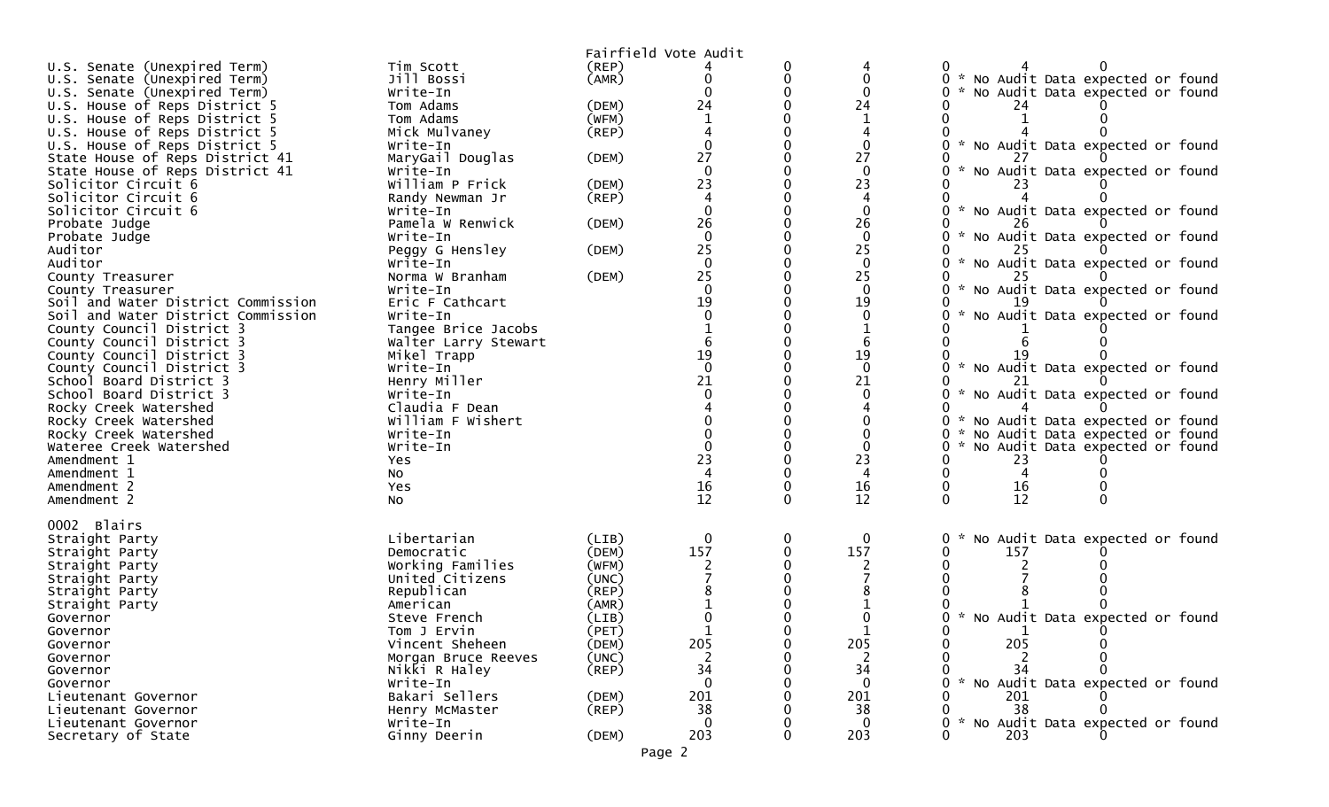|                                    |                      |             | Fairfield Vote Audit |   |              |                                        |
|------------------------------------|----------------------|-------------|----------------------|---|--------------|----------------------------------------|
| U.S. Senate (Unexpired Term)       | Tim Scott            | (REP)       |                      |   |              |                                        |
| U.S. Senate (Unexpired Term)       | Jill Bossi           | (AMR)       |                      |   |              | * No Audit Data expected or found<br>0 |
| U.S. Senate (Unexpired Term)       | Write-In             |             |                      |   |              | * No Audit Data expected or found      |
| U.S. House of Reps District 5      | Tom Adams            | (DEM)       | 24                   |   | 24           | 24                                     |
| U.S. House of Reps District 5      | Tom Adams            | (WFM)       |                      |   |              |                                        |
| U.S. House of Reps District 5      | Mick Mulvaney        | (REP)       |                      |   |              |                                        |
| U.S. House of Reps District 5      | Write-In             |             |                      |   |              | * No Audit Data expected or found      |
| State House of Reps District 41    | MaryGail Douglas     | (DEM)       | 27                   |   | 27           |                                        |
| State House of Reps District 41    | Write-In             |             |                      |   |              | No Audit Data expected or found        |
| Solicitor Circuit 6                | William P Frick      | (DEM)       | 23                   |   | 23           | 23                                     |
| Solicitor Circuit 6                | Randy Newman Jr      | (REP)       |                      |   |              |                                        |
| Solicitor Circuit 6                | Write-In             |             |                      |   |              | * No Audit Data expected or found      |
| Probate Judge                      | Pamela W Renwick     | (DEM)       | 26                   |   | 26           |                                        |
| Probate Judge                      | Write-In             |             |                      |   | $\Omega$     | * No Audit Data expected or found      |
| Auditor                            | Peggy G Hensley      | (DEM)       | 25                   |   | 25           |                                        |
| Auditor                            | Write-In             |             | $\Omega$             |   | $\Omega$     | * No Audit Data expected or found      |
| County Treasurer                   | Norma W Branham      | (DEM)       | 25                   |   | 25           |                                        |
| County Treasurer                   | Write-In             |             | $\Omega$             |   |              | * No Audit Data expected or found      |
| Soil and Water District Commission | Eric F Cathcart      |             | 19                   |   | 19           |                                        |
| Soil and Water District Commission | Write-In             |             |                      |   |              | No Audit Data expected or found        |
| County Council District 3          | Tangee Brice Jacobs  |             |                      |   |              |                                        |
| County Council District 3          | Walter Larry Stewart |             |                      |   |              |                                        |
| County Council District 3          | Mikel Trapp          |             | 19                   |   | 19           |                                        |
| County Council District 3          | Write-In             |             | $\Omega$             |   | $\Omega$     | * No Audit Data expected or found      |
| School Board District 3            | Henry Miller         |             | 21                   |   | 21           |                                        |
| School Board District 3            | Write-In             |             |                      |   |              | * No Audit Data expected or found      |
| Rocky Creek Watershed              | Claudia F Dean       |             |                      |   |              |                                        |
| Rocky Creek Watershed              | William F Wishert    |             |                      |   |              | * No Audit Data expected or found      |
| Rocky Creek Watershed              | Write-In             |             |                      |   |              | * No Audit Data expected or found      |
| Wateree Creek Watershed            | Write-In             |             |                      |   |              | * No Audit Data expected or found      |
| Amendment 1                        | Yes                  |             | 23                   |   | 23           | 23                                     |
| Amendment 1                        | No                   |             |                      |   |              |                                        |
| Amendment 2                        | Yes                  |             | 16                   |   | 16           | 16                                     |
| Amendment 2                        | NO.                  |             | 12                   |   | 12           | 12                                     |
|                                    |                      |             |                      |   |              |                                        |
| 0002 Blairs                        |                      |             |                      |   |              |                                        |
| Straight Party                     | Libertarian          | (LIB)       | $\mathbf{0}$         | 0 | $\mathbf{0}$ | * No Audit Data expected or found      |
| Straight Party                     | Democratic           | (DEM)       | 157                  |   | 157          | 157                                    |
| Straight Party                     | Working Families     | (WFM)       |                      |   |              |                                        |
| Straight Party                     | United Citizens      | (UNC)       |                      |   |              |                                        |
| Straight Party                     | Republican           | (REP)       |                      |   |              |                                        |
| Straight Party                     | American             | (AMR)       |                      |   |              |                                        |
| Governor                           | Steve French         | (LIB)       |                      |   |              | * No Audit Data expected or found      |
| Governor                           | Tom J Ervin          | (PET)       |                      |   |              |                                        |
| Governor                           | Vincent Sheheen      | (DEM)       | 205                  |   | 205          | 205                                    |
| Governor                           | Morgan Bruce Reeves  | (UNC)       |                      |   |              |                                        |
| Governor                           | Nikki R Haley        | $($ REP $)$ | 34                   |   | 34           | 34                                     |
| Governor                           | Write-In             |             | $\Omega$             |   | $\Omega$     | No Audit Data expected or found        |
| Lieutenant Governor                | Bakari Sellers       | (DEM)       | 201                  |   | 201          | 201                                    |
| Lieutenant Governor                | Henry McMaster       | $($ REP $)$ | 38                   |   | 38           | 38                                     |
| Lieutenant Governor                | Write-In             |             | $\Omega$             |   | $\Omega$     | * No Audit Data expected or found      |
| Secretary of State                 | Ginny Deerin         | (DEM)       | 203                  |   | 203          | 203                                    |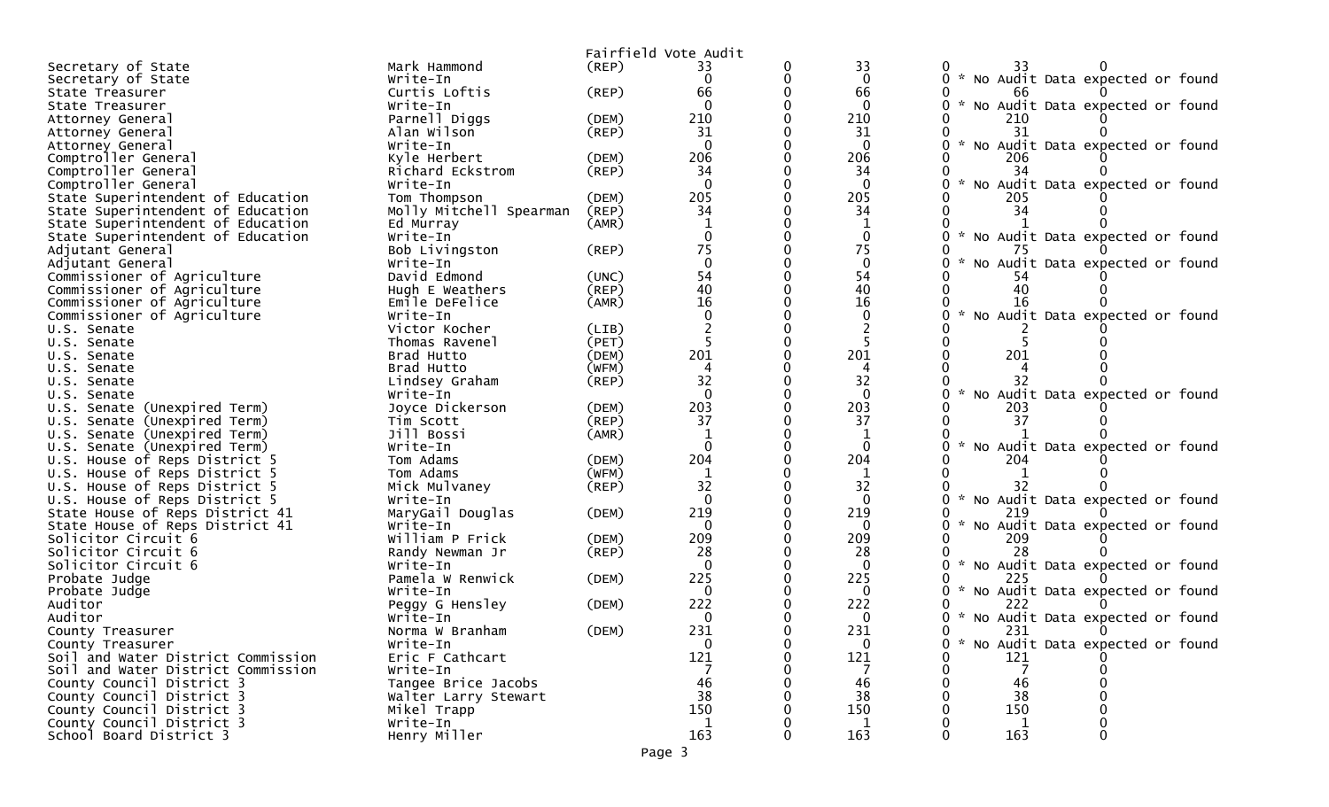|                                                            |                            |             | Fairfield Vote Audit |                   |               |                                     |  |
|------------------------------------------------------------|----------------------------|-------------|----------------------|-------------------|---------------|-------------------------------------|--|
| Secretary of State                                         | Mark Hammond               | $($ REP $)$ | 33                   | 33                |               | 33                                  |  |
| Secretary of State                                         | Write-In                   |             | $\mathbf{0}$         | $\mathbf{0}$      |               | 0 * No Audit Data expected or found |  |
| State Treasurer                                            | Curtis Loftis              | (REP)       | 66                   | 66                |               | 66                                  |  |
| State Treasurer                                            | Write-In                   |             | $\Omega$             | $\Omega$          |               | * No Audit Data expected or found   |  |
| Attorney General                                           | Parnell Diggs              | (DEM)       | 210                  | 210               |               | 210                                 |  |
| Attorney General                                           | Alan Wilson                | (REP)       | 31                   | 31                |               |                                     |  |
| Attorney General                                           | Write-In                   |             | $\Omega$             | $\Omega$          |               | * No Audit Data expected or found   |  |
| Comptroller General                                        | Kyle Herbert               | (DEM)       | 206                  | 206               |               | 206                                 |  |
| Comptroller General                                        | Richard Eckstrom           | $($ REP $)$ | 34                   | 34                |               |                                     |  |
| Comptroller General                                        | Write-In                   |             | $\Omega$             | $\Omega$          |               | * No Audit Data expected or found   |  |
| State Superintendent of Education                          | Tom Thompson               | (DEM)       | 205                  | 205               |               | 205                                 |  |
| State Superintendent of Education                          | Molly Mitchell Spearman    | (REP)       | 34                   | 34                |               | 34                                  |  |
| State Superintendent of Education                          | Ed Murray                  | (AMR)       |                      |                   |               |                                     |  |
| State Superintendent of Education                          | Write-In                   |             |                      | $\mathbf{0}$      |               | * No Audit Data expected or found   |  |
| Adjutant General                                           | Bob Livingston             | (REP)       | 75<br>$\Omega$       | 75                |               |                                     |  |
| Adjutant General                                           | Write-In                   |             |                      | $\mathbf 0$<br>54 |               | * No Audit Data expected or found   |  |
| Commissioner of Agriculture                                | David Edmond               | (UNC)       | 54<br>40             | 40                |               |                                     |  |
| Commissioner of Agriculture                                | Hugh E Weathers            | (REP)       | 16                   | 16                |               | 16                                  |  |
| Commissioner of Agriculture<br>Commissioner of Agriculture | Emile DeFelice<br>Write-In | (AMR)       |                      | $\Omega$          |               | No Audit Data expected or found     |  |
| U.S. Senate                                                | Victor Kocher              | (LIB)       |                      |                   |               |                                     |  |
| U.S. Senate                                                | Thomas Ravenel             | (PET)       |                      |                   |               |                                     |  |
| U.S. Senate                                                | Brad Hutto                 | (DEM)       | 201                  | 201               |               | 201                                 |  |
| U.S. Senate                                                | Brad Hutto                 | (WFM)       | 4                    |                   |               |                                     |  |
| U.S. Senate                                                | Lindsey Graham             | $($ REP $)$ | 32                   | 32                |               | 32                                  |  |
| U.S. Senate                                                | Write-In                   |             | $\Omega$             | $\Omega$          |               | No Audit Data expected or found     |  |
| U.S. Senate (Unexpired Term)                               | Joyce Dickerson            | (DEM)       | 203                  | 203               |               | 203                                 |  |
| U.S. Senate (Unexpired Term)                               | Tim Scott                  | (REP)       | 37                   | 37                |               | -37                                 |  |
| U.S. Senate (Unexpired Term)                               | Jill Bossi                 | (AMR)       |                      |                   |               |                                     |  |
| U.S. Senate (Unexpired Term)                               | Write-In                   |             |                      |                   | $\sim$        | No Audit Data expected or found     |  |
| U.S. House of Reps District 5                              | Tom Adams                  | (DEM)       | 204                  | 204               |               | 204                                 |  |
| U.S. House of Reps District 5                              | Tom Adams                  | (WFM)       | 1                    | 1                 |               |                                     |  |
| U.S. House of Reps District 5                              | Mick Mulvaney              | $($ REP $)$ | 32                   | 32                |               |                                     |  |
| U.S. House of Reps District 5                              | Write-In                   |             | $\Omega$             | $\mathbf{0}$      |               | * No Audit Data expected or found   |  |
| State House of Reps District 41                            | MaryGail Douglas           | (DEM)       | 219                  | 219               |               | 219                                 |  |
| State House of Reps District 41                            | Write-In                   |             |                      |                   |               | * No Audit Data expected or found   |  |
| Solicitor Circuit 6                                        | William P Frick            | (DEM)       | 209                  | 209               |               | 209                                 |  |
| Solicitor Circuit 6                                        | Randy Newman Jr            | $($ REP $)$ | 28                   | 28                |               | 28                                  |  |
| Solicitor Circuit 6                                        | Write-In                   |             | $\Omega$             | $\Omega$          | $\mathcal{H}$ | No Audit Data expected or found     |  |
| Probate Judge                                              | Pamela W Renwick           | (DEM)       | 225                  | 225               |               | 225                                 |  |
| Probate Judge                                              | Write-In                   |             | $\Omega$             | $\Omega$          |               | * No Audit Data expected or found   |  |
| Auditor                                                    | Peggy G Hensley            | (DEM)       | 222                  | 222               |               |                                     |  |
| Auditor                                                    | Write-In                   |             | 0                    | 0                 |               | * No Audit Data expected or found   |  |
| County Treasurer                                           | Norma W Branham            | (DEM)       | 231                  | 231               |               | 231                                 |  |
| County Treasurer                                           | Write-In                   |             | $\Omega$             | $\Omega$          | $\Omega$      | * No Audit Data expected or found   |  |
| Soil and Water District Commission                         | Eric F Cathcart            |             | 121                  | 121               |               | 121                                 |  |
| Soil and Water District Commission                         | Write-In                   |             |                      |                   |               | 7                                   |  |
| County Council District 3                                  | Tangee Brice Jacobs        |             | 46                   | 46                |               | 46                                  |  |
| County Council District 3                                  | Walter Larry Stewart       |             | 38                   | 38                |               | 38                                  |  |
| County Council District 3                                  | Mikel Trapp                |             | 150<br>-1            | 150<br>1          |               | 150                                 |  |
| County Council District 3<br>School Board District 3       | Write-In<br>Henry Miller   |             | 163                  | 163               |               | 163                                 |  |
|                                                            |                            |             |                      |                   |               |                                     |  |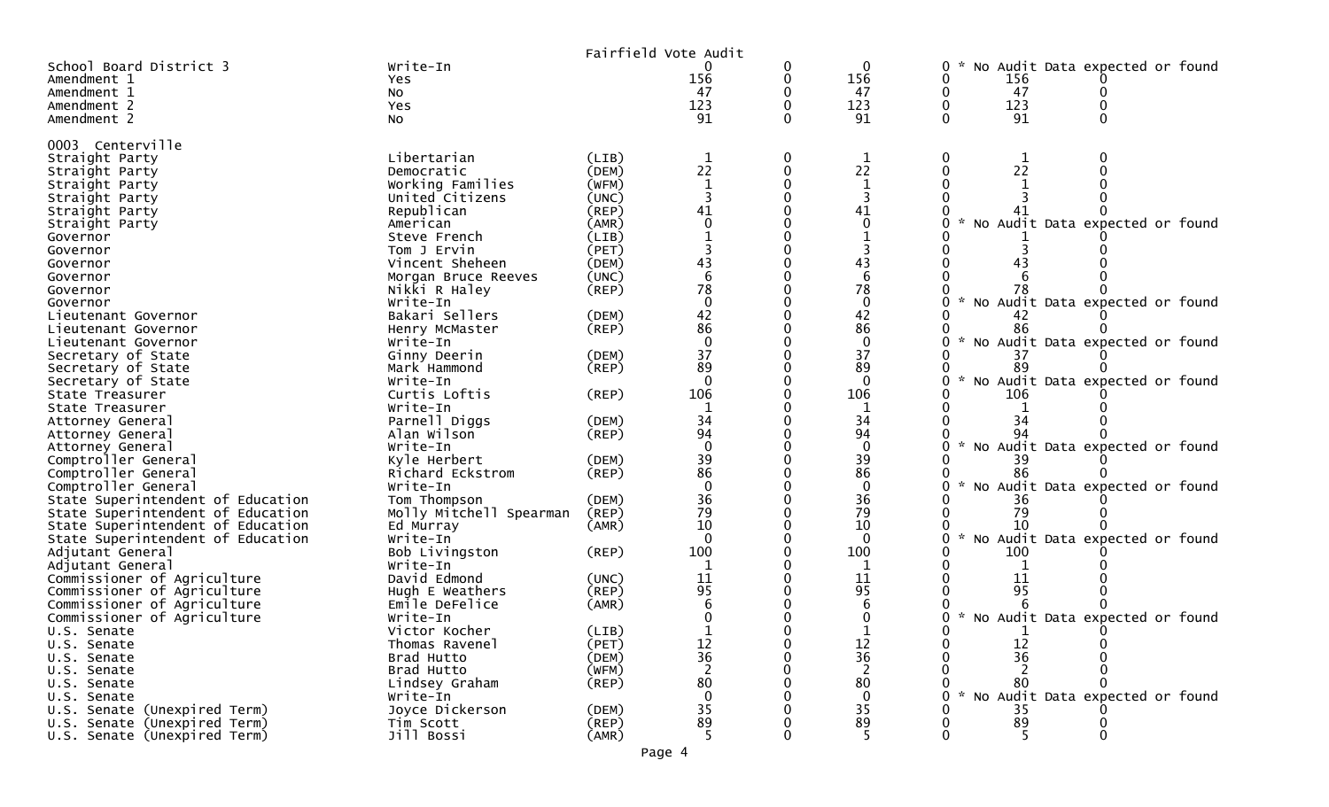|                                            |                          |             | Fairfield Vote Audit    |             |                   |                                                              |
|--------------------------------------------|--------------------------|-------------|-------------------------|-------------|-------------------|--------------------------------------------------------------|
| School Board District 3                    | Write-In                 |             |                         | 0           | 0                 | No Audit Data expected or found<br>$\mathbf{0}$              |
| Amendment 1                                | Yes.                     |             | 156                     | 0           | 156               | 0<br>156                                                     |
| Amendment 1                                | NO.                      |             | 47                      |             | 47                | 0<br>47                                                      |
| Amendment 2                                | Yes                      |             | 123                     | $\Omega$    | 123               | 123<br>$\mathbf 0$                                           |
| Amendment 2                                | No                       |             | 91                      |             | 91                | 91<br>$\Omega$                                               |
|                                            |                          |             |                         |             |                   |                                                              |
| 0003 Centerville                           |                          |             |                         |             |                   |                                                              |
| Straight Party                             | Libertarian              | (LIB)       | $\mathbf 1$             | 0           | $\mathbf 1$       | 0<br>1                                                       |
| Straight Party                             | Democratic               | (DEM)       | 22                      | 0           | 22                | 22<br>$\Omega$                                               |
| Straight Party                             | Working Families         | (WFM)       | $\mathbf{1}$            | $\mathbf 0$ | $\mathbf 1$       |                                                              |
| Straight Party                             | United Citizens          | (UNC)       |                         |             |                   |                                                              |
| Straight Party                             | Republican               | (REP)       | 41                      | $\Omega$    | 41                |                                                              |
| Straight Party                             | American                 | (AMR)       | $\mathbf 0$             |             | $\mathbf 0$       | No Audit Data expected or found                              |
| Governor                                   | Steve French             | (LIB)       |                         |             |                   |                                                              |
| Governor                                   | Tom J Ervin              | (PET)       | $\overline{\mathbf{3}}$ | $\Omega$    | 3                 | ∩                                                            |
| Governor                                   | Vincent Sheheen          | (DEM)       | 43                      | $\mathbf 0$ | 43                | 43                                                           |
| Governor                                   | Morgan Bruce Reeves      | (UNC)       | 6                       |             | 6                 |                                                              |
| Governor                                   | Nikki R Haley            | $($ REP $)$ | 78                      | $\Omega$    | 78                |                                                              |
| Governor                                   | Write-In                 |             | $\mathbf 0$             | $\mathbf 0$ | $\mathbf 0$       | No Audit Data expected or found<br>0                         |
| Lieutenant Governor                        | Bakari Sellers           | (DEM)       | 42                      |             | 42                |                                                              |
| Lieutenant Governor                        | Henry McMaster           | (REP)       | 86                      |             | 86                | 86                                                           |
| Lieutenant Governor                        | Write-In                 |             | $\mathbf 0$             | $\mathbf 0$ | $\mathbf 0$       | * No Audit Data expected or found<br>0                       |
| Secretary of State                         | Ginny Deerin             | (DEM)       | 37                      |             | 37                | 37                                                           |
| Secretary of State                         | Mark Hammond             | $($ REP $)$ | 89                      | $\Omega$    | 89                | 89                                                           |
| Secretary of State                         | Write-In                 |             | $\mathbf 0$             |             | $\mathbf{0}$      | $\mathcal{H}$<br>No Audit Data expected or found<br>$\Omega$ |
| State Treasurer                            | Curtis Loftis            | (REP)       | 106                     |             | 106               | 106                                                          |
| State Treasurer                            | Write-In                 |             | 1                       | $\Omega$    | 1                 |                                                              |
| Attorney General                           | Parnell Diggs            | (DEM)       | 34                      |             | 34                | 34                                                           |
| Attorney General                           | Alan Wilson              | $($ REP $)$ | 94<br>$\mathbf 0$       | $\Omega$    | 94                | $\sim$                                                       |
| Attorney General                           | Write-In                 |             | 39                      | $\mathbf 0$ | $\mathbf 0$<br>39 | No Audit Data expected or found<br>$\Omega$                  |
| Comptroller General                        | Kyle Herbert             | (DEM)       | 86                      |             | 86                |                                                              |
| Comptroller General<br>Comptroller General | Richard Eckstrom         | $($ REP $)$ | $\mathbf 0$             | $\Omega$    | $\mathbf{0}$      | 86<br>No Audit Data expected or found<br>O                   |
| State Superintendent of Education          | Write-In<br>Tom Thompson | (DEM)       | 36                      | 0           | 36                | 36                                                           |
| State Superintendent of Education          |                          | (REP)       | 79                      |             | 79                | 79                                                           |
| State Superintendent of Education          | Molly Mitchell Spearman  | (AMR)       | 10                      | $\Omega$    | 10                | 10                                                           |
| State Superintendent of Education          | Ed Murray<br>Write-In    |             | $\mathbf 0$             |             | $\mathbf 0$       | $\sim$<br>No Audit Data expected or found<br>0               |
| Adjutant General                           | Bob Livingston           | $($ REP $)$ | 100                     |             | 100               | 100                                                          |
| Adjutant General                           | Write-In                 |             | 1                       |             | 1                 | 0<br>1                                                       |
| Commissioner of Agriculture                | David Edmond             | (UNC)       | 11                      |             | 11                | 11                                                           |
| Commissioner of Agriculture                | Hugh E Weathers          | (REP)       | 95                      |             | 95                | 95                                                           |
| Commissioner of Agriculture                | Emile DeFelice           | (AMR)       | 6                       |             | 6                 |                                                              |
| Commissioner of Agriculture                | Write-In                 |             |                         |             |                   | * No Audit Data expected or found<br>0                       |
| U.S. Senate                                | Victor Kocher            | (LIB)       |                         |             |                   | <sup>n</sup>                                                 |
| U.S. Senate                                | Thomas Ravenel           | (PET)       | 12                      |             | 12                | 12                                                           |
| U.S. Senate                                | Brad Hutto               | (DEM)       | 36                      |             | 36                | 36                                                           |
| U.S. Senate                                | Brad Hutto               | (WFM)       |                         |             | 2                 |                                                              |
| U.S. Senate                                | Lindsey Graham           | (REP)       | 80                      |             | 80                | 80                                                           |
| U.S. Senate                                | Write-In                 |             | $\Omega$                |             | $\mathbf 0$       | $\sim$<br>No Audit Data expected or found                    |
| U.S. Senate (Unexpired Term)               | Joyce Dickerson          | (DEM)       | 35                      |             | 35                | 35                                                           |
| U.S. Senate (Unexpired Term)               | Tim Scott                | (REP)       | 89                      |             | 89                | 89                                                           |
| U.S. Senate (Unexpired Term)               | Jill Bossi               | (AMR)       |                         |             |                   |                                                              |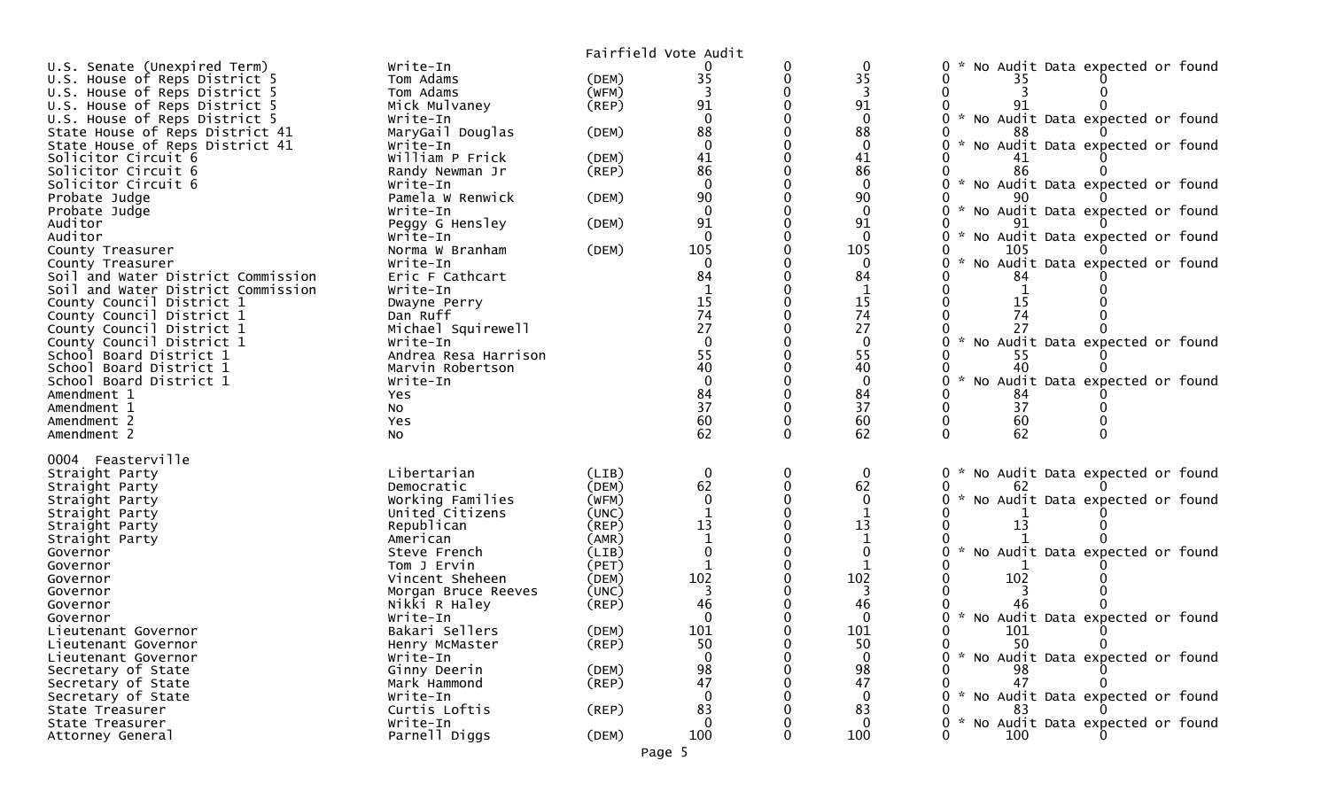|                                    |                      |             | Fairfield Vote Audit |   |              |                                                  |
|------------------------------------|----------------------|-------------|----------------------|---|--------------|--------------------------------------------------|
| U.S. Senate (Unexpired Term)       | Write-In             |             |                      | 0 | 0            | No Audit Data expected or found<br>0             |
| U.S. House of Reps District 5      | Tom Adams            | (DEM)       | 35                   | 0 | 35           | 35                                               |
| U.S. House of Reps District 5      | Tom Adams            | (WFM)       | 3                    |   | 3            |                                                  |
| U.S. House of Reps District 5      | Mick Mulvaney        | $($ REP $)$ | 91                   |   | 91           |                                                  |
| U.S. House of Reps District 5      | Write-In             |             |                      |   | $\Omega$     | No Audit Data expected or found                  |
| State House of Reps District 41    | MaryGail Douglas     | (DEM)       | 88                   |   | 88           |                                                  |
| State House of Reps District 41    | Write-In             |             | $\Omega$             |   | $\mathbf{0}$ | No Audit Data expected or found                  |
| Solicitor Circuit 6                | William P Frick      | (DEM)       | 41                   |   | 41           |                                                  |
| Solicitor Circuit 6                | Randy Newman Jr      | (REP)       | 86                   |   | 86           | 86                                               |
| Solicitor Circuit 6                | Write-In             |             | $\Omega$             |   | $\mathbf{0}$ | $\sim$<br>No Audit Data expected or found        |
| Probate Judge                      | Pamela W Renwick     | (DEM)       | 90                   |   | 90           |                                                  |
| Probate Judge                      | Write-In             |             | $\mathbf 0$          |   | $\mathbf{0}$ | No Audit Data expected or found                  |
| Auditor                            | Peggy G Hensley      | (DEM)       | 91                   |   | 91           |                                                  |
| Auditor                            | Write-In             |             | $\Omega$             |   | $\Omega$     | No Audit Data expected or found                  |
| County Treasurer                   | Norma W Branham      | (DEM)       | 105                  |   | 105          | 105                                              |
| County Treasurer                   | Write-In             |             | $\Omega$             |   | $\Omega$     | No Audit Data expected or found                  |
| Soil and Water District Commission | Eric F Cathcart      |             | 84                   |   | 84           | 84                                               |
| Soil and Water District Commission | Write-In             |             |                      |   |              |                                                  |
| County Council District 1          | Dwayne Perry         |             | 15                   |   | 15           | 15                                               |
| County Council District 1          | Dan Ruff             |             | 74                   |   | 74           | 74                                               |
| County Council District 1          | Michael Squirewell   |             | 27                   |   | 27           |                                                  |
| County Council District 1          | Write-In             |             | $\Omega$             |   | $\Omega$     | No Audit Data expected or found<br>$\mathcal{H}$ |
| School Board District 1            | Andrea Resa Harrison |             | 55                   |   | 55           | 55                                               |
| School Board District 1            | Marvin Robertson     |             | 40<br>$\Omega$       |   | 40           | 40                                               |
| School Board District 1            | Write-In             |             |                      |   | $\mathbf{0}$ | No Audit Data expected or found                  |
| Amendment 1<br>Amendment 1         | Yes                  |             | 84<br>37             |   | 84<br>37     | 84<br>37                                         |
|                                    | No                   |             | 60                   |   |              |                                                  |
| Amendment 2<br>Amendment 2         | Yes                  |             | 62                   |   | 60<br>62     | 60<br>$\Omega$<br>62                             |
|                                    | No                   |             |                      |   |              |                                                  |
| 0004 Feasterville                  |                      |             |                      |   |              |                                                  |
| Straight Party                     | Libertarian          | (LIB)       | $\mathbf 0$          | 0 | $\mathbf 0$  | No Audit Data expected or found<br>0             |
| Straight Party                     | Democratic           | (DEM)       | 62                   | 0 | 62           | 62                                               |
| Straight Party                     | Working Families     | (WFM)       | $\mathbf{0}$         |   | $\mathbf{0}$ | No Audit Data expected or found<br>0             |
| Straight Party                     | United Citizens      | (UNC)       |                      |   |              |                                                  |
| Straight Party                     | Republican           | (REP)       | 13                   |   | 13           | 13                                               |
| Straight Party                     | American             | (AMR)       |                      |   |              |                                                  |
| Governor                           | Steve French         | (LIB)       | $\Omega$             |   | $\mathbf{0}$ | No Audit Data expected or found                  |
| Governor                           | Tom J Ervin          | (PET)       |                      |   |              |                                                  |
| Governor                           | Vincent Sheheen      | (DEM)       | 102                  |   | 102          | 102                                              |
| Governor                           | Morgan Bruce Reeves  | (UNC)       |                      |   |              |                                                  |
| Governor                           | Nikki R Haley        | (REP)       | 46                   |   | 46           | 46                                               |
| Governor                           | Write-In             |             |                      |   |              | No Audit Data expected or found                  |
| Lieutenant Governor                | Bakari Sellers       | (DEM)       | 101                  |   | 101          | 101                                              |
| Lieutenant Governor                | Henry McMaster       | $($ REP $)$ | 50                   | 0 | 50           | 50<br>0<br>0                                     |
| Lieutenant Governor                | Write-In             |             | $\Omega$             |   | $\mathbf{0}$ | No Audit Data expected or found                  |
| Secretary of State                 | Ginny Deerin         | (DEM)       | 98                   |   | 98           | 98                                               |
| Secretary of State                 | Mark Hammond         | $($ REP $)$ | 47                   |   | 47           | 47                                               |
| Secretary of State                 | Write-In             |             | $\mathbf 0$          |   | $\mathbf 0$  | No Audit Data expected or found                  |
| State Treasurer                    | Curtis Loftis        | $($ REP $)$ | 83                   |   | 83           | 83                                               |
| State Treasurer                    | Write-In             |             | $\mathbf 0$          |   | $\mathbf 0$  | No Audit Data expected or found                  |
| Attorney General                   | Parnell Diggs        | (DEM)       | 100                  | 0 | 100          | 0<br>100                                         |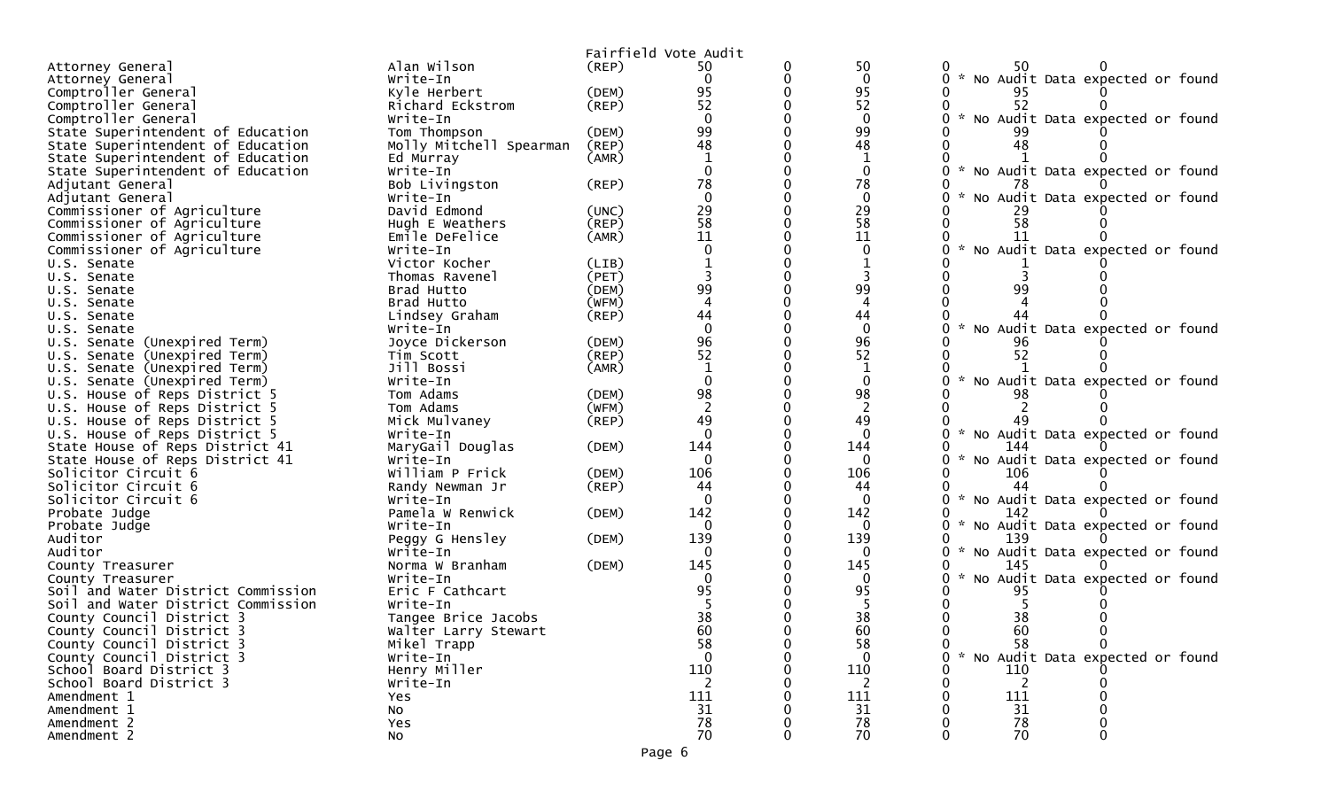|                                                                    |                              |             | Fairfield Vote Audit |                      |                                           |
|--------------------------------------------------------------------|------------------------------|-------------|----------------------|----------------------|-------------------------------------------|
| Attorney General                                                   | Alan Wilson                  | (REP)       | 50                   | 50                   | 50                                        |
| Attorney General                                                   | Write-In                     |             | $\Omega$             | $\mathbf{0}$         | * No Audit Data expected or found         |
| Comptroller General                                                | Kyle Herbert                 | (DEM)       | 95                   | 95                   |                                           |
| Comptroller General                                                | Richard Eckstrom             | (REP)       | 52                   | 52                   | 52                                        |
| Comptroller General                                                | Write-In                     |             |                      |                      | $\sim$<br>No Audit Data expected or found |
| State Superintendent of Education                                  | Tom Thompson                 | (DEM)       | 99                   | 99                   |                                           |
| State Superintendent of Education                                  | Molly Mitchell Spearman      | (REP)       | 48                   | 48                   | 48                                        |
| State Superintendent of Education                                  | Ed Murray                    | (AMR)       |                      |                      |                                           |
| State Superintendent of Education                                  | Write-In                     |             | $\Omega$             | $\mathbf 0$          | * No Audit Data expected or found         |
| Adjutant General                                                   | Bob Livingston               | (REP)       | 78                   | 78                   |                                           |
| Adjutant General                                                   | Write-In                     |             | $\Omega$             | $\Omega$             | No Audit Data expected or found           |
| Commissioner of Agriculture                                        | David Edmond                 | (UNC)       | 29                   | 29                   |                                           |
| Commissioner of Agriculture                                        | Hugh E Weathers              | (REP)       | 58                   | 58                   | 58                                        |
| Commissioner of Agriculture                                        | Emile DeFelice               | (AMR)       | 11                   | 11                   |                                           |
| Commissioner of Agriculture                                        | Write-In                     |             |                      | $\mathbf{0}$         | * No Audit Data expected or found         |
| U.S. Senate                                                        | Victor Kocher                | (LIB)       |                      |                      |                                           |
| U.S. Senate                                                        | Thomas Ravenel               | (PET)       |                      |                      |                                           |
| U.S. Senate                                                        | Brad Hutto                   | (DEM)       | 99                   | 99                   |                                           |
| U.S. Senate                                                        | Brad Hutto                   | (WFM)       |                      |                      |                                           |
| U.S. Senate                                                        | Lindsey Graham               | $($ REP $)$ | 44                   | 44                   |                                           |
| U.S. Senate                                                        | Write-In                     |             | $\mathbf{0}$         | $\mathbf{0}$         | * No Audit Data expected or found         |
| U.S. Senate (Unexpired Term)                                       | Joyce Dickerson              | (DEM)       | 96                   | 96                   |                                           |
| U.S. Senate (Unexpired Term)                                       | Tim Scott                    | (REP)       | 52                   | 52                   | 52                                        |
| U.S. Senate (Unexpired Term)                                       | Jill Bossi                   | (AMR)       |                      | 1                    |                                           |
| U.S. Senate (Unexpired Term)                                       | Write-In                     |             |                      | $\mathbf{0}$         | No Audit Data expected or found           |
| U.S. House of Reps District 5                                      | Tom Adams                    | (DEM)       | 98<br>$\overline{2}$ | 98<br>$\overline{2}$ |                                           |
| U.S. House of Reps District 5                                      | Tom Adams                    | (WFM)       | 49                   | 49                   |                                           |
| U.S. House of Reps District 5                                      | Mick Mulvaney                | $($ REP $)$ | $\Omega$             | $\Omega$             | * No Audit Data expected or found         |
| U.S. House of Reps District 5                                      | Write-In                     |             | 144                  | 144                  | 144                                       |
| State House of Reps District 41<br>State House of Reps District 41 | MaryGail Douglas<br>Write-In | (DEM)       | $\Omega$             | $\Omega$             | $\sim$<br>No Audit Data expected or found |
| Solicitor Circuit 6                                                | William P Frick              | (DEM)       | 106                  | 106                  | 106                                       |
| Solicitor Circuit 6                                                | Randy Newman Jr              | (REP)       | 44                   | 44                   | 44                                        |
| Solicitor Circuit 6                                                | Write-In                     |             | $\Omega$             | $\mathbf{0}$         | * No Audit Data expected or found         |
| Probate Judge                                                      | Pamela W Renwick             | (DEM)       | 142                  | 142                  | 142                                       |
| Probate Judge                                                      | Write-In                     |             | $\Omega$             | 0                    | * No Audit Data expected or found         |
| Auditor                                                            | Peggy G Hensley              | (DEM)       | 139                  | 139                  | 139                                       |
| Auditor                                                            | Write-In                     |             | 0                    | $\Omega$             | No Audit Data expected or found           |
| County Treasurer                                                   | Norma W Branham              | (DEM)       | 145                  | 145                  | 145                                       |
| County Treasurer                                                   | Write-In                     |             |                      |                      | No Audit Data expected or found<br>$\sim$ |
| Soil and Water District Commission                                 | Eric F Cathcart              |             | 95                   | 95                   | 95                                        |
| Soil and Water District Commission                                 | Write-In                     |             |                      |                      |                                           |
| County Council District 3                                          | Tangee Brice Jacobs          |             | 38                   | 38                   | 38                                        |
| County Council District 3                                          | Walter Larry Stewart         |             | 60                   | 60                   | 60                                        |
| County Council District 3                                          | Mikel Trapp                  |             | 58                   | 58                   | 58<br>$\Omega$                            |
| County Council District 3                                          | Write-In                     |             | $\Omega$             |                      | No Audit Data expected or found           |
| School Board District 3                                            | Henry Miller                 |             | 110                  | 110                  | 110                                       |
| School Board District 3                                            | Write-In                     |             | $\overline{2}$       | 2                    | $\overline{2}$                            |
| Amendment 1                                                        | Yes                          |             | 111                  | 111                  | 111                                       |
| Amendment 1                                                        | No                           |             | 31                   | 31                   | 31                                        |
| Amendment 2                                                        | Yes                          |             | 78                   | 78                   | 78                                        |
| Amendment 2                                                        | No                           |             | 70                   | 70                   | 70                                        |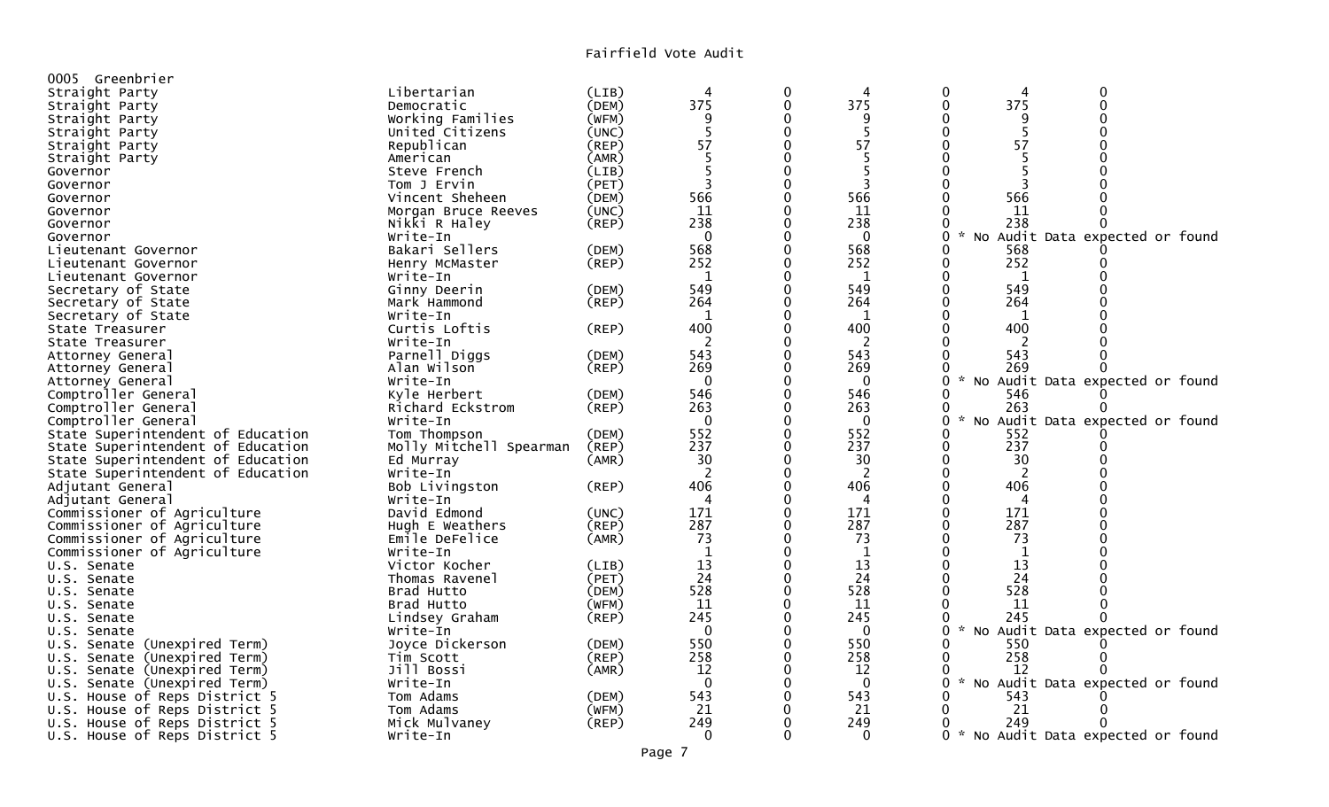| 0005 Greenbrier                                               |                         |       |              |              |              |                                                       |
|---------------------------------------------------------------|-------------------------|-------|--------------|--------------|--------------|-------------------------------------------------------|
| Straight Party                                                | Libertarian             | (LIB) | 4            | 0            | 4            | 0<br>$\Omega$<br>4                                    |
| Straight Party                                                | Democratic              | (DEM) | 375          | 0            | 375          | 375<br>$\mathbf{0}$<br>$\Omega$                       |
| Straight Party                                                | Working Families        | (WFM) | q            |              | 9            |                                                       |
| Straight Party                                                | United Citizens         | (UNC) | 5            | $\mathbf 0$  | 5            | $\mathbf{0}$<br>O<br>5                                |
| Straight Party                                                | Republican              | (REP) | 57           | 0            | 57           | 57<br>O                                               |
| Straight Party                                                | American                | (AMR) | 5            |              | 5            |                                                       |
| Governor                                                      | Steve French            | (LIB) |              | 0            |              | O                                                     |
| Governor                                                      | Tom J Ervin             | (PET) | 3            | $\Omega$     | 3            | З                                                     |
| Governor                                                      | Vincent Sheheen         | (DEM) | 566          | 0            | 566          | 566                                                   |
| Governor                                                      | Morgan Bruce Reeves     | (UNC) | 11           |              | 11           | 11                                                    |
| Governor                                                      | Nikki R Haley           | (REP) | 238          | 0            | 238          | 238<br>0<br>0                                         |
| Governor                                                      | Write-In                |       | $\Omega$     |              | $\Omega$     | 0<br>No Audit Data expected or found                  |
| Lieutenant Governor                                           | Bakari Sellers          | (DEM) | 568          | 0            | 568          | 568<br>0                                              |
| Lieutenant Governor                                           | Henry McMaster          | (REP) | 252          |              | 252          | 252<br>0                                              |
| Lieutenant Governor                                           | Write-In                |       | 1            | $\Omega$     | 1            | 0<br>1                                                |
| Secretary of State                                            | Ginny Deerin            | (DEM) | 549          | 0            | 549          | 549<br>$\Omega$                                       |
| Secretary of State                                            | Mark Hammond            | (REP) | 264          |              | 264          | 264<br>$\Omega$                                       |
| Secretary of State                                            | Write-In                |       | 1            | 0            | 1            | 1<br>0                                                |
| State Treasurer                                               | Curtis Loftis           | (REP) | 400          |              | 400          | 400                                                   |
| State Treasurer                                               | Write-In                |       | 2            |              | 2            | $\mathcal{L}$                                         |
| Attorney General                                              | Parnell Diggs           | (DEM) | 543          |              | 543          | 543                                                   |
| Attorney General                                              | Alan Wilson             | (REP) | 269          |              | 269          | 269<br>0                                              |
| Attorney General                                              | Write-In                |       | $\mathbf 0$  |              | $\Omega$     | 0<br>No Audit Data expected or found                  |
| Comptroller General                                           | Kyle Herbert            | (DEM) | 546          |              | 546          | 546<br>0                                              |
| Comptroller General                                           | Richard Eckstrom        | (REP) | 263          |              | 263          | 0<br>263                                              |
| Comptroller General                                           | Write-In                |       | $\mathbf 0$  | $\mathbf 0$  | $\mathbf 0$  | 0<br>$\sim$<br>No Audit Data expected or found        |
| State Superintendent of Education                             | Tom Thompson            | (DEM) | 552          | 0            | 552          | 552<br>0                                              |
| State Superintendent of Education                             | Molly Mitchell Spearman | (REP) | 237          |              | 237          | 237<br>0                                              |
| State Superintendent of Education                             | Ed Murray               | (AMR) | 30           | 0            | 30           | 30<br>0                                               |
| State Superintendent of Education                             | Write-In                |       | -2           |              | 2            | $\Omega$<br>2                                         |
| Adjutant General                                              | Bob Livingston          | (REP) | 406          |              | 406          | 406<br>$\Omega$                                       |
| Adjutant General                                              | Write-In                |       |              |              | 4            | 4                                                     |
| Commissioner of Agriculture                                   | David Edmond            | (UNC) | 171          | 0            | 171          | 171<br>0                                              |
| Commissioner of Agriculture                                   | Hugh E Weathers         | (REP) | 287          |              | 287          | 287                                                   |
| Commissioner of Agriculture                                   | Emile DeFelice          | (AMR) | 73           | $\mathbf{0}$ | 73           | 73<br>$\Omega$                                        |
| Commissioner of Agriculture                                   | Write-In                |       | $\mathbf{1}$ | $\Omega$     | 1            | 0<br>$\mathbf{1}$                                     |
| U.S. Senate                                                   | Victor Kocher           | (LIB) | 13           | $\Omega$     | 13           | 13<br>$\Omega$                                        |
| U.S. Senate                                                   | Thomas Ravenel          | (PET) | 24           | $\Omega$     | 24           | 24<br>0                                               |
| U.S. Senate                                                   | Brad Hutto              | (DEM) | 528          | $\Omega$     | 528          | 528                                                   |
| U.S. Senate                                                   | Brad Hutto              | (WFM) | 11           | $\mathbf 0$  | -11          | -11<br>0                                              |
| U.S. Senate                                                   | Lindsey Graham          | (REP) | 245          |              | 245          | 245<br>0                                              |
| U.S. Senate                                                   | Write-In                |       | $\mathbf 0$  | $\Omega$     | $\mathbf{0}$ | $\mathcal{H}$<br>No Audit Data expected or found<br>0 |
| U.S. Senate (Unexpired Term)                                  | Joyce Dickerson         | (DEM) | 550          |              | 550          | 550                                                   |
| U.S. Senate (Unexpired Term)                                  |                         | (REP) | 258          | 0            | 258          | 258<br>0                                              |
| U.S. Senate (Unexpired Term)                                  | Tim Scott<br>Jill Bossi | (AMR) | 12           |              | 12           | 12                                                    |
|                                                               | Write-In                |       | $\mathbf 0$  | 0            | $\Omega$     | 0<br>$\sim$<br>No Audit Data expected or found        |
| U.S. Senate (Unexpired Term)<br>U.S. House of Reps District 5 | Tom Adams               | (DEM) | 543          |              | 543          | 543                                                   |
| U.S. House of Reps District 5                                 | Tom Adams               | (WFM) | 21           |              | 21           | 21<br>0                                               |
| U.S. House of Reps District 5                                 | Mick Mulvaney           | (REP) | 249          |              | 249          | 249<br>0                                              |
|                                                               | Write-In                |       | $\Omega$     | ∩            | $\Omega$     | ი ∗<br>No Audit Data expected or found                |
| U.S. House of Reps District 5                                 |                         |       |              |              |              |                                                       |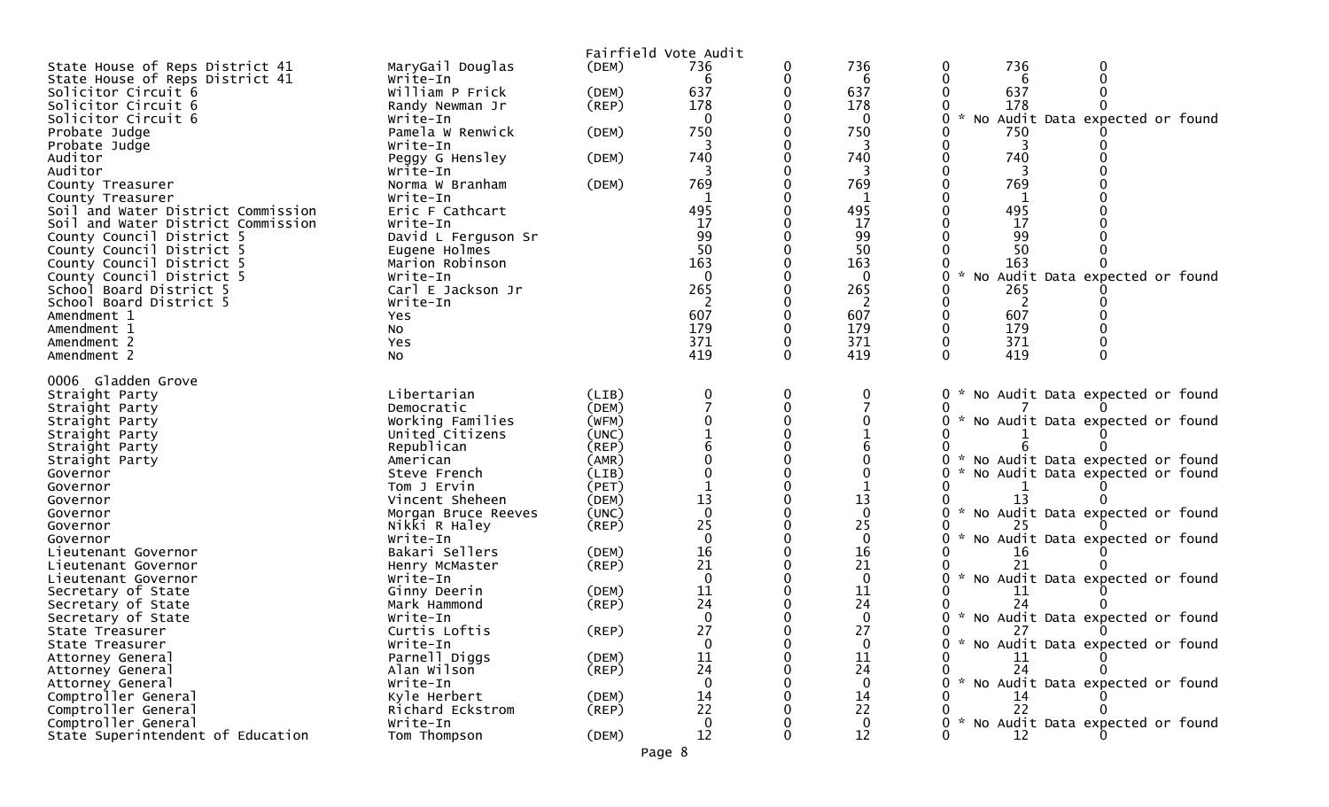|                                                                          |                             | Fairfield Vote Audit |              |          |                    |                                                  |
|--------------------------------------------------------------------------|-----------------------------|----------------------|--------------|----------|--------------------|--------------------------------------------------|
| State House of Reps District 41                                          | MaryGail Douglas            | (DEM)                | 736          | 0        | 736                | 736<br>0                                         |
| State House of Reps District 41                                          | Write-In                    |                      | 6            |          | 6                  | 6                                                |
| Solicitor Circuit 6                                                      | William P Frick             | (DEM)                | 637          |          | 637                | 637                                              |
| Solicitor Circuit 6                                                      | Randy Newman Jr             | (REP)                | 178          |          | 178                | 178                                              |
| Solicitor Circuit 6                                                      | Write-In                    |                      | $\Omega$     |          | $\Omega$           | $\sim$<br>No Audit Data expected or found        |
| Probate Judge                                                            | Pamela W Renwick            | (DEM)                | 750          |          | 750                | 750                                              |
| Probate Judge                                                            | Write-In                    |                      |              |          | 3                  |                                                  |
| Auditor                                                                  | Peggy G Hensley             | (DEM)                | 740          |          | 740                | 740                                              |
| Auditor                                                                  | Write-In                    |                      |              |          |                    |                                                  |
| County Treasurer                                                         | Norma W Branham             | (DEM)                | 769          |          | 769                | 769                                              |
| County Treasurer                                                         | Write-In                    |                      | 495          |          | 495                | 495                                              |
| Soil and Water District Commission<br>Soil and Water District Commission | Eric F Cathcart<br>Write-In |                      | 17           |          | 17                 | 17                                               |
| County Council District 5                                                | David L Ferguson Sr         |                      | 99           |          | 99                 | 99                                               |
| County Council District 5                                                | Eugene Holmes               |                      | 50           |          | 50                 | 50                                               |
| County Council District 5                                                | Marion Robinson             |                      | 163          |          | 163                | 163                                              |
| County Council District 5                                                | Write-In                    |                      | $\Omega$     |          | $\Omega$           | $\mathcal{H}$<br>No Audit Data expected or found |
| School Board District 5                                                  | Carl E Jackson Jr           |                      | 265          |          | 265                | 265                                              |
| School Board District 5                                                  | Write-In                    |                      | 2            |          | 2                  | 2                                                |
| Amendment 1                                                              | Yes                         |                      | 607          |          | 607                | 607                                              |
| Amendment 1                                                              | NO.                         |                      | 179          |          | 179                | 179                                              |
| Amendment 2                                                              | Yes                         |                      | 371          |          | 371                | 371                                              |
| Amendment 2                                                              | <b>NO</b>                   |                      | 419          |          | 419                | 419                                              |
| 0006 Gladden Grove                                                       |                             |                      |              |          |                    |                                                  |
| Straight Party                                                           | Libertarian                 | (LIB)                | 0            | 0        |                    | * No Audit Data expected or found<br>0           |
| Straight Party                                                           | Democratic                  | (DEM)                |              | $\Omega$ |                    |                                                  |
| Straight Party                                                           | Working Families            | (WFM)                |              |          |                    | * No Audit Data expected or found                |
| Straight Party                                                           | United Citizens             | (UNC)                |              |          |                    |                                                  |
| Straight Party                                                           | Republican                  | (REP)                |              |          |                    |                                                  |
| Straight Party                                                           | American                    | (AMR)                |              |          |                    | * No Audit Data expected or found                |
| Governor                                                                 | Steve French                | (LIB)                |              |          |                    | * No Audit Data expected or found                |
| Governor                                                                 | Tom J Ervin                 | (PET)                |              |          |                    |                                                  |
| Governor                                                                 | Vincent Sheheen             | (DEM)                | 13           |          | 13                 | 13                                               |
| Governor                                                                 | Morgan Bruce Reeves         | (UNC)                | $\Omega$     |          | $\Omega$           | * No Audit Data expected or found                |
| Governor                                                                 | Nikki R Haley               | (REP)                | 25           |          | 25                 |                                                  |
| Governor                                                                 | Write-In                    |                      | $\Omega$     |          | $\mathbf 0$        | * No Audit Data expected or found                |
| Lieutenant Governor                                                      | Bakari Sellers              | (DEM)                | 16<br>21     |          | 16                 |                                                  |
| Lieutenant Governor                                                      | Henry McMaster<br>Write-In  | $($ REP $)$          | $\Omega$     |          | 21<br>$\mathbf{0}$ | * No Audit Data expected or found                |
| Lieutenant Governor<br>Secretary of State                                | Ginny Deerin                | (DEM)                | <u>11</u>    |          | 11                 | 11                                               |
| Secretary of State                                                       | Mark Hammond                | (REP)                | 24           |          | 24                 | 24                                               |
| Secretary of State                                                       | Write-In                    |                      | $\Omega$     |          | $\mathbf{0}$       | * No Audit Data expected or found                |
| State Treasurer                                                          | Curtis Loftis               | (REP)                | 27           |          | 27                 | 27                                               |
| State Treasurer                                                          | Write-In                    |                      | $\mathbf{0}$ |          | $\mathbf{0}$       | * No Audit Data expected or found<br>0           |
| Attorney General                                                         | Parnell Diggs               | (DEM)                | <u>11</u>    |          | 11                 | 11                                               |
| Attorney General                                                         | Alan Wilson                 | $($ REP $)$          | 24           |          | 24                 | 24                                               |
| Attorney General                                                         | Write-In                    |                      | $\Omega$     |          | $\Omega$           | * No Audit Data expected or found                |
| Comptroller General                                                      | Kyle Herbert                | (DEM)                | 14           |          | 14                 |                                                  |
| Comptroller General                                                      | Richard Eckstrom            | $($ REP $)$          | 22           |          | 22                 | 22                                               |
| Comptroller General                                                      | Write-In                    |                      | $\mathbf{0}$ |          | $\mathbf 0$        | * No Audit Data expected or found                |
| State Superintendent of Education                                        | Tom Thompson                | (DEM)                | 12           |          | 12                 | 12                                               |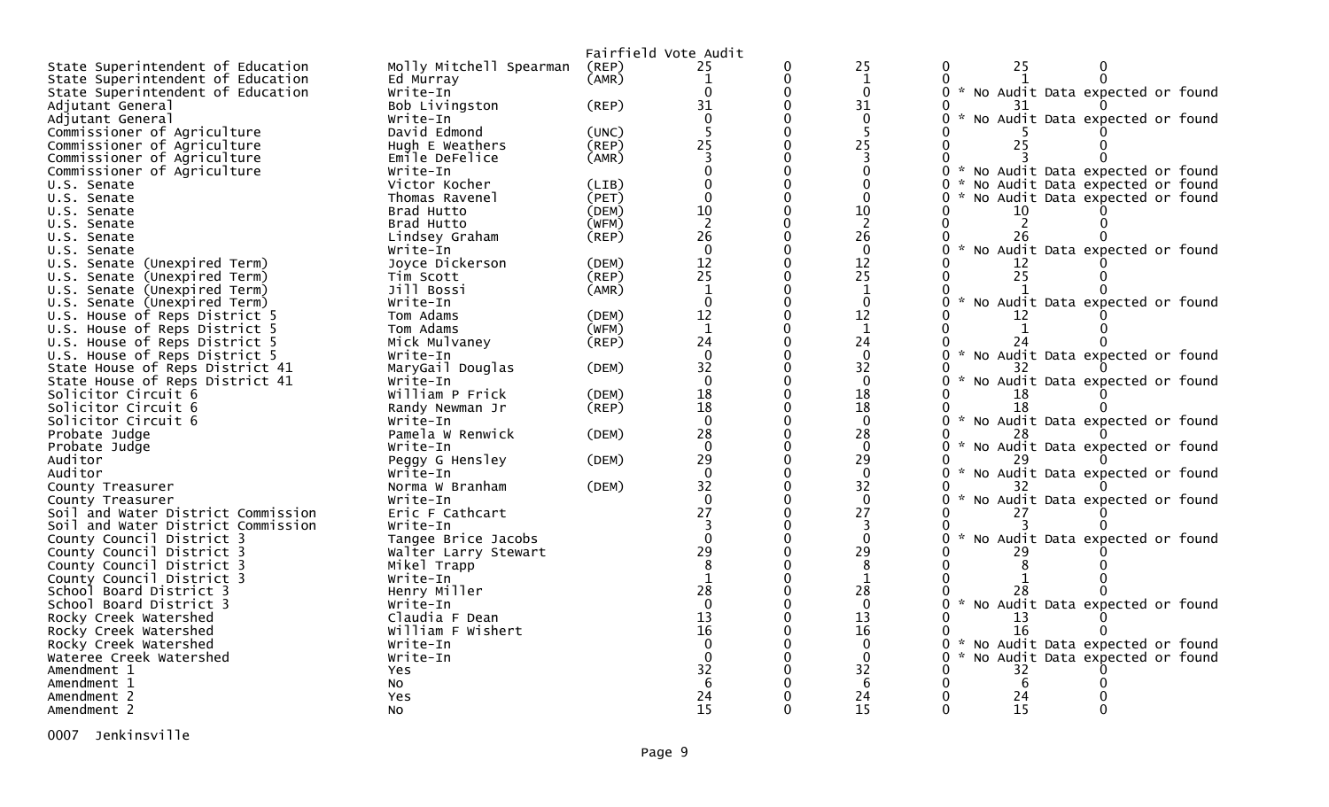|                                        |                         |       | Fairfield Vote Audit |          |                 |                                                  |
|----------------------------------------|-------------------------|-------|----------------------|----------|-----------------|--------------------------------------------------|
| State Superintendent of Education      | Molly Mitchell Spearman | (REP) | 25                   | 0        | 25              | 25<br>0                                          |
| State Superintendent of Education      | Ed Murray               | (AMR) | $\mathbf{1}$         | 0        | $\mathbf{1}$    |                                                  |
| State Superintendent of Education      | Write-In                |       | 0                    |          | $\Omega$        | 0 * No Audit Data expected or found              |
| Adjutant General                       | Bob Livingston          | (REP) | 31                   | 0        | 31              |                                                  |
| Adjutant General                       | Write-In                |       |                      | $\Omega$ | $\mathbf{0}$    | * No Audit Data expected or found                |
| Commissioner of Agriculture            | David Edmond            | (UNC) |                      | $\Omega$ | 5               |                                                  |
| Commissioner of Agriculture            | Hugh E Weathers         | (REP) | 25                   | $\Omega$ | 25              | 25                                               |
| Commissioner of Agriculture            | Emile DeFelice          | (AMR) |                      |          | 3               |                                                  |
| Commissioner of Agriculture            | Write-In                |       |                      | $\Omega$ | $\Omega$        | No Audit Data expected or found<br>0             |
| U.S. Senate                            | Victor Kocher           | (LIB) |                      |          | $\mathbf{0}$    | 0<br>No Audit Data expected or found             |
| U.S. Senate                            | Thomas Ravenel          | (PET) | $\Omega$             | $\Omega$ | $\mathbf{0}$    | No Audit Data expected or found<br>0             |
| U.S. Senate                            | Brad Hutto              | (DEM) | 10                   |          | 10              | 10                                               |
| U.S. Senate                            | Brad Hutto              | (WFM) | $\overline{2}$       | $\Omega$ | $\overline{2}$  |                                                  |
| U.S. Senate                            | Lindsey Graham          | (REP) | 26                   |          | 26              | 26                                               |
| U.S. Senate                            | Write-In                |       | $\Omega$             | $\Omega$ | $\mathbf{0}$    | * No Audit Data expected or found<br>0           |
| U.S. Senate (Unexpired Term)           | Joyce Dickerson         | (DEM) | 12                   | $\Omega$ |                 | 12                                               |
| U.S. Senate (Unexpired Term)           | Tim Scott               | (REP) | $\overline{25}$      | $\Omega$ | $\frac{12}{25}$ | 25                                               |
| U.S. Senate (Unexpired Term)           | Jill Bossi              | (AMR) | $\mathbf{1}$         | $\Omega$ | 1               |                                                  |
| U.S. Senate (Unexpired Term)           | Write-In                |       | $\Omega$             | $\Omega$ | $\Omega$        | $\mathcal{H}$<br>No Audit Data expected or found |
| U.S. House of Reps District 5          | Tom Adams               | (DEM) | 12                   | $\Omega$ | 12              |                                                  |
| U.S. House of Reps District 5          | Tom Adams               | (WFM) | $\mathbf{1}$         |          | $\mathbf{1}$    |                                                  |
| U.S. House of Reps District 5          | Mick Mulvaney           | (REP) | 24                   | $\Omega$ | 24              | 24                                               |
| U.S. House of Reps District 5          | Write-In                |       | $\Omega$             |          | $\Omega$        | $\mathcal{H}$<br>No Audit Data expected or found |
| State House of Reps District 41        | MaryGail Douglas        | (DEM) | 32                   | $\Omega$ | 32              | 32                                               |
| State House of Reps District 41        | Write-In                |       | $\Omega$             | $\Omega$ | $\Omega$        | $\sim$<br>No Audit Data expected or found        |
| Solicitor Circuit 6                    | William P Frick         | (DEM) | 18                   | 0        | 18              | 18                                               |
| Solicitor Circuit 6                    | Randy Newman Jr         | (REP) | 18                   | $\Omega$ | 18              | 18                                               |
| Solicitor Circuit 6                    | Write-In                |       | $\Omega$             |          | $\Omega$        | 0 * No Audit Data expected or found              |
| Probate Judge                          | Pamela W Renwick        | (DEM) | 28                   | $\Omega$ | 28              |                                                  |
| Probate Judge                          | Write-In                |       | $\Omega$             |          | $\Omega$        | * No Audit Data expected or found                |
| Auditor                                | Peggy G Hensley         | (DEM) | 29                   | $\Omega$ | 29              |                                                  |
| Auditor                                | Write-In                |       | $\Omega$             |          | $\mathbf 0$     | $\sim$<br>No Audit Data expected or found        |
| County Treasurer                       | Norma W Branham         | (DEM) | 32                   | $\Omega$ | 32              |                                                  |
| County Treasurer                       | Write-In                |       | $\Omega$             |          | $\Omega$        | No Audit Data expected or found                  |
| Soil and Water District Commission     | Eric F Cathcart         |       | 27                   |          | 27              | 27                                               |
| Soil and Water District Commission     | Write-In                |       |                      |          | 3               |                                                  |
| County Council District 3              | Tangee Brice Jacobs     |       |                      | $\Omega$ | $\mathbf 0$     | * No Audit Data expected or found                |
| County Council District 3              | Walter Larry Stewart    |       | 29                   | $\Omega$ | 29              |                                                  |
| County Council District 3              | Mikel Trapp             |       | 8                    |          | 8               |                                                  |
| County Council District 3              | Write-In                |       | $\mathbf{1}$         | 0        | $\mathbf{1}$    |                                                  |
| School Board District 3                | Henry Miller            |       | 28                   |          | 28              |                                                  |
| School Board District 3                | Write-In                |       | $\Omega$             |          | $\mathbf{0}$    | * No Audit Data expected or found                |
| Rocky Creek Watershed                  | Claudia F Dean          |       | 13                   |          | 13              | 13                                               |
| Rocky Creek Watershed                  | William F Wishert       |       | 16                   |          | 16              | 16                                               |
| Rocky Creek Watershed                  |                         |       | $\Omega$             |          | $\mathbf{0}$    | No Audit Data expected or found                  |
|                                        | Write-In                |       | $\Omega$             |          | $\Omega$        |                                                  |
| Wateree Creek Watershed<br>Amendment 1 | Write-In<br><b>Yes</b>  |       | 32                   |          | 32              | No Audit Data expected or found<br>32            |
| Amendment 1                            |                         |       | 6                    |          | 6               | 6                                                |
| Amendment 2                            | NO.                     |       | 24                   |          | 24              | 24                                               |
| Amendment 2                            | Yes                     |       | 15                   | 0        | 15              | 15                                               |
|                                        | NO.                     |       |                      |          |                 |                                                  |

0007 Jenkinsville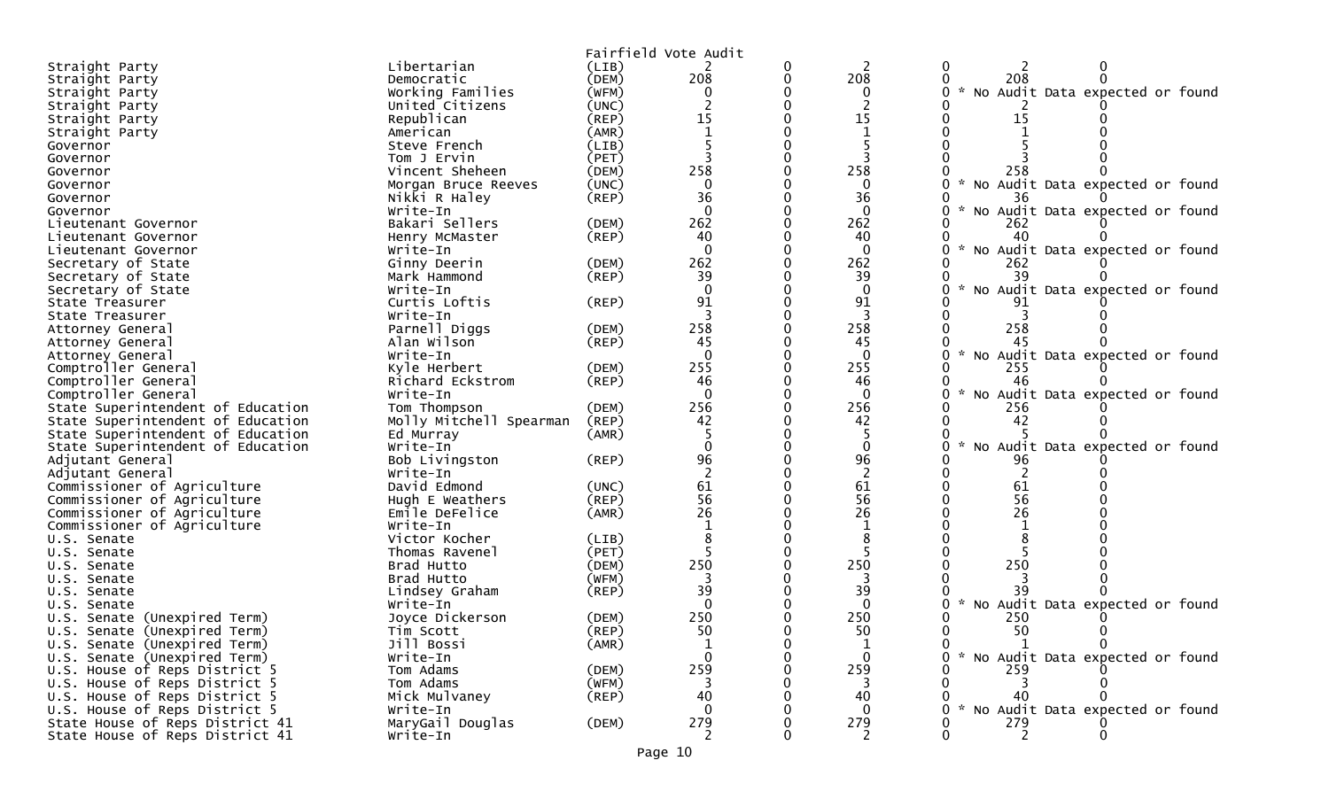|                                                              |                             |                      | Fairfield Vote Audit |   |                |                                   |
|--------------------------------------------------------------|-----------------------------|----------------------|----------------------|---|----------------|-----------------------------------|
| Straight Party                                               | Libertarian                 | (LIB)                |                      | 0 |                | 0                                 |
| Straight Party                                               | Democratic                  | (DEM)                | 208                  | 0 | 208            | 208                               |
| Straight Party                                               | Working Families            | (WFM)                | 0                    |   | 0              | No Audit Data expected or found   |
| Straight Party                                               | United Citizens             | (UNC)                |                      |   |                |                                   |
| Straight Party                                               | Republican                  | (REP)                | 15                   |   | 15             | 15                                |
| Straight Party                                               | American                    | (AMR)                |                      |   |                |                                   |
| Governor                                                     | Steve French                | (LIB)                |                      |   |                |                                   |
| Governor                                                     | Tom J Ervin                 | (PET)                |                      |   |                |                                   |
| Governor                                                     | Vincent Sheheen             | (DEM)                | 258                  |   | 258            | 258                               |
| Governor                                                     | Morgan Bruce Reeves         | (UNC)                | $\mathbf{0}$         |   | $\Omega$       | No Audit Data expected or found   |
| Governor                                                     | Nikki R Haley               | $($ REP $)$          | 36                   |   | 36             | 36                                |
| Governor                                                     | Write-In                    |                      | $\Omega$             |   | $\mathbf{0}$   | No Audit Data expected or found   |
| Lieutenant Governor                                          | Bakari Sellers              | (DEM)                | 262                  |   | 262            | 262                               |
| Lieutenant Governor                                          | Henry McMaster              | (REP)                | 40                   |   | 40             | 40                                |
| Lieutenant Governor                                          | Write-In                    |                      | $\Omega$             |   | $\mathbf{0}$   | No Audit Data expected or found   |
| Secretary of State                                           | Ginny Deerin                | (DEM)                | 262                  |   | 262            | 262                               |
| Secretary of State                                           | Mark Hammond                | (REP)                | 39                   |   | 39             | 39                                |
| Secretary of State                                           | Write-In                    |                      | $\Omega$             |   | $\mathbf{0}$   | No Audit Data expected or found   |
| State Treasurer                                              | Curtis Loftis               | (REP)                | 91                   |   | 91             | 91                                |
| State Treasurer                                              | Write-In                    |                      |                      |   |                |                                   |
| Attorney General                                             | Parnell Diggs               | (DEM)                | 258                  |   | 258            | 258                               |
| Attorney General                                             | Alan Wilson                 | (REP)                | 45                   |   | 45             | 45                                |
| Attorney General                                             | Write-In                    |                      | $\Omega$             |   | $\mathbf{0}$   | No Audit Data expected or found   |
| Comptroller General                                          | Kyle Herbert                | (DEM)                | 255                  |   | 255            | 255                               |
| Comptroller General                                          | Richard Eckstrom            | $($ REP $)$          | 46                   |   | 46             | 46                                |
| Comptroller General                                          | Write-In                    |                      | $\Omega$             |   | $\mathbf{0}$   | No Audit Data expected or found   |
| State Superintendent of Education                            | Tom Thompson                | (DEM)                | 256                  |   | 256            | 256                               |
| State Superintendent of Education                            | Molly Mitchell Spearman     | $($ REP $)$          | 42                   |   | 42             | 42                                |
| State Superintendent of Education                            | Ed Murray                   | (AMR)                |                      |   |                |                                   |
| State Superintendent of Education                            | Write-In                    |                      |                      |   | $\Omega$       | No Audit Data expected or found   |
| Adjutant General                                             | Bob Livingston              | (REP)                | 96                   |   | 96             | 96                                |
| Adjutant General                                             | Write-In                    |                      |                      |   |                |                                   |
| Commissioner of Agriculture                                  | David Edmond                | (UNC)                | 61                   |   | 61             | 61                                |
| Commissioner of Agriculture                                  | Hugh E Weathers             | (REP)                | 56                   |   | 56             | 56                                |
| Commissioner of Agriculture                                  | Emile DeFelice              | (AMR)                | 26                   |   | 26             | 26                                |
| Commissioner of Agriculture                                  | Write-In                    |                      |                      |   |                |                                   |
| U.S. Senate                                                  | Victor Kocher               | (LIB)                |                      |   |                |                                   |
| U.S. Senate                                                  | Thomas Ravenel              | (PET)                |                      |   |                |                                   |
| U.S. Senate                                                  | Brad Hutto                  | (DEM)                | 250                  |   | 250            | 250                               |
| U.S. Senate                                                  | Brad Hutto                  | (WFM)                |                      |   |                |                                   |
| U.S. Senate                                                  | Lindsey Graham              | (REF)                | 39<br>$\Omega$       |   | 39<br>$\Omega$ | No Audit Data expected or found   |
| U.S. Senate                                                  | Write-In<br>Joyce Dickerson |                      | 250                  |   | 250            | 250                               |
| U.S. Senate (Unexpired Term)                                 |                             | (DEM)                | 50                   |   | 50             | 50                                |
| U.S. Senate (Unexpired Term)<br>U.S. Senate (Unexpired Term) | Tim Scott<br>Jill Bossi     | $($ REP $)$<br>(AMR) | $\mathbf{1}$         |   |                | 0<br>$\Omega$<br>1                |
| U.S. Senate (Unexpired Term)                                 | Write-In                    |                      |                      |   | $\mathbf 0$    | * No Audit Data expected or found |
| U.S. House of Reps District 5                                | Tom Adams                   | (DEM)                | 259                  |   | 259            | 259                               |
| U.S. House of Reps District 5                                | Tom Adams                   | (WFM)                | 3                    |   | 3              |                                   |
| U.S. House of Reps District 5                                | Mick Mulvaney               | $($ REP $)$          | 40                   |   | 40             | 40                                |
| U.S. House of Reps District 5                                | Write-In                    |                      |                      |   | $\Omega$       | No Audit Data expected or found   |
| State House of Reps District 41                              | MaryGail Douglas            | (DEM)                | 279                  |   | 279            | 279                               |
| State House of Reps District 41                              | Write-In                    |                      | 2                    |   | 2              | 2                                 |
|                                                              |                             |                      |                      |   |                |                                   |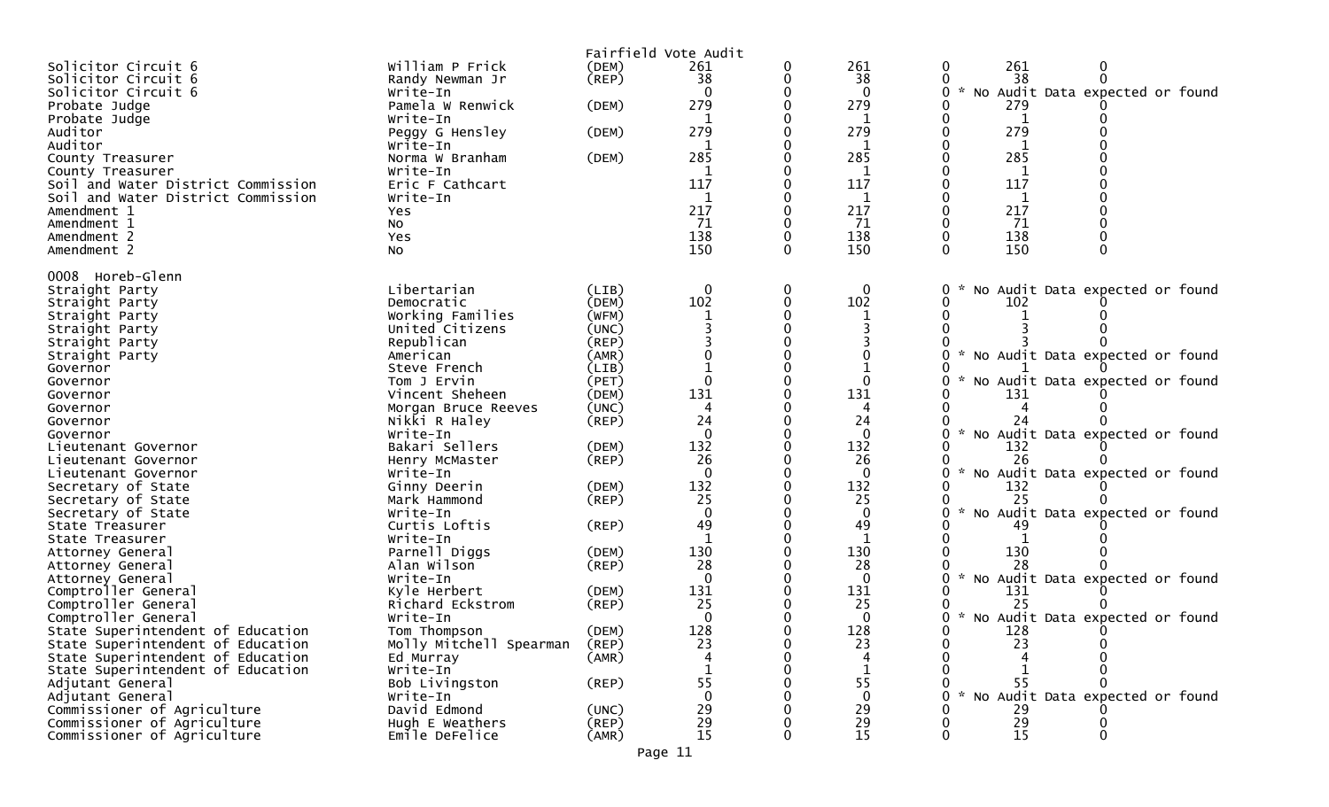|                                          |                              |             | Fairfield Vote Audit |          |                                         |                                                  |
|------------------------------------------|------------------------------|-------------|----------------------|----------|-----------------------------------------|--------------------------------------------------|
| Solicitor Circuit 6                      | William P Frick              | (DEM)       | 261                  |          | 261                                     | 261<br>0                                         |
| Solicitor Circuit 6                      | Randy Newman Jr              | $($ REP $)$ | 38                   |          | 38                                      | 38                                               |
| Solicitor Circuit 6                      | Write-In                     |             |                      |          | $\Omega$                                | No Audit Data expected or found<br>$\mathcal{H}$ |
| Probate Judge                            | Pamela W Renwick             | (DEM)       | 279                  |          | 279                                     | 279                                              |
| Probate Judge                            | Write-In                     |             |                      |          |                                         | 1                                                |
| Auditor                                  | Peggy G Hensley              | (DEM)       | 279                  |          | 279                                     | 279                                              |
| Auditor                                  | Write-In                     |             |                      |          | 1                                       | 1                                                |
| County Treasurer                         | Norma W Branham              | (DEM)       | 285                  |          | 285                                     | 285                                              |
| County Treasurer                         | Write-In                     |             |                      |          |                                         |                                                  |
| Soil and Water District Commission       | Eric F Cathcart              |             | 117                  |          | 117                                     | 117                                              |
| Soil and Water District Commission       | Write-In                     |             | 1                    |          | 1                                       | 1                                                |
| Amendment 1                              | Yes                          |             | 217                  |          | 217                                     | 217                                              |
| Amendment 1                              | <b>NO</b>                    |             | 71                   |          | 71                                      | 71                                               |
| Amendment 2                              | Yes                          |             | 138                  |          | 138                                     | 138                                              |
| Amendment 2                              | NO.                          |             | 150                  | $\Omega$ | 150                                     | 150<br>$\Omega$                                  |
| 0008 Horeb-Glenn                         |                              |             |                      |          |                                         |                                                  |
| Straight Party                           | Libertarian                  | (LIB)       | $\Omega$             |          | $\Omega$                                | No Audit Data expected or found<br>0             |
| Straight Party                           | Democratic                   | (DEM)       | 102                  |          | 102                                     | 102                                              |
| Straight Party                           | Working Families             | (WFM)       |                      |          |                                         |                                                  |
| Straight Party                           | United Citizens              | (UNC)       |                      |          |                                         |                                                  |
| Straight Party                           | Republican                   | (REP)       |                      |          |                                         |                                                  |
| Straight Party                           | American                     | (AMR)       |                      |          |                                         | $\mathcal{H}$<br>No Audit Data expected or found |
| Governor                                 | Steve French                 | (LIB)       |                      |          |                                         |                                                  |
| Governor                                 | Tom J Ervin                  | (PET)       |                      |          | 0                                       | No Audit Data expected or found                  |
| Governor                                 | Vincent Sheheen              | (DEM)       | 131                  |          | 131                                     | 131                                              |
| Governor                                 | Morgan Bruce Reeves          | (UNC)       |                      |          |                                         |                                                  |
| Governor                                 | Nikki R Haley                | (REP)       | 24                   |          | 24                                      |                                                  |
| Governor                                 | Write-In                     |             | $\Omega$             |          | $\Omega$                                | $\mathcal{H}$<br>No Audit Data expected or found |
| Lieutenant Governor                      | Bakari Sellers               | (DEM)       | 132                  |          | 132                                     | 132                                              |
| Lieutenant Governor                      | Henry McMaster               | $($ REP $)$ | 26                   |          | 26                                      | 26<br>$\sim$                                     |
| Lieutenant Governor                      | Write-In                     | (DEM)       | 132                  |          | $\Omega$<br>132                         | No Audit Data expected or found<br>132           |
| Secretary of State<br>Secretary of State | Ginny Deerin<br>Mark Hammond | $($ REP $)$ | 25                   |          | 25                                      | 25                                               |
| Secretary of State                       | Write-In                     |             |                      |          |                                         | $\mathcal{R}$<br>No Audit Data expected or found |
| State Treasurer                          | Curtis Loftis                | $($ REP $)$ | 49                   |          | 49                                      | 49                                               |
| State Treasurer                          | Write-In                     |             |                      |          |                                         |                                                  |
| Attorney General                         | Parnell Diggs                | (DEM)       | 130                  |          | 130                                     | 130                                              |
| Attorney General                         | Alan Wilson                  | $($ REP $)$ | 28                   |          | 28                                      | 28                                               |
| Attorney General                         | Write-In                     |             | $\Omega$             |          | $\Omega$                                | * No Audit Data expected or found                |
| Comptroller General                      | Kyle Herbert                 | (DEM)       | 131                  |          | 131                                     | 131                                              |
| Comptroller General                      | Richard Eckstrom             | (REP)       | 25                   |          | 25                                      | 25                                               |
| Comptroller General                      | Write-In                     |             |                      |          | $\Omega$                                | * No Audit Data expected or found                |
| State Superintendent of Education        | Tom Thompson                 | (DEM)       | 128                  |          | 128                                     | 128                                              |
| State Superintendent of Education        | Molly Mitchell Spearman      | (REP)       | 23                   |          | 23                                      | 23                                               |
| State Superintendent of Education        | Ed Murray                    | (AMR)       |                      |          |                                         |                                                  |
| State Superintendent of Education        | $Write-In$                   |             |                      |          | 55                                      | 55                                               |
| Adjutant General<br>Adjutant General     | Bob Livingston<br>Write-In   | (REP)       | 55<br>$\Omega$       |          | $\mathbf{0}$                            | * No Audit Data expected or found                |
| Commissioner of Agriculture              | David Edmond                 | (UNC)       | 29                   |          | 29                                      | 29                                               |
| Commissioner of Agriculture              | Hugh E Weathers              | (REP)       |                      |          |                                         |                                                  |
| Commissioner of Agriculture              | Emile DeFelice               | (AMR)       | $^{29}_{15}$         |          | $\begin{array}{c} 29 \\ 15 \end{array}$ | $\begin{array}{c} 29 \\ 15 \end{array}$          |
|                                          |                              |             |                      |          |                                         |                                                  |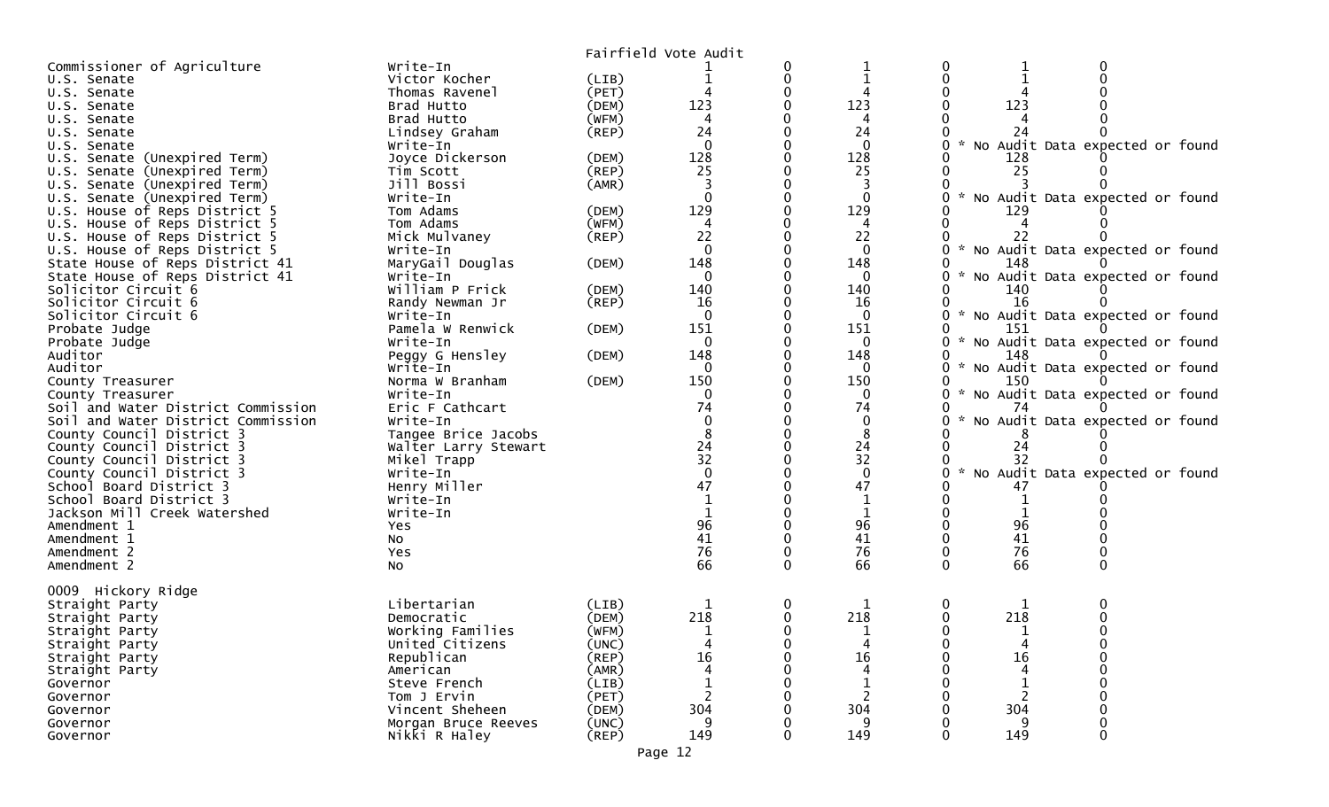|                                                      |                          |             | Fairfield Vote Audit                    |   |                 |               |     |                                   |  |
|------------------------------------------------------|--------------------------|-------------|-----------------------------------------|---|-----------------|---------------|-----|-----------------------------------|--|
| Commissioner of Agriculture                          | Write-In                 |             |                                         |   |                 |               |     |                                   |  |
| U.S. Senate                                          | Victor Kocher            | (LIB)       |                                         | 0 |                 |               |     |                                   |  |
| U.S. Senate                                          | Thomas Ravenel           | (PET)       |                                         |   |                 |               |     |                                   |  |
| U.S. Senate                                          | Brad Hutto               | (DEM)       | 123                                     |   | 123             |               | 123 |                                   |  |
| U.S. Senate                                          | Brad Hutto               | (WFM)       |                                         |   |                 |               |     |                                   |  |
| U.S. Senate                                          | Lindsey Graham           | $($ REP $)$ | 24                                      |   | 24              |               | 24  |                                   |  |
| U.S. Senate                                          | Write-In                 |             | $\Omega$                                |   | $\Omega$        |               |     | No Audit Data expected or found   |  |
| U.S. Senate (Unexpired Term)                         | Joyce Dickerson          | (DEM)       | 128                                     |   | 128             |               | 128 |                                   |  |
| (Unexpired Term)<br>U.S. Senate                      | Tim Scott                | (REP)       | 25                                      |   | 25              |               | 25  |                                   |  |
| U.S. Senate (Unexpired Term)                         | Jill Bossi               | (AMR)       |                                         |   |                 |               |     |                                   |  |
| U.S. Senate (Unexpired Term)                         | Write-In                 |             | $\Omega$                                |   |                 |               |     | No Audit Data expected or found   |  |
| U.S. House of Reps District 5                        | Tom Adams                | (DEM)       | 129                                     |   | 129             |               | 129 |                                   |  |
| U.S. House of Reps District 5                        | Tom Adams                | (WFM)       | 4                                       |   | 4               |               |     |                                   |  |
| U.S. House of Reps District 5                        | Mick Mulvaney            | $($ REP $)$ | 22                                      |   | 22              |               |     |                                   |  |
| U.S. House of Reps District 5                        | Write-In                 |             | $\mathbf 0$                             |   | $\mathbf{0}$    |               |     | * No Audit Data expected or found |  |
| State House of Reps District 41                      | MaryGail Douglas         | (DEM)       | 148                                     |   | 148             |               | 148 |                                   |  |
| State House of Reps District 41                      | Write-In                 |             | $\Omega$                                |   |                 |               |     | * No Audit Data expected or found |  |
| Solicitor Circuit 6                                  | William P Frick          | (DEM)       | 140                                     |   | 140             |               | 140 |                                   |  |
| Solicitor Circuit 6                                  | Randy Newman Jr          | $($ REP $)$ | 16                                      |   | 16              |               | 16  |                                   |  |
| Solicitor Circuit 6                                  | Write-In                 |             | $\mathbf 0$                             |   | $\mathbf{0}$    |               |     | * No Audit Data expected or found |  |
| Probate Judge                                        | Pamela W Renwick         | (DEM)       | 151                                     |   | 151             |               | 151 |                                   |  |
| Probate Judge                                        | Write-In                 |             | $\Omega$                                |   | 0               |               |     | * No Audit Data expected or found |  |
| Auditor                                              | Peggy G Hensley          | (DEM)       | 148                                     |   | 148             |               | 148 |                                   |  |
| Auditor                                              | Write-In                 |             | $\Omega$                                |   | 0               |               |     | * No Audit Data expected or found |  |
| County Treasurer                                     | Norma W Branham          | (DEM)       | 150                                     |   | 150             |               | 150 |                                   |  |
| County Treasurer                                     | Write-In                 |             |                                         |   | 0               |               |     | No Audit Data expected or found   |  |
| Soil and Water District Commission                   | Eric F Cathcart          |             | 74                                      |   | 74              |               | 74  |                                   |  |
| Soil and Water District Commission                   | Write-In                 |             |                                         |   | $\mathbf{0}$    |               |     | * No Audit Data expected or found |  |
| County Council District 3                            | Tangee Brice Jacobs      |             |                                         |   | 8               |               |     |                                   |  |
| County Council District 3                            | Walter Larry Stewart     |             | $\begin{array}{c} 24 \\ 32 \end{array}$ |   | $\frac{24}{32}$ |               | 24  |                                   |  |
| County Council District 3                            | Mikel Trapp              |             | $\Omega$                                |   | $\Omega$        | $\mathcal{H}$ |     | No Audit Data expected or found   |  |
| County Council District 3<br>School Board District 3 | Write-In<br>Henry Miller |             | 47                                      |   | 47              |               |     |                                   |  |
| School Board District 3                              | Write-In                 |             |                                         |   |                 |               |     |                                   |  |
| Jackson Mill Creek Watershed                         | Write-In                 |             |                                         |   |                 |               |     |                                   |  |
| Amendment 1                                          | Yes                      |             | 96                                      |   | 96              |               | 96  |                                   |  |
| Amendment 1                                          | No                       |             | 41                                      |   | 41              |               | 41  |                                   |  |
| Amendment 2                                          | Yes                      |             | 76                                      |   | 76              |               | 76  |                                   |  |
| Amendment 2                                          | NO.                      |             | 66                                      | 0 | 66              |               | 66  |                                   |  |
|                                                      |                          |             |                                         |   |                 |               |     |                                   |  |
| 0009 Hickory Ridge                                   |                          |             |                                         |   |                 |               |     |                                   |  |
| Straight Party                                       | Libertarian              | (LIB)       |                                         | 0 |                 |               |     |                                   |  |
| Straight Party                                       | Democratic               | (DEM)       | 218                                     | 0 | 218             |               | 218 |                                   |  |
| Straight Party                                       | Working Families         | (WFM)       |                                         |   |                 |               |     |                                   |  |
| Straight Party                                       | United Citizens          | (UNC)       | $\overline{4}$                          |   | 4               |               |     |                                   |  |
| Straight Party                                       | Republican               | (REP)       | 16                                      |   | 16              |               | 16  |                                   |  |
| Straight Party                                       | American                 | (AMR)       |                                         |   | 4               |               |     |                                   |  |
| Governor                                             | Steve French             | (LIB)       |                                         |   |                 |               |     |                                   |  |
| Governor                                             | Tom J Ervin              | (PET)       |                                         |   |                 |               |     |                                   |  |
| Governor                                             | Vincent Sheheen          | (DEM)       | 304                                     |   | 304             |               | 304 |                                   |  |
| Governor                                             | Morgan Bruce Reeves      | (UNC)       | 9                                       |   | 9               |               | 9   |                                   |  |
| Governor                                             | Nikki R Haley            | (REP)       | 149                                     | 0 | 149             |               | 149 |                                   |  |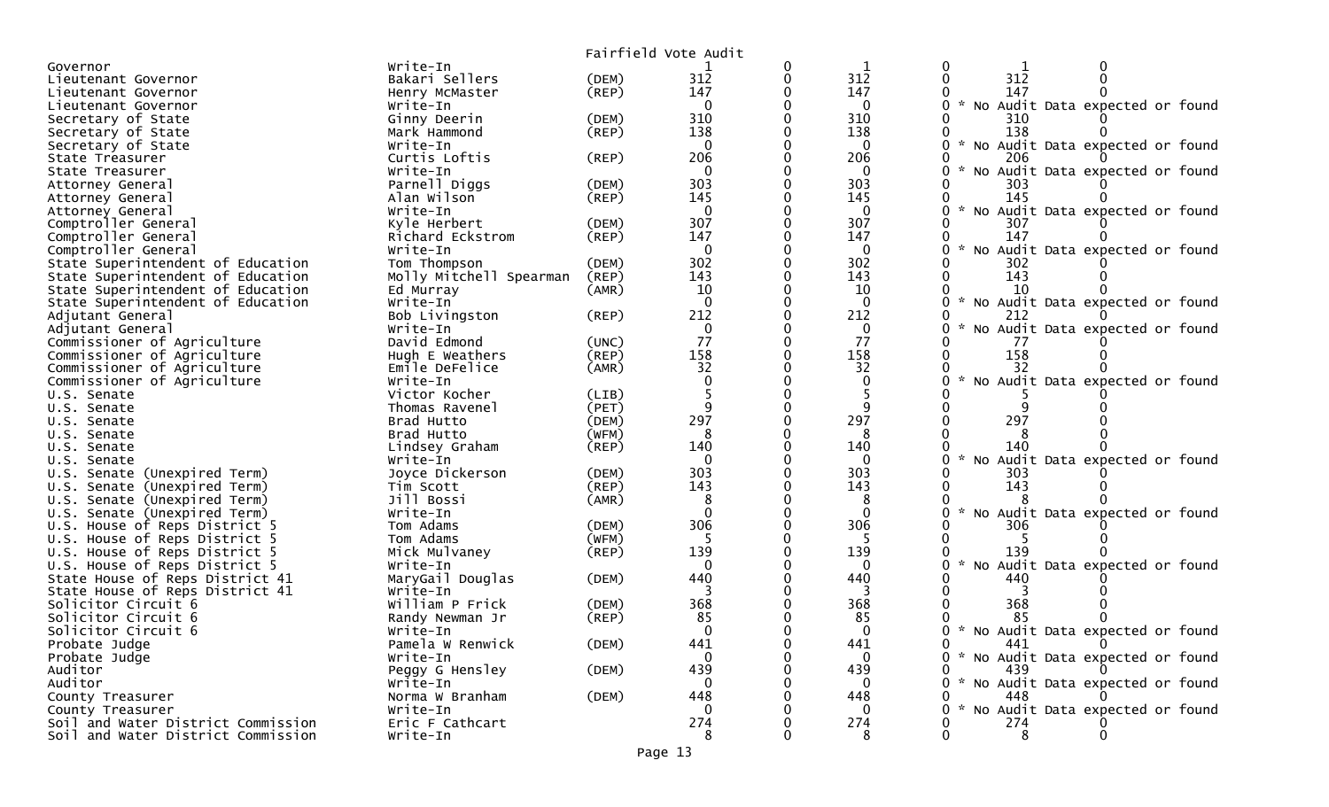|                                                                                        |                                  | Fairfield Vote Audit |              |                     |                    |                                     |
|----------------------------------------------------------------------------------------|----------------------------------|----------------------|--------------|---------------------|--------------------|-------------------------------------|
| Write-In<br>Governor                                                                   |                                  |                      | 0            | 1                   | 0                  | 0                                   |
| Bakari Sellers<br>Lieutenant Governor                                                  | (DEM)                            | 312                  | $\mathbf{0}$ | 312                 | $\Omega$           | 312                                 |
| Henry McMaster<br>Lieutenant Governor                                                  | (REP)                            | 147                  |              | 147                 |                    | 147                                 |
| Write-In<br>Lieutenant Governor                                                        |                                  | $\mathbf{0}$         |              | $\mathbf{0}$        |                    | 0 * No Audit Data expected or found |
| Secretary of State<br>Ginny Deerin                                                     | (DEM)                            | 310                  |              | 310                 |                    | 310                                 |
| Secretary of State<br>Mark Hammond                                                     | $($ REP $)$                      | 138                  | 0            | 138                 |                    | 138                                 |
| Write-In<br>Secretary of State                                                         |                                  | $\mathbf{0}$         |              | $\mathbf{0}$        | 0                  | No Audit Data expected or found     |
| Curtis Loftis<br>State Treasurer                                                       | $($ REP $)$                      | 206                  |              | 206                 |                    | 206                                 |
| Write-In<br>State Treasurer                                                            |                                  | 0                    |              | $\mathbf{0}$        | O                  | No Audit Data expected or found     |
| Parnell Diggs<br>Attorney General                                                      | (DEM)                            | 303                  |              | 303                 | 0                  | 303                                 |
| Alan Wilson<br>Attorney General                                                        | (REP)                            | 145                  |              | 145                 |                    | 145                                 |
| Write-In<br>Attorney General                                                           |                                  | $\mathbf 0$          |              | $\mathbf{0}$        | $\mathcal{H}$<br>0 | No Audit Data expected or found     |
| Comptroller General<br>Kyle Herbert                                                    | (DEM)                            | 307                  |              | 307                 |                    | 307                                 |
| Comptroller General<br>Richard Eckstrom                                                | (REP)                            | 147                  |              | 147                 |                    | 147                                 |
| Comptroller General<br>Write-In                                                        |                                  | $\mathbf 0$          |              | $\mathbf{0}$        |                    | No Audit Data expected or found     |
| Tom Thompson<br>State Superintendent of Education                                      | (DEM)                            | 302                  |              | 302                 |                    | 302                                 |
| State Superintendent of Education                                                      | Molly Mitchell Spearman<br>(REP) | 143                  |              | 143                 |                    | 143                                 |
| State Superintendent of Education<br>Ed Murray                                         | (AMR)                            | 10                   |              | 10                  |                    | 10                                  |
| State Superintendent of Education<br>Write-In                                          |                                  | $\Omega$             |              | $\Omega$            | $\sim$<br>0        | No Audit Data expected or found     |
| Bob Livingston<br>Adjutant General                                                     | $($ REP $)$                      | 212                  |              | 212                 | 0                  | 212                                 |
| Write-In<br>Adjutant General                                                           |                                  | $\mathbf 0$          |              | $\mathbf{0}$        |                    | No Audit Data expected or found     |
| Commissioner of Agriculture<br>David Edmond                                            | (UNC)                            | 77                   | 0            | 77                  |                    | 77                                  |
| Commissioner of Agriculture<br>Hugh E Weathers                                         | (REP)                            | 158                  |              | 158                 |                    | 158                                 |
| Commissioner of Agriculture<br>Emile DeFelice                                          | (AMR)                            | 32                   |              | 32                  |                    | 32                                  |
| Commissioner of Agriculture<br>Write-In                                                |                                  |                      |              | $\mathbf{0}$        |                    | No Audit Data expected or found     |
| Victor Kocher<br>U.S. Senate                                                           | (LIB)                            |                      |              |                     |                    |                                     |
| Thomas Ravenel<br>U.S. Senate                                                          | (PET)                            | q                    |              | q                   |                    |                                     |
| Brad Hutto<br>U.S. Senate                                                              | (DEM)                            | 297                  |              | 297                 |                    | 297                                 |
| Brad Hutto<br>U.S. Senate                                                              | (WFM)                            | 8                    |              | 8                   |                    |                                     |
| Lindsey Graham<br>U.S. Senate                                                          | (REP)                            | 140<br>$\Omega$      |              | 140                 | $\sim$             | 140                                 |
| Write-In<br>U.S. Senate                                                                |                                  | 303                  |              | $\mathbf{0}$<br>303 | 0                  | No Audit Data expected or found     |
| U.S. Senate (Unexpired Term)<br>Joyce Dickerson                                        | (DEM)<br>(REP)                   | 143                  |              | 143                 |                    | 303<br>143                          |
| U.S. Senate (Unexpired Term)<br>Tim Scott<br>Jill Bossi                                | (AMR)                            | 8                    |              | 8                   |                    |                                     |
| U.S. Senate (Unexpired Term)                                                           |                                  | $\Omega$             |              | 0                   | 0                  | No Audit Data expected or found     |
| U.S. Senate (Unexpired Term)<br>Write-In<br>U.S. House of Reps District 5<br>Tom Adams | (DEM)                            | 306                  |              | 306                 |                    | 306                                 |
| U.S. House of Reps District 5<br>Tom Adams                                             | (WFM)                            |                      |              |                     |                    |                                     |
| U.S. House of Reps District 5<br>Mick Mulvaney                                         | (REP)                            | 139                  |              | 139                 |                    | 139                                 |
| U.S. House of Reps District 5<br>Write-In                                              |                                  | $\Omega$             |              | $\Omega$            | 0                  | No Audit Data expected or found     |
| MaryGail Douglas<br>State House of Reps District 41                                    | (DEM)                            | 440                  |              | 440                 |                    | 440                                 |
| State House of Reps District 41<br>Write-In                                            |                                  |                      |              |                     |                    |                                     |
| William P Frick<br>Solicitor Circuit 6                                                 | (DEM)                            | 368                  |              | 368                 |                    | 368                                 |
| Solicitor Circuit 6<br>Randy Newman Jr                                                 | $($ REP $)$                      | 85                   |              | 85                  |                    | 85                                  |
| Solicitor Circuit 6<br>Write-In                                                        |                                  | 0                    |              | 0                   |                    | 0 * No Audit Data expected or found |
| Pamela W Renwick<br>Probate Judge                                                      | (DEM)                            | 441                  | 0            | 441                 | 0                  | 441<br>$\Omega$                     |
| Probate Judge<br>Write-In                                                              |                                  | $\mathbf 0$          |              | $\mathbf 0$         |                    | 0 * No Audit Data expected or found |
| Auditor<br>Peggy G Hensley                                                             | (DEM)                            | 439                  |              | 439                 | 0                  | 439                                 |
| Auditor<br>Write-In                                                                    |                                  | $\mathbf{0}$         |              | $\Omega$            |                    | 0 * No Audit Data expected or found |
| County Treasurer<br>Norma W Branham                                                    | (DEM)                            | 448                  |              | 448                 |                    | 448                                 |
| Write-In<br>County Treasurer                                                           |                                  | 0                    |              | $\bf{0}$            | 0                  | * No Audit Data expected or found   |
| Soil and Water District Commission<br>Eric F Cathcart                                  |                                  | 274                  |              | 274                 |                    | 274                                 |
| Soil and Water District Commission<br>Write-In                                         |                                  | 8                    |              | 8                   | 0                  | 8<br>$\Omega$                       |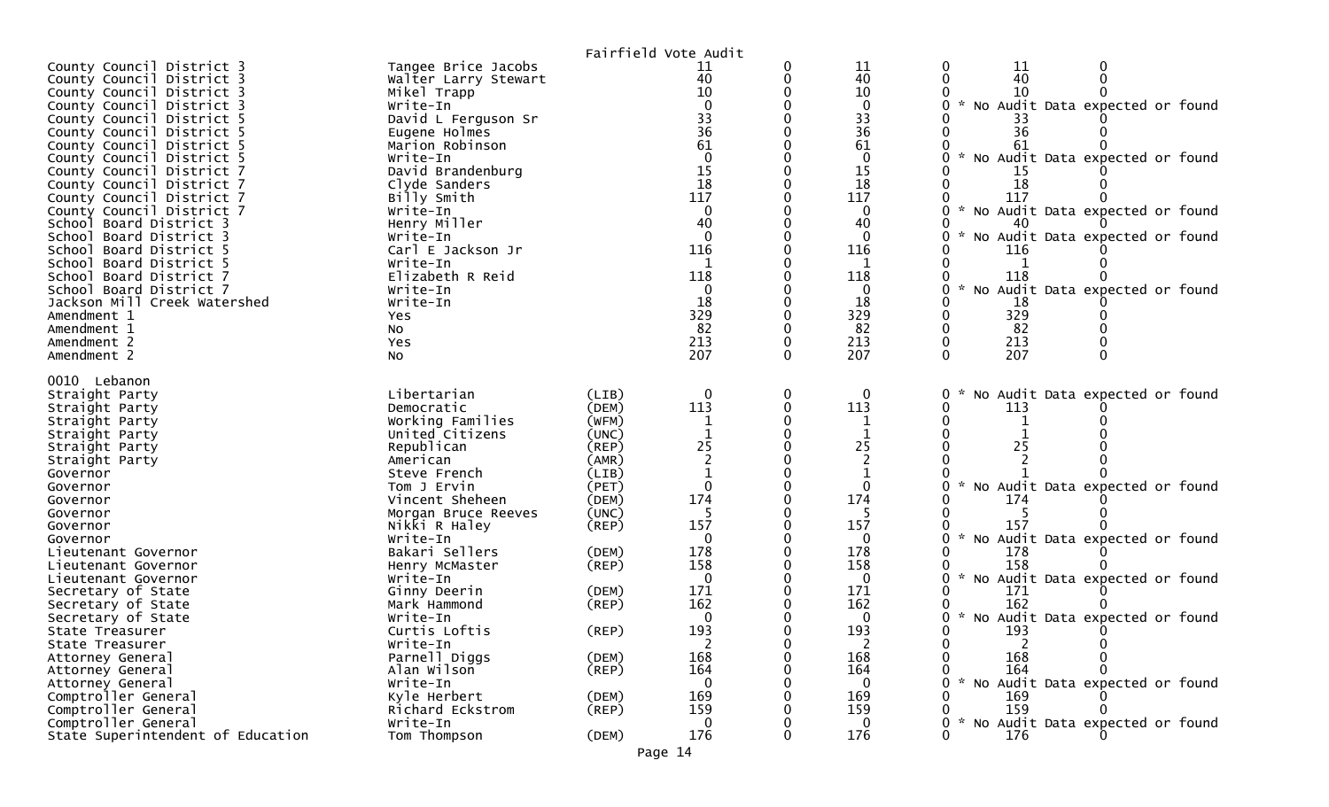|                                                                                                                                                                                                                                                                                                                                                                                                                                                                                                                                                                                                                        |                                                                                                                                                                                                                                                                                                                                                    |                                                                      | Fairfield Vote Audit                                                                                                                                                                      |                           |                                                                                                                                                                    |                                                                                                                                                                                                                                                                                                                                 |
|------------------------------------------------------------------------------------------------------------------------------------------------------------------------------------------------------------------------------------------------------------------------------------------------------------------------------------------------------------------------------------------------------------------------------------------------------------------------------------------------------------------------------------------------------------------------------------------------------------------------|----------------------------------------------------------------------------------------------------------------------------------------------------------------------------------------------------------------------------------------------------------------------------------------------------------------------------------------------------|----------------------------------------------------------------------|-------------------------------------------------------------------------------------------------------------------------------------------------------------------------------------------|---------------------------|--------------------------------------------------------------------------------------------------------------------------------------------------------------------|---------------------------------------------------------------------------------------------------------------------------------------------------------------------------------------------------------------------------------------------------------------------------------------------------------------------------------|
| County Council District 3<br>County Council District 3<br>County Council District 3<br>County Council District 3<br>County Council District 5<br>County Council District 5<br>County Council District 5<br>County Council District 5<br>County Council District 7<br>County Council District 7<br>County Council District 7<br>County Council District 7<br>School Board District 3<br>School Board District 3<br>School Board District 5<br>School Board District 5<br>School Board District 7<br>School Board District 7<br>Jackson Mill Creek Watershed<br>Amendment 1<br>Amendment 1<br>Amendment 2<br>Amendment 2 | Tangee Brice Jacobs<br>Walter Larry Stewart<br>Mikel Trapp<br>Write-In<br>David L Ferguson Sr<br>Eugene Holmes<br>Marion Robinson<br>Write-In<br>David Brandenburg<br>Clyde Sanders<br>Billy Smith<br>Write-In<br>Henry Miller<br>Write-In<br>Carl E Jackson Jr<br>Write-In<br>Elizabeth R Reid<br>Write-In<br>Write-In<br>Yes<br>NO.<br>Yes<br>No |                                                                      | 11<br>40<br>10<br>$\Omega$<br>33<br>$\overline{36}$<br>61<br>$\Omega$<br>15<br>18<br>117<br>$\mathbf{0}$<br>40<br>$\Omega$<br>116<br>118<br>$\mathbf{0}$<br>18<br>329<br>82<br>213<br>207 | 0<br>$\Omega$<br>$\Omega$ | 11<br>40<br>10<br>$\mathbf 0$<br>33<br>36<br>61<br>0<br>15<br>18<br>117<br>$\mathbf{0}$<br>40<br>$\Omega$<br>116<br>1<br>118<br>0<br>18<br>329<br>82<br>213<br>207 | 0<br>11<br>0<br>40<br>10<br>* No Audit Data expected or found<br>36<br>61<br>No Audit Data expected or found<br>15<br>18<br>117<br>No Audit Data expected or found<br>$\mathcal{H}$<br>40<br>No Audit Data expected or found<br>116<br>118<br>No Audit Data expected or found<br>$\mathcal{H}$<br>18<br>329<br>82<br>213<br>207 |
| 0010 Lebanon<br>Straight Party<br>Straight Party<br>Straight Party<br>Straight Party<br>Straight Party<br>Straight Party<br>Governor<br>Governor                                                                                                                                                                                                                                                                                                                                                                                                                                                                       | Libertarian<br>Democratic<br>Working Families<br>United Citizens<br>Republican<br>American<br>Steve French<br>Tom J Ervin                                                                                                                                                                                                                          | (LIB)<br>(DEM)<br>(WFM)<br>(UNC)<br>(REP)<br>(AMR)<br>(LIB)<br>(PET) | $\mathbf 0$<br>113<br>1<br>25<br>$\mathbf{0}$                                                                                                                                             | $\mathbf 0$<br>0          | 0<br>113<br>25<br>$\mathbf{0}$                                                                                                                                     | No Audit Data expected or found<br>113<br>25<br>No Audit Data expected or found<br>$\mathcal{H}$                                                                                                                                                                                                                                |
| Governor<br>Governor<br>Governor<br>Governor<br>Lieutenant Governor<br>Lieutenant Governor<br>Lieutenant Governor                                                                                                                                                                                                                                                                                                                                                                                                                                                                                                      | Vincent Sheheen<br>Morgan Bruce Reeves<br>Nikki R Haley<br>Write-In<br>Bakari Sellers<br>Henry McMaster<br>Write-In                                                                                                                                                                                                                                | (DEM)<br>(UNC)<br>(REP)<br>(DEM)<br>(REP)                            | 174<br>157<br>$\Omega$<br>178<br>158<br>$\Omega$                                                                                                                                          |                           | 174<br>157<br>0<br>178<br>158<br>$\Omega$                                                                                                                          | 174<br>157<br>No Audit Data expected or found<br>178<br>158<br>* No Audit Data expected or found                                                                                                                                                                                                                                |
| Secretary of State<br>Secretary of State<br>Secretary of State<br>State Treasurer<br>State Treasurer<br>Attorney General                                                                                                                                                                                                                                                                                                                                                                                                                                                                                               | Ginny Deerin<br>Mark Hammond<br>Write-In<br>Curtis Loftis<br>Write-In<br>Parnell Diggs                                                                                                                                                                                                                                                             | (DEM)<br>(REP)<br>(REP)<br>(DEM)                                     | 171<br>162<br>0<br>193<br>$\overline{2}$<br>168                                                                                                                                           | 0                         | 171<br>162<br>0<br>193<br>$\overline{2}$<br>168                                                                                                                    | 171<br>162<br>No Audit Data expected or found<br>193<br>$\overline{2}$<br>168                                                                                                                                                                                                                                                   |
| Attorney General<br>Attorney General<br>Comptroller General<br>Comptroller General<br>Comptroller General<br>State Superintendent of Education                                                                                                                                                                                                                                                                                                                                                                                                                                                                         | Alan Wilson<br>Write-In<br>Kyle Herbert<br>Richard Eckstrom<br>Write-In<br>Tom Thompson                                                                                                                                                                                                                                                            | (REP)<br>(DEM)<br>(REP)<br>(DEM)                                     | 164<br>$\mathbf 0$<br>169<br>159<br>$\mathbf{0}$<br>176                                                                                                                                   | 0                         | 164<br>$\mathbf{0}$<br>169<br>159<br>$\mathbf{0}$<br>176                                                                                                           | 164<br>* No Audit Data expected or found<br>169<br>159<br>No Audit Data expected or found<br>176                                                                                                                                                                                                                                |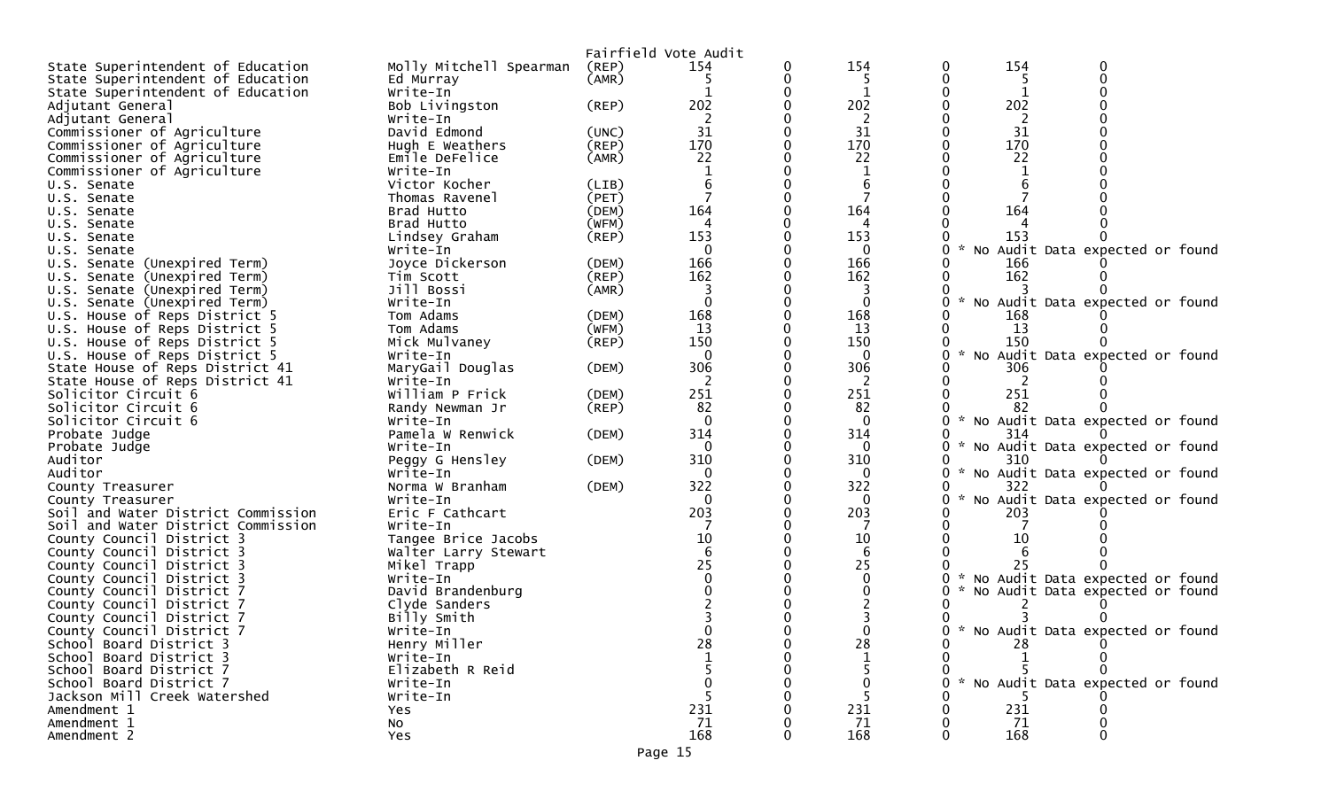|                                    |                         |             | Fairfield Vote Audit |   |          |        |                                   |  |
|------------------------------------|-------------------------|-------------|----------------------|---|----------|--------|-----------------------------------|--|
| State Superintendent of Education  | Molly Mitchell Spearman | (REP)       | 154                  | 0 | 154      | 154    |                                   |  |
| State Superintendent of Education  | Ed Murray               | (AMR)       |                      |   | 5        | -5     |                                   |  |
| State Superintendent of Education  | Write-In                |             |                      |   |          |        |                                   |  |
| Adjutant General                   | Bob Livingston          | (REP)       | 202                  |   | 202      | 202    |                                   |  |
| Adjutant General                   | Write-In                |             |                      |   | 2        | 2      |                                   |  |
| Commissioner of Agriculture        | David Edmond            | (UNC)       | 31                   |   | 31       | 31     |                                   |  |
| Commissioner of Agriculture        | Hugh E Weathers         | (REP)       | 170                  |   | 170      | 170    |                                   |  |
| Commissioner of Agriculture        | Emile DeFelice          | (AMR)       | 22                   |   | 22       | 22     |                                   |  |
| Commissioner of Agriculture        | Write-In                |             |                      |   |          |        |                                   |  |
| U.S. Senate                        | Victor Kocher           | (LIB)       |                      |   |          |        |                                   |  |
| U.S. Senate                        | Thomas Ravenel          | (PET)       | 7                    |   |          |        |                                   |  |
| U.S. Senate                        | Brad Hutto              | (DEM)       | 164                  |   | 164      | 164    |                                   |  |
| U.S. Senate                        | Brad Hutto              | (WFM)       | 4                    |   | 4        |        |                                   |  |
| U.S. Senate                        | Lindsey Graham          | (REP)       | 153                  |   | 153      | 153    |                                   |  |
| U.S. Senate                        | Write-In                |             | $\Omega$             |   | $\Omega$ |        | * No Audit Data expected or found |  |
|                                    | Joyce Dickerson         | (DEM)       | 166                  |   | 166      | 166    |                                   |  |
| U.S. Senate (Unexpired Term)       |                         | (REP)       | 162                  |   | 162      | 162    |                                   |  |
| U.S. Senate (Unexpired Term)       | Tim Scott<br>Jill Bossi |             |                      |   |          |        |                                   |  |
| U.S. Senate (Unexpired Term)       |                         | (AMR)       |                      |   | 3        |        |                                   |  |
| U.S. Senate (Unexpired Term)       | Write-In                |             | $\Omega$             |   | $\Omega$ |        | No Audit Data expected or found   |  |
| U.S. House of Reps District 5      | Tom Adams               | (DEM)       | 168                  |   | 168      | 168    |                                   |  |
| U.S. House of Reps District 5      | Tom Adams               | (WFM)       | 13                   |   | 13       | -13    |                                   |  |
| U.S. House of Reps District 5      | Mick Mulvaney           | (REP)       | 150                  |   | 150      | 150    |                                   |  |
| U.S. House of Reps District 5      | Write-In                |             | $\mathbf{0}$         |   | 0        |        | * No Audit Data expected or found |  |
| State House of Reps District 41    | MaryGail Douglas        | (DEM)       | 306                  |   | 306      | 306    |                                   |  |
| State House of Reps District 41    | Write-In                |             | 2                    |   | 2        | 2      |                                   |  |
| Solicitor Circuit 6                | William P Frick         | (DEM)       | 251                  |   | 251      | 251    |                                   |  |
| Solicitor Circuit 6                | Randy Newman Jr         | $($ REP $)$ | 82                   |   | 82       | 82     |                                   |  |
| Solicitor Circuit 6                | Write-In                |             | $\mathbf{0}$         |   | $\Omega$ |        | * No Audit Data expected or found |  |
| Probate Judge                      | Pamela W Renwick        | (DEM)       | 314                  |   | 314      | 314    |                                   |  |
| Probate Judge                      | Write-In                |             | 0                    |   | $\Omega$ |        | * No Audit Data expected or found |  |
| Auditor                            | Peggy G Hensley         | (DEM)       | 310                  |   | 310      | 310    |                                   |  |
| Auditor                            | Write-In                |             | 0                    |   | 0        |        | * No Audit Data expected or found |  |
| County Treasurer                   | Norma W Branham         | (DEM)       | 322                  |   | 322      | 322    |                                   |  |
| County Treasurer                   | Write-In                |             | $\Omega$             |   | 0        |        | * No Audit Data expected or found |  |
| Soil and Water District Commission | Eric F Cathcart         |             | 203                  |   | 203      | 203    |                                   |  |
| Soil and Water District Commission | Write-In                |             |                      |   |          |        |                                   |  |
| County Council District 3          | Tangee Brice Jacobs     |             | 10                   |   | 10       | 10     |                                   |  |
| County Council District 3          | Walter Larry Stewart    |             |                      |   | 6        |        |                                   |  |
| County Council District 3          | Mikel Trapp             |             | 25                   |   | 25       | 25     |                                   |  |
| County Council District 3          | Write-In                |             |                      |   |          |        | * No Audit Data expected or found |  |
| County Council District 7          | David Brandenburg       |             |                      |   |          |        | * No Audit Data expected or found |  |
| County Council District 7          | Clyde Sanders           |             |                      |   |          |        |                                   |  |
| County Council District 7          | Billy Smith             |             |                      |   |          |        |                                   |  |
| County Council District 7          | Write-In                |             |                      |   |          |        | * No Audit Data expected or found |  |
| School Board District 3            | Henry Miller            |             | 28                   |   | 28       | 28     |                                   |  |
| School Board District 3            | Write-In                |             |                      |   |          |        |                                   |  |
| School Board District 7            | Elizabeth R Reid        |             |                      |   |          |        |                                   |  |
| School Board District 7            | Write-In                |             |                      |   |          | $\sim$ | No Audit Data expected or found   |  |
| Jackson Mill Creek Watershed       | Write-In                |             |                      |   |          |        |                                   |  |
| Amendment 1                        | Yes                     |             | 231                  |   | 231      | 231    |                                   |  |
| Amendment 1                        | NO.                     |             | 71                   |   | 71       | 71     |                                   |  |
| Amendment 2                        | Yes                     |             | 168                  | 0 | 168      | 168    |                                   |  |
|                                    |                         |             |                      |   |          |        |                                   |  |
|                                    |                         |             | Page 15              |   |          |        |                                   |  |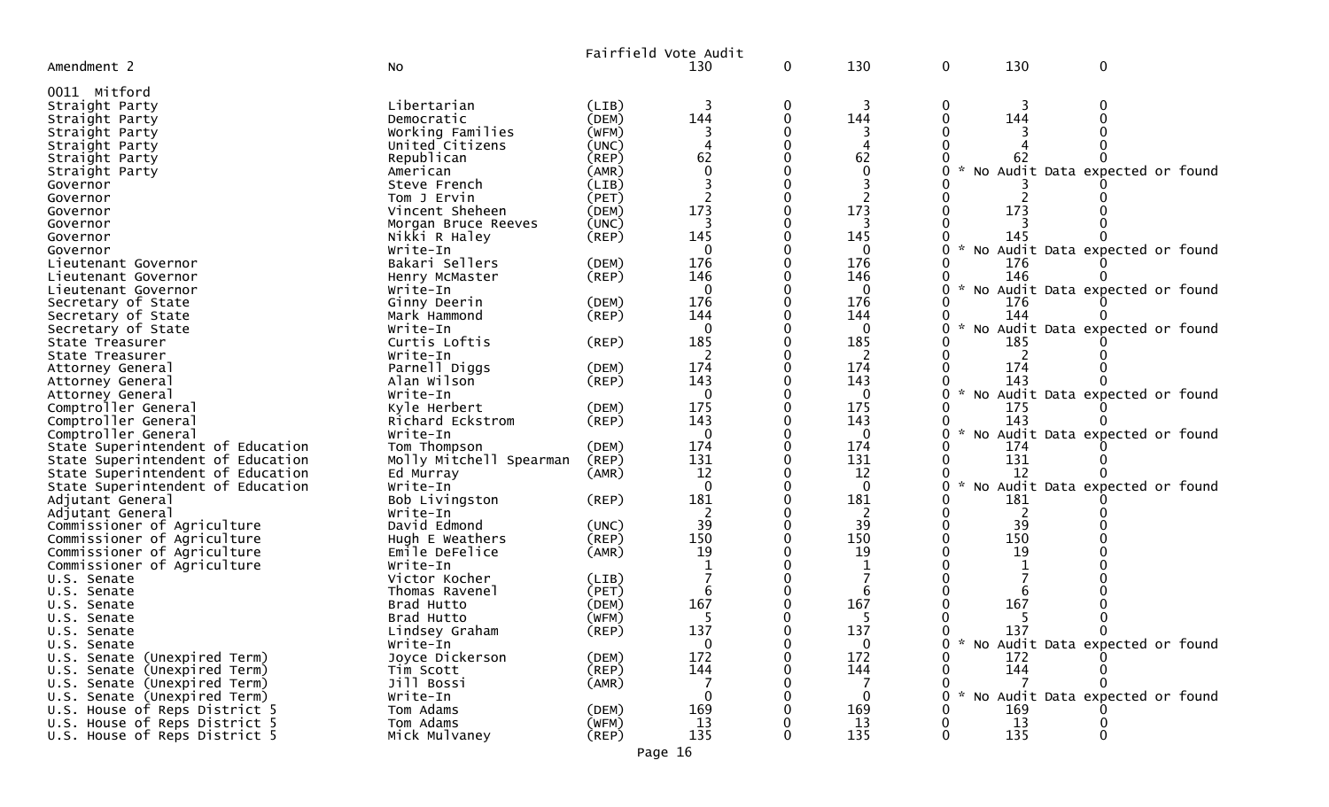|                                   |                           |             | Fairfield Vote Audit |              |              |             |            |                                     |  |
|-----------------------------------|---------------------------|-------------|----------------------|--------------|--------------|-------------|------------|-------------------------------------|--|
| Amendment 2                       | <b>NO</b>                 |             | 130                  | $\mathbf{0}$ | 130          | $\mathbf 0$ | 130        | $\mathbf 0$                         |  |
| 0011 Mitford                      |                           |             |                      |              |              |             |            |                                     |  |
| Straight Party                    | Libertarian               | (LIB)       |                      |              | 3            | 0           |            |                                     |  |
| Straight Party                    | Democratic                | (DEM)       | 144                  |              | 144          |             | 144        |                                     |  |
| Straight Party                    | Working Families          | (WFM)       |                      |              |              |             |            |                                     |  |
| Straight Party                    | United Citizens           | (UNC)       |                      |              | 4            |             |            |                                     |  |
| Straight Party                    | Republican                | (REF)       | 62                   |              | 62           |             |            |                                     |  |
| Straight Party                    | American                  | (AMR)       |                      |              | 0            |             |            | No Audit Data expected or found     |  |
| Governor                          | Steve French              | (LIB)       |                      |              |              |             |            |                                     |  |
| Governor                          | Tom J Ervin               | (PET)       |                      |              |              |             |            |                                     |  |
| Governor                          | Vincent Sheheen           | (DEM)       | 173                  |              | 173          |             | 173        |                                     |  |
|                                   | Morgan Bruce Reeves       | (UNC)       | 3                    |              | 3            |             |            |                                     |  |
| Governor                          |                           |             | 145                  |              | 145          |             | 145        |                                     |  |
| Governor                          | Nikki R Haley<br>Write-In | (REP)       | 0                    |              | 0            | O           |            | No Audit Data expected or found     |  |
| Governor                          |                           |             | 176                  |              | 176          |             |            |                                     |  |
| Lieutenant Governor               | Bakari Sellers            | (DEM)       | 146                  |              | 146          |             | 176<br>146 |                                     |  |
| Lieutenant Governor               | Henry McMaster            | (REP)       |                      |              |              | U           |            |                                     |  |
| Lieutenant Governor               | Write-In                  |             | $\Omega$             |              | 0            |             |            | No Audit Data expected or found     |  |
| Secretary of State                | Ginny Deerin              | (DEM)       | 176                  |              | 176          |             | 176        |                                     |  |
| Secretary of State                | Mark Hammond              | (REP)       | 144                  |              | 144          |             | 144        |                                     |  |
| Secretary of State                | Write-In                  |             | $\Omega$             |              | 0            | U           |            | No Audit Data expected or found     |  |
| State Treasurer                   | Curtis Loftis             | (REP)       | 185                  |              | 185          |             | 185        |                                     |  |
| State Treasurer                   | Write-In                  |             |                      |              | 2            |             |            |                                     |  |
| Attorney General                  | Parnell Diggs             | (DEM)       | 174                  |              | 174          |             | 174        |                                     |  |
| Attorney General                  | Alan Wilson               | $($ REP $)$ | 143                  |              | 143          |             | 143        |                                     |  |
| Attorney General                  | Write-In                  |             | $\Omega$             |              | $\mathbf{0}$ |             |            | No Audit Data expected or found     |  |
| Comptroller General               | Kyle Herbert              | (DEM)       | 175                  |              | 175          |             | 175        |                                     |  |
| Comptroller General               | Richard Eckstrom          | $($ REP $)$ | 143                  |              | 143          |             | 143        |                                     |  |
| Comptroller General               | Write-In                  |             | $\Omega$             |              | 0            |             |            | No Audit Data expected or found     |  |
| State Superintendent of Education | Tom Thompson              | (DEM)       | 174                  |              | 174          |             | 174        |                                     |  |
| State Superintendent of Education | Molly Mitchell Spearman   | (REP)       | 131                  |              | 131          |             | 131        |                                     |  |
| State Superintendent of Education | Ed Murray                 | (AMR)       | 12                   |              | 12           |             | 12         |                                     |  |
| State Superintendent of Education | Write-In                  |             | $\Omega$             |              | $\Omega$     | $\sim$<br>U |            | No Audit Data expected or found     |  |
| Adjutant General                  | Bob Livingston            | (REP)       | 181                  |              | 181          |             | 181        |                                     |  |
| Adjutant General                  | Write-In                  |             |                      |              | 2            |             | 2          |                                     |  |
| Commissioner of Agriculture       | David Edmond              | (UNC)       | 39                   |              | 39           |             | 39         |                                     |  |
| Commissioner of Agriculture       | Hugh E Weathers           | (REP)       | 150                  |              | 150          |             | 150        |                                     |  |
| Commissioner of Agriculture       | Emile DeFelice            | (AMR)       | 19                   |              | 19           |             | 19         |                                     |  |
| Commissioner of Agriculture       | Write-In                  |             |                      |              |              |             |            |                                     |  |
| U.S. Senate                       | Victor Kocher             | (LIB)       |                      |              |              |             |            |                                     |  |
| U.S. Senate                       | Thomas Ravenel            | (PET)       |                      |              | 6            |             | 6          |                                     |  |
| U.S. Senate                       | Brad Hutto                | (DEM)       | 167                  |              | 167          |             | 167        |                                     |  |
| U.S. Senate                       | Brad Hutto                | (WFM)       | 5                    |              | 5            |             | 5          |                                     |  |
| U.S. Senate                       | Lindsey Graham            | $($ REP $)$ | 137                  |              | 137          |             | 137        |                                     |  |
| U.S. Senate                       | Write-In                  |             | $\mathbf{0}$         |              | $\Omega$     |             |            | 0 * No Audit Data expected or found |  |
| U.S. Senate (Unexpired Term)      | Joyce Dickerson           | (DEM)       | 172                  |              | 172          |             | 172        |                                     |  |
| U.S. Senate (Unexpired Term)      | Tim Scott                 | (REP)       | 144                  |              | 144          |             | 144        |                                     |  |
| U.S. Senate (Unexpired Term)      | Jill Bossi                | (AMR)       |                      |              |              |             |            |                                     |  |
| U.S. Senate (Unexpired Term)      | Write-In                  |             | $\Omega$             |              | 0            |             |            | No Audit Data expected or found     |  |
| U.S. House of Reps District 5     | Tom Adams                 | (DEM)       | 169                  |              | 169          |             | 169        |                                     |  |
| U.S. House of Reps District 5     | Tom Adams                 | (WFM)       | 13                   |              | 13           |             | 13         |                                     |  |
| U.S. House of Reps District 5     | Mick Mulvaney             | $($ REP $)$ | 135                  |              | 135          |             | 135        | $\Omega$                            |  |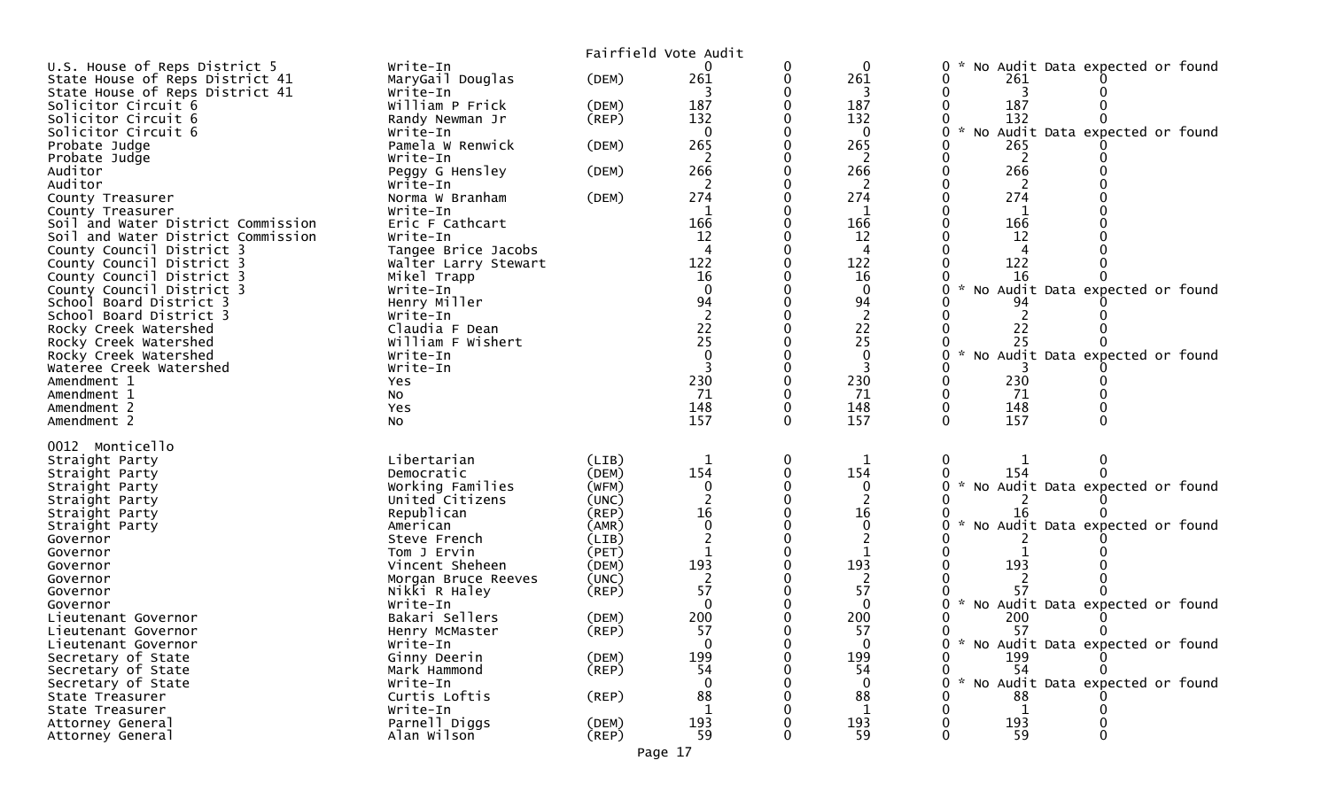| Fairfield Vote Audit                                                                                                                                 |  |
|------------------------------------------------------------------------------------------------------------------------------------------------------|--|
| Write-In<br>No Audit Data expected or found<br>U.S. House of Reps District 5<br>0<br>0<br>0                                                          |  |
| 261<br>261<br>MaryGail Douglas<br>(DEM)<br>261<br>State House of Reps District 41                                                                    |  |
| State House of Reps District 41<br>3<br>Write-In                                                                                                     |  |
| 187<br>187<br>187<br>Solicitor Circuit 6<br>William P Frick<br>(DEM)<br>132<br>132<br>132<br>Solicitor Circuit 6                                     |  |
| $($ REP $)$<br>Randy Newman Jr<br>Solicitor Circuit 6<br>$\Omega$<br>$\mathcal{H}$<br>No Audit Data expected or found<br>Write-In<br>$\Omega$        |  |
| 265<br>265<br>Probate Judge<br>Pamela W Renwick<br>265<br>(DEM)                                                                                      |  |
| Probate Judge<br>Write-In<br>2<br>2<br>2                                                                                                             |  |
| 266<br>Auditor<br>266<br>266<br>Peggy G Hensley<br>(DEM)                                                                                             |  |
| Auditor<br>2<br>2<br>Write-In<br>2                                                                                                                   |  |
| 274<br>274<br>274<br>Norma W Branham<br>(DEM)<br>County Treasurer                                                                                    |  |
| Write-In<br>County Treasurer                                                                                                                         |  |
| 166<br>166<br>166<br>Soil and Water District Commission<br>Eric F Cathcart                                                                           |  |
| 12<br>12<br>Soil and Water District Commission<br>12<br>Write-In<br>County Council District 3<br>Tangee Brice Jacobs<br>4<br>4                       |  |
| 122<br>County Council District 3<br>122<br>122<br>Walter Larry Stewart                                                                               |  |
| 16<br>16<br>County Council District 3<br>16<br>Mikel Trapp                                                                                           |  |
| $\Omega$<br>No Audit Data expected or found<br>County Council District 3<br>Write-In<br>$\mathbf 0$                                                  |  |
| Henry Miller<br>94<br>94<br>School Board District 3<br>94                                                                                            |  |
| 2<br>School Board District 3<br>Write-In                                                                                                             |  |
| $\begin{array}{c} 22 \\ 25 \end{array}$<br>$\begin{array}{c} 22 \\ 25 \end{array}$<br>Claudia F Dean<br>22<br>Rocky Creek Watershed                  |  |
| 25<br>Rocky Creek Watershed<br>William F Wishert<br>$\sim$<br>Write-In                                                                               |  |
| No Audit Data expected or found<br>Rocky Creek Watershed<br>Wateree Creek Watershed<br>Write-In                                                      |  |
| 230<br>230<br>230<br>Amendment 1<br>Yes                                                                                                              |  |
| 71<br>71<br>71<br>Amendment 1<br>No                                                                                                                  |  |
| 148<br>Amendment 2<br>148<br>148<br>Yes                                                                                                              |  |
| 157<br>157<br>157<br>Amendment 2<br>$\Omega$<br>NO.                                                                                                  |  |
|                                                                                                                                                      |  |
| 0012 Monticello<br>Libertarian<br>(LIB)<br>0<br>Straight Party                                                                                       |  |
| 154<br>154<br>(DEM)<br>Straight Party<br>Democratic<br>154                                                                                           |  |
| * No Audit Data expected or found<br>Working Families<br>(WFM)<br>0<br>Straight Party<br>$\Omega$                                                    |  |
| United Citizens<br>(UNC)<br>Straight Party                                                                                                           |  |
| 16<br>16<br>Republican<br>(REP)<br>Straight Party<br>16                                                                                              |  |
| $\Omega$<br>* No Audit Data expected or found<br>$\Omega$<br>(AMR)<br>Straight Party<br>American                                                     |  |
| (LIB)<br>2<br>Steve French<br>Governor                                                                                                               |  |
| (PET)<br>Tom J Ervin<br>Governor<br>193<br>193                                                                                                       |  |
| 193<br>Vincent Sheheen<br>(DEM)<br>Governor<br>(UNC)<br>Morgan Bruce Reeves<br>Governor                                                              |  |
| 57<br>Nikki R Haley<br>$($ REP $)$<br>57<br>57<br>Governor                                                                                           |  |
| $\Omega$<br>No Audit Data expected or found<br>$\Omega$<br>W.<br>Write-In<br>Governor                                                                |  |
| 200<br>Bakari Sellers<br>200<br>(DEM)<br>200<br>Lieutenant Governor                                                                                  |  |
| 57<br>(REP)<br>57<br>Henry McMaster<br>57<br>Lieutenant Governor<br>0                                                                                |  |
| * No Audit Data expected or found<br>$\mathbf{0}$<br>$\mathbf{0}$<br>$\Omega$<br>Lieutenant Governor<br>Write-In                                     |  |
| 199<br>199<br>199<br>(DEM)<br>Secretary of State<br>Ginny Deerin                                                                                     |  |
| $($ REP $)$<br>54<br>Secretary of State<br>Mark Hammond<br>54<br>54<br>$\Omega$                                                                      |  |
| * No Audit Data expected or found<br>$\Omega$<br>Secretary of State<br>Write-In<br>88<br>88<br>Curtis Loftis<br>$($ REP $)$<br>State Treasurer<br>88 |  |
| Write-In<br>State Treasurer                                                                                                                          |  |
| 193<br>193<br>193<br>Parnell Diggs<br>(DEM)<br>Attorney General                                                                                      |  |
| 59<br>$($ REP $)$<br>59<br>59<br>Alan Wilson<br>Attorney General                                                                                     |  |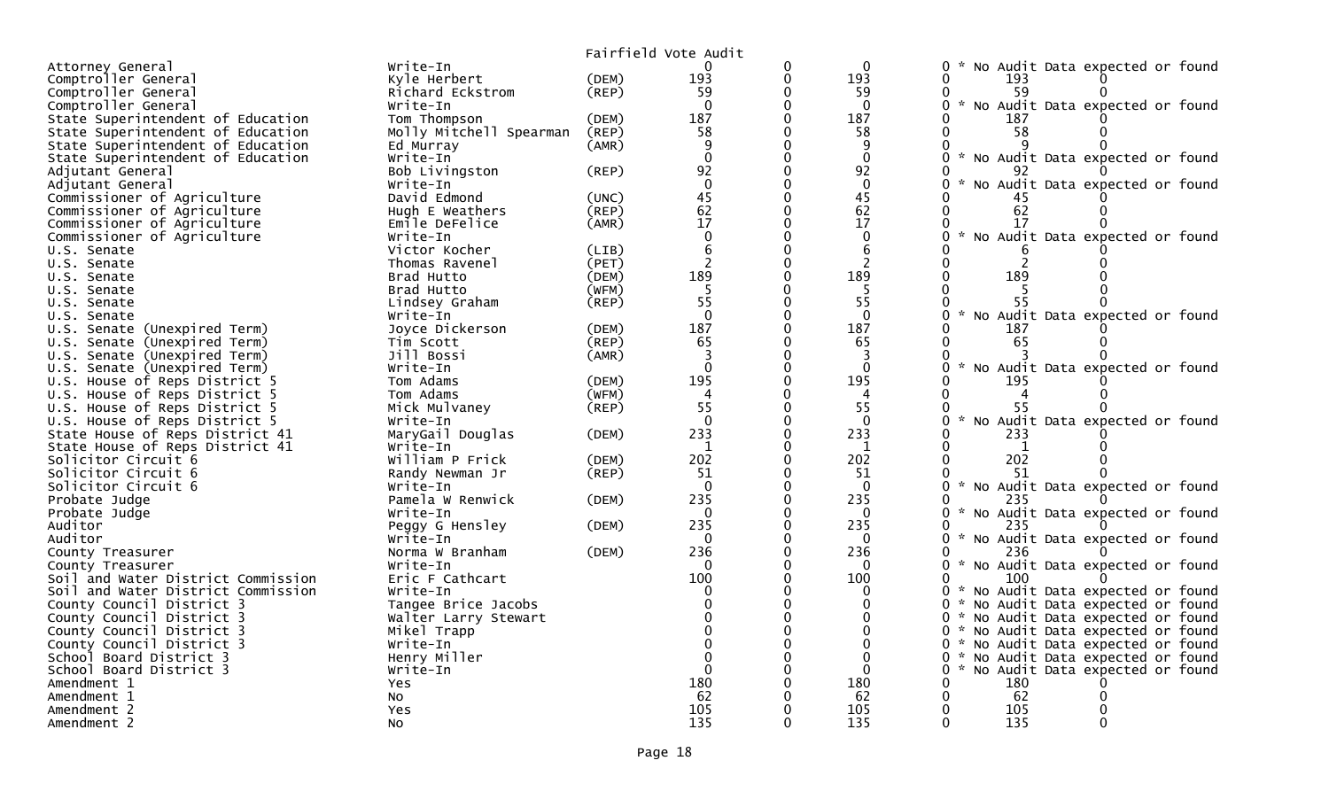| Fairfield Vote Audit<br>$\Omega$<br>Attorney General<br>Write-In<br>0<br>0<br>No Audit Data expected or found<br>Comptroller General<br>193<br>193<br>Kyle Herbert<br>(DEM)<br>0<br>0<br>193<br>Comptroller General<br>Richard Eckstrom<br>(REP)<br>59<br>0<br>59<br>59<br>No Audit Data expected or found<br>Comptroller General<br>Write-In<br>$\Omega$<br>$\Omega$<br>$\Omega$<br>0<br>187<br>187<br>$\Omega$<br>State Superintendent of Education<br>Tom Thompson<br>(DEM)<br>187<br>State Superintendent of Education<br>Molly Mitchell Spearman<br>58<br>58<br>$\Omega$<br>58<br>(REP)<br>State Superintendent of Education<br>9<br>0<br>(AMR)<br>9<br>Ed Murray<br>$\Omega$<br>$\Omega$<br>$\mathbf 0$<br>State Superintendent of Education<br>No Audit Data expected or found<br>Write-In<br>92<br>$\Omega$<br>92<br>Adjutant General<br>Bob Livingston<br>(REP)<br>92<br>$\Omega$<br>Adjutant General<br>$\Omega$<br>No Audit Data expected or found<br>Write-In<br>45<br>45<br>Commissioner of Agriculture<br>David Edmond<br>(UNC)<br>62<br>$\Omega$<br>62<br>62<br>Commissioner of Agriculture<br>(REP)<br>Hugh E Weathers<br>0<br>17<br>17<br>Commissioner of Agriculture<br>17<br>Emile DeFelice<br>(AMR)<br>0<br>$\Omega$<br>0<br>$\mathbf{0}$<br>No Audit Data expected or found<br>Commissioner of Agriculture<br>Write-In<br>0<br>6<br>6<br>Victor Kocher<br>0<br>U.S. Senate<br>(LIB) |
|----------------------------------------------------------------------------------------------------------------------------------------------------------------------------------------------------------------------------------------------------------------------------------------------------------------------------------------------------------------------------------------------------------------------------------------------------------------------------------------------------------------------------------------------------------------------------------------------------------------------------------------------------------------------------------------------------------------------------------------------------------------------------------------------------------------------------------------------------------------------------------------------------------------------------------------------------------------------------------------------------------------------------------------------------------------------------------------------------------------------------------------------------------------------------------------------------------------------------------------------------------------------------------------------------------------------------------------------------------------------------------------------------------|
|                                                                                                                                                                                                                                                                                                                                                                                                                                                                                                                                                                                                                                                                                                                                                                                                                                                                                                                                                                                                                                                                                                                                                                                                                                                                                                                                                                                                          |
|                                                                                                                                                                                                                                                                                                                                                                                                                                                                                                                                                                                                                                                                                                                                                                                                                                                                                                                                                                                                                                                                                                                                                                                                                                                                                                                                                                                                          |
|                                                                                                                                                                                                                                                                                                                                                                                                                                                                                                                                                                                                                                                                                                                                                                                                                                                                                                                                                                                                                                                                                                                                                                                                                                                                                                                                                                                                          |
|                                                                                                                                                                                                                                                                                                                                                                                                                                                                                                                                                                                                                                                                                                                                                                                                                                                                                                                                                                                                                                                                                                                                                                                                                                                                                                                                                                                                          |
|                                                                                                                                                                                                                                                                                                                                                                                                                                                                                                                                                                                                                                                                                                                                                                                                                                                                                                                                                                                                                                                                                                                                                                                                                                                                                                                                                                                                          |
|                                                                                                                                                                                                                                                                                                                                                                                                                                                                                                                                                                                                                                                                                                                                                                                                                                                                                                                                                                                                                                                                                                                                                                                                                                                                                                                                                                                                          |
|                                                                                                                                                                                                                                                                                                                                                                                                                                                                                                                                                                                                                                                                                                                                                                                                                                                                                                                                                                                                                                                                                                                                                                                                                                                                                                                                                                                                          |
|                                                                                                                                                                                                                                                                                                                                                                                                                                                                                                                                                                                                                                                                                                                                                                                                                                                                                                                                                                                                                                                                                                                                                                                                                                                                                                                                                                                                          |
|                                                                                                                                                                                                                                                                                                                                                                                                                                                                                                                                                                                                                                                                                                                                                                                                                                                                                                                                                                                                                                                                                                                                                                                                                                                                                                                                                                                                          |
|                                                                                                                                                                                                                                                                                                                                                                                                                                                                                                                                                                                                                                                                                                                                                                                                                                                                                                                                                                                                                                                                                                                                                                                                                                                                                                                                                                                                          |
|                                                                                                                                                                                                                                                                                                                                                                                                                                                                                                                                                                                                                                                                                                                                                                                                                                                                                                                                                                                                                                                                                                                                                                                                                                                                                                                                                                                                          |
|                                                                                                                                                                                                                                                                                                                                                                                                                                                                                                                                                                                                                                                                                                                                                                                                                                                                                                                                                                                                                                                                                                                                                                                                                                                                                                                                                                                                          |
|                                                                                                                                                                                                                                                                                                                                                                                                                                                                                                                                                                                                                                                                                                                                                                                                                                                                                                                                                                                                                                                                                                                                                                                                                                                                                                                                                                                                          |
|                                                                                                                                                                                                                                                                                                                                                                                                                                                                                                                                                                                                                                                                                                                                                                                                                                                                                                                                                                                                                                                                                                                                                                                                                                                                                                                                                                                                          |
|                                                                                                                                                                                                                                                                                                                                                                                                                                                                                                                                                                                                                                                                                                                                                                                                                                                                                                                                                                                                                                                                                                                                                                                                                                                                                                                                                                                                          |
| $\overline{2}$<br>(PET)<br>0<br>2<br>Thomas Ravenel<br>U.S. Senate                                                                                                                                                                                                                                                                                                                                                                                                                                                                                                                                                                                                                                                                                                                                                                                                                                                                                                                                                                                                                                                                                                                                                                                                                                                                                                                                       |
| 189<br>$\Omega$<br>189<br>189<br>Brad Hutto<br>(DEM)<br>0<br>U.S. Senate                                                                                                                                                                                                                                                                                                                                                                                                                                                                                                                                                                                                                                                                                                                                                                                                                                                                                                                                                                                                                                                                                                                                                                                                                                                                                                                                 |
| Brad Hutto<br>(WFM)<br>-5<br>-5                                                                                                                                                                                                                                                                                                                                                                                                                                                                                                                                                                                                                                                                                                                                                                                                                                                                                                                                                                                                                                                                                                                                                                                                                                                                                                                                                                          |
| U.S. Senate<br>55<br>55<br>55<br>0                                                                                                                                                                                                                                                                                                                                                                                                                                                                                                                                                                                                                                                                                                                                                                                                                                                                                                                                                                                                                                                                                                                                                                                                                                                                                                                                                                       |
| Lindsey Graham<br>(REP)<br>U.S. Senate<br>$\Omega$<br>$\Omega$<br>0<br>$\mathcal{H}$                                                                                                                                                                                                                                                                                                                                                                                                                                                                                                                                                                                                                                                                                                                                                                                                                                                                                                                                                                                                                                                                                                                                                                                                                                                                                                                     |
| No Audit Data expected or found<br>Write-In<br>U.S. Senate<br>$\Omega$                                                                                                                                                                                                                                                                                                                                                                                                                                                                                                                                                                                                                                                                                                                                                                                                                                                                                                                                                                                                                                                                                                                                                                                                                                                                                                                                   |
| 187<br>187<br>U.S. Senate (Unexpired Term)<br>(DEM)<br>187<br>Joyce Dickerson                                                                                                                                                                                                                                                                                                                                                                                                                                                                                                                                                                                                                                                                                                                                                                                                                                                                                                                                                                                                                                                                                                                                                                                                                                                                                                                            |
| 65<br>65<br>U.S. Senate (Unexpired Term)<br>Tim Scott<br>(REP)<br>65<br>0                                                                                                                                                                                                                                                                                                                                                                                                                                                                                                                                                                                                                                                                                                                                                                                                                                                                                                                                                                                                                                                                                                                                                                                                                                                                                                                                |
| 3<br>U.S. Senate (Unexpired Term)<br>Jill Bossi<br>(AMR)<br>3<br>$\sim$                                                                                                                                                                                                                                                                                                                                                                                                                                                                                                                                                                                                                                                                                                                                                                                                                                                                                                                                                                                                                                                                                                                                                                                                                                                                                                                                  |
| $\Omega$<br>$\Omega$<br>U.S. Senate (Unexpired Term)<br>0<br>$\Omega$<br>No Audit Data expected or found<br>Write-In                                                                                                                                                                                                                                                                                                                                                                                                                                                                                                                                                                                                                                                                                                                                                                                                                                                                                                                                                                                                                                                                                                                                                                                                                                                                                     |
| U.S. House of Reps District 5<br>Tom Adams<br>195<br>195<br>195<br>(DEM)                                                                                                                                                                                                                                                                                                                                                                                                                                                                                                                                                                                                                                                                                                                                                                                                                                                                                                                                                                                                                                                                                                                                                                                                                                                                                                                                 |
| 0<br>U.S. House of Reps District 5<br>Tom Adams<br>(WFM)<br>4<br>0<br>4<br>4                                                                                                                                                                                                                                                                                                                                                                                                                                                                                                                                                                                                                                                                                                                                                                                                                                                                                                                                                                                                                                                                                                                                                                                                                                                                                                                             |
| 55<br>55<br>Mick Mulvaney<br>(REP)<br>55<br>U.S. House of Reps District 5                                                                                                                                                                                                                                                                                                                                                                                                                                                                                                                                                                                                                                                                                                                                                                                                                                                                                                                                                                                                                                                                                                                                                                                                                                                                                                                                |
| $\Omega$<br>$\Omega$<br>No Audit Data expected or found<br>$\Omega$<br>U.S. House of Reps District 5<br>0<br>Write-In                                                                                                                                                                                                                                                                                                                                                                                                                                                                                                                                                                                                                                                                                                                                                                                                                                                                                                                                                                                                                                                                                                                                                                                                                                                                                    |
| $\Omega$<br>State House of Reps District 41<br>233<br>233<br>MaryGail Douglas<br>233<br>(DEM)                                                                                                                                                                                                                                                                                                                                                                                                                                                                                                                                                                                                                                                                                                                                                                                                                                                                                                                                                                                                                                                                                                                                                                                                                                                                                                            |
| State House of Reps District 41<br>1<br>0<br>1<br>1<br>Write-In                                                                                                                                                                                                                                                                                                                                                                                                                                                                                                                                                                                                                                                                                                                                                                                                                                                                                                                                                                                                                                                                                                                                                                                                                                                                                                                                          |
| 202<br>202<br>202<br>Solicitor Circuit 6<br>William P Frick<br>(DEM)<br>$\Omega$<br>$\Omega$                                                                                                                                                                                                                                                                                                                                                                                                                                                                                                                                                                                                                                                                                                                                                                                                                                                                                                                                                                                                                                                                                                                                                                                                                                                                                                             |
| Solicitor Circuit 6<br>51<br>51<br>(REP)<br>0<br>51<br>Randy Newman Jr                                                                                                                                                                                                                                                                                                                                                                                                                                                                                                                                                                                                                                                                                                                                                                                                                                                                                                                                                                                                                                                                                                                                                                                                                                                                                                                                   |
| No Audit Data expected or found<br>$\Omega$<br>0<br>$\overline{0}$<br>0<br>Solicitor Circuit 6<br>Write-In                                                                                                                                                                                                                                                                                                                                                                                                                                                                                                                                                                                                                                                                                                                                                                                                                                                                                                                                                                                                                                                                                                                                                                                                                                                                                               |
| 235<br>235<br>Pamela W Renwick<br>$\Omega$<br>Probate Judge<br>(DEM)<br>235                                                                                                                                                                                                                                                                                                                                                                                                                                                                                                                                                                                                                                                                                                                                                                                                                                                                                                                                                                                                                                                                                                                                                                                                                                                                                                                              |
| $\Omega$<br>0<br>$\Omega$<br>$\Omega$<br>No Audit Data expected or found<br>Probate Judge<br>Write-In<br>$\mathcal{H}$                                                                                                                                                                                                                                                                                                                                                                                                                                                                                                                                                                                                                                                                                                                                                                                                                                                                                                                                                                                                                                                                                                                                                                                                                                                                                   |
| 235<br>Auditor<br>235<br>0<br>235<br>Peggy G Hensley<br>(DEM)                                                                                                                                                                                                                                                                                                                                                                                                                                                                                                                                                                                                                                                                                                                                                                                                                                                                                                                                                                                                                                                                                                                                                                                                                                                                                                                                            |
| No Audit Data expected or found<br>Auditor<br>$\mathbf{0}$<br>$\mathbf{0}$<br>$\Omega$<br>$\sim$<br>Write-In                                                                                                                                                                                                                                                                                                                                                                                                                                                                                                                                                                                                                                                                                                                                                                                                                                                                                                                                                                                                                                                                                                                                                                                                                                                                                             |
| 236<br>$\Omega$<br>236<br>Norma W Branham<br>(DEM)<br>236<br>County Treasurer<br>0                                                                                                                                                                                                                                                                                                                                                                                                                                                                                                                                                                                                                                                                                                                                                                                                                                                                                                                                                                                                                                                                                                                                                                                                                                                                                                                       |
| Write-In<br>$\Omega$<br>$\Omega$<br>0<br>$\mathcal{H}$<br>No Audit Data expected or found<br>County Treasurer                                                                                                                                                                                                                                                                                                                                                                                                                                                                                                                                                                                                                                                                                                                                                                                                                                                                                                                                                                                                                                                                                                                                                                                                                                                                                            |
| 100<br>100<br>Soil and Water District Commission<br>Eric F Cathcart<br>0<br>100                                                                                                                                                                                                                                                                                                                                                                                                                                                                                                                                                                                                                                                                                                                                                                                                                                                                                                                                                                                                                                                                                                                                                                                                                                                                                                                          |
| No Audit Data expected or found<br>Soil and Water District Commission<br>0<br>$\mathbf{0}$<br>0<br>$\mathcal{H}$<br>Write-In                                                                                                                                                                                                                                                                                                                                                                                                                                                                                                                                                                                                                                                                                                                                                                                                                                                                                                                                                                                                                                                                                                                                                                                                                                                                             |
| 0<br>0<br>$\Omega$<br>No Audit Data expected or found<br>County Council District 3<br>Tangee Brice Jacobs<br>0                                                                                                                                                                                                                                                                                                                                                                                                                                                                                                                                                                                                                                                                                                                                                                                                                                                                                                                                                                                                                                                                                                                                                                                                                                                                                           |
| County Council District 3<br>$\Omega$<br>No Audit Data expected or found<br>Walter Larry Stewart<br>0<br>*                                                                                                                                                                                                                                                                                                                                                                                                                                                                                                                                                                                                                                                                                                                                                                                                                                                                                                                                                                                                                                                                                                                                                                                                                                                                                               |
| No Audit Data expected or found<br>County Council District 3<br>Mikel Trapp<br>$\mathbf{0}$<br>0                                                                                                                                                                                                                                                                                                                                                                                                                                                                                                                                                                                                                                                                                                                                                                                                                                                                                                                                                                                                                                                                                                                                                                                                                                                                                                         |
| County Council District 3<br>$\Omega$<br>0 * No Audit Data expected or found<br>Write-In<br>$\Omega$                                                                                                                                                                                                                                                                                                                                                                                                                                                                                                                                                                                                                                                                                                                                                                                                                                                                                                                                                                                                                                                                                                                                                                                                                                                                                                     |
| $\Omega$<br>0 * No Audit Data expected or found<br>School Board District 3<br>Henry Miller<br>$\Omega$                                                                                                                                                                                                                                                                                                                                                                                                                                                                                                                                                                                                                                                                                                                                                                                                                                                                                                                                                                                                                                                                                                                                                                                                                                                                                                   |
| $\Omega$<br>$\mathbf 0$<br>$\mathbf{0}$<br>No Audit Data expected or found<br>School Board District 3<br>Write-In<br>0<br>$\mathcal{H}$                                                                                                                                                                                                                                                                                                                                                                                                                                                                                                                                                                                                                                                                                                                                                                                                                                                                                                                                                                                                                                                                                                                                                                                                                                                                  |
| 180<br>180<br>Amendment 1<br>180<br>Yes                                                                                                                                                                                                                                                                                                                                                                                                                                                                                                                                                                                                                                                                                                                                                                                                                                                                                                                                                                                                                                                                                                                                                                                                                                                                                                                                                                  |
| 62<br>62<br>62<br>Amendment 1<br>No                                                                                                                                                                                                                                                                                                                                                                                                                                                                                                                                                                                                                                                                                                                                                                                                                                                                                                                                                                                                                                                                                                                                                                                                                                                                                                                                                                      |
| 105<br>105<br>105<br>Amendment 2<br>Yes                                                                                                                                                                                                                                                                                                                                                                                                                                                                                                                                                                                                                                                                                                                                                                                                                                                                                                                                                                                                                                                                                                                                                                                                                                                                                                                                                                  |
| 135<br>135<br>135<br>Amendment 2<br><b>NO</b><br>0<br>$\Omega$<br>0                                                                                                                                                                                                                                                                                                                                                                                                                                                                                                                                                                                                                                                                                                                                                                                                                                                                                                                                                                                                                                                                                                                                                                                                                                                                                                                                      |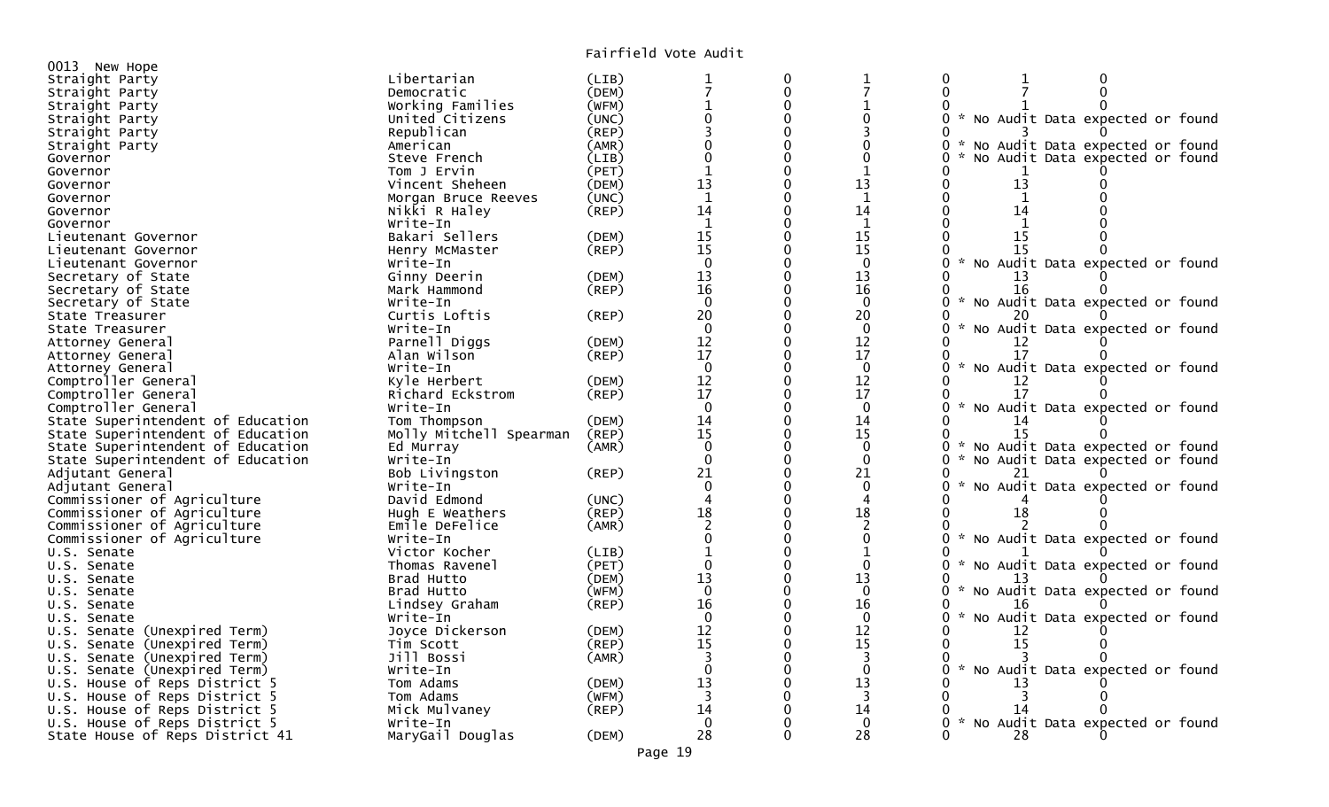| 0013 New Hope                     |                         |             |                                    |          |                     |                                                                        |
|-----------------------------------|-------------------------|-------------|------------------------------------|----------|---------------------|------------------------------------------------------------------------|
| Straight Party                    | Libertarian             | (LIB)       | 1                                  | 0        | 1<br>$\overline{7}$ | 0                                                                      |
| Straight Party                    | Democratic              | (DEM)       |                                    | 0        |                     | $\mathbf{0}$                                                           |
| Straight Party                    | Working Families        | (WFM)       |                                    | 0        |                     |                                                                        |
| Straight Party                    | United Citizens         | (UNC)       |                                    |          |                     | No Audit Data expected or found<br>$\sim$                              |
| Straight Party                    | Republican              | (REP)       |                                    |          |                     |                                                                        |
| Straight Party                    | American                | (AMR)       |                                    |          |                     | 0<br>No Audit Data expected or found                                   |
| Governor                          | Steve French            | (LIB)       |                                    |          | $\Omega$            | No Audit Data expected or found                                        |
| Governor                          | Tom J Ervin             | (PET)       |                                    | $\Omega$ | $\mathbf 1$         |                                                                        |
| Governor                          | Vincent Sheheen         | (DEM)       | 13                                 | 0        | 13                  | 13<br>0                                                                |
| Governor                          | Morgan Bruce Reeves     | (UNC)       | $\mathbf{1}$                       | 0        | 1                   | $\mathbf{1}$<br>0                                                      |
| Governor                          | Nikki R Haley           | (REP)       | 14                                 |          | 14                  | 14                                                                     |
| Governor                          | Write-In                |             | $\mathbf{1}$                       |          | $\mathbf{1}$        | $\mathbf{1}$                                                           |
| Lieutenant Governor               | Bakari Sellers          | (DEM)       | 15                                 |          | 15                  | 15                                                                     |
| Lieutenant Governor               | Henry McMaster          | (REP)       | 15                                 |          | 15                  | 15<br>$\mathcal{H}$                                                    |
| Lieutenant Governor               | Write-In                |             | $\Omega$                           | ∩        | $\Omega$            | 0<br>No Audit Data expected or found                                   |
| Secretary of State                | Ginny Deerin            | (DEM)       | 13                                 | ∩        | 13                  | 13                                                                     |
| Secretary of State                | Mark Hammond            | (REP)       | 16                                 | 0        | 16                  | 16                                                                     |
| Secretary of State                | Write-In                |             | $\Omega$                           |          | $\Omega$            | $\mathcal{H}$<br>No Audit Data expected or found                       |
| State Treasurer                   | Curtis Loftis           | (REP)       | 20                                 |          | 20                  | 20                                                                     |
| State Treasurer                   | Write-In                |             | $\Omega$                           |          | $\Omega$            | $\sim$<br>No Audit Data expected or found                              |
| Attorney General                  | Parnell Diggs           | (DEM)       | 12                                 | 0        | 12                  |                                                                        |
| Attorney General                  | Alan Wilson             | (REP)       | 17                                 | 0        | 17                  | 17                                                                     |
| Attorney General                  | Write-In                |             | $\Omega$                           |          | $\Omega$            | $\sim$<br>No Audit Data expected or found                              |
| Comptroller General               | Kyle Herbert            | (DEM)       | 12                                 | 0        | 12                  |                                                                        |
| Comptroller General               | Richard Eckstrom        | (REP)       | 17                                 |          | 17                  | 17                                                                     |
| Comptroller General               | Write-In                |             | $\Omega$                           |          | $\mathbf{0}$        | No Audit Data expected or found<br>0                                   |
| State Superintendent of Education | Tom Thompson            | (DEM)       | 14                                 |          | 14                  | 14                                                                     |
| State Superintendent of Education | Molly Mitchell Spearman | (REP)       | 15                                 | 0        | 15                  | 15                                                                     |
| State Superintendent of Education | Ed Murray               | (AMR)       | $\Omega$                           | $\Omega$ | $\Omega$            | $\mathcal{H}$<br>No Audit Data expected or found<br>0<br>$\mathcal{H}$ |
| State Superintendent of Education | Write-In                |             | $\Omega$                           |          | $\mathbf{0}$        | 0<br>No Audit Data expected or found                                   |
| Adjutant General                  | Bob Livingston          | (REP)       | 21                                 |          | 21                  |                                                                        |
| Adjutant General                  | Write-In                |             | $\Omega$<br>$\boldsymbol{\Lambda}$ |          | $\Omega$            | No Audit Data expected or found                                        |
| Commissioner of Agriculture       | David Edmond            | (UNC)       |                                    |          | 4                   |                                                                        |
| Commissioner of Agriculture       | Hugh E Weathers         | (REP)       | 18                                 |          | 18                  | 18                                                                     |
| Commissioner of Agriculture       | Emile DeFelice          | (AMR)       |                                    |          | 2                   | $\sim$                                                                 |
| Commissioner of Agriculture       | Write-In                |             |                                    |          | $\Omega$            | No Audit Data expected or found                                        |
| U.S. Senate                       | Victor Kocher           | (LIB)       | $\Omega$                           |          | 1<br>$\Omega$       |                                                                        |
| U.S. Senate                       | Thomas Ravenel          | (PET)       |                                    |          |                     | 0<br>No Audit Data expected or found                                   |
| U.S. Senate                       | Brad Hutto              | (DEM)       | 13<br>$\mathbf 0$                  |          | 13                  |                                                                        |
| U.S. Senate                       | Brad Hutto              | (WFM)       | 16                                 | 0<br>∩   | $\mathbf{0}$        | No Audit Data expected or found<br>0                                   |
| U.S. Senate                       | Lindsey Graham          | $($ REP $)$ | $\Omega$                           |          | 16<br>$\Omega$      | 0<br>$\sim$                                                            |
| U.S. Senate                       | Write-In                |             |                                    |          |                     | No Audit Data expected or found                                        |
| U.S. Senate (Unexpired Term)      | Joyce Dickerson         | (DEM)       | 12<br>15                           | 0        | 12<br>15            | 15                                                                     |
| U.S. Senate (Unexpired Term)      | Tim Scott               | (REP)       |                                    |          |                     |                                                                        |
| U.S. Senate (Unexpired Term)      | Jill Bossi              | (AMR)       | 3<br>$\Omega$                      |          | 3<br>$\Omega$       | $\sim$                                                                 |
| U.S. Senate (Unexpired Term)      | Write-In                |             |                                    |          |                     | No Audit Data expected or found                                        |
| U.S. House of Reps District 5     | Tom Adams               | (DEM)       | 13<br>3                            | 0        | 13<br>3             | 13                                                                     |
| U.S. House of Reps District 5     | Tom Adams               | (WFM)       | 14                                 |          |                     | 14                                                                     |
| U.S. House of Reps District 5     | Mick Mulvaney           | (REP)       | $\Omega$                           |          | 14<br>$\mathbf{0}$  | 0                                                                      |
| U.S. House of Reps District 5     | Write-In                |             | 28                                 | 0        | 28                  | No Audit Data expected or found                                        |
| State House of Reps District 41   | MaryGail Douglas        | (DEM)       |                                    |          |                     | 28                                                                     |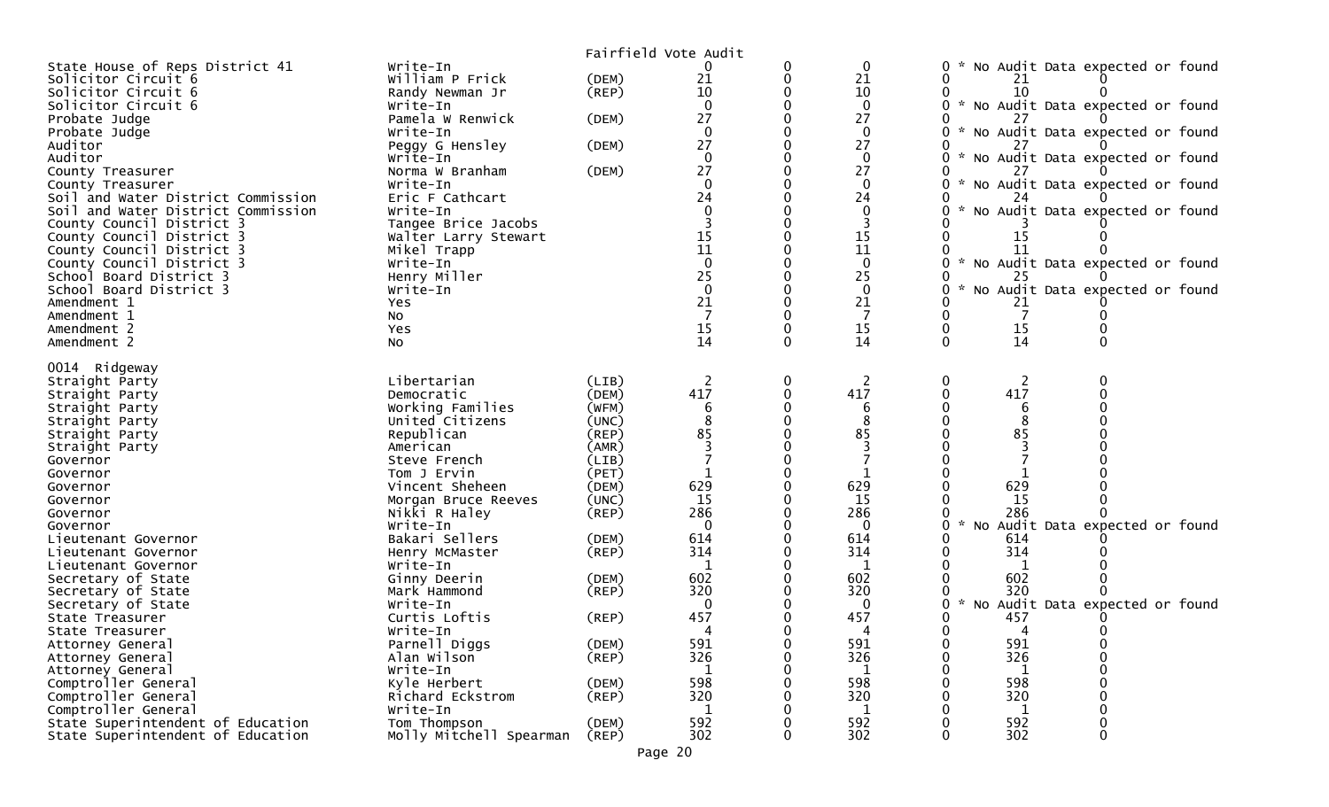|                                                        |                             |             | Fairfield Vote Audit                    |                    |                                           |
|--------------------------------------------------------|-----------------------------|-------------|-----------------------------------------|--------------------|-------------------------------------------|
| State House of Reps District 41                        | Write-In                    |             |                                         | $\mathbf 0$        | No Audit Data expected or found<br>0      |
| Solicitor Circuit 6                                    | William P Frick             | (DEM)       | 21                                      | 21                 | 21                                        |
| Solicitor Circuit 6                                    | Randy Newman Jr             | $($ REP $)$ | 10                                      | 10                 | 10                                        |
| Solicitor Circuit 6                                    | Write-In                    |             | $\Omega$                                | $\mathbf 0$        | * No Audit Data expected or found<br>0    |
| Probate Judge                                          | Pamela W Renwick            | (DEM)       | 27                                      | 27                 |                                           |
| Probate Judge                                          | Write-In                    |             |                                         | $\mathbf{0}$       | * No Audit Data expected or found         |
| Auditor                                                | Peggy G Hensley             | (DEM)       | 27                                      | 27                 |                                           |
| Auditor                                                | Write-In                    |             | $\Omega$                                | $\Omega$           | * No Audit Data expected or found         |
| County Treasurer                                       | Norma W Branham             | (DEM)       | 27                                      | 27                 |                                           |
| County Treasurer<br>Soil and Water District Commission | Write-In                    |             | $\Omega$<br>24                          | $\mathbf{0}$<br>24 | * No Audit Data expected or found         |
| Soil and Water District Commission                     | Eric F Cathcart<br>Write-In |             |                                         | $\mathbf{0}$       | No Audit Data expected or found           |
| County Council District 3                              | Tangee Brice Jacobs         |             |                                         | 3                  |                                           |
| County Council District 3                              | Walter Larry Stewart        |             |                                         | 15                 | 15                                        |
| County Council District 3                              | Mikel Trapp                 |             | $\begin{array}{c} 15 \\ 11 \end{array}$ | 11                 | 11                                        |
| County Council District 3                              | Write-In                    |             | $\mathbf 0$                             | $\mathbf{0}$       | * No Audit Data expected or found         |
| School Board District 3                                | Henry Miller                |             | 25                                      | 25                 | 25                                        |
| School Board District 3                                | Write-In                    |             | $\Omega$                                | $\mathbf{0}$       | No Audit Data expected or found           |
| Amendment 1                                            | Yes                         |             | 21                                      | 21                 | 21                                        |
| Amendment 1                                            | No                          |             |                                         |                    | 7                                         |
| Amendment 2                                            | Yes                         |             | 15                                      | 15                 | 15                                        |
| Amendment 2                                            | No                          |             | 14                                      | 14                 | 14<br>$\mathbf{0}$                        |
|                                                        |                             |             |                                         |                    |                                           |
| 0014 Ridgeway                                          | Libertarian                 | (LIB)       | 2                                       | 2                  | 0<br>2                                    |
| Straight Party<br>Straight Party                       | Democratic                  | (DEM)       | 417                                     | 417                | 417                                       |
| Straight Party                                         | Working Families            | (WFM)       |                                         | 6                  | 6                                         |
| Straight Party                                         | United Citizens             | (UNC)       |                                         | 8                  | 8                                         |
| Straight Party                                         | Republican                  | $($ REP $)$ | 85                                      | 85                 | 85                                        |
| Straight Party                                         | American                    | (AMR)       |                                         |                    |                                           |
| Governor                                               | Steve French                | (LIB)       |                                         |                    |                                           |
| Governor                                               | Tom J Ervin                 | (PET)       |                                         |                    |                                           |
| Governor                                               | Vincent Sheheen             | (DEM)       | 629                                     | 629                | 629                                       |
| Governor                                               | Morgan Bruce Reeves         | (UNC)       | 15                                      | 15                 | 15                                        |
| Governor                                               | Nikki R Haley               | (REP)       | 286                                     | 286                | 286                                       |
| Governor                                               | Write-In                    |             | $\Omega$                                | $\Omega$           | $\sim$<br>No Audit Data expected or found |
| Lieutenant Governor                                    | Bakari Sellers              | (DEM)       | 614                                     | 614                | 614                                       |
| Lieutenant Governor                                    | Henry McMaster              | (REP)       | 314                                     | 314                | 314                                       |
| Lieutenant Governor                                    | Write-In                    |             | 1                                       | 1                  | 1                                         |
| Secretary of State                                     | Ginny Deerin                | (DEM)       | 602                                     | 602                | 602                                       |
| Secretary of State                                     | Mark Hammond                | $($ REP $)$ | 320                                     | 320                | 320<br>$\mathcal{H}$                      |
| Secretary of State                                     | Write-In                    |             | $\Omega$                                | $\mathbf{0}$       | No Audit Data expected or found           |
| State Treasurer                                        | Curtis Loftis               | (REP)       | 457                                     | 457                | 457<br>0<br>4<br>$\Omega$                 |
| State Treasurer                                        | Write-In<br>Parnell Diggs   | (DEM)       | 591                                     | 591                | 591<br>0                                  |
| Attorney General<br>Attorney General                   | Alan Wilson                 | $($ REP $)$ | 326                                     | 326                | 326                                       |
| Attorney General                                       | Write-In                    |             |                                         |                    | 1                                         |
| Comptroller General                                    | Kyle Herbert                | (DEM)       | 598                                     | 598                | 598                                       |
| Comptroller General                                    | Richard Eckstrom            | (REP)       | 320                                     | 320                | 320                                       |
| Comptroller General                                    | Write-In                    |             | 1                                       | 1                  | 1                                         |
| State Superintendent of Education                      | Tom Thompson                | (DEM)       | 592                                     | 592                | 592                                       |
| State Superintendent of Education                      | Molly Mitchell Spearman     | (REP)       | 302                                     | 302                | 302                                       |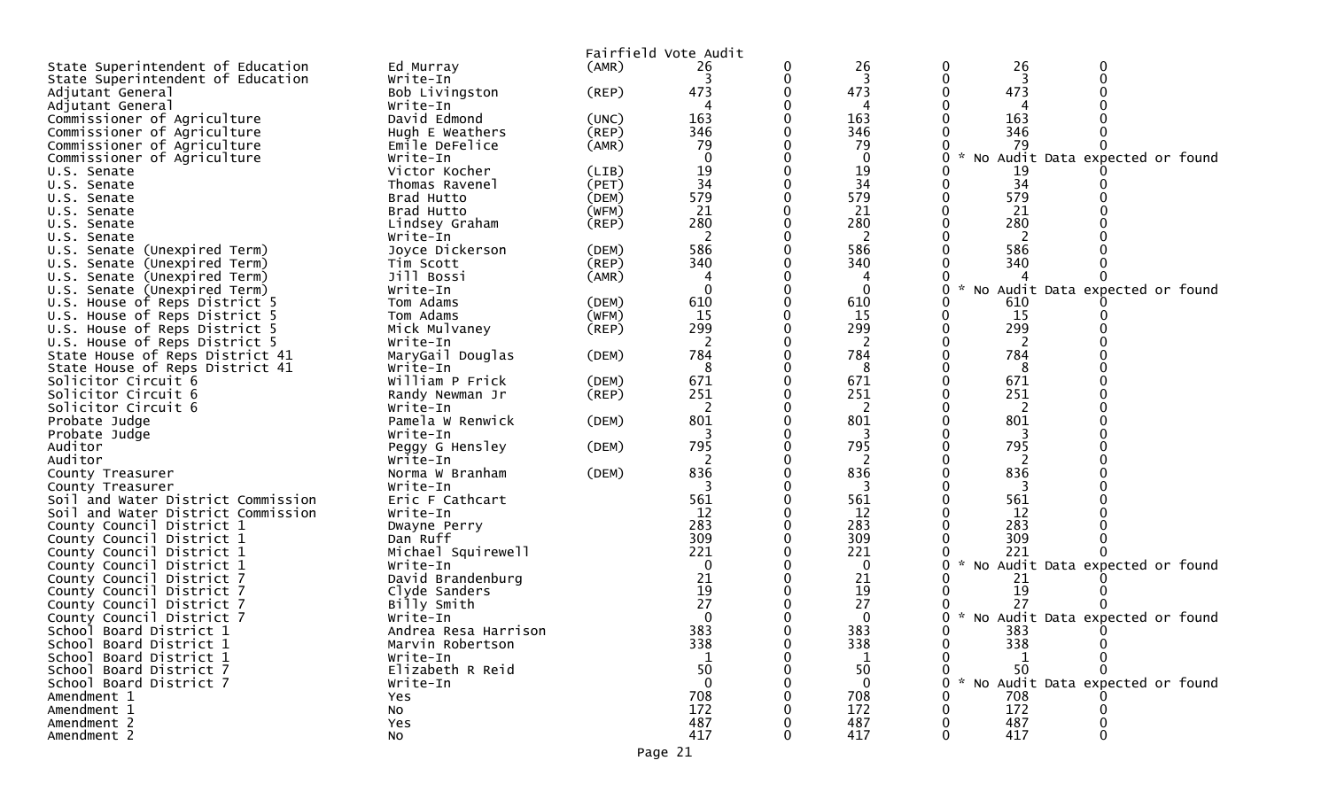|                                                               |                               |                | Fairfield Vote Audit |                |                                        |
|---------------------------------------------------------------|-------------------------------|----------------|----------------------|----------------|----------------------------------------|
| State Superintendent of Education                             | Ed Murray                     | (AMR)          | 26                   | 26             | 26<br>0<br>0                           |
| State Superintendent of Education                             | Write-In                      |                |                      | 3              | 3                                      |
| Adjutant General                                              | Bob Livingston                | (REP)          | 473                  | 473            | 473                                    |
| Adjutant General                                              | Write-In                      |                |                      | 4              | 4                                      |
| Commissioner of Agriculture                                   | David Edmond                  | (UNC)          | 163                  | 163            | 163                                    |
| Commissioner of Agriculture                                   | Hugh E Weathers               | (REP)          | 346                  | 346            | 346                                    |
| Commissioner of Agriculture                                   | Emile DeFelice                | (AMR)          | 79                   | 79             | 79                                     |
| Commissioner of Agriculture                                   | Write-In                      |                |                      | $\Omega$       | No Audit Data expected or found<br>o   |
| U.S. Senate                                                   | Victor Kocher                 | (LIB)          | 19                   | 19             | 19                                     |
| U.S. Senate                                                   | Thomas Ravenel                | (PET)          | 34                   | 34             | 34                                     |
| U.S. Senate                                                   | Brad Hutto                    | (DEM)          | 579                  | 579            | 579                                    |
| U.S. Senate                                                   | Brad Hutto                    | (WFM)          | 21                   | 21             | 21                                     |
| U.S. Senate                                                   | Lindsey Graham                | $($ REP $)$    | 280                  | 280            | 280                                    |
| U.S. Senate                                                   | Write-In                      |                |                      | 2              |                                        |
| U.S. Senate (Unexpired Term)                                  | Joyce Dickerson               | (DEM)          | 586<br>340           | 586<br>340     | 586<br>340                             |
| U.S. Senate (Unexpired Term)                                  | Tim Scott<br>Jill Bossi       | (REP)<br>(AMR) |                      |                |                                        |
| U.S. Senate (Unexpired Term)                                  | Write-In                      |                |                      | 0              | 0                                      |
| U.S. Senate (Unexpired Term)<br>U.S. House of Reps District 5 | Tom Adams                     | (DEM)          | 610                  | 610            | No Audit Data expected or found<br>610 |
| U.S. House of Reps District 5                                 | Tom Adams                     | (WFM)          | 15                   | 15             | 15                                     |
| U.S. House of Reps District 5                                 | Mick Mulvaney                 | $($ REP $)$    | 299                  | 299            | 299                                    |
| U.S. House of Reps District 5                                 | Write-In                      |                | 2                    | 2              | 2                                      |
| State House of Reps District 41                               | MaryGail Douglas              | (DEM)          | 784                  | 784            | 784                                    |
| State House of Reps District 41                               | Write-In                      |                | 8                    | 8              | 8                                      |
| Solicitor Circuit 6                                           | William P Frick               | (DEM)          | 671                  | 671            | 671                                    |
| Solicitor Circuit 6                                           | Randy Newman Jr               | $($ REP $)$    | 251                  | 251            | 251                                    |
| Solicitor Circuit 6                                           | Write-In                      |                | 2                    | 2              | 2                                      |
| Probate Judge                                                 | Pamela W Renwick              | (DEM)          | 801                  | 801            | 801                                    |
| Probate Judge                                                 | Write-In                      |                |                      |                |                                        |
| Auditor                                                       | Peggy G Hensley               | (DEM)          | 795                  | 795            | 795                                    |
| Auditor                                                       | Write-In                      |                |                      | 2              | 2                                      |
| County Treasurer                                              | Norma W Branham               | (DEM)          | 836                  | 836            | 836                                    |
| County Treasurer                                              | Write-In                      |                | 3                    | 3              | 3                                      |
| Soil and Water District Commission                            | Eric F Cathcart               |                | 561                  | 561            | 561                                    |
| Soil and Water District Commission                            | Write-In                      |                | 12                   | 12             | 12                                     |
| County Council District 1                                     | Dwayne Perry                  |                | 283                  | 283            | 283                                    |
| County Council District 1                                     | Dan Ruff                      |                | 309                  | 309            | 309                                    |
| County Council District 1                                     | Michael Squirewell            |                | 221                  | 221            | 221<br>$\mathcal{H}$<br>O.             |
| County Council District 1                                     | Write-In<br>David Brandenburg |                | 21                   | $\Omega$<br>21 | No Audit Data expected or found<br>21  |
| County Council District 7<br>County Council District 7        | Clyde Sanders                 |                | 19                   | 19             | 19                                     |
| County Council District 7                                     | Billy Smith                   |                | 27                   | 27             | 27                                     |
| County Council District 7                                     | Write-In                      |                | 0                    | 0              | * No Audit Data expected or found      |
| School Board District 1                                       | Andrea Resa Harrison          |                | 383                  | 383            | 383<br>O.                              |
| School Board District 1                                       | Marvin Robertson              |                | 338                  | 338            | 338<br>0                               |
| School Board District 1                                       | Write-In                      |                |                      |                |                                        |
| School Board District 7                                       | Elizabeth R Reid              |                | 50                   | 50             | -50                                    |
| School Board District 7                                       | Write-In                      |                | $\Omega$             | $\mathbf{0}$   | * No Audit Data expected or found<br>0 |
| Amendment 1                                                   | <b>Yes</b>                    |                | 708                  | 708            | 708                                    |
| Amendment 1                                                   | No                            |                | 172                  | 172            | 172                                    |
| Amendment 2                                                   | Yes                           |                | 487                  | 487            | 487                                    |
| Amendment 2                                                   | No                            |                | 417                  | 417            | 417                                    |
|                                                               |                               |                | Page 21              |                |                                        |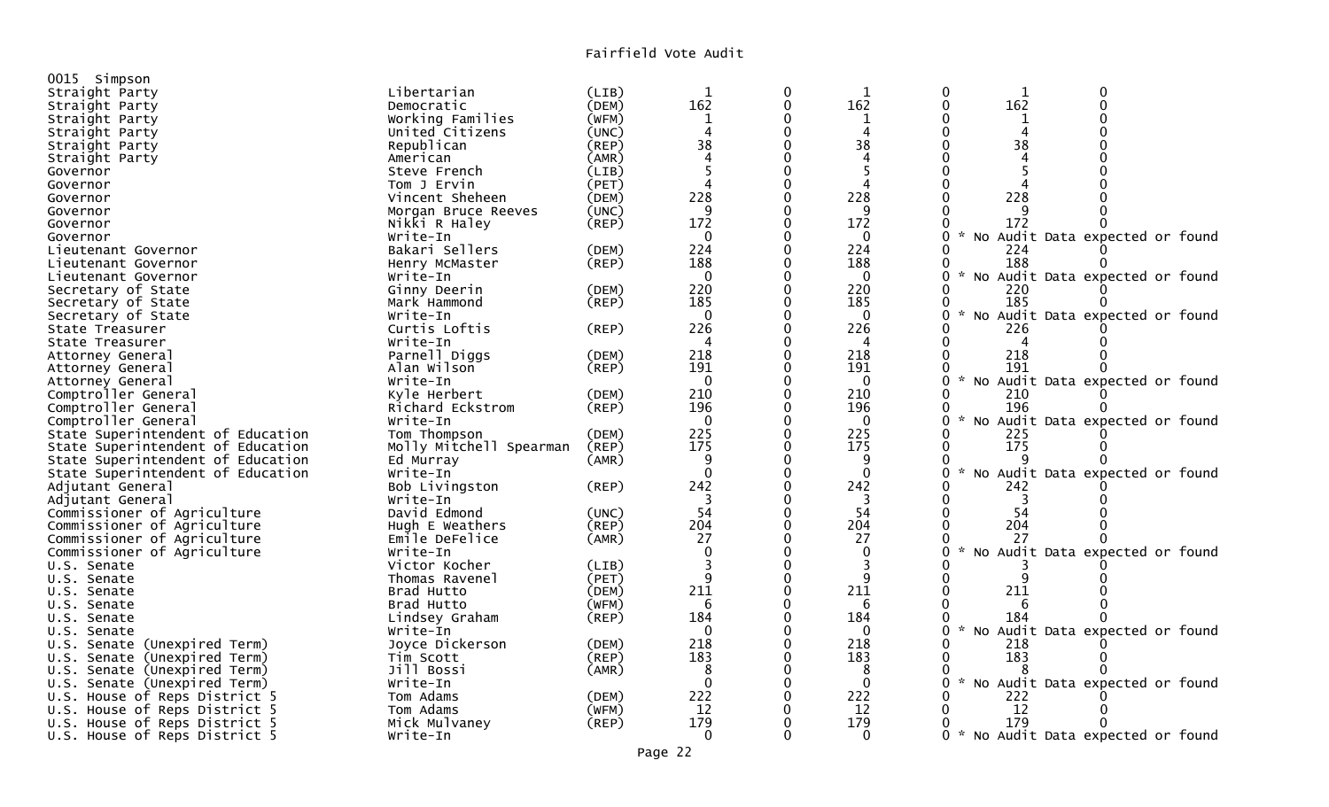| 0015 Simpson                      |                         |             |                |                  |              |                           |     |                                 |  |
|-----------------------------------|-------------------------|-------------|----------------|------------------|--------------|---------------------------|-----|---------------------------------|--|
| Straight Party                    | Libertarian             | (LIB)       |                | $\boldsymbol{0}$ |              | $\boldsymbol{0}$          | 1   | 0                               |  |
| Straight Party                    | Democratic              | (DEM)       | 162            | $\mathbf 0$      | 162          | $\mathbf 0$               | 162 | $\Omega$                        |  |
| Straight Party                    | Working Families        | (WFM)       |                | $\Omega$         |              | $\Omega$                  |     | $\Omega$                        |  |
| Straight Party                    | United Citizens         | (UNC)       | $\overline{4}$ | $\Omega$         | 4            | 0                         | 4   |                                 |  |
| Straight Party                    | Republican              | (REP)       | 38             | $\Omega$         | 38           | 0                         | 38  |                                 |  |
| Straight Party                    | American                | (AMR)       |                | $\Omega$         | 4            |                           |     |                                 |  |
| Governor                          | Steve French            | (LIB)       |                | $\Omega$         | 5            | $\Omega$                  |     |                                 |  |
| Governor                          | Tom J Ervin             | (PET)       |                | $\mathbf 0$      |              | 0                         |     |                                 |  |
| Governor                          | Vincent Sheheen         | (DEM)       | 228            | $\mathbf 0$      | 228          | $\Omega$                  | 228 |                                 |  |
| Governor                          | Morgan Bruce Reeves     | (UNC)       | q              |                  | q            |                           |     |                                 |  |
| Governor                          | Nikki R Haley           | $($ REP $)$ | 172            | $\overline{0}$   | 172          | 0                         | 172 |                                 |  |
| Governor                          | Write-In                |             | $\mathbf 0$    | $\mathbf 0$      | $\mathbf 0$  | $\Omega$                  |     | No Audit Data expected or found |  |
| Lieutenant Governor               | Bakari Sellers          | (DEM)       | 224            | $\overline{0}$   | 224          | ∩                         | 224 |                                 |  |
| Lieutenant Governor               | Henry McMaster          | (REP)       | 188            | $\Omega$         | 188          |                           | 188 |                                 |  |
| Lieutenant Governor               | Write-In                |             | $\overline{0}$ | $\mathbf 0$      | $\Omega$     | 0                         |     | No Audit Data expected or found |  |
| Secretary of State                | Ginny Deerin            | (DEM)       | 220            | $\Omega$         | 220          | $\Omega$                  | 220 |                                 |  |
| Secretary of State                | Mark Hammond            | (REP)       | 185            | $\overline{0}$   | 185          | $\Omega$                  | 185 |                                 |  |
| Secretary of State                | Write-In                |             | $\overline{0}$ | $\mathbf 0$      | $\mathbf{0}$ | $\mathcal{R}$<br>0        |     | No Audit Data expected or found |  |
| State Treasurer                   | Curtis Loftis           | $($ REP $)$ | 226            | $\Omega$         | 226          |                           | 226 |                                 |  |
| State Treasurer                   | Write-In                |             | 4              | $\mathbf 0$      | 4            | $\Omega$                  | 4   |                                 |  |
| Attorney General                  | Parnell Diggs           | (DEM)       | 218            | $\overline{0}$   | 218          | $\Omega$                  | 218 |                                 |  |
| Attorney General                  | Alan Wilson             | $($ REP $)$ | 191            | $\mathbf 0$      | 191          | $\Omega$                  | 191 |                                 |  |
| Attorney General                  | Write-In                |             | $\mathbf 0$    | $\overline{0}$   | $\mathbf{0}$ | $\Omega$                  |     | No Audit Data expected or found |  |
| Comptroller General               | Kyle Herbert            | (DEM)       | 210            | $\overline{0}$   | 210          | $\Omega$                  | 210 |                                 |  |
| Comptroller General               | Richard Eckstrom        | $($ REP $)$ | 196            | $\Omega$         | 196          | $\Omega$                  | 196 |                                 |  |
| Comptroller General               | Write-In                |             | $\overline{0}$ | $\overline{0}$   | $\Omega$     | 0                         |     | No Audit Data expected or found |  |
| State Superintendent of Education | Tom Thompson            | (DEM)       | 225            | $\mathbf 0$      | 225          | 0                         | 225 |                                 |  |
| State Superintendent of Education | Molly Mitchell Spearman | (REP)       | 175            |                  | 175          | $\Omega$                  | 175 |                                 |  |
| State Superintendent of Education | Ed Murray               | (AMR)       | 9              | $\mathbf 0$      | 9            | 0                         |     |                                 |  |
| State Superintendent of Education | Write-In                |             | $\Omega$       | $\mathbf 0$      | $\Omega$     | $\Omega$                  |     | No Audit Data expected or found |  |
| Adjutant General                  | Bob Livingston          | $($ REP $)$ | 242            | $\mathbf 0$      | 242          | 0                         | 242 |                                 |  |
| Adjutant General                  | Write-In                |             |                | $\mathbf 0$      | 3            | $\Omega$                  |     |                                 |  |
| Commissioner of Agriculture       | David Edmond            | (UNC)       | 54             | $\mathbf 0$      | 54           | $\Omega$                  | 54  |                                 |  |
| Commissioner of Agriculture       | Hugh E Weathers         | (REP)       | 204            | $\Omega$         | 204          | $\Omega$                  | 204 |                                 |  |
| Commissioner of Agriculture       | Emile DeFelice          | (AMR)       | 27             | $\Omega$         | 27           |                           | 27  |                                 |  |
| Commissioner of Agriculture       | Write-In                |             | $\Omega$       | $\overline{0}$   | $\Omega$     | $\Omega$<br>NO.           |     | Audit Data expected or found    |  |
| U.S. Senate                       | Victor Kocher           | (LIB)       | 3              | $\Omega$         | 3            |                           |     |                                 |  |
| U.S. Senate                       | Thomas Ravenel          | (PET)       | 9              | $\mathbf 0$      | 9            | $\Omega$                  | q   |                                 |  |
| U.S. Senate                       | Brad Hutto              | (DEM)       | 211            |                  | 211          |                           | 211 |                                 |  |
| U.S. Senate                       | Brad Hutto              | (WFM)       | 6              | $\Omega$         | 6            | $\Omega$                  | 6   |                                 |  |
| U.S. Senate                       | Lindsey Graham          | $($ REP $)$ | 184            | $\mathbf 0$      | 184          | $\mathbf 0$               | 184 |                                 |  |
| U.S. Senate                       | Write-In                |             | $\overline{0}$ | $\mathbf 0$      | $\mathbf{0}$ | 0                         |     | No Audit Data expected or found |  |
| U.S. Senate (Unexpired Term)      | Joyce Dickerson         | (DEM)       | 218            | $\mathbf 0$      | 218          | $\Omega$                  | 218 |                                 |  |
| U.S. Senate (Unexpired Term)      | Tim Scott               | (REP)       | 183            | $\overline{0}$   | 183          | $\Omega$                  | 183 |                                 |  |
| U.S. Senate (Unexpired Term)      | Jill Bossi              | (AMR)       | 8              | $\Omega$         | 8            | ∩                         |     |                                 |  |
| U.S. Senate (Unexpired Term)      | Write-In                |             | $\Omega$       | $\Omega$         | $\Omega$     | $\Omega$<br>$\mathcal{H}$ |     | No Audit Data expected or found |  |
| U.S. House of Reps District 5     | Tom Adams               | (DEM)       | 222            | $\mathbf 0$      | 222          | 0                         | 222 |                                 |  |
| U.S. House of Reps District 5     | Tom Adams               | (WFM)       | 12             | 0                | 12           | $\Omega$                  | 12  |                                 |  |
| U.S. House of Reps District 5     | Mick Mulvaney           | (REP)       | 179            | $\Omega$         | 179          | 0                         | 179 |                                 |  |
| U.S. House of Reps District 5     | Write-In                |             | $\mathbf 0$    | ∩                | $\mathbf{0}$ | $0 *$                     |     | No Audit Data expected or found |  |
|                                   |                         |             |                |                  |              |                           |     |                                 |  |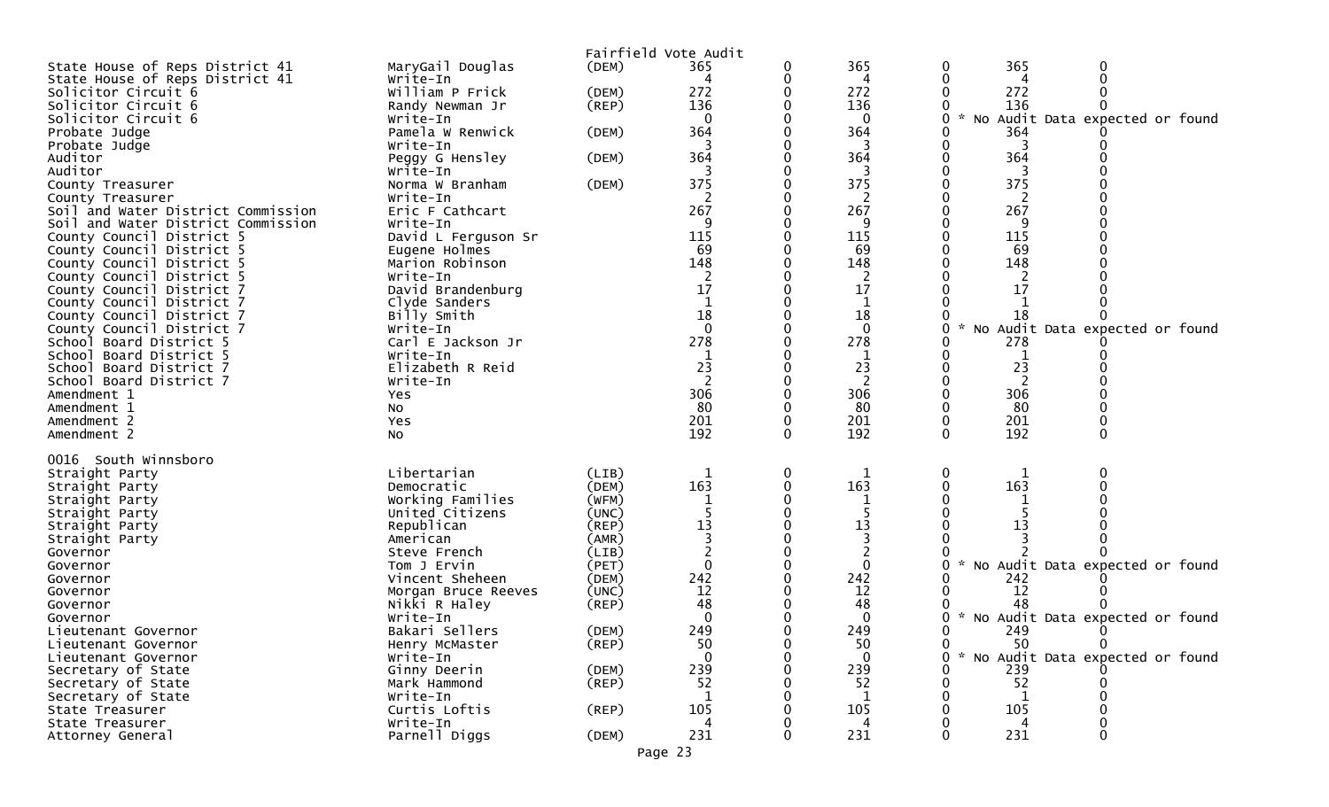|                                                        |                                        | Fairfield Vote Audit |                |   |                    |        |           |                                   |  |
|--------------------------------------------------------|----------------------------------------|----------------------|----------------|---|--------------------|--------|-----------|-----------------------------------|--|
| State House of Reps District 41                        | MaryGail Douglas                       | (DEM)                | 365            |   | 365                | 0      | 365       | 0                                 |  |
| State House of Reps District 41<br>Solicitor Circuit 6 | Write-In<br>William P Frick            | (DEM)                | 4<br>272       |   | 4<br>272           |        | 4<br>272  |                                   |  |
| Solicitor Circuit 6                                    | Randy Newman Jr                        | (REP)                | 136            |   | 136                |        | 136       |                                   |  |
| Solicitor Circuit 6                                    | Write-In                               |                      | $\Omega$       |   | $\Omega$           | $\sim$ |           | No Audit Data expected or found   |  |
| Probate Judge                                          | Pamela W Renwick                       | (DEM)                | 364            |   | 364                |        | 364       |                                   |  |
| Probate Judge                                          | Write-In                               |                      |                |   | 3                  |        |           |                                   |  |
| Auditor<br>Auditor                                     | Peggy G Hensley<br>Write-In            | (DEM)                | 364            |   | 364                |        | 364       |                                   |  |
| County Treasurer                                       | Norma W Branham                        | (DEM)                | 375            |   | 375                |        | 375       |                                   |  |
| County Treasurer                                       | Write-In                               |                      |                |   |                    |        |           |                                   |  |
| Soil and Water District Commission                     | Eric F Cathcart                        |                      | 267            |   | 267                |        | 267       |                                   |  |
| Soil and Water District Commission                     | Write-In                               |                      | 9              |   | 9                  |        | 9         |                                   |  |
| County Council District 5<br>County Council District 5 | David L Ferguson Sr<br>Eugene Holmes   |                      | 115<br>-69     |   | 115<br>69          |        | 115<br>69 |                                   |  |
| County Council District 5                              | Marion Robinson                        |                      | 148            |   | 148                |        | 148       |                                   |  |
| County Council District 5                              | Write-In                               |                      |                |   | 2                  |        |           |                                   |  |
| County Council District 7                              | David Brandenburg                      |                      | 17             |   | 17                 |        | 17        |                                   |  |
| County Council District 7                              | Clyde Sanders                          |                      |                |   |                    |        |           |                                   |  |
| County Council District 7<br>County Council District 7 | Billy Smith<br>Write-In                |                      | 18<br>$\Omega$ |   | 18<br>$\mathbf{0}$ | 0      | 18        | No Audit Data expected or found   |  |
| School Board District 5                                | Carl E Jackson Jr                      |                      | 278            |   | 278                |        | 278       |                                   |  |
| School Board District 5                                | Write-In                               |                      |                |   |                    |        |           |                                   |  |
| School Board District 7                                | Elizabeth R Reid                       |                      | 23             |   | 23                 |        | 23        |                                   |  |
| School Board District 7                                | Write-In                               |                      | 2              |   | 2                  |        | 2         |                                   |  |
| Amendment 1<br>Amendment 1                             | Yes<br>No                              |                      | 306<br>80      |   | 306<br>80          |        | 306<br>80 |                                   |  |
| Amendment 2                                            | Yes                                    |                      | 201            |   | 201                |        | 201       |                                   |  |
| Amendment 2                                            | No                                     |                      | 192            |   | 192                |        | 192       |                                   |  |
| 0016 South Winnsboro                                   |                                        |                      |                |   |                    |        |           |                                   |  |
| Straight Party                                         | Libertarian                            | (LIB)                | 1              | 0 | 1                  | 0      | 1         | 0                                 |  |
| Straight Party                                         | Democratic                             | (DEM)                | 163            |   | 163                |        | 163       |                                   |  |
| Straight Party                                         | Working Families                       | (WFM)                |                |   |                    |        |           |                                   |  |
| Straight Party<br>Straight Party                       | United Citizens<br>Republican          | (UNC)<br>(REP)       | 13             |   | 13                 |        | 13        |                                   |  |
| Straight Party                                         | American                               | (AMR)                |                |   |                    |        |           |                                   |  |
| Governor                                               | Steve French                           | (LIB)                |                |   |                    |        |           |                                   |  |
| Governor                                               | Tom J Ervin                            | (PET)                | $\Omega$       |   | $\Omega$           |        |           | No Audit Data expected or found   |  |
| Governor<br>Governor                                   | Vincent Sheheen<br>Morgan Bruce Reeves | (DEM)<br>(UNC)       | 242<br>12      |   | 242<br>12          |        | 242<br>12 |                                   |  |
| Governor                                               | Nikki R Haley                          | (REP)                | 48             |   | 48                 |        | 48        |                                   |  |
| Governor                                               | Write-In                               |                      |                |   | 0                  |        |           | * No Audit Data expected or found |  |
| Lieutenant Governor                                    | Bakari Sellers                         | (DEM)                | 249            |   | 249                | ∩      | 249       |                                   |  |
| Lieutenant Governor                                    | Henry McMaster                         | $($ REP $)$          | 50             |   | 50<br>$\Omega$     | 0      | 50        | $\mathbf{0}$                      |  |
| Lieutenant Governor<br>Secretary of State              | Write-In<br>Ginny Deerin               | (DEM)                | 239            |   | 239                |        | 239       | * No Audit Data expected or found |  |
| Secretary of State                                     | Mark Hammond                           | (REP)                | 52             |   | 52                 |        | 52        |                                   |  |
| Secretary of State                                     | Write-In                               |                      |                |   |                    |        |           |                                   |  |
| State Treasurer                                        | Curtis Loftis                          | $($ REP $)$          | 105            |   | 105                |        | 105       |                                   |  |
| State Treasurer                                        | Write-In<br>Parnell Diggs              | (DEM)                | 4<br>231       |   | 4<br>231           |        | 4<br>231  |                                   |  |
| Attorney General                                       |                                        |                      |                |   |                    |        |           |                                   |  |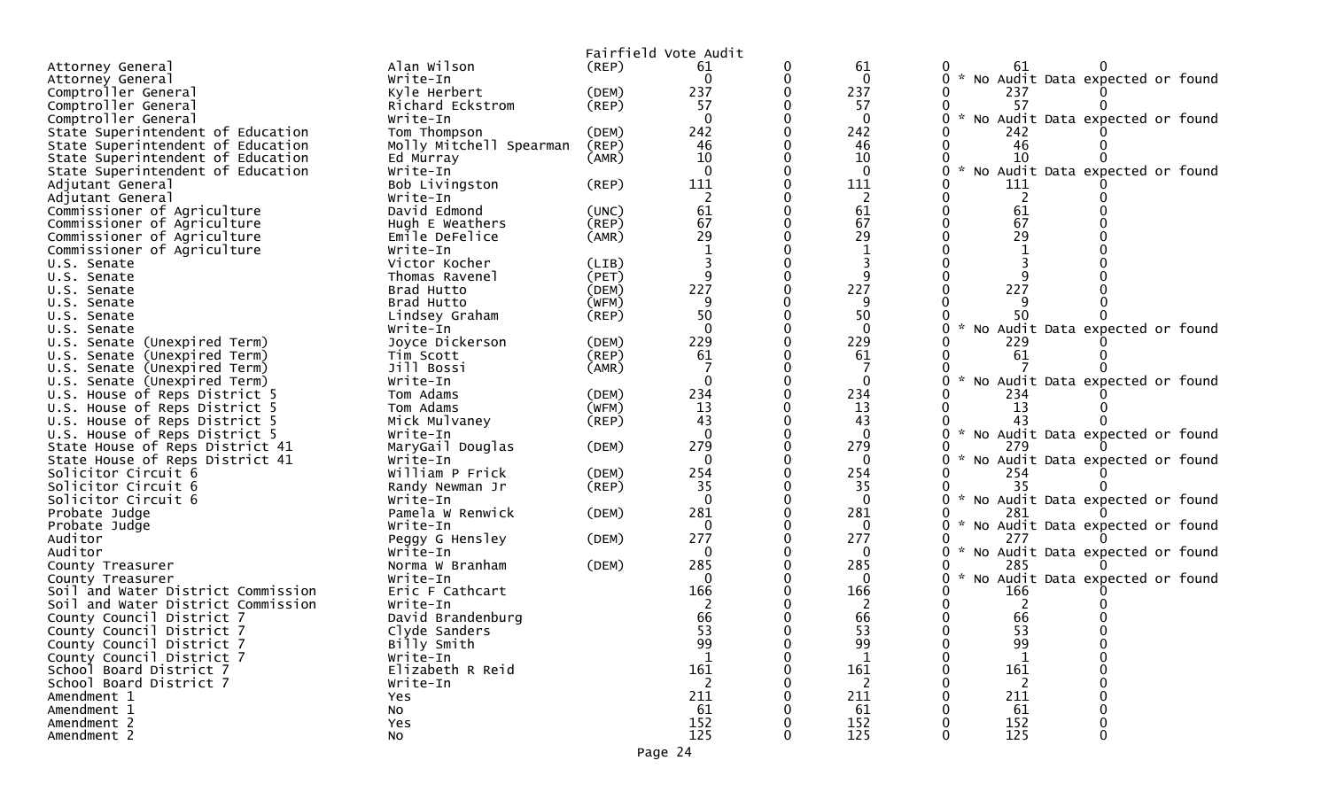|                                                        |                              |             | Fairfield Vote Audit |              |                                                  |
|--------------------------------------------------------|------------------------------|-------------|----------------------|--------------|--------------------------------------------------|
| Attorney General                                       | Alan Wilson                  | (REP)       | 61                   | 61           | 61                                               |
| Attorney General                                       | Write-In                     |             | $\Omega$             | $\mathbf 0$  | * No Audit Data expected or found<br>0           |
| Comptroller General                                    | Kyle Herbert                 | (DEM)       | 237                  | 237          | 237                                              |
| Comptroller General                                    | Richard Eckstrom             | (REP)       | 57                   | 57           | 57                                               |
| Comptroller General                                    | Write-In                     |             | $\Omega$             | $\mathbf{0}$ | $\sim$<br>No Audit Data expected or found        |
| State Superintendent of Education                      | Tom Thompson                 | (DEM)       | 242                  | 242          | 242                                              |
| State Superintendent of Education                      | Molly Mitchell Spearman      | (REP)       | 46                   | 46           | 46                                               |
| State Superintendent of Education                      | Ed Murray                    | (AMR)       | 10                   | 10           | 10                                               |
| State Superintendent of Education                      | Write-In                     |             | $\Omega$             | $\mathbf{0}$ | No Audit Data expected or found<br>0             |
| Adjutant General                                       | Bob Livingston               | $($ REP $)$ | 111                  | 111          | 111                                              |
| Adjutant General                                       | Write-In                     |             |                      | 2            | 2                                                |
| Commissioner of Agriculture                            | David Edmond                 | (UNC)       | 61                   | 61           | 61                                               |
| Commissioner of Agriculture                            | Hugh E Weathers              | (REP)       | 67                   | 67           | 67                                               |
| Commissioner of Agriculture                            | Emile DeFelice               | (AMR)       | 29                   | 29           | 29                                               |
| Commissioner of Agriculture                            | Write-In                     |             |                      |              |                                                  |
| U.S. Senate                                            | Victor Kocher                | (LIB)       |                      |              |                                                  |
| U.S. Senate                                            | Thomas Ravenel               | (PET)       |                      | 9            |                                                  |
| U.S. Senate                                            | Brad Hutto                   | (DEM)       | 227                  | 227          | 227                                              |
| U.S. Senate                                            | Brad Hutto                   | (WFM)       | 9                    | 9            |                                                  |
| U.S. Senate                                            | Lindsey Graham               | $($ REP $)$ | 50                   | 50           | 50                                               |
| U.S. Senate                                            | Write-In                     |             | $\Omega$             | $\Omega$     | No Audit Data expected or found<br>U             |
| U.S. Senate (Unexpired Term)                           | Joyce Dickerson              | (DEM)       | 229                  | 229          | 229                                              |
| U.S. Senate (Unexpired Term)                           | Tim Scott                    | (REP)       | 61                   | 61           | 61                                               |
| U.S. Senate (Unexpired Term)                           | Jill Bossi                   | (AMR)       |                      |              |                                                  |
| U.S. Senate (Unexpired Term)                           | Write-In                     |             |                      | $\mathbf 0$  | No Audit Data expected or found                  |
| U.S. House of Reps District 5                          | Tom Adams                    | (DEM)       | 234                  | 234          | 234                                              |
| U.S. House of Reps District 5                          | Tom Adams                    | (WFM)       | 13                   | 13           | 13<br>43                                         |
| U.S. House of Reps District 5                          | Mick Mulvaney                | $($ REP $)$ | 43                   | 43           | * No Audit Data expected or found                |
| U.S. House of Reps District 5                          | Write-In                     |             | 279                  | 0<br>279     | 279                                              |
| State House of Reps District 41                        | MaryGail Douglas<br>Write-In | (DEM)       | $\Omega$             | 0            |                                                  |
| State House of Reps District 41<br>Solicitor Circuit 6 | William P Frick              | (DEM)       | 254                  | 254          | No Audit Data expected or found<br>254           |
| Solicitor Circuit 6                                    | Randy Newman Jr              | (REP)       | 35                   | 35           | 35                                               |
| Solicitor Circuit 6                                    | Write-In                     |             | $\Omega$             | $\mathbf 0$  | * No Audit Data expected or found<br>U           |
| Probate Judge                                          | Pamela W Renwick             | (DEM)       | 281                  | 281          | 281                                              |
| Probate Judge                                          | Write-In                     |             | 0                    | $\mathbf 0$  | * No Audit Data expected or found<br>0           |
| Auditor                                                | Peggy G Hensley              | (DEM)       | 277                  | 277          | 277                                              |
| Auditor                                                | Write-In                     |             |                      | 0            | No Audit Data expected or found<br>0             |
| County Treasurer                                       | Norma W Branham              | (DEM)       | 285                  | 285          | 285                                              |
| County Treasurer                                       | Write-In                     |             | $\Omega$             | 0            | $\mathcal{H}$<br>No Audit Data expected or found |
| Soil and Water District Commission                     | Eric F Cathcart              |             | 166                  | 166          | 166                                              |
| Soil and Water District Commission                     | Write-In                     |             | 2                    | 2            | 2                                                |
| County Council District 7                              | David Brandenburg            |             | 66                   | 66           | 66                                               |
| County Council District 7                              | Clyde Sanders                |             | 53                   | 53           | 53                                               |
| County Council District 7                              | Billy Smith                  |             | 99                   | 99           | 99<br>0                                          |
| County Council District 7                              | Write-In                     |             |                      |              |                                                  |
| School Board District 7                                | Elizabeth R Reid             |             | 161                  | 161          | 161                                              |
| School Board District 7                                | Write-In                     |             | 2                    | 2            | 2                                                |
| Amendment 1                                            | Yes                          |             | 211                  | 211          | 211                                              |
| Amendment 1                                            | <b>NO</b>                    |             | 61                   | 61           | 61                                               |
| Amendment 2                                            | Yes                          |             | 152                  | 152          | 152                                              |
| Amendment 2                                            | <b>NO</b>                    |             | 125                  | 125          | 125                                              |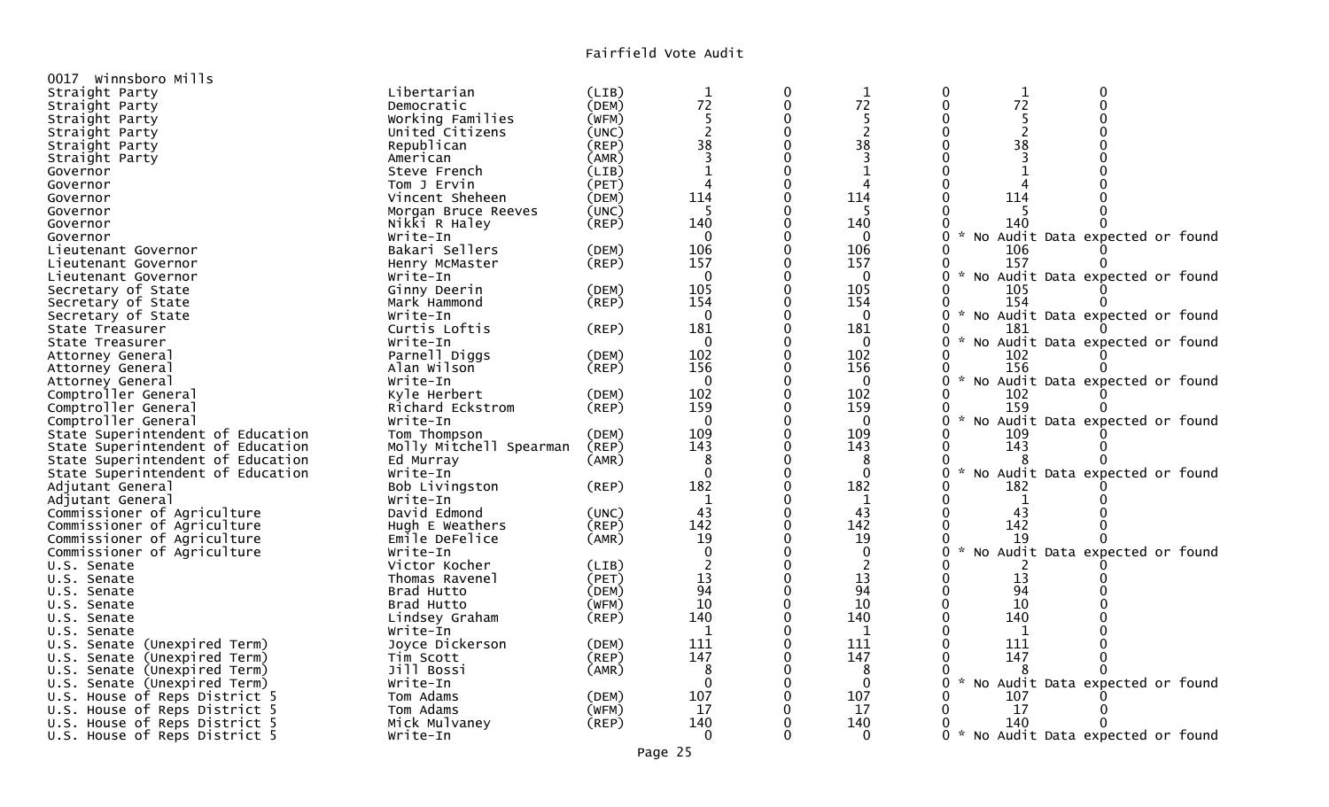| 0017 Winnsboro Mills              |                         |       |                |          |                |                                                       |  |
|-----------------------------------|-------------------------|-------|----------------|----------|----------------|-------------------------------------------------------|--|
| Straight Party                    | Libertarian             | (LIB) |                | $\Omega$ | $\mathbf 1$    | $\Omega$<br>$\mathbf 0$<br>$\mathbf 1$                |  |
| Straight Party                    | Democratic              | (DEM) | $\frac{1}{72}$ | 0        | 72             | 72<br>$\mathbf 0$<br>$\mathbf 0$                      |  |
| Straight Party                    | Working Families        | (WFM) | 5              | 0        | 5              |                                                       |  |
| Straight Party                    | United Citizens         | (UNC) | $\overline{c}$ | $\Omega$ | $\overline{2}$ | $\overline{c}$<br>$\Omega$                            |  |
| Straight Party                    | Republican              | (REP) | 38             |          | 38             | 38                                                    |  |
| Straight Party                    | American                | (AMR) | $\overline{3}$ | $\Omega$ | 3              | 0<br>3                                                |  |
| Governor                          | Steve French            | (LIB) | $\mathbf 1$    | $\Omega$ |                |                                                       |  |
| Governor                          | Tom J Ervin             | (PET) | 4              | $\Omega$ | 4              |                                                       |  |
| Governor                          | Vincent Sheheen         | (DEM) | 114            | $\Omega$ | 114            | 114                                                   |  |
| Governor                          | Morgan Bruce Reeves     | (UNC) | 5              | O        | 5              |                                                       |  |
| Governor                          | Nikki R Haley           | (REP) | 140            | $\Omega$ | 140            | 140<br>0                                              |  |
| Governor                          | Write-In                |       | $\Omega$       |          | $\Omega$       | No Audit Data expected or found<br>0                  |  |
| Lieutenant Governor               | Bakari Sellers          | (DEM) | 106            | 0        | 106            | 106                                                   |  |
| Lieutenant Governor               | Henry McMaster          | (REP) | 157            |          | 157            | 157<br>0                                              |  |
| Lieutenant Governor               | Write-In                |       | $\Omega$       |          | $\Omega$       | No Audit Data expected or found<br>0                  |  |
| Secretary of State                | Ginny Deerin            | (DEM) | 105            |          | 105            | 105                                                   |  |
| Secretary of State                | Mark Hammond            | (REP) | 154            | 0        | 154            | 154<br>0                                              |  |
| Secretary of State                | Write-In                |       | $\Omega$       | $\Omega$ | $\mathbf 0$    | $\mathcal{R}$<br>No Audit Data expected or found      |  |
| State Treasurer                   | Curtis Loftis           | (REP) | 181            | 0        | 181            | 181<br>0                                              |  |
| State Treasurer                   | Write-In                |       | $\Omega$       | $\Omega$ | $\Omega$       | No Audit Data expected or found                       |  |
| Attorney General                  | Parnell Diggs           | (DEM) | 102            |          | 102            | 102                                                   |  |
| Attorney General                  | Alan Wilson             | (REP) | 156            | $\Omega$ | 156            | 156                                                   |  |
| Attorney General                  | Write-In                |       | $\Omega$       |          | $\Omega$       | No Audit Data expected or found                       |  |
| Comptroller General               | Kyle Herbert            | (DEM) | 102            |          | 102            | 102<br>0                                              |  |
| Comptroller General               | Richard Eckstrom        | (REP) | 159            |          | 159            | 159<br>0                                              |  |
| Comptroller General               | Write-In                |       | $\Omega$       |          | $\Omega$       | No Audit Data expected or found<br>0                  |  |
| State Superintendent of Education | Tom Thompson            | (DEM) | 109            | $\Omega$ | 109            | 109                                                   |  |
| State Superintendent of Education | Molly Mitchell Spearman | (REP) | 143            | $\Omega$ | 143            | 143<br>0                                              |  |
| State Superintendent of Education | Ed Murray               | (AMR) | 8              | $\Omega$ | 8              |                                                       |  |
| State Superintendent of Education | Write-In                |       | $\Omega$       | 0        | $\Omega$       | 0<br>$\mathcal{H}$<br>No Audit Data expected or found |  |
| Adjutant General                  | Bob Livingston          | (REP) | 182            | $\Omega$ | 182            | 182                                                   |  |
| Adjutant General                  | Write-In                |       | 1              |          | 1              | 1                                                     |  |
| Commissioner of Agriculture       | David Edmond            | (UNC) | 43             | $\Omega$ | 43             | 43<br>0                                               |  |
| Commissioner of Agriculture       | Hugh E Weathers         | (REP) | 142            |          | 142            | 142                                                   |  |
| Commissioner of Agriculture       | Emile DeFelice          | (AMR) | 19             |          | 19             | 19                                                    |  |
| Commissioner of Agriculture       | Write-In                |       | $\Omega$       |          | $\mathbf 0$    | $\mathcal{R}$<br>No Audit Data expected or found      |  |
| U.S. Senate                       | Victor Kocher           | (LIB) | $\overline{2}$ | 0        | $\overline{2}$ |                                                       |  |
| U.S. Senate                       | Thomas Ravenel          | (PET) | 13             | $\Omega$ | 13             | 13                                                    |  |
| U.S. Senate                       | Brad Hutto              | (DEM) | 94             | $\Omega$ | 94             | 94                                                    |  |
| U.S. Senate                       | Brad Hutto              | (WFM) | 10             | 0        | 10             | 10                                                    |  |
| U.S. Senate                       | Lindsey Graham          | (REP) | 140            | 0        | 140            | 140                                                   |  |
| U.S. Senate                       | Write-In                |       | $\mathbf{1}$   | $\Omega$ | $\mathbf{1}$   | 1                                                     |  |
| U.S. Senate (Unexpired Term)      | Joyce Dickerson         | (DEM) | 111            |          | 111            | 111                                                   |  |
| U.S. Senate (Unexpired Term)      | Tim Scott               | (REP) | 147            |          | 147            | 147                                                   |  |
| U.S. Senate (Unexpired Term)      | Jill Bossi              | (AMR) | 8              |          | 8              |                                                       |  |
| U.S. Senate (Unexpired Term)      | Write-In                |       | $\Omega$       | $\Omega$ | $\Omega$       | No Audit Data expected or found<br>0                  |  |
| U.S. House of Reps District 5     | Tom Adams               | (DEM) | 107            | $\Omega$ | 107            | 107                                                   |  |
| U.S. House of Reps District 5     | Tom Adams               | (WFM) | 17             | 0        | 17             | 17                                                    |  |
| U.S. House of Reps District 5     | Mick Mulvaney           | (REP) | 140            | $\Omega$ | 140            | 140                                                   |  |
| U.S. House of Reps District 5     | Write-In                |       | $\Omega$       | 0        | $\Omega$       | 0 * No Audit Data expected or found                   |  |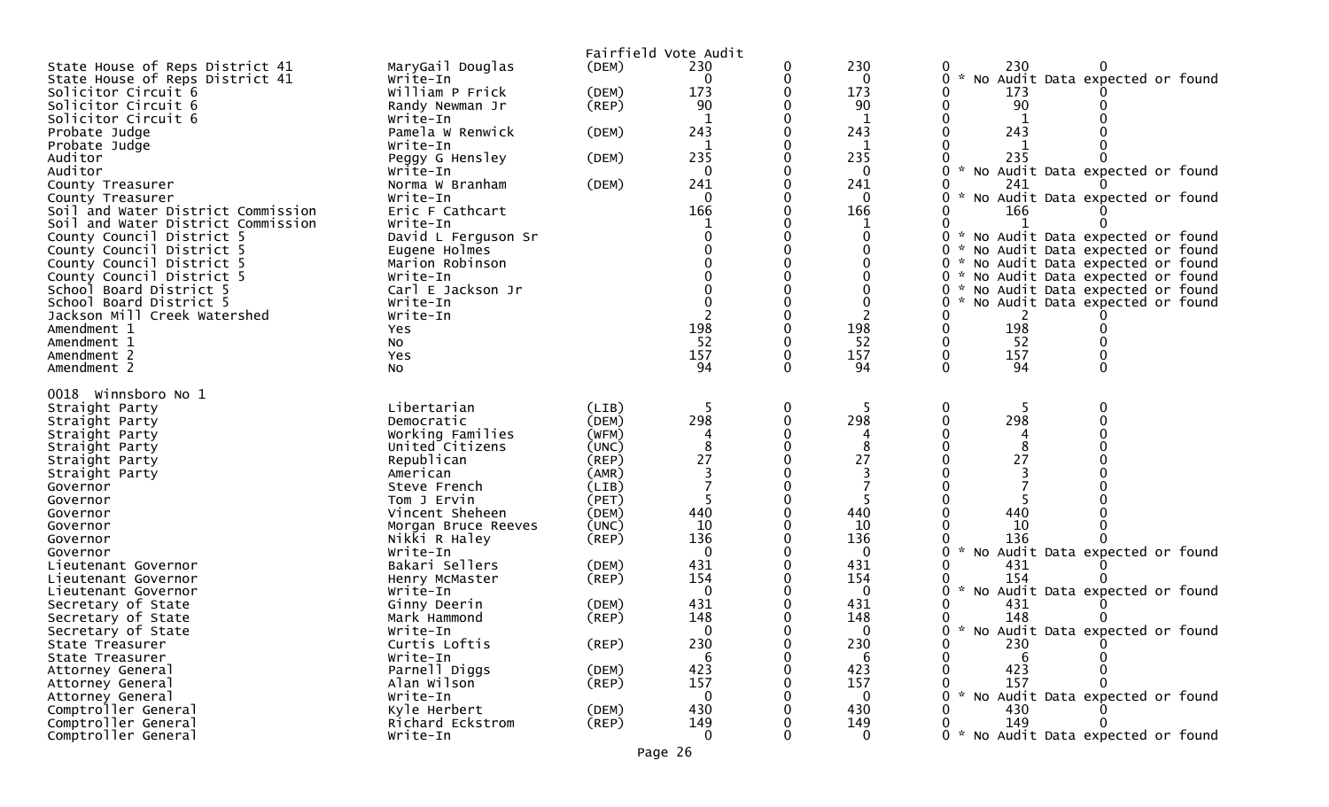|                                                        |                              |                | Fairfield Vote Audit |   |                 |                                          |
|--------------------------------------------------------|------------------------------|----------------|----------------------|---|-----------------|------------------------------------------|
| State House of Reps District 41                        | MaryGail Douglas             | (DEM)          | 230                  |   | 230             | 230                                      |
| State House of Reps District 41                        | Write-In                     |                | 0                    |   | 0               | 0<br>No Audit Data expected or found     |
| Solicitor Circuit 6                                    | William P Frick              | (DEM)          | 173                  |   | 173             | 173                                      |
| Solicitor Circuit 6                                    | Randy Newman Jr              | $($ REP $)$    | 90                   |   | 90              | 90                                       |
| Solicitor Circuit 6                                    | Write-In                     |                |                      |   | 1               |                                          |
| Probate Judge                                          | Pamela W Renwick             | (DEM)          | 243                  |   | 243             | 243                                      |
| Probate Judge                                          | Write-In                     |                | 1                    |   | 1               |                                          |
| Auditor                                                | Peggy G Hensley              | (DEM)          | 235                  |   | 235             | 235                                      |
| Auditor                                                | Write-In                     |                | 0                    |   | 0               | * No Audit Data expected or found<br>0   |
| County Treasurer                                       | Norma W Branham              | (DEM)          | 241                  |   | 241             | 241<br>0.                                |
| County Treasurer<br>Soil and Water District Commission | Write-In<br>Eric F Cathcart  |                | $\Omega$<br>166      |   | 0<br>166        | * No Audit Data expected or found<br>166 |
| Soil and Water District Commission                     | Write-In                     |                |                      |   |                 |                                          |
| County Council District 5                              | David L Ferguson Sr          |                |                      |   |                 | * No Audit Data expected or found        |
| County Council District 5                              | Eugene Holmes                |                |                      |   |                 | 0<br>* No Audit Data expected or found   |
| County Council District 5                              | Marion Robinson              |                |                      |   |                 | * No Audit Data expected or found        |
| County Council District 5                              | Write-In                     |                |                      |   |                 | 0 * No Audit Data expected or found      |
| School Board District 5                                | Carl E Jackson Jr            |                |                      |   |                 | * No Audit Data expected or found<br>0   |
| School Board District 5                                | Write-In                     |                |                      |   |                 | * No Audit Data expected or found<br>0   |
| Jackson Mill Creek Watershed                           | Write-In                     |                |                      |   |                 |                                          |
| Amendment 1                                            | Yes                          |                | 198                  |   | 198             | 198                                      |
| Amendment 1                                            | NO.                          |                | 52                   |   | 52              | 52                                       |
| Amendment 2                                            | Yes                          |                | 157                  |   | 157             | 157                                      |
| Amendment 2                                            | NO.                          |                | 94                   |   | 94              | $\Omega$<br>94<br>$\Omega$               |
| 0018 Winnsboro No 1                                    |                              |                |                      |   |                 |                                          |
|                                                        |                              |                |                      |   |                 |                                          |
|                                                        |                              |                |                      |   |                 |                                          |
| Straight Party                                         | Libertarian                  | (LIB)          | $\mathbf b$          | 0 |                 | 0<br>0                                   |
| Straight Party                                         | Democratic                   | (DEM)          | 298                  |   | 298             | 298                                      |
| Straight Party                                         | Working Families             | (WFM)          |                      |   |                 |                                          |
| Straight Party                                         | United Citizens              | (UNC)<br>(REP) | 27                   |   | 27              | 27                                       |
| Straight Party                                         | Republican<br>American       | (AMR)          |                      |   |                 |                                          |
| Straight Party<br>Governor                             | Steve French                 | (LIB)          |                      |   |                 |                                          |
| Governor                                               | Tom J Ervin                  | (PET)          |                      |   |                 |                                          |
| Governor                                               | Vincent Sheheen              | (DEM)          | 440                  |   | 440             | 440                                      |
| Governor                                               | Morgan Bruce Reeves          | (UNC)          | 10                   |   | 10              | 10                                       |
| Governor                                               | Nikki R Haley                | $($ REP $)$    | 136                  |   | 136             | 136                                      |
| Governor                                               | Write-In                     |                |                      |   | 0               | * No Audit Data expected or found        |
| Lieutenant Governor                                    | Bakari Sellers               | (DEM)          | 431                  |   | 431             | 431                                      |
| Lieutenant Governor                                    | Henry McMaster               | $($ REP $)$    | 154                  |   | 154             | 154                                      |
| Lieutenant Governor                                    | Write-In                     |                | $\Omega$             |   | 0               | * No Audit Data expected or found        |
| Secretary of State                                     | Ginny Deerin                 | (DEM)          | 431                  |   | 431             | 431                                      |
| Secretary of State                                     | Mark Hammond                 | (REP)          | 148                  |   | 148             | 148                                      |
| Secretary of State                                     | Write-In                     |                | $\Omega$             |   | $\Omega$        | * No Audit Data expected or found        |
| State Treasurer                                        | Curtis Loftis                | $($ REP $)$    | 230                  |   | 230             | 0<br>230                                 |
| State Treasurer                                        | Write-In                     |                |                      |   | -6              | -6                                       |
| Attorney General                                       | Parnell Diggs                | (DEM)          | 423                  |   | 423             | 423                                      |
| Attorney General                                       | Alan Wilson                  | (REP)          | 157                  |   | 157             | 157                                      |
| Attorney General                                       | Write-In                     |                | $\Omega$             |   | $\bf{0}$        | * No Audit Data expected or found        |
| Comptroller General                                    | Kyle Herbert                 | (DEM)          | 430                  |   | 430             | 430                                      |
| Comptroller General<br>Comptroller General             | Richard Eckstrom<br>Write-In | (REP)          | 149<br>$\Omega$      |   | 149<br>$\Omega$ | 149<br>* No Audit Data expected or found |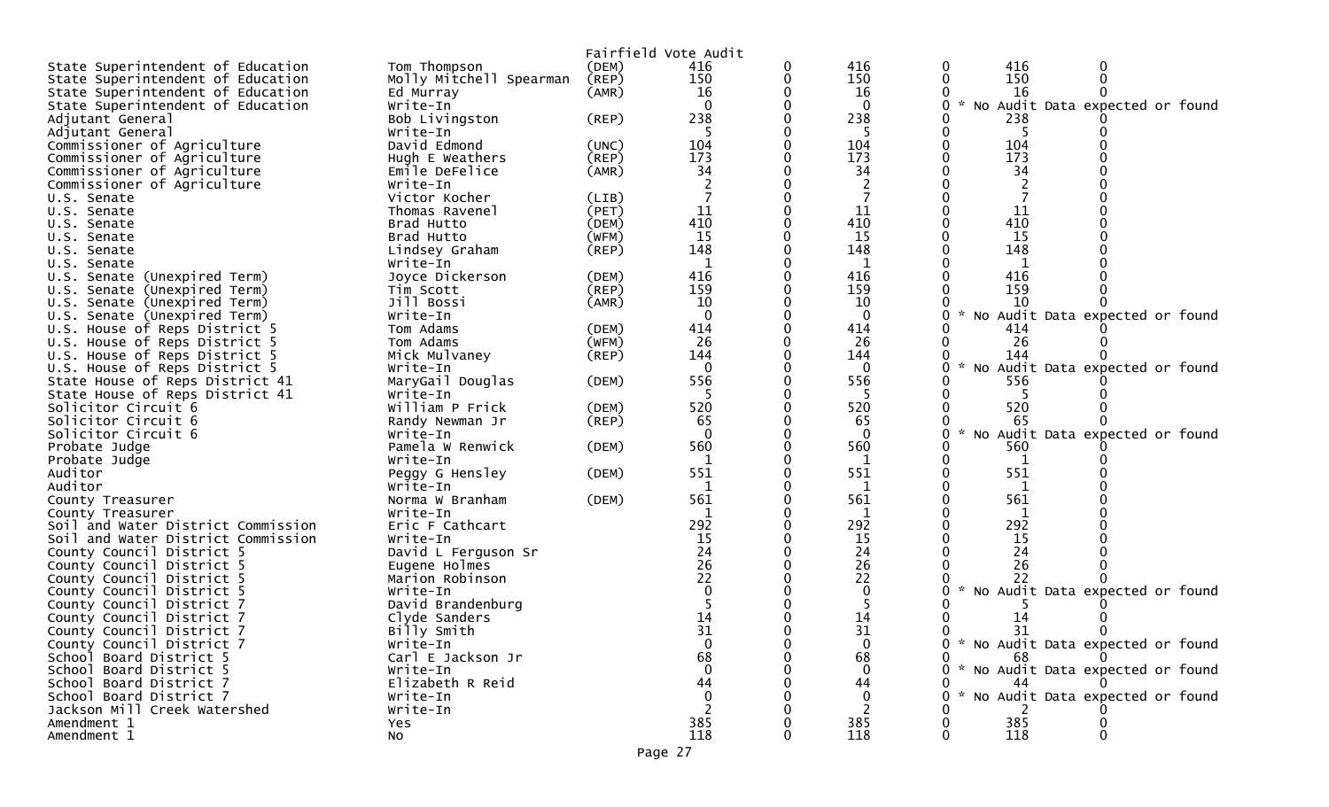|                                                        |                             |             | Fairfield Vote Audit |          |             |   |          |                                     |  |
|--------------------------------------------------------|-----------------------------|-------------|----------------------|----------|-------------|---|----------|-------------------------------------|--|
| State Superintendent of Education                      | Tom Thompson                | (DEM)       | 416                  | 0        | 416         | 0 | 416      | 0                                   |  |
| State Superintendent of Education                      | Molly Mitchell Spearman     | (REP)       | 150                  | 0        | 150         |   | 150      |                                     |  |
| State Superintendent of Education                      | Ed Murray                   | (AMR)       | 16                   |          | 16          |   | 16       |                                     |  |
| State Superintendent of Education                      | Write-In                    |             | $\Omega$             |          | $\mathbf 0$ |   | $*$ No   | Audit Data expected or found        |  |
| Adjutant General                                       | Bob Livingston              | $($ REP $)$ | 238                  |          | 238         |   | 238      |                                     |  |
| Adjutant General                                       | Write-In                    |             |                      |          |             |   |          |                                     |  |
| Commissioner of Agriculture                            | David Edmond                | (UNC)       | 104                  |          | 104         |   | 104      |                                     |  |
| Commissioner of Agriculture                            | Hugh E Weathers             | $($ REP $)$ | 173                  |          | 173         |   | 173      |                                     |  |
| Commissioner of Agriculture                            | Emile DeFelice              | (AMR)       | 34                   |          | 34          |   | 34       |                                     |  |
| Commissioner of Agriculture                            | Write-In                    |             |                      |          |             |   |          |                                     |  |
| U.S. Senate                                            | Victor Kocher               | (LIB)       |                      |          |             |   |          |                                     |  |
| U.S. Senate                                            | Thomas Ravenel              | (PET)       | 11                   | $\Omega$ | 11          |   | 11       |                                     |  |
| U.S. Senate                                            | Brad Hutto                  | (DEM)       | 410                  |          | 410         |   | 410      |                                     |  |
| U.S. Senate                                            | Brad Hutto                  | (WFM)       | 15                   |          | 15          |   | 15       |                                     |  |
| U.S. Senate                                            | Lindsey Graham              | (REP)       | 148                  |          | 148         |   | 148      |                                     |  |
| U.S. Senate                                            | Write-In                    |             | 1                    |          | 1           |   | 1        |                                     |  |
| U.S. Senate (Unexpired Term)                           | Joyce Dickerson             | (DEM)       | 416                  |          | 416         |   | 416      |                                     |  |
| U.S. Senate (Unexpired Term)                           | Tim Scott                   | (REP)       | 159                  |          | 159         |   | 159      |                                     |  |
| U.S. Senate (Unexpired Term)                           | Jill Bossi                  | (AMR)       | 10                   |          | 10          |   | 10       |                                     |  |
| U.S. Senate (Unexpired Term)                           | Write-In                    |             | $\Omega$             |          | $\Omega$    |   |          | No Audit Data expected or found     |  |
| U.S. House of Reps District 5                          | Tom Adams                   | (DEM)       | 414                  |          | 414         |   | 414      |                                     |  |
| U.S. House of Reps District 5                          | Tom Adams                   | (WFM)       | 26                   |          | 26          |   | 26       |                                     |  |
| U.S. House of Reps District 5                          | Mick Mulvaney               | (REP)       | 144                  |          | 144         |   | 144      |                                     |  |
| U.S. House of Reps District 5                          | Write-In                    |             | $\Omega$             |          | $\Omega$    |   |          | No Audit Data expected or found     |  |
| State House of Reps District 41                        | MaryGail Douglas            | (DEM)       | 556                  | 0        | 556         |   | 556      |                                     |  |
| State House of Reps District 41                        | Write-In                    |             |                      |          | -5          |   |          |                                     |  |
| Solicitor Circuit 6                                    | William P Frick             | (DEM)       | 520                  |          | 520         |   | 520      |                                     |  |
| Solicitor Circuit 6                                    | Randy Newman Jr             | $($ REP $)$ | 65                   |          | 65          |   | 65       |                                     |  |
| Solicitor Circuit 6                                    | Write-In                    |             | $\Omega$             |          | $\Omega$    |   |          | No Audit Data expected or found     |  |
| Probate Judge                                          | Pamela W Renwick            | (DEM)       | 560                  |          | 560         |   | 560      |                                     |  |
| Probate Judge                                          | Write-In                    |             | 1                    |          | 1           |   | 1        |                                     |  |
| Auditor<br>Auditor                                     | Peggy G Hensley             | (DEM)       | 551                  |          | 551         |   | 551      |                                     |  |
|                                                        | Write-In<br>Norma W Branham | (DEM)       | 1<br>561             |          | 1<br>561    |   | 1<br>561 |                                     |  |
| County Treasurer                                       | Write-In                    |             | 1                    |          | 1           |   | 1        |                                     |  |
| County Treasurer<br>Soil and Water District Commission | Eric F Cathcart             |             | 292                  |          | 292         |   | 292      |                                     |  |
| Soil and Water District Commission                     | Write-In                    |             | 15                   |          | 15          |   | 15       |                                     |  |
| County Council District 5                              | David L Ferguson Sr         |             | 24                   |          | 24          |   | 24       |                                     |  |
| County Council District 5                              | Eugene Holmes               |             | 26                   |          | 26          |   | 26       |                                     |  |
| County Council District 5                              | Marion Robinson             |             | 22                   |          | 22          |   | 22       |                                     |  |
| County Council District 5                              | Write-In                    |             |                      |          | $\mathbf 0$ |   |          | No Audit Data expected or found     |  |
| County Council District 7                              | David Brandenburg           |             |                      |          |             |   |          |                                     |  |
| County Council District 7                              | Clyde Sanders               |             | 14                   |          | 14          |   | 14       |                                     |  |
| County Council District 7                              | Billy Smith                 |             | 31                   |          | 31          |   | 31       |                                     |  |
| County Council District 7                              | Write-In                    |             | $\mathbf{0}$         |          | $\Omega$    |   |          | 0 * No Audit Data expected or found |  |
| School Board District 5                                | Carl E Jackson Jr           |             | 68                   |          | 68          |   | 68       | $\Omega$                            |  |
| School Board District 5                                | Write-In                    |             |                      |          | $\Omega$    |   |          | * No Audit Data expected or found   |  |
| School Board District 7                                | Elizabeth R Reid            |             | 44                   |          | 44          |   | 44       |                                     |  |
| School Board District 7                                | Write-In                    |             |                      |          | $\Omega$    |   |          | No Audit Data expected or found     |  |
| Jackson Mill Creek Watershed                           | Write-In                    |             |                      |          |             |   |          |                                     |  |
| Amendment 1                                            | <b>Yes</b>                  |             | 385                  |          | 385         |   | 385      |                                     |  |
| Amendment 1                                            | NO.                         |             | 118                  |          | 118         |   | 118      |                                     |  |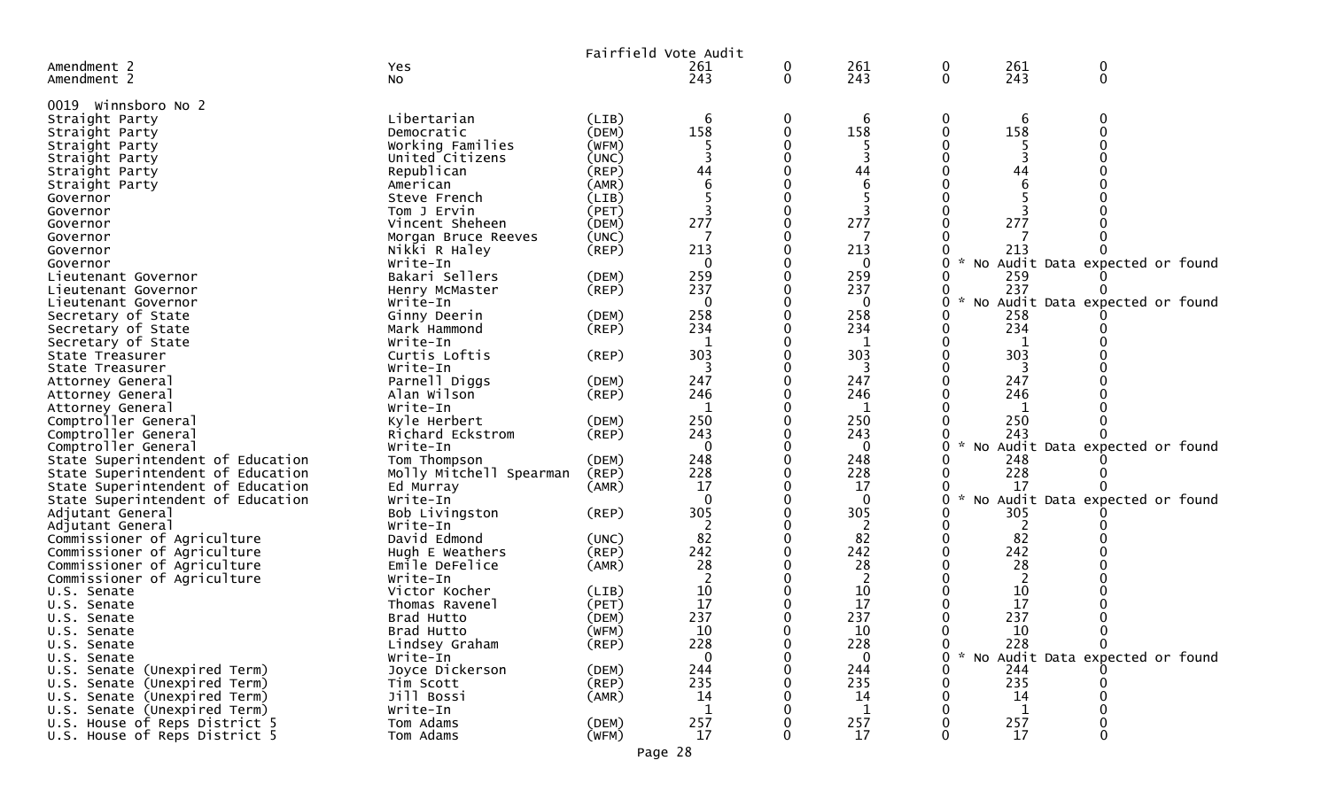|                                   |                         |             | Fairfield Vote Audit |   |              |   |             |                                   |  |
|-----------------------------------|-------------------------|-------------|----------------------|---|--------------|---|-------------|-----------------------------------|--|
| Amendment 2                       | Yes                     |             | 261                  | 0 | 261          | 0 | 261         | 0                                 |  |
| Amendment 2                       | No                      |             | 243                  | 0 | 243          | 0 | 243         | $\mathbf 0$                       |  |
|                                   |                         |             |                      |   |              |   |             |                                   |  |
| 0019 Winnsboro No 2               |                         |             |                      |   |              |   |             |                                   |  |
| Straight Party                    | Libertarian             | (LIB)       | 6                    | 0 | 6            | 0 | 6           | 0                                 |  |
| Straight Party                    | Democratic              | (DEM)       | 158                  | 0 | 158          |   | 158         |                                   |  |
| Straight Party                    | Working Families        | (WFM)       |                      |   |              |   |             |                                   |  |
| Straight Party                    | United Citizens         | (UNC)       |                      |   |              |   |             |                                   |  |
| Straight Party                    | Republican              | $($ REP $)$ | 44                   |   | 44           |   | 44          |                                   |  |
| Straight Party                    | American                | (AMR)       |                      |   |              |   |             |                                   |  |
| Governor                          | Steve French            | (LIB)       |                      |   |              |   |             |                                   |  |
| Governor                          | Tom J Ervin             | (PET)       |                      |   |              |   |             |                                   |  |
| Governor                          | Vincent Sheheen         | (DEM)       | 277                  |   | 277          |   | 277         |                                   |  |
| Governor                          | Morgan Bruce Reeves     | (UNC)       |                      |   |              |   |             |                                   |  |
| Governor                          | Nikki R Haley           | $($ REP $)$ | 213                  |   | 213          |   | 213         |                                   |  |
| Governor                          | Write-In                |             | $\Omega$             |   | $\Omega$     |   | NO          | Audit Data expected or found      |  |
| Lieutenant Governor               | Bakari Sellers          | (DEM)       | 259                  |   | 259          |   | 259         |                                   |  |
| Lieutenant Governor               | Henry McMaster          | (REP)       | 237                  |   | 237          |   | 237         |                                   |  |
| Lieutenant Governor               | Write-In                |             | $\Omega$             |   | $\Omega$     |   |             | No Audit Data expected or found   |  |
| Secretary of State                | Ginny Deerin            | (DEM)       | 258                  |   | 258          |   | 258         |                                   |  |
| Secretary of State                | Mark Hammond            | $($ REP $)$ | 234                  |   | 234          |   | 234         |                                   |  |
| Secretary of State                | Write-In                |             | $\mathbf{1}$         |   | -1           |   | 1           |                                   |  |
| State Treasurer                   | Curtis Loftis           | $($ REP $)$ | 303                  |   | 303          |   | 303         |                                   |  |
| State Treasurer                   | Write-In                |             |                      |   | 3            |   |             |                                   |  |
| Attorney General                  | Parnell Diggs           | (DEM)       | 247                  |   | 247          |   | 247         |                                   |  |
| Attorney General                  | Alan Wilson             | (REP)       | 246                  |   | 246          |   | 246         |                                   |  |
| Attorney General                  | Write-In                |             |                      |   |              |   |             |                                   |  |
| Comptroller General               | Kyle Herbert            | (DEM)       | 250                  |   | 250          |   | 250         |                                   |  |
| Comptroller General               | Richard Eckstrom        | (REP)       | 243                  |   | 243          |   | 243         |                                   |  |
| Comptroller General               | Write-In                |             | $\Omega$             |   | $\Omega$     |   | No          | Audit Data expected or found      |  |
| State Superintendent of Education | Tom Thompson            | (DEM)       | 248                  |   | 248          |   | 248         |                                   |  |
| State Superintendent of Education | Molly Mitchell Spearman | (REP)       | 228                  |   | 228          |   | 228         |                                   |  |
| State Superintendent of Education | Ed Murray               | (AMR)       | 17                   |   | 17           |   | 17          |                                   |  |
| State Superintendent of Education | Write-In                |             | $\Omega$             |   | $\Omega$     |   | <b>NO</b>   | Audit Data expected or found      |  |
| Adjutant General                  | Bob Livingston          | (REP)       | 305                  |   | 305          |   | 305         |                                   |  |
| Adjutant General                  | Write-In                |             |                      |   | 2            |   | 2           |                                   |  |
| Commissioner of Agriculture       | David Edmond            | (UNC)       | 82                   |   | 82           |   | 82          |                                   |  |
| Commissioner of Agriculture       | Hugh E Weathers         | (REP)       | 242                  |   | 242          |   | 242         |                                   |  |
| Commissioner of Agriculture       | Emile DeFelice          | (AMR)       | 28                   |   | 28           |   | 28          |                                   |  |
| Commissioner of Agriculture       | Write-In                |             |                      |   |              |   |             |                                   |  |
| U.S. Senate                       | Victor Kocher           | (LIB)       | 10                   |   | 10           |   | 10          |                                   |  |
| U.S. Senate                       | Thomas Ravenel          | (PET)       | 17                   |   | 17           |   | 17          |                                   |  |
| U.S. Senate                       | Brad Hutto              | (DEM)       | 237                  |   | 237          |   | 237         |                                   |  |
| U.S. Senate                       | Brad Hutto              | (WFM)       | 10                   |   | 10           |   | 10          |                                   |  |
| U.S. Senate                       | Lindsey Graham          | (REP)       | 228                  | 0 | 228          | 0 | 228         | $\mathbf{0}$                      |  |
| U.S. Senate                       | Write-In                |             | $\mathbf{0}$         |   | $\mathbf{0}$ |   |             | * No Audit Data expected or found |  |
| U.S. Senate (Unexpired Term)      | Joyce Dickerson         | (DEM)       | 244                  |   | 244          |   | 244         |                                   |  |
| U.S. Senate (Unexpired Term)      | Tim Scott               | (REP)       | 235                  |   | 235          |   | 235         |                                   |  |
| U.S. Senate (Unexpired Term)      | Jill Bossi              | (AMR)       | 14                   |   | 14           |   | 14          |                                   |  |
| U.S. Senate (Unexpired Term)      | Write-In                |             | 1                    |   | $\mathbf{1}$ |   | $\mathbf 1$ |                                   |  |
| U.S. House of Reps District 5     | Tom Adams               | (DEM)       | 257                  |   | 257          |   | 257         |                                   |  |
| U.S. House of Reps District 5     | Tom Adams               | (WFM)       | 17                   | 0 | 17           |   | 17          |                                   |  |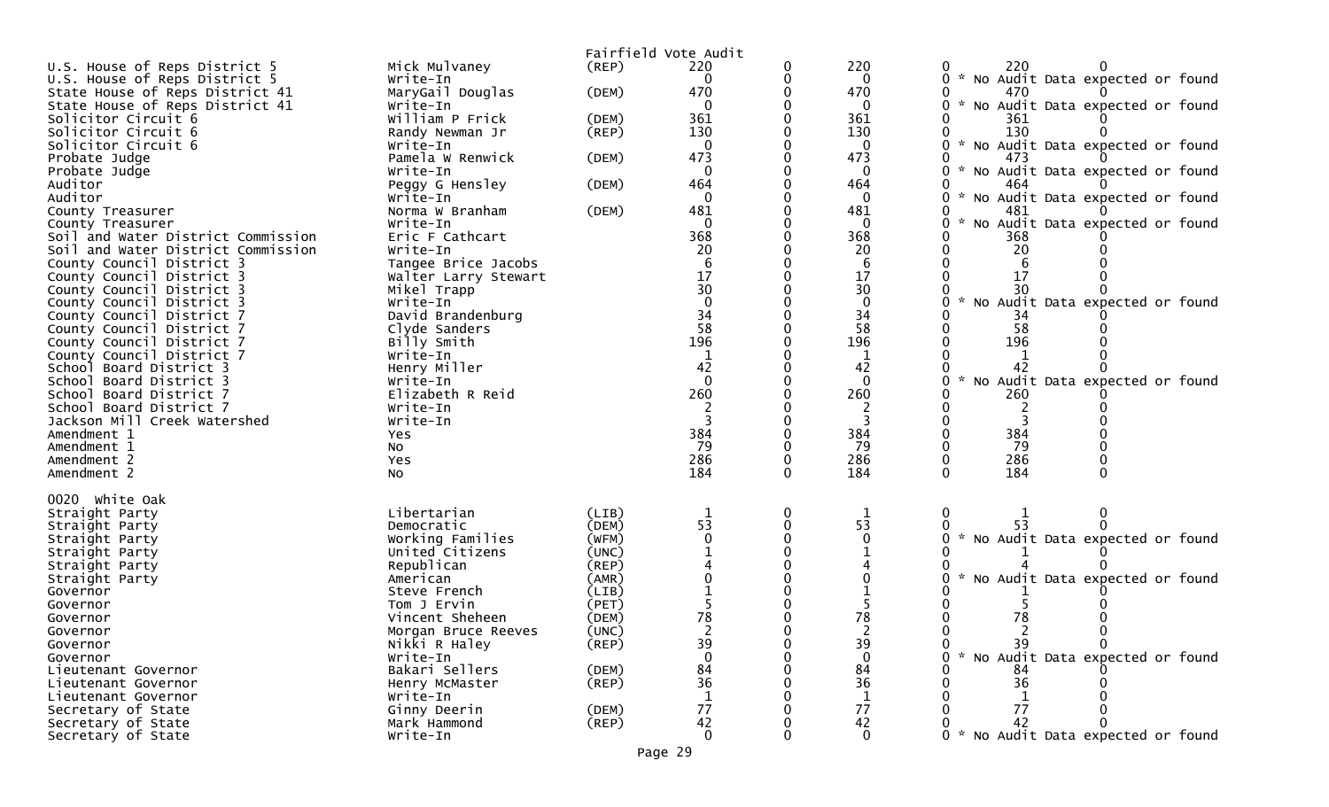|                                    |                                     |                | Fairfield Vote Audit |                 |                                                       |
|------------------------------------|-------------------------------------|----------------|----------------------|-----------------|-------------------------------------------------------|
| U.S. House of Reps District 5      | Mick Mulvaney                       | (REP)          | 220                  | 220             | 220                                                   |
| U.S. House of Reps District 5      | Write-In                            |                |                      | 0               | * No Audit Data expected or found                     |
| State House of Reps District 41    | MaryGail Douglas                    | (DEM)          | 470                  | 470             | 470                                                   |
| State House of Reps District 41    | Write-In                            |                | 0                    | $\mathbf{0}$    | * No Audit Data expected or found<br>0                |
| Solicitor Circuit 6                | William P Frick                     | (DEM)          | 361                  | 361             | 361                                                   |
| Solicitor Circuit 6                | Randy Newman Jr                     | (REP)          | 130                  | 130             | 130                                                   |
| Solicitor Circuit 6                | Write-In                            |                | $\Omega$             | $\mathbf{0}$    | * No Audit Data expected or found                     |
| Probate Judge                      | Pamela W Renwick                    | (DEM)          | 473                  | 473             | 473<br>$\mathcal{H}^{\pm}$                            |
| Probate Judge<br>Auditor           | Write-In                            |                | 0<br>464             | $\Omega$<br>464 | No Audit Data expected or found<br>464                |
| Auditor                            | Peggy G Hensley<br>Write-In         | (DEM)          |                      | $\Omega$        | * No Audit Data expected or found                     |
| County Treasurer                   | Norma W Branham                     | (DEM)          | 481                  | 481             | 481                                                   |
| County Treasurer                   | Write-In                            |                | $\mathbf{0}$         | $\mathbf{0}$    | No Audit Data expected or found<br>0<br>$\mathcal{H}$ |
| Soil and Water District Commission | Eric F Cathcart                     |                | 368                  | 368             | 368                                                   |
| Soil and Water District Commission | Write-In                            |                | 20                   | 20              | 20                                                    |
| County Council District 3          | Tangee Brice Jacobs                 |                |                      | 6               | 6                                                     |
| County Council District 3          | Walter Larry Stewart                |                | 17                   | 17              | 17                                                    |
| County Council District 3          | Mikel Trapp                         |                | $\overline{30}$      | 30              | 30                                                    |
| County Council District 3          | Write-In                            |                | $\overline{0}$       | $\mathbf 0$     | * No Audit Data expected or found                     |
| County Council District 7          | David Brandenburg                   |                | 34                   | 34              | 34                                                    |
| County Council District 7          | Clyde Sanders                       |                | 58                   | 58              | 58                                                    |
| County Council District 7          | Billy Smith                         |                | 196                  | 196             | 196                                                   |
| County Council District 7          | Write-In                            |                |                      |                 |                                                       |
| School Board District 3            | Henry Miller                        |                | 42                   | 42              | 42                                                    |
| School Board District 3            | Write-In                            |                | $\mathbf 0$          | $\mathbf{0}$    | No Audit Data expected or found                       |
| School Board District 7            | Elizabeth R Reid                    |                | 260                  | 260             | 260                                                   |
| School Board District 7            | Write-In                            |                |                      | 2               |                                                       |
| Jackson Mill Creek Watershed       | Write-In                            |                |                      |                 |                                                       |
| Amendment 1<br>Amendment 1         | Yes                                 |                | 384<br>79            | 384<br>79       | 384<br>79                                             |
| Amendment 2                        | No<br>Yes                           |                | 286                  | 286             | 286                                                   |
| Amendment 2                        | NO.                                 |                | 184                  | 184             | 184<br>0<br>O                                         |
|                                    |                                     |                |                      |                 |                                                       |
| 0020 white Oak                     |                                     |                |                      |                 |                                                       |
| Straight Party                     | Libertarian                         | (LIB)          |                      | 1<br>53         | 0<br>53                                               |
| Straight Party                     | Democratic                          | (DEM)<br>(WFM) | 53                   |                 |                                                       |
| Straight Party                     | Working Families<br>United Citizens | (UNC)          |                      |                 | * No Audit Data expected or found                     |
| Straight Party<br>Straight Party   | Republican                          | (REP)          |                      |                 |                                                       |
| Straight Party                     | American                            | (AMR)          |                      |                 | No Audit Data expected or found                       |
| Governor                           | Steve French                        | (LIB)          |                      |                 |                                                       |
| Governor                           | Tom J Ervin                         | (PET)          |                      |                 |                                                       |
| Governor                           | Vincent Sheheen                     | (DEM)          | 78                   | 78              | 78                                                    |
| Governor                           | Morgan Bruce Reeves                 | (UNC)          |                      |                 |                                                       |
| Governor                           | Nikki R Haley                       | $($ REP $)$    | 39                   | 39              | 39<br>$\Omega$<br>0                                   |
| Governor                           | Write-In                            |                |                      |                 | * No Audit Data expected or found                     |
| Lieutenant Governor                | Bakari Sellers                      | (DEM)          | 84                   | 84              | 84                                                    |
| Lieutenant Governor                | Henry McMaster                      | (REP)          | 36                   | 36              | 36                                                    |
| Lieutenant Governor                | Write-In                            |                |                      |                 |                                                       |
| Secretary of State                 | Ginny Deerin                        | (DEM)          | 77                   | 77              | 77                                                    |
| Secretary of State                 | Mark Hammond                        | $($ REP $)$    | 42                   | 42              | 42                                                    |
| Secretary of State                 | Write-In                            |                | $\mathbf{0}$         | $\Omega$        | * No Audit Data expected or found                     |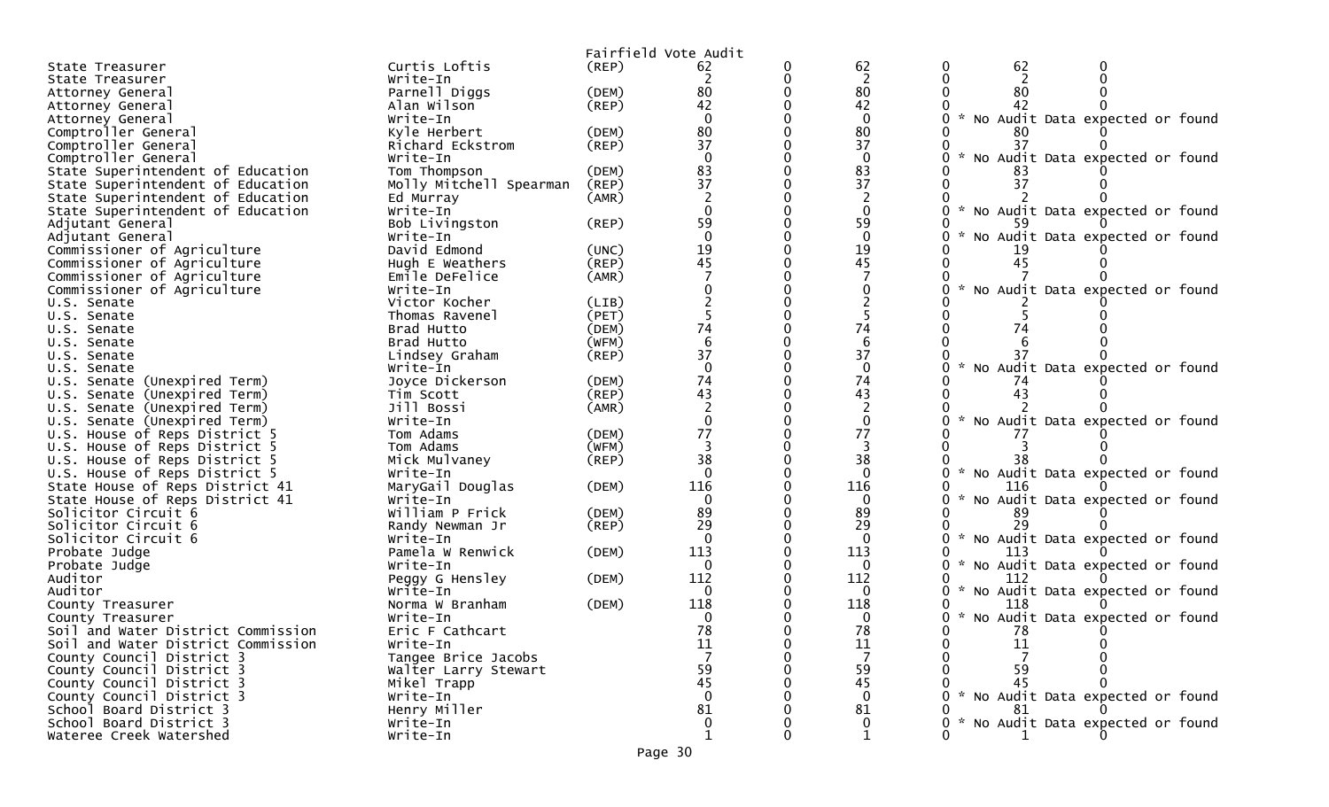|                                                                          |                             | Fairfield Vote Audit |                          |   |                 |               |     |                                     |  |
|--------------------------------------------------------------------------|-----------------------------|----------------------|--------------------------|---|-----------------|---------------|-----|-------------------------------------|--|
| State Treasurer                                                          | Curtis Loftis               | (REP)                | 62                       | 0 | 62              | 0             | 62  |                                     |  |
| State Treasurer                                                          | Write-In                    |                      | 2                        |   | $\overline{2}$  |               | 2   |                                     |  |
| Attorney General                                                         | Parnell Diggs               | (DEM)                | 80                       |   | 80              |               | 80  |                                     |  |
| Attorney General                                                         | Alan Wilson                 | (REP)                | 42                       |   | 42              |               | 42  |                                     |  |
| Attorney General                                                         | Write-In                    |                      | $\Omega$                 |   | $\Omega$        | $\sim$        |     | No Audit Data expected or found     |  |
| Comptroller General                                                      | Kyle Herbert                | (DEM)                | 80                       |   | 80              |               |     |                                     |  |
| Comptroller General                                                      | Richard Eckstrom            | (REP)                | 37                       |   | 37              |               | 37  |                                     |  |
| Comptroller General                                                      | Write-In                    |                      | $\Omega$                 |   | $\mathbf{0}$    |               |     | No Audit Data expected or found     |  |
| State Superintendent of Education                                        | Tom Thompson                | (DEM)                | 83                       |   | 83              |               |     |                                     |  |
| State Superintendent of Education                                        | Molly Mitchell Spearman     | (REP)                | 37                       |   | 37              |               | 37  |                                     |  |
| State Superintendent of Education                                        | Ed Murray                   | (AMR)                | 2                        |   | 2               |               |     |                                     |  |
| State Superintendent of Education                                        | Write-In                    |                      |                          |   | $\mathbf{0}$    | $\sim$        |     | No Audit Data expected or found     |  |
| Adjutant General                                                         | Bob Livingston              | (REP)                | 59                       |   | 59              |               |     |                                     |  |
| Adjutant General                                                         | Write-In                    |                      | $\Omega$                 |   | $\Omega$        |               |     | No Audit Data expected or found     |  |
| Commissioner of Agriculture                                              | David Edmond                | (UNC)                | 19                       |   | 19              |               |     |                                     |  |
| Commissioner of Agriculture                                              | Hugh E Weathers             | (REP)                | 45                       |   | 45              |               | 45  |                                     |  |
| Commissioner of Agriculture                                              | Emile DeFelice              | (AMR)                |                          |   |                 |               |     |                                     |  |
| Commissioner of Agriculture                                              | Write-In                    |                      |                          |   |                 |               |     | No Audit Data expected or found     |  |
| U.S. Senate                                                              | Victor Kocher               | (LIB)                |                          |   |                 |               |     |                                     |  |
| U.S. Senate                                                              | Thomas Ravenel              | (PET)                |                          |   |                 |               |     |                                     |  |
| U.S. Senate                                                              | Brad Hutto                  | (DEM)                | 74                       |   | 74              |               | 74  |                                     |  |
| U.S. Senate                                                              | Brad Hutto                  | (WFM)                | 6                        |   | 6               |               |     |                                     |  |
| U.S. Senate                                                              | Lindsey Graham              | $($ REP $)$          | 37                       |   | 37              |               |     |                                     |  |
| U.S. Senate                                                              | Write-In                    |                      | $\Omega$                 |   | $\Omega$        |               |     | No Audit Data expected or found     |  |
| U.S. Senate (Unexpired Term)                                             | Joyce Dickerson             | (DEM)                | 74                       |   | 74              |               | 74  |                                     |  |
| U.S. Senate (Unexpired Term)                                             | Tim Scott                   | $($ REP $)$          | 43                       |   | 43              |               | 43  |                                     |  |
| U.S. Senate (Unexpired Term)                                             | Jill Bossi                  | (AMR)                | $\overline{\phantom{a}}$ |   |                 |               |     |                                     |  |
| U.S. Senate (Unexpired Term)                                             | Write-In                    |                      | $\Omega$                 |   | $\mathbf{0}$    | $\sim$        |     | No Audit Data expected or found     |  |
| U.S. House of Reps District 5                                            | Tom Adams                   | (DEM)                | 77                       |   | 77              |               |     |                                     |  |
| U.S. House of Reps District 5                                            | Tom Adams                   | (WFM)                | 3                        |   | 3               |               |     |                                     |  |
| U.S. House of Reps District 5                                            | Mick Mulvaney               | $($ REP $)$          | 38                       |   | 38              | $\sim$        | 38  |                                     |  |
| U.S. House of Reps District 5                                            | Write-In                    |                      |                          |   | 0               |               |     | No Audit Data expected or found     |  |
| State House of Reps District 41                                          | MaryGail Douglas            | (DEM)                | 116                      |   | 116             | $\mathcal{H}$ | 116 |                                     |  |
| State House of Reps District 41                                          | Write-In                    |                      | $\mathbf{0}$             |   | $\mathbf{0}$    |               |     | No Audit Data expected or found     |  |
| Solicitor Circuit 6                                                      | William P Frick             | (DEM)                | 89                       |   | 89              |               | 89  |                                     |  |
| Solicitor Circuit 6                                                      | Randy Newman Jr             | $($ REP $)$          | 29                       |   | 29              | $\mathcal{H}$ |     |                                     |  |
| Solicitor Circuit 6                                                      | Write-In                    |                      | $\Omega$<br>113          |   | $\mathbf{0}$    |               |     | No Audit Data expected or found     |  |
| Probate Judge                                                            | Pamela W Renwick            | (DEM)                |                          |   | 113             |               | 113 |                                     |  |
| Probate Judge                                                            | Write-In                    |                      | $\Omega$<br>112          |   | $\Omega$<br>112 |               | 112 | No Audit Data expected or found     |  |
| Auditor<br>Auditor                                                       | Peggy G Hensley             | (DEM)                | $\Omega$                 |   | $\Omega$        | 0<br>$\sim$   |     |                                     |  |
|                                                                          | Write-In<br>Norma W Branham | (DEM)                | 118                      |   | 118             |               | 118 | No Audit Data expected or found     |  |
| County Treasurer                                                         | Write-In                    |                      | 0                        |   | 0               |               |     | 0 * No Audit Data expected or found |  |
| County Treasurer                                                         |                             |                      | 78                       |   | 78              |               | 78  |                                     |  |
| Soil and Water District Commission<br>Soil and Water District Commission | Eric F Cathcart<br>Write-In |                      | 11                       |   | 11              |               | 11  |                                     |  |
| County Council District 3                                                | Tangee Brice Jacobs         |                      |                          |   |                 |               |     |                                     |  |
| County Council District 3                                                | Walter Larry Stewart        |                      | 59                       |   | 59              |               | 59  |                                     |  |
| County Council District 3                                                | Mikel Trapp                 |                      | 45                       |   | 45              |               | 45  |                                     |  |
| County Council District 3                                                | Write-In                    |                      |                          |   | $\Omega$        |               |     | 0 * No Audit Data expected or found |  |
| School Board District 3                                                  | Henry Miller                |                      | 81                       |   | 81              |               | 81  |                                     |  |
| School Board District 3                                                  |                             |                      |                          |   |                 |               |     |                                     |  |
|                                                                          | Write-In                    |                      | $\Omega$                 |   | $\mathbf{0}$    |               |     | 0 * No Audit Data expected or found |  |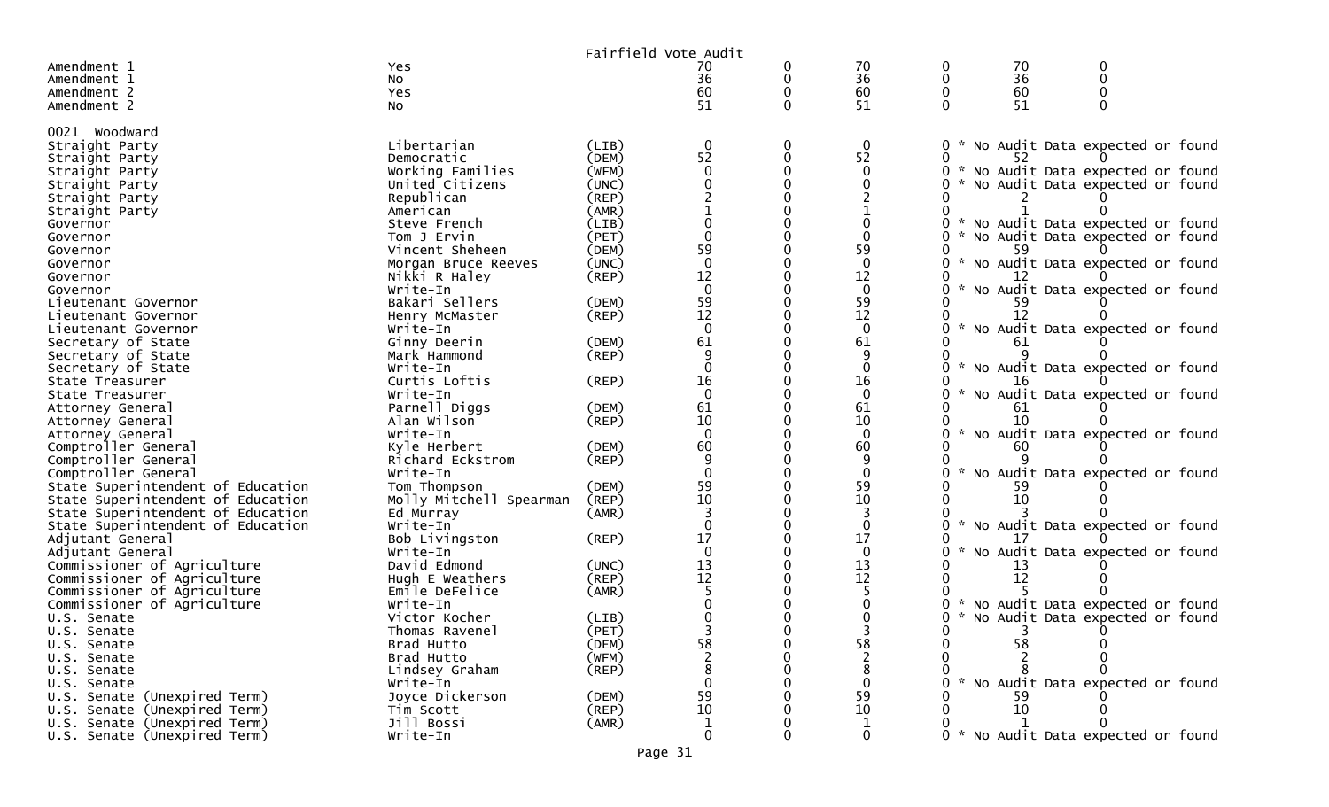|                                                                        |                              |                | Fairfield Vote Audit                    |              |                                         |               |    |                                   |  |
|------------------------------------------------------------------------|------------------------------|----------------|-----------------------------------------|--------------|-----------------------------------------|---------------|----|-----------------------------------|--|
| Amendment 1                                                            | Yes                          |                | 70                                      | 0            | 70                                      |               | 70 |                                   |  |
| Amendment 1                                                            | No                           |                | 36                                      | 0            | 36                                      |               | 36 |                                   |  |
| Amendment 2                                                            | Yes                          |                | 60                                      |              | 60                                      |               | 60 |                                   |  |
| Amendment 2                                                            | No                           |                | 51                                      | $\Omega$     | 51                                      |               | 51 |                                   |  |
|                                                                        |                              |                |                                         |              |                                         |               |    |                                   |  |
| 0021 Woodward                                                          |                              |                |                                         |              |                                         |               |    |                                   |  |
| Straight Party                                                         | Libertarian                  | (LIB)          | $\mathbf 0$                             | 0            | 0                                       |               |    | * No Audit Data expected or found |  |
| Straight Party                                                         | Democratic                   | (DEM)          | 52                                      | $\mathbf{0}$ | 52                                      |               | 52 |                                   |  |
| Straight Party                                                         | Working Families             | (WFM)          | $\Omega$                                | 0            | $\mathbf{0}$                            |               |    | No Audit Data expected or found   |  |
| Straight Party                                                         | United Citizens              | (UNC)          |                                         |              |                                         |               |    | * No Audit Data expected or found |  |
| Straight Party                                                         | Republican                   | $($ REP $)$    |                                         |              |                                         |               |    |                                   |  |
| Straight Party                                                         | American                     | (AMR)          |                                         |              |                                         |               |    |                                   |  |
| Governor                                                               | Steve French                 | (LIB)          |                                         |              |                                         |               |    | * No Audit Data expected or found |  |
| Governor                                                               | Tom J Ervin                  | (PET)          |                                         |              |                                         |               |    | * No Audit Data expected or found |  |
| Governor                                                               | Vincent Sheheen              | (DEM)          | 59                                      |              | 59                                      |               |    |                                   |  |
| Governor                                                               | Morgan Bruce Reeves          | (UNC)          | $\mathbf{0}$                            |              | $\mathbf 0$                             |               |    | * No Audit Data expected or found |  |
| Governor                                                               | Nikki R Haley                | (REP)          | 12                                      |              | 12                                      |               |    |                                   |  |
| Governor                                                               | Write-In                     |                | $\overline{0}$                          |              | $\mathbf{0}$                            |               |    | No Audit Data expected or found   |  |
| Lieutenant Governor                                                    | Bakari Sellers               | (DEM)          | 59                                      |              | 59                                      |               |    |                                   |  |
| Lieutenant Governor                                                    | Henry McMaster               | (REP)          | 12                                      |              | 12                                      |               | 12 |                                   |  |
| Lieutenant Governor                                                    | Write-In                     |                | $\Omega$                                |              | $\mathbf{0}$                            | $\mathcal{R}$ |    | No Audit Data expected or found   |  |
| Secretary of State                                                     | Ginny Deerin                 | (DEM)          | 61                                      |              | 61                                      |               | 61 |                                   |  |
| Secretary of State                                                     | Mark Hammond                 | (REP)          | $\Omega$                                |              |                                         |               |    |                                   |  |
| Secretary of State                                                     | Write-In                     |                |                                         |              | $\Omega$                                |               |    | No Audit Data expected or found   |  |
| State Treasurer                                                        | Curtis Loftis                | (REP)          | 16                                      |              | 16                                      |               |    |                                   |  |
| State Treasurer                                                        | Write-In                     |                | $\Omega$                                |              | $\Omega$                                |               |    | No Audit Data expected or found   |  |
| Attorney General                                                       | Parnell Diggs                | (DEM)          | 61                                      |              | 61                                      |               |    |                                   |  |
| Attorney General                                                       | Alan Wilson                  | (REP)          | 10<br>$\mathbf{0}$                      |              | 10                                      |               | 10 |                                   |  |
| Attorney General                                                       | Write-In                     |                |                                         |              | $\mathbf{0}$<br>60                      |               |    | * No Audit Data expected or found |  |
| Comptroller General                                                    | Kyle Herbert                 | (DEM)<br>(REP) | 60                                      |              |                                         |               |    |                                   |  |
| Comptroller General                                                    | Richard Eckstrom<br>Write-In |                | 9<br>$\Omega$                           |              | 9                                       |               |    | No Audit Data expected or found   |  |
| Comptroller General                                                    |                              | (DEM)          | 59                                      |              | 59                                      |               |    |                                   |  |
| State Superintendent of Education<br>State Superintendent of Education | Tom Thompson                 | (REP)          | 10                                      |              | 10                                      |               | 10 |                                   |  |
| State Superintendent of Education                                      | Molly Mitchell Spearman      |                |                                         |              |                                         |               |    |                                   |  |
| State Superintendent of Education                                      | Ed Murray<br>Write-In        | (AMR)          |                                         |              | $\Omega$                                |               |    | * No Audit Data expected or found |  |
| Adjutant General                                                       | Bob Livingston               | (REP)          | 17                                      |              | 17                                      |               |    |                                   |  |
| Adjutant General                                                       | Write-In                     |                |                                         |              | $\Omega$                                |               |    | No Audit Data expected or found   |  |
| Commissioner of Agriculture                                            | David Edmond                 | (UNC)          |                                         |              |                                         |               |    |                                   |  |
| Commissioner of Agriculture                                            | Hugh E Weathers              | (REP)          | $\begin{array}{c} 13 \\ 12 \end{array}$ |              | $\begin{array}{c} 13 \\ 12 \end{array}$ |               | 12 |                                   |  |
| Commissioner of Agriculture                                            | Emile DeFelice               | (AMR)          |                                         |              |                                         |               |    |                                   |  |
| Commissioner of Agriculture                                            | Write-In                     |                |                                         |              |                                         |               |    | No Audit Data expected or found   |  |
| U.S. Senate                                                            | Victor Kocher                | (LIB)          |                                         |              |                                         |               |    | * No Audit Data expected or found |  |
| U.S. Senate                                                            | Thomas Ravenel               | (PET)          |                                         |              |                                         |               |    |                                   |  |
| U.S. Senate                                                            | Brad Hutto                   | (DEM)          | 58                                      |              | 58                                      |               | 58 |                                   |  |
| U.S. Senate                                                            | Brad Hutto                   | (WFM)          |                                         |              |                                         |               |    |                                   |  |
| U.S. Senate                                                            | Lindsey Graham               | $($ REP $)$    |                                         |              | 8                                       |               |    |                                   |  |
| U.S. Senate                                                            | Write-In                     |                |                                         |              | 0                                       |               |    | * No Audit Data expected or found |  |
| U.S. Senate (Unexpired Term)                                           | Joyce Dickerson              | (DEM)          | 59                                      |              | 59                                      |               | 59 |                                   |  |
| U.S. Senate (Unexpired Term)                                           | Tim Scott                    | (REP)          | 10                                      |              | 10                                      |               | 10 |                                   |  |
| U.S. Senate (Unexpired Term)                                           | Jill Bossi                   | (AMR)          | 1                                       |              | 1                                       |               |    |                                   |  |
| U.S. Senate (Unexpired Term)                                           | Write-In                     |                | $\mathbf{0}$                            |              | 0                                       |               |    | * No Audit Data expected or found |  |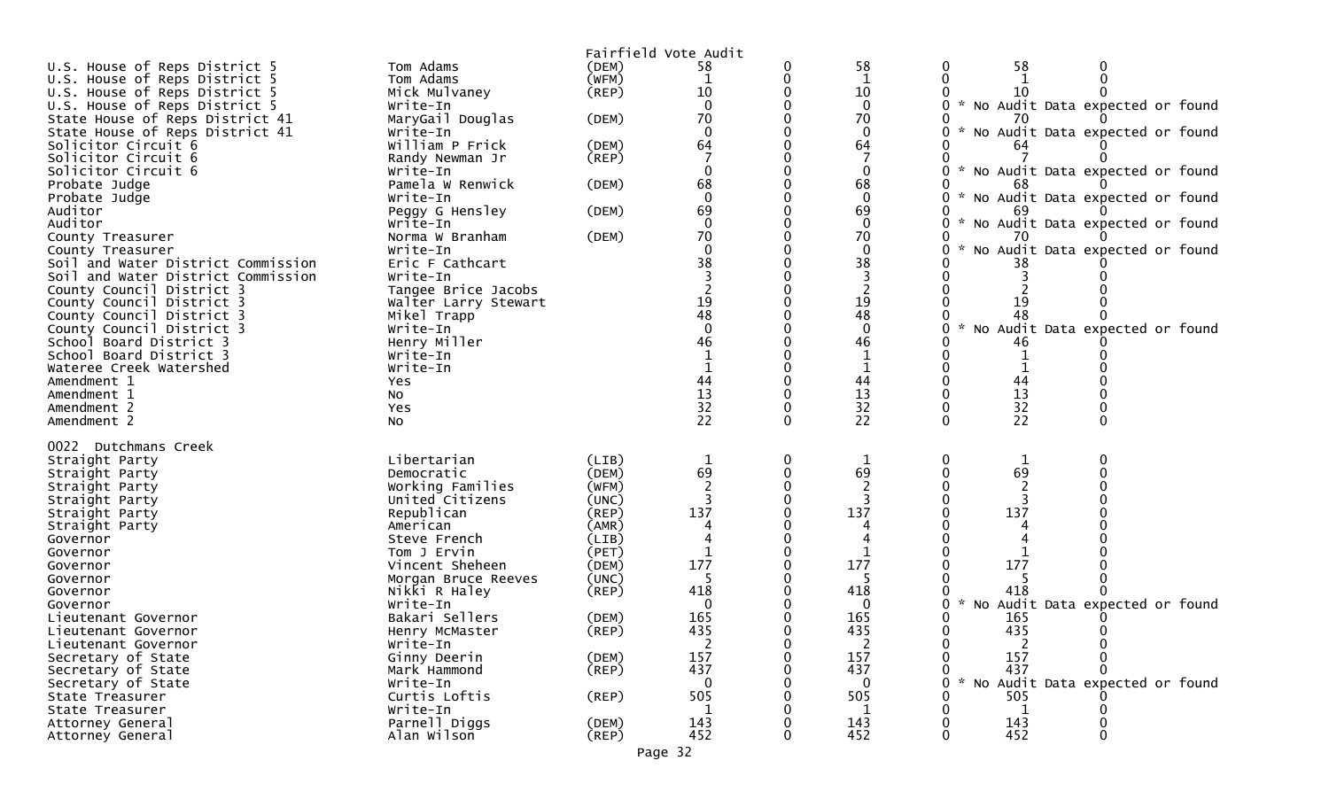|                                    |                             | Fairfield Vote Audit |                 |          |                    |                                                              |
|------------------------------------|-----------------------------|----------------------|-----------------|----------|--------------------|--------------------------------------------------------------|
| U.S. House of Reps District 5      | Tom Adams                   | (DEM)                | 58              |          | 58                 | 58<br>0<br>0                                                 |
| U.S. House of Reps District 5      | Tom Adams                   | (WFM)                | 1               |          | $\mathbf{1}$       |                                                              |
| U.S. House of Reps District 5      | Mick Mulvaney               | (REP)                | 10              |          | 10                 |                                                              |
| U.S. House of Reps District 5      | Write-In                    |                      | $\Omega$        |          | $\mathbf 0$        | * No Audit Data expected or found                            |
| State House of Reps District 41    | MaryGail Douglas            | (DEM)                | 70              |          | 70                 |                                                              |
| State House of Reps District 41    | Write-In                    |                      |                 |          | $\mathbf{0}$       | * No Audit Data expected or found                            |
| Solicitor Circuit 6                | William P Frick             | (DEM)                | 64              |          | 64                 |                                                              |
| Solicitor Circuit 6                | Randy Newman Jr             | $($ REP $)$          |                 |          |                    |                                                              |
| Solicitor Circuit 6                | Write-In                    |                      |                 |          | $\mathbf 0$        | * No Audit Data expected or found                            |
| Probate Judge                      | Pamela W Renwick            | (DEM)                | 68<br>$\Omega$  |          | 68                 | 68<br>$\mathcal{H}$                                          |
| Probate Judge<br>Auditor           | Write-In<br>Peggy G Hensley |                      | 69              |          | $\mathbf{0}$<br>69 | No Audit Data expected or found                              |
| Auditor                            | Write-In                    | (DEM)                | $\Omega$        |          | $\mathbf 0$        | * No Audit Data expected or found<br>0                       |
| County Treasurer                   | Norma W Branham             | (DEM)                | 70              |          | 70                 |                                                              |
| County Treasurer                   | Write-In                    |                      |                 |          | $\mathbf{0}$       | No Audit Data expected or found                              |
| Soil and Water District Commission | Eric F Cathcart             |                      | 38              |          | 38                 | 38                                                           |
| Soil and Water District Commission | Write-In                    |                      |                 |          |                    |                                                              |
| County Council District 3          | Tangee Brice Jacobs         |                      |                 |          |                    |                                                              |
| County Council District 3          | Walter Larry Stewart        |                      | 19              |          | 19                 | 19                                                           |
| County Council District 3          | Mikel Trapp                 |                      | 48              |          | 48                 | 48                                                           |
| County Council District 3          | Write-In                    |                      | $\Omega$        |          | $\mathbf{0}$       | No Audit Data expected or found<br>U                         |
| School Board District 3            | Henry Miller                |                      | 46              |          | 46                 | 46                                                           |
| School Board District 3            | Write-In                    |                      |                 |          | 1                  |                                                              |
| Wateree Creek Watershed            | Write-In                    |                      |                 |          | $\mathbf{1}$       |                                                              |
| Amendment 1                        | Yes                         |                      | 44              |          | 44                 | 44                                                           |
| Amendment 1                        | No                          |                      | 13              |          | 13                 | 13                                                           |
| Amendment 2                        | Yes                         |                      | 32<br>22        |          | 32<br>22           | 32                                                           |
| Amendment 2                        | NO.                         |                      |                 | $\Omega$ |                    | 22<br>$\mathbf{0}$<br>0                                      |
| 0022 Dutchmans Creek               |                             |                      |                 |          |                    |                                                              |
| Straight Party                     | Libertarian                 | (LIB)                |                 |          | 1                  |                                                              |
| Straight Party                     | Democratic                  | (DEM)                | 69              |          | 69                 | 69                                                           |
| Straight Party                     | Working Families            | (WFM)                |                 |          |                    | 2                                                            |
| Straight Party                     | United Citizens             | (UNC)                |                 |          |                    |                                                              |
| Straight Party                     | Republican                  | (REP)                | 137             |          | 137                | 137                                                          |
| Straight Party                     | American                    | (AMR)                |                 |          |                    |                                                              |
| Governor                           | Steve French                | (LIB)                |                 |          |                    |                                                              |
| Governor                           | Tom J Ervin                 | (PET)                |                 |          |                    |                                                              |
| Governor                           | Vincent Sheheen             | (DEM)                | 177             |          | 177                | 177                                                          |
| Governor                           | Morgan Bruce Reeves         | (UNC)                |                 |          | 5                  |                                                              |
| Governor<br>Governor               | Nikki R Haley<br>Write-In   | (REP)                | 418<br>$\Omega$ |          | 418<br>0           | 418<br>No Audit Data expected or found<br>$\mathcal{H}$<br>0 |
| Lieutenant Governor                | Bakari Sellers              | (DEM)                | 165             |          | 165                | 165                                                          |
| Lieutenant Governor                | Henry McMaster              | $($ REP $)$          | 435             |          | 435                | 435<br>$\bf{0}$<br>$\Omega$                                  |
| Lieutenant Governor                | Write-In                    |                      | 2               |          | 2                  | $\mathbf{0}$<br>2                                            |
| Secretary of State                 | Ginny Deerin                | (DEM)                | 157             |          | 157                | 157                                                          |
| Secretary of State                 | Mark Hammond                | $($ REP $)$          | 437             |          | 437                | 437                                                          |
| Secretary of State                 | Write-In                    |                      | $\Omega$        |          | 0                  | No Audit Data expected or found<br>$\sim$<br>0               |
| State Treasurer                    | Curtis Loftis               | (REP)                | 505             |          | 505                | 505                                                          |
| State Treasurer                    | Write-In                    |                      |                 |          |                    |                                                              |
| Attorney General                   | Parnell Diggs               | (DEM)                | 143             |          | 143                | 143                                                          |
| Attorney General                   | Alan Wilson                 | (REP)                | 452             |          | 452                | 452                                                          |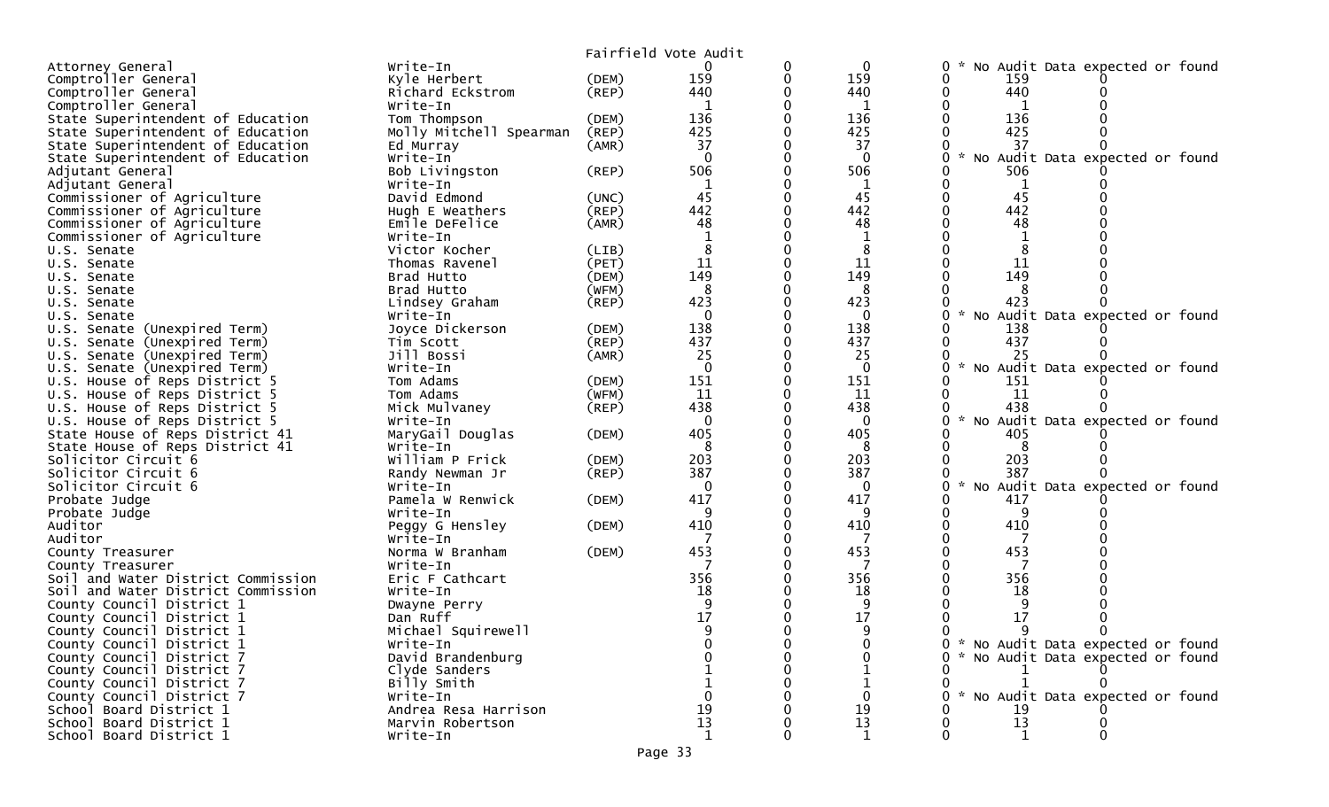|                                    |                         |             | Fairfield Vote Audit |   |              |                                           |
|------------------------------------|-------------------------|-------------|----------------------|---|--------------|-------------------------------------------|
| Attorney General                   | Write-In                |             | $\Omega$             | 0 | $\mathbf{0}$ | No Audit Data expected or found<br>0      |
| Comptroller General                | Kyle Herbert            | (DEM)       | 159                  | 0 | 159          | 159<br>0                                  |
| Comptroller General                | Richard Eckstrom        | $($ REP $)$ | 440                  |   | 440          | 440<br>0                                  |
| Comptroller General                | Write-In                |             |                      |   | 1            |                                           |
| State Superintendent of Education  | Tom Thompson            | (DEM)       | 136                  |   | 136          | 136                                       |
| State Superintendent of Education  | Molly Mitchell Spearman | (REP)       | 425                  |   | 425          | 425                                       |
| State Superintendent of Education  | Ed Murray               | (AMR)       | 37                   |   | 37           | 37                                        |
| State Superintendent of Education  | Write-In                |             | $\Omega$             |   | $\Omega$     | No Audit Data expected or found           |
| Adjutant General                   | Bob Livingston          | (REP)       | 506                  |   | 506          | 506                                       |
| Adjutant General                   | Write-In                |             |                      |   | 1            | 0<br>1                                    |
| Commissioner of Agriculture        | David Edmond            | (UNC)       | 45                   |   | 45           | 45                                        |
| Commissioner of Agriculture        | Hugh E Weathers         | (REP)       | 442                  |   | 442          | 442                                       |
| Commissioner of Agriculture        | Emile DeFelice          | (AMR)       | 48                   |   | 48           | 48                                        |
| Commissioner of Agriculture        | Write-In                |             |                      |   |              |                                           |
| U.S. Senate                        | Victor Kocher           | (LIB)       |                      |   | 8            |                                           |
| U.S. Senate                        | Thomas Ravenel          | (PET)       | 11                   |   | 11           | 11                                        |
| U.S. Senate                        | Brad Hutto              | (DEM)       | 149                  |   | 149          | 149                                       |
| U.S. Senate                        | Brad Hutto              | (WFM)       | 8                    |   | 8            |                                           |
| U.S. Senate                        | Lindsey Graham          | $($ REP $)$ | 423                  |   | 423          | 423                                       |
| U.S. Senate                        | Write-In                |             | $\Omega$             |   | $\Omega$     | No Audit Data expected or found           |
| U.S. Senate (Unexpired Term)       | Joyce Dickerson         | (DEM)       | 138                  |   | 138          | 138                                       |
| U.S. Senate (Unexpired Term)       | Tim Scott               | (REP)       | 437                  |   | 437          | 437                                       |
| U.S. Senate (Unexpired Term)       | Jill Bossi              | (AMR)       | 25                   |   | 25           | 25                                        |
| U.S. Senate (Unexpired Term)       | Write-In                |             | $\Omega$             |   | $\mathbf{0}$ | No Audit Data expected or found           |
| U.S. House of Reps District 5      | Tom Adams               | (DEM)       | 151                  |   | 151          | 151                                       |
| U.S. House of Reps District 5      | Tom Adams               | (WFM)       | 11                   |   | 11           | 11                                        |
| U.S. House of Reps District 5      | Mick Mulvaney           | (REP)       | 438                  |   | 438          | 438                                       |
| U.S. House of Reps District 5      | Write-In                |             | $\mathbf{0}$         |   | 0            | $\sim$<br>No Audit Data expected or found |
| State House of Reps District 41    | MaryGail Douglas        | (DEM)       | 405                  |   | 405          | 405                                       |
| State House of Reps District 41    | Write-In                |             | 8                    |   | 8            | 8                                         |
| Solicitor Circuit 6                | William P Frick         | (DEM)       | 203                  |   | 203          | 203                                       |
| Solicitor Circuit 6                | Randy Newman Jr         | $($ REP $)$ | 387                  |   | 387          | 387                                       |
| Solicitor Circuit 6                | Write-In                |             | $\Omega$             |   | 0            | Audit Data expected or found<br><b>NO</b> |
| Probate Judge                      | Pamela W Renwick        | (DEM)       | 417                  |   | 417          | 417                                       |
| Probate Judge                      | Write-In                |             |                      |   | q            | 9                                         |
| Auditor                            | Peggy G Hensley         | (DEM)       | 410                  |   | 410          | 410                                       |
| Auditor                            | Write-In                |             |                      |   |              |                                           |
| County Treasurer                   | Norma W Branham         | (DEM)       | 453                  |   | 453          | 453                                       |
| County Treasurer                   | Write-In                |             |                      |   |              |                                           |
| Soil and Water District Commission | Eric F Cathcart         |             | 356                  |   | 356          | 356                                       |
| Soil and Water District Commission | Write-In                |             | 18                   |   | 18           | 18                                        |
| County Council District 1          | Dwayne Perry            |             |                      |   | 9            | 9                                         |
| County Council District 1          | Dan Ruff                |             | 17                   |   | 17           | 17                                        |
| County Council District 1          | Michael Squirewell      |             |                      |   |              |                                           |
| County Council District 1          | Write-In                |             |                      |   |              | 0 * No Audit Data expected or found       |
| County Council District 7          | David Brandenburg       |             |                      |   |              | 0 * No Audit Data expected or found       |
| County Council District 7          | Clyde Sanders           |             |                      |   |              |                                           |
| County Council District 7          | Billy Smith             |             |                      |   |              |                                           |
| County Council District 7          | Write-In                |             |                      |   | 0            | No Audit Data expected or found           |
| School Board District 1            | Andrea Resa Harrison    |             | 19                   |   | 19           | 19                                        |
| School Board District 1            | Marvin Robertson        |             | 13                   |   | 13           | 13                                        |
| School Board District 1            | Write-In                |             | 1                    |   | 1            | 1                                         |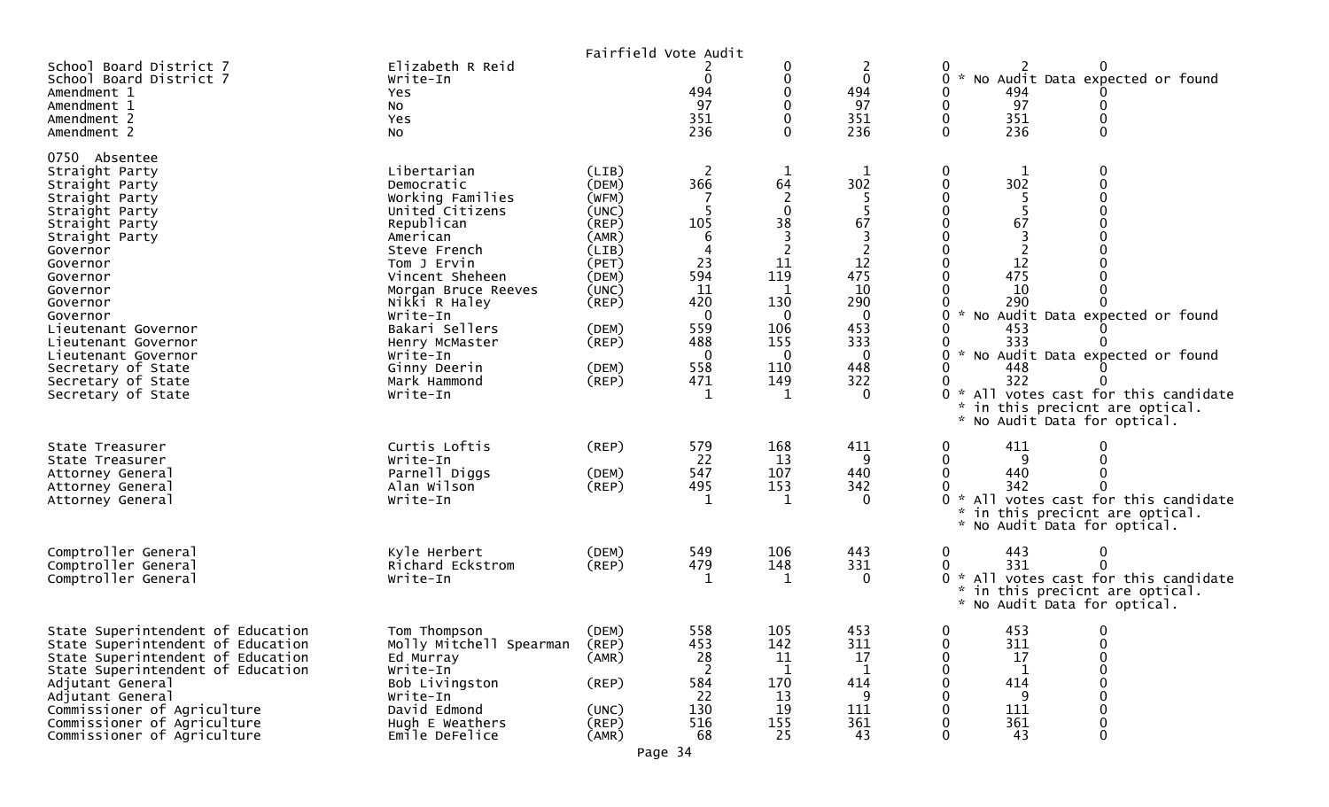|                                                                                                                                                                                                                                                                                                                                          |                                                                                                                                                                                                                                                                                              |                                                                                                                                     | Fairfield Vote Audit                                                                                                              |                                                                                                                |                                                                                              |                                                                                                                                                                                                                                                                                                                                                                                                                                                                                                    |
|------------------------------------------------------------------------------------------------------------------------------------------------------------------------------------------------------------------------------------------------------------------------------------------------------------------------------------------|----------------------------------------------------------------------------------------------------------------------------------------------------------------------------------------------------------------------------------------------------------------------------------------------|-------------------------------------------------------------------------------------------------------------------------------------|-----------------------------------------------------------------------------------------------------------------------------------|----------------------------------------------------------------------------------------------------------------|----------------------------------------------------------------------------------------------|----------------------------------------------------------------------------------------------------------------------------------------------------------------------------------------------------------------------------------------------------------------------------------------------------------------------------------------------------------------------------------------------------------------------------------------------------------------------------------------------------|
| School Board District 7<br>School Board District 7<br>Amendment 1<br>Amendment 1<br>Amendment 2<br>Amendment 2                                                                                                                                                                                                                           | Elizabeth R Reid<br>Write-In<br>Yes<br>NO.<br>Yes<br>NO.                                                                                                                                                                                                                                     |                                                                                                                                     | $\mathbf 0$<br>494<br>97<br>351<br>236                                                                                            | 0<br>0<br>0                                                                                                    | 2<br>$\mathbf 0$<br>494<br>97<br>351<br>236                                                  | $\sim$<br>No Audit Data expected or found<br>0<br>494<br>0<br>97<br>0<br>0<br>$\boldsymbol{0}$<br>0<br>351<br>236<br>$\mathbf{0}$<br>0                                                                                                                                                                                                                                                                                                                                                             |
| 0750 Absentee<br>Straight Party<br>Straight Party<br>Straight Party<br>Straight Party<br>Straight Party<br>Straight Party<br>Governor<br>Governor<br>Governor<br>Governor<br>Governor<br>Governor<br>Lieutenant Governor<br>Lieutenant Governor<br>Lieutenant Governor<br>Secretary of State<br>Secretary of State<br>Secretary of State | Libertarian<br>Democratic<br>Working Families<br>United Citizens<br>Republican<br>American<br>Steve French<br>Tom J Ervin<br>Vincent Sheheen<br>Morgan Bruce Reeves<br>Nikki R Haley<br>Write-In<br>Bakari Sellers<br>Henry McMaster<br>Write-In<br>Ginny Deerin<br>Mark Hammond<br>Write-In | (LIB)<br>(DEM)<br>(WFM)<br>(UNC)<br>(REP)<br>(AMR)<br>(LIB)<br>(PET)<br>(DEM)<br>(UNC)<br>(REP)<br>(DEM)<br>(REP)<br>(DEM)<br>(REP) | <sup>2</sup><br>366<br>105<br>6<br>4<br>23<br>594<br>11<br>420<br>$\overline{0}$<br>559<br>488<br>-0<br>558<br>471<br>$\mathbf 1$ | 1<br>64<br>2<br>$\mathbf{0}$<br>38<br>3<br>2<br>11<br>119<br>130<br>-0<br>106<br>155<br>- 0<br>110<br>149<br>1 | 302<br>67<br>12<br>475<br>10<br>290<br>$\Omega$<br>453<br>333<br>0<br>448<br>322<br>$\Omega$ | 0<br>0<br>1<br>$\pmb{0}$<br>0<br>302<br>$\begin{smallmatrix}0\\0\end{smallmatrix}$<br>0<br>0<br>$\mathbf 0$<br>67<br>0<br>$\begin{matrix} 0 \\ 0 \end{matrix}$<br>0<br>0<br>12<br>0<br>$\mathbf 0$<br>475<br>0<br>10<br>0<br>290<br>0<br>No Audit Data expected or found<br>0<br>$\mathcal{H}$<br>453<br>0<br>333<br>0<br>* No Audit Data expected or found<br>0<br>0<br>448<br>322<br>0<br>0 * All votes cast for this candidate<br>in this precicnt are optical.<br>* No Audit Data for optical. |
| State Treasurer<br>State Treasurer<br>Attorney General<br>Attorney General<br>Attorney General                                                                                                                                                                                                                                           | Curtis Loftis<br>Write-In<br>Parnell Diggs<br>Alan Wilson<br>Write-In                                                                                                                                                                                                                        | (REP)<br>(DEM)<br>(REP)                                                                                                             | 579<br>22<br>547<br>495<br>1                                                                                                      | 168<br>13<br>107<br>153<br>1                                                                                   | 411<br>-9<br>440<br>342<br>$\Omega$                                                          | 411<br>0<br>9<br>$\mathbf 0$<br>0<br>0<br>440<br>0<br>342<br>0<br>0 * All votes cast for this candidate<br>* in this precicnt are optical.<br>* No Audit Data for optical.                                                                                                                                                                                                                                                                                                                         |
| Comptroller General<br>Comptroller General<br>Comptroller General                                                                                                                                                                                                                                                                        | Kyle Herbert<br>Richard Eckstrom<br>Write-In                                                                                                                                                                                                                                                 | (DEM)<br>(REP)                                                                                                                      | 549<br>479                                                                                                                        | 106<br>148<br>1                                                                                                | 443<br>331<br>$\Omega$                                                                       | 443<br>$\mathbf 0$<br>0<br>331<br>0<br>0 * All votes cast for this candidate<br>* in this precicnt are optical.<br>* No Audit Data for optical.                                                                                                                                                                                                                                                                                                                                                    |
| State Superintendent of Education<br>State Superintendent of Education<br>State Superintendent of Education<br>State Superintendent of Education<br>Adjutant General<br>Adjutant General<br>Commissioner of Agriculture<br>Commissioner of Agriculture<br>Commissioner of Agriculture                                                    | Tom Thompson<br>Molly Mitchell Spearman<br>Ed Murray<br>Write-In<br>Bob Livingston<br>Write-In<br>David Edmond<br>Hugh E Weathers<br>Emile DeFelice                                                                                                                                          | (DEM)<br>(REP)<br>(AMR)<br>(REP)<br>(UNC)<br>(REP)<br>(AMR)                                                                         | 558<br>453<br>28<br>584<br>22<br>130<br>516<br>68                                                                                 | 105<br>142<br>11<br>1<br>170<br>13<br>19<br>155<br>25                                                          | 453<br>311<br>17<br>414<br>-9<br>111<br>361<br>43                                            | 453<br>$\mathbf{0}$<br>$\Omega$<br>311<br>0<br>$\mathbf 0$<br>17<br>$\mathbf 0$<br>0<br>0<br>0<br>414<br>$\mathbf 0$<br>0<br>$\mathbf 0$<br>-9<br>0<br>$\mathbf 0$<br>0<br>111<br>361<br>$\mathbf 0$<br>0<br>$\mathbf{0}$<br>43                                                                                                                                                                                                                                                                    |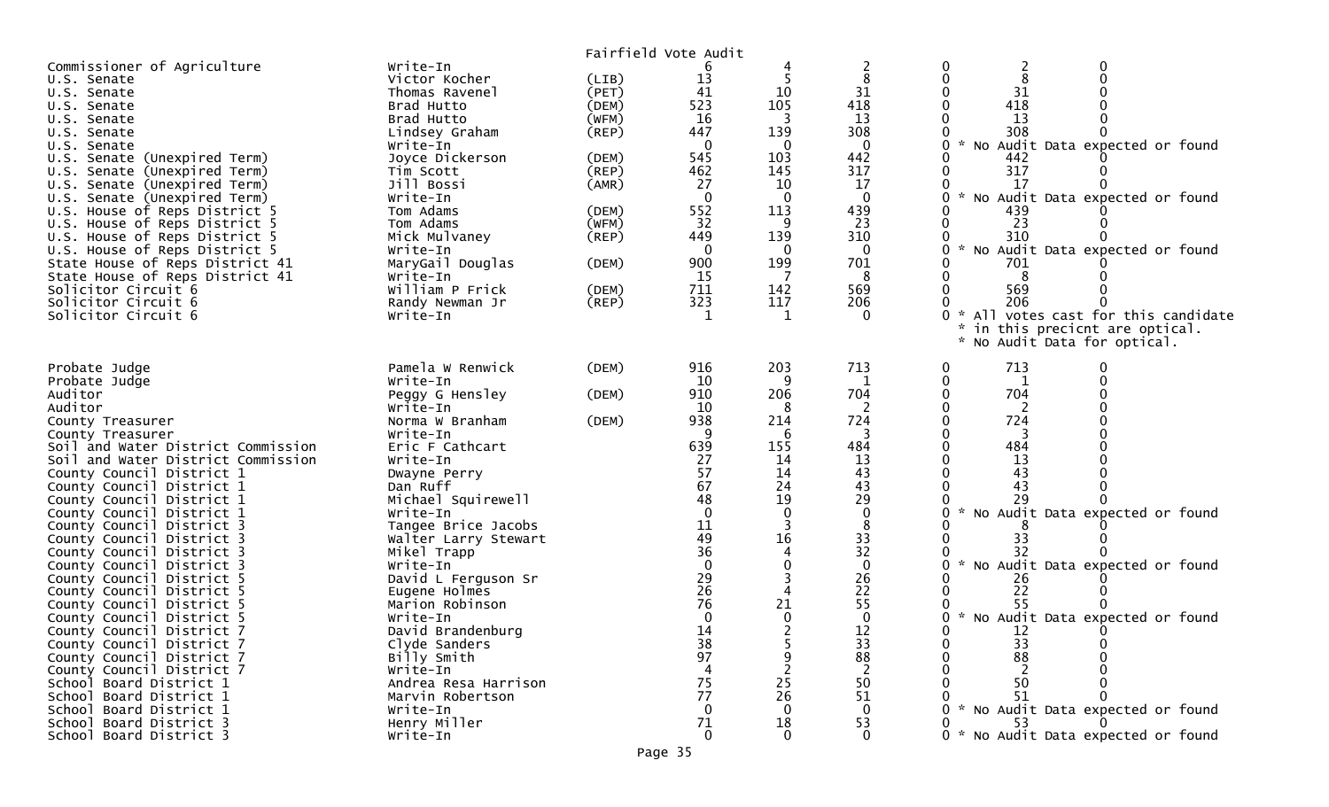|                                    |                      |             | Fairfield Vote Audit |                |                |                                                       |
|------------------------------------|----------------------|-------------|----------------------|----------------|----------------|-------------------------------------------------------|
| Commissioner of Agriculture        | Write-In             |             |                      |                |                | 0                                                     |
| U.S. Senate                        | Victor Kocher        | (LIB)       | 13                   |                |                | 0                                                     |
| U.S. Senate                        | Thomas Ravenel       | (PET)       | 41                   | 10             | 31             | 31                                                    |
| U.S. Senate                        | Brad Hutto           | (DEM)       | 523                  | 105            | 418            | 418                                                   |
| U.S. Senate                        | Brad Hutto           | (WFM)       | 16                   | 3              | 13             | 13                                                    |
|                                    |                      |             | 447                  | 139            | 308            | 308                                                   |
| U.S. Senate                        | Lindsey Graham       | $($ REP $)$ |                      |                |                |                                                       |
| U.S. Senate                        | Write-In             |             | $\Omega$             | -0             | $\mathbf 0$    | * No Audit Data expected or found<br>0                |
| U.S. Senate (Unexpired Term)       | Joyce Dickerson      | (DEM)       | 545                  | 103            | 442            | 0<br>442                                              |
| U.S. Senate (Unexpired Term)       | Tim Scott            | $($ REP $)$ | 462                  | 145            | 317            | 317<br>0                                              |
| U.S. Senate (Unexpired Term)       | Jill Bossi           | (AMR)       | 27                   | 10             | 17             | 17<br>0                                               |
| U.S. Senate (Unexpired Term)       | Write-In             |             | $\mathbf{0}$         | $\mathbf 0$    | $\overline{0}$ | 0<br>* No Audit Data expected or found                |
| U.S. House of Reps District 5      | Tom Adams            | (DEM)       | 552                  | 113            | 439            | 439                                                   |
| U.S. House of Reps District 5      | Tom Adams            | (WFM)       | 32                   | 9              | 23             | 23                                                    |
| U.S. House of Reps District 5      | Mick Mulvaney        | $($ REP $)$ | 449                  | 139            | 310            | 310                                                   |
| U.S. House of Reps District 5      | Write-In             |             | $\Omega$             | 0              |                | * No Audit Data expected or found<br>0                |
| State House of Reps District 41    | MaryGail Douglas     | (DEM)       | 900                  | 199            | 701            | 701                                                   |
|                                    | Write-In             |             | 15                   |                | 8              | $\Omega$<br>8                                         |
| State House of Reps District 41    |                      |             |                      |                |                |                                                       |
| Solicitor Circuit 6                | William P Frick      | (DEM)       | 711                  | 142            | 569            | 569<br>0                                              |
| Solicitor Circuit 6                | Randy Newman Jr      | (REP)       | 323                  | 117            | 206            | 206                                                   |
| Solicitor Circuit 6                | Write-In             |             | $\mathbf{1}$         | 1              | $\Omega$       | * All votes cast for this candidate                   |
|                                    |                      |             |                      |                |                | in this precicnt are optical.                         |
|                                    |                      |             |                      |                |                | $\mathcal{H}$<br>No Audit Data for optical.           |
|                                    |                      |             |                      |                |                |                                                       |
| Probate Judge                      | Pamela W Renwick     | (DEM)       | 916                  | 203            | 713            | 713<br>0                                              |
| Probate Judge                      | Write-In             |             | 10                   | q              | 1              | 0<br>1                                                |
| Auditor                            | Peggy G Hensley      | (DEM)       | 910                  | 206            | 704            | $\mathbf 0$<br>704                                    |
| Auditor                            | Write-In             |             | 10                   | 8              |                | $\Omega$                                              |
| County Treasurer                   | Norma W Branham      | (DEM)       | 938                  | 214            | 724            | 724<br>0                                              |
| County Treasurer                   | Write-In             |             | 9                    | 6              | 3              | 0<br>-3                                               |
| Soil and Water District Commission | Eric F Cathcart      |             | 639                  | 155            | 484            | $\Omega$<br>484                                       |
|                                    |                      |             | 27                   | 14             | 13             | 13                                                    |
| Soil and Water District Commission | Write-In             |             |                      |                |                |                                                       |
| County Council District 1          | Dwayne Perry         |             | 57                   | 14             | 43             | 43                                                    |
| County Council District 1          | Dan Ruff             |             | 67                   | 24             | 43             | 43                                                    |
| County Council District 1          | Michael Squirewell   |             | 48                   | 19             | 29             | 29                                                    |
| County Council District 1          | Write-In             |             | $\Omega$             | $\mathbf 0$    | $\Omega$       | $\mathcal{H}$<br>No Audit Data expected or found<br>0 |
| County Council District 3          | Tangee Brice Jacobs  |             | 11                   | 3              | 8              |                                                       |
| County Council District 3          | Walter Larry Stewart |             | 49                   | 16             | 33             | 0<br>33                                               |
| County Council District 3          | Mikel Trapp          |             | 36                   | $\overline{4}$ | 32             | 32                                                    |
| County Council District 3          | Write-In             |             | $\Omega$             | $\mathbf 0$    | $\mathbf{0}$   | * No Audit Data expected or found<br>0                |
| County Council District 5          | David L Ferguson Sr  |             | 29                   | 3              | 26             | 26                                                    |
| County Council District 5          | Eugene Holmes        |             | 26                   | $\overline{4}$ | 22             | 22                                                    |
| County Council District 5          | Marion Robinson      |             | 76                   | 21             | 55             | 55                                                    |
|                                    |                      |             |                      |                |                |                                                       |
| County Council District 5          | Write-In             |             | $\mathbf{0}$         | $\mathbf 0$    | 0              | * No Audit Data expected or found                     |
| County Council District 7          | David Brandenburg    |             | 14                   |                | 12             | 0<br>12                                               |
| County Council District 7          | Clyde Sanders        |             | 38                   |                | 33             | 33                                                    |
| County Council District 7          | Billy Smith          |             | 97                   | 9              | 88             | 88<br>0                                               |
| County Council District 7          | Write-In             |             |                      |                |                | 0                                                     |
| School Board District 1            | Andrea Resa Harrison |             | 75                   | 25             | 50             | 0<br>50                                               |
| School Board District 1            | Marvin Robertson     |             | 77                   | 26             | 51             | 51                                                    |
| School Board District 1            | Write-In             |             | $\Omega$             | $\Omega$       | 0              | 0 * No Audit Data expected or found                   |
| School Board District 3            | Henry Miller         |             | 71                   | 18             | 53             | 53                                                    |
| School Board District 3            | Write-In             |             | $\Omega$             | $\mathbf 0$    | $\Omega$       | 0 * No Audit Data expected or found                   |
|                                    |                      |             |                      |                |                |                                                       |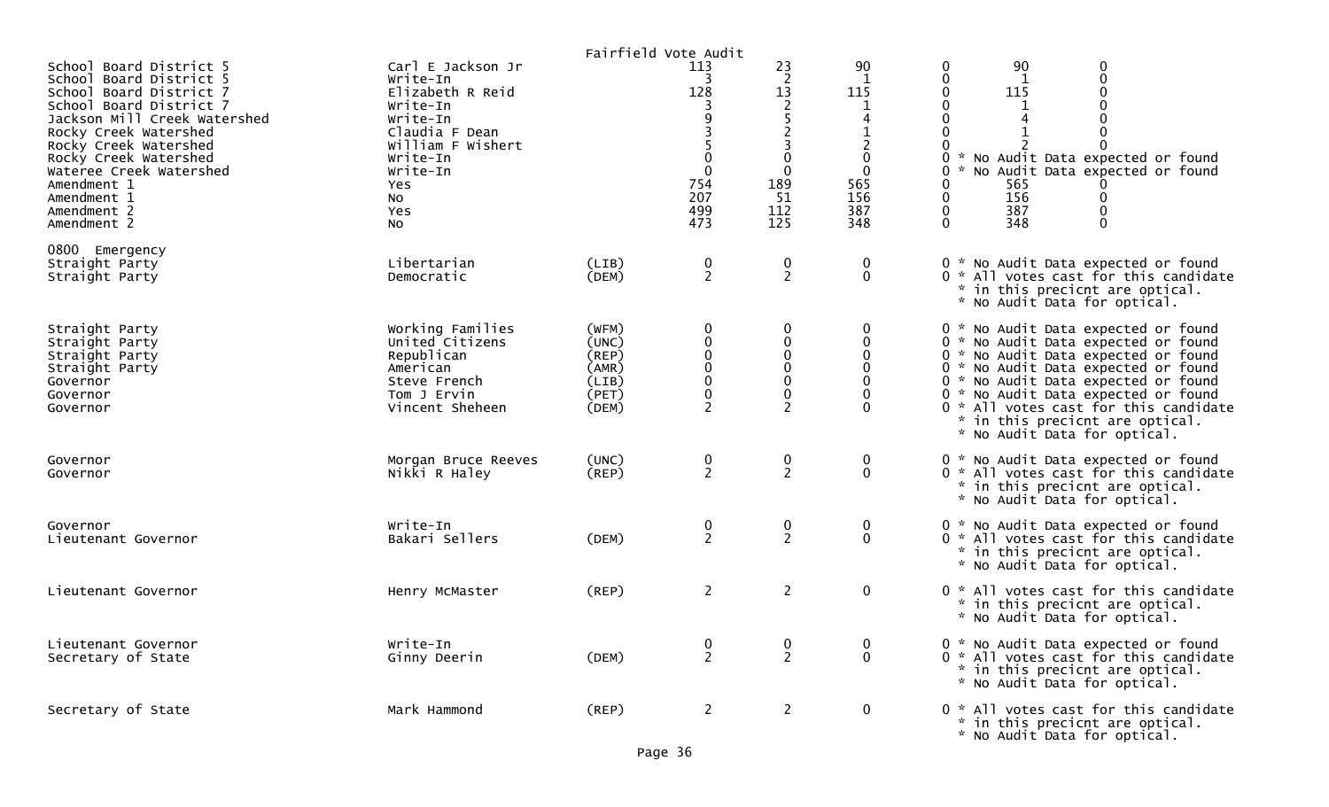|                                                                                                                                                                                                                                                                                                            |                                                                                                                                                                     |                                                             | Fairfield Vote Audit                                            |                                                                                                                                                |                                                                                                           |                                                                                                                                                                                                                                                                                                                                                    |
|------------------------------------------------------------------------------------------------------------------------------------------------------------------------------------------------------------------------------------------------------------------------------------------------------------|---------------------------------------------------------------------------------------------------------------------------------------------------------------------|-------------------------------------------------------------|-----------------------------------------------------------------|------------------------------------------------------------------------------------------------------------------------------------------------|-----------------------------------------------------------------------------------------------------------|----------------------------------------------------------------------------------------------------------------------------------------------------------------------------------------------------------------------------------------------------------------------------------------------------------------------------------------------------|
| School Board District 5<br>School Board District 5<br>School Board District 7<br>School Board District 7<br>Jackson Mill Creek Watershed<br>Rocky Creek Watershed<br>Rocky Creek Watershed<br>Rocky Creek Watershed<br>Wateree Creek Watershed<br>Amendment 1<br>Amendment 1<br>Amendment 2<br>Amendment 2 | Carl E Jackson Jr<br>Write-In<br>Elizabeth R Reid<br>Write-In<br>Write-In<br>Claudia F Dean<br>William F Wishert<br>Write-In<br>Write-In<br>Yes.<br>No<br>Yes<br>No |                                                             | 113<br>3<br>128<br>$\mathbf{0}$<br>754<br>207<br>499<br>473     | 23<br>$\overline{2}$<br>13<br>$\overline{2}$<br>5<br>$\overline{2}$<br>$\overline{3}$<br>$\mathbf 0$<br>$\mathbf 0$<br>189<br>51<br>112<br>125 | 90<br>$\mathbf 1$<br>115<br>1<br>$\overline{2}$<br>$\mathbf 0$<br>$\mathbf 0$<br>565<br>156<br>387<br>348 | 90<br>0<br>0<br>$\mathbf 0$<br>0<br>1<br>0<br>115<br>0<br>0<br>0<br>0<br>0<br>0<br>No Audit Data expected or found<br>*<br>0<br>No Audit Data expected or found<br>0<br>565<br>$\mathbf 0$<br>156<br>0<br>$\mathbf 0$<br>387<br>0<br>$\mathbf{0}$<br>348<br>0                                                                                      |
| 0800 Emergency<br>Straight Party<br>Straight Party                                                                                                                                                                                                                                                         | Libertarian<br>Democratic                                                                                                                                           | (LIB)<br>(DEM)                                              | $\frac{0}{2}$                                                   | $\frac{0}{2}$                                                                                                                                  | 0<br>$\mathbf 0$                                                                                          | 0 * No Audit Data expected or found<br>0 * All votes cast for this candidate<br>* in this precicnt are optical.<br>* No Audit Data for optical.                                                                                                                                                                                                    |
| Straight Party<br>Straight Party<br>Straight Party<br>Straight Party<br>Governor<br>Governor<br>Governor                                                                                                                                                                                                   | Working Families<br>United Citizens<br>Republican<br>American<br>Steve French<br>Tom J Ervin<br>Vincent Sheheen                                                     | (WFM)<br>(UNC)<br>(REP)<br>(AMR)<br>(LIB)<br>(PET)<br>(DEM) | 0<br>$\pmb{0}$<br>$\mathbf 0$<br>$\Omega$<br>0<br>$\bf{0}$<br>2 | $\mathbf 0$<br>$\pmb{0}$<br>$\pmb{0}$<br>$\mathbf 0$<br>$\pmb{0}$<br>$\boldsymbol{0}$<br>$\overline{2}$                                        | 0<br>$\Omega$                                                                                             | 0 * No Audit Data expected or found<br>0 * No Audit Data expected or found<br>0 * No Audit Data expected or found<br>0 * No Audit Data expected or found<br>0 * No Audit Data expected or found<br>0 * No Audit Data expected or found<br>0 * All votes cast for this candidate<br>* in this precicnt are optical.<br>* No Audit Data for optical. |
| Governor<br>Governor                                                                                                                                                                                                                                                                                       | Morgan Bruce Reeves<br>Nikki R Haley                                                                                                                                | (UNC)<br>$($ REP $)$                                        | 0<br>$\overline{2}$                                             | $\mathbf 0$<br>$\overline{2}$                                                                                                                  | 0<br>$\mathbf 0$                                                                                          | 0 * No Audit Data expected or found<br>0 * All votes cast for this candidate<br>* in this precicnt are optical.<br>* No Audit Data for optical.                                                                                                                                                                                                    |
| Governor<br>Lieutenant Governor                                                                                                                                                                                                                                                                            | Write-In<br>Bakari Sellers                                                                                                                                          | (DEM)                                                       | $\bf{0}$<br>$\overline{2}$                                      | $\frac{0}{2}$                                                                                                                                  | 0<br>$\mathbf 0$                                                                                          | 0 * No Audit Data expected or found<br>0 * All votes cast for this candidate<br>* in this precicnt are optical.<br>* No Audit Data for optical.                                                                                                                                                                                                    |
| Lieutenant Governor                                                                                                                                                                                                                                                                                        | Henry McMaster                                                                                                                                                      | $($ REP $)$                                                 | $\overline{2}$                                                  | $\overline{2}$                                                                                                                                 | $\mathbf 0$                                                                                               | 0 * All votes cast for this candidate<br>* in this precicnt are optical.<br>* No Audit Data for optical.                                                                                                                                                                                                                                           |
| Lieutenant Governor<br>Secretary of State                                                                                                                                                                                                                                                                  | Write-In<br>Ginny Deerin                                                                                                                                            | (DEM)                                                       | 0<br>$\overline{2}$                                             | $\mathbf 0$<br>2                                                                                                                               | $\boldsymbol{0}$<br>$\mathbf 0$                                                                           | 0 * No Audit Data expected or found<br>0 * All votes cast for this candidate<br>* in this precicnt are optical.<br>* No Audit Data for optical.                                                                                                                                                                                                    |
| Secretary of State                                                                                                                                                                                                                                                                                         | Mark Hammond                                                                                                                                                        | (REP)                                                       | $\mathbf{2}$                                                    | $\overline{2}$                                                                                                                                 | $\mathbf 0$                                                                                               | 0 * All votes cast for this candidate<br>* in this precicnt are optical.<br>* No Audit Data for optical.                                                                                                                                                                                                                                           |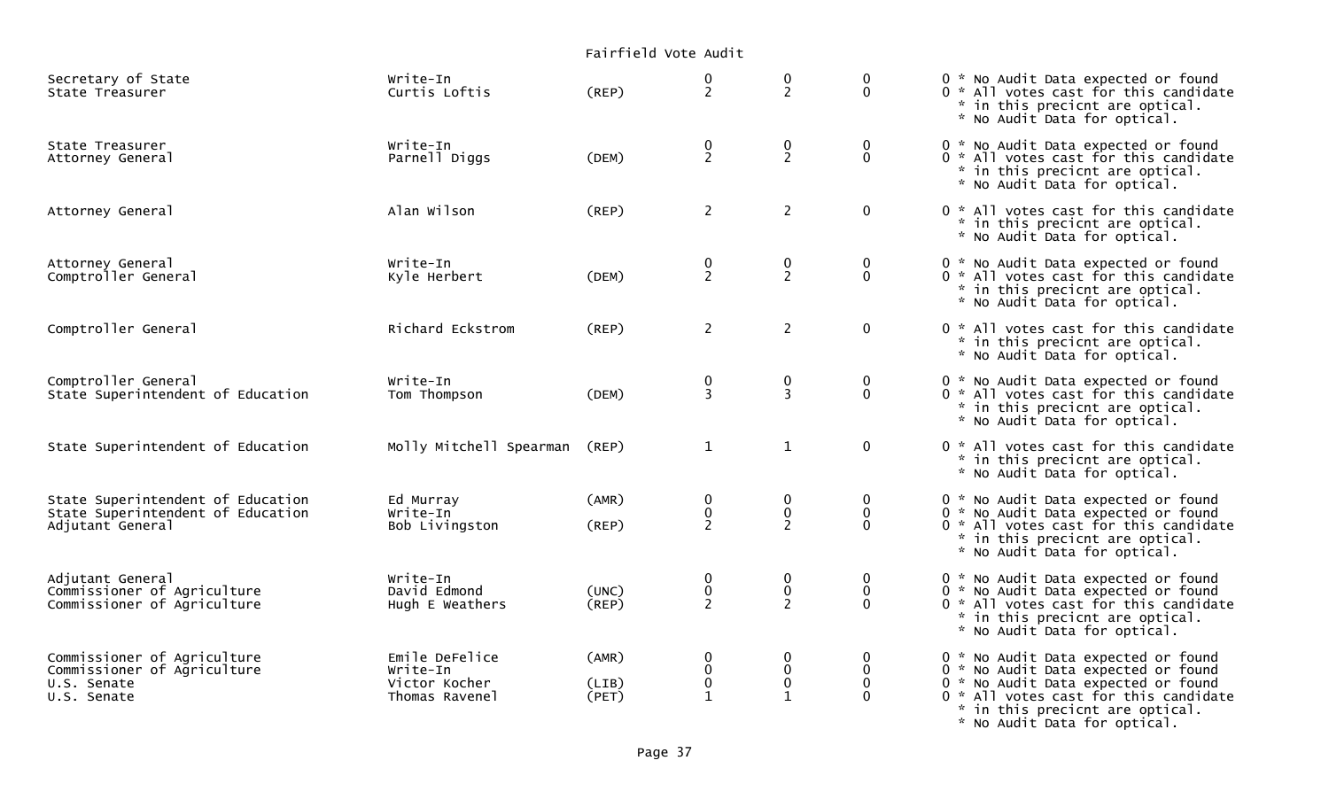## Fairfield Vote AuditSecretary of State Write-In 0 0 0 0 \* No Audit Data expected or found  $0 * All$  votes cast for this candidate \* in this precicnt are optical. \* No Audit Data for optical. State Treasurer Write-In 0 0 0 0 \* No Audit Data expected or found Attorney General 2 2 0 2 0 \* All votes cast for this candidate \* in this precicnt are optical. \* No Audit Data for optical. Attorney General 2 2 alan Wilson (REP) 2 2 0 0 \* All votes cast for this candidate \* in this precicnt are optical. \* No Audit Data for optical. Attorney General Write-In 0 0 0 0 \* No Audit Data expected or found  $0 *$  All votes cast for this candidate \* in this precicnt are optical. \* No Audit Data for optical. Comptroller General 2 2 0 0 \* All votes cast for this candidate \* in this precicnt are optical. \* No Audit Data for optical. Comptroller General Write-In 0 0 0 0 \* No Audit Data expected or found  $0 * All votes cast for this candidate$  \* in this precicnt are optical. \* No Audit Data for optical. State Superintendent of Education and Molly Mitchell Spearman (REP)  $1$  1 0 0 \* All votes cast for this candidate \* in this precicnt are optical. \* No Audit Data for optical. State Superintendent of Education Ed Murray (AMR) 0 0 0 0 \* No Audit Data expected or found State Superintendent of Education Write-In 0 0 0 0 \* No Audit Data expected or found Adjutant General 2 2 Deb Livingston (REP) 2 2 0 0  $\ast$  All votes cast for this candidate \* in this precicnt are optical. \* No Audit Data for optical. Adjutant General Write-In 0 0 0 0 \* No Audit Data expected or found Commissioner of Agriculture David Edmond (UNC) 0 0 0 0 \* No Audit Data expected or found  $0 * All$  votes cast for this candidate \* in this precicnt are optical. \* No Audit Data for optical. Commissioner of Agriculture Emile DeFelice (AMR) 0 0 0 0 \* No Audit Data expected or found Commissioner of Agriculture Write-In 0 0 0 0 \* No Audit Data expected or found U.S. Senate Victor Kocher (LIB) 0 0 0 0 \* No Audit Data expected or found  $0$  \* All votes cast for this candidate \* in this precicnt are optical.

\* No Audit Data for optical.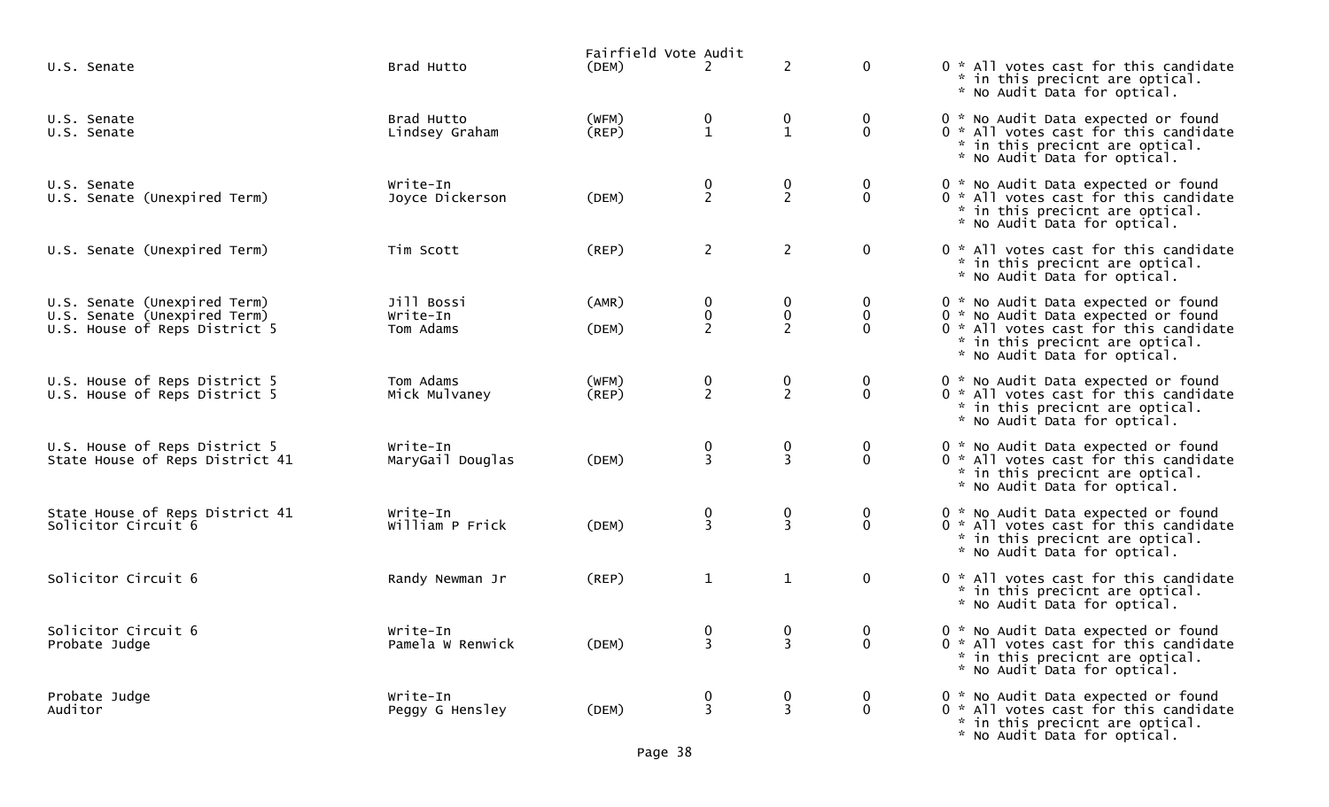|                                                                                               |                                     | Fairfield Vote Audit |                                               |                                    |                                 |                                                                                                                                                                                        |
|-----------------------------------------------------------------------------------------------|-------------------------------------|----------------------|-----------------------------------------------|------------------------------------|---------------------------------|----------------------------------------------------------------------------------------------------------------------------------------------------------------------------------------|
| U.S. Senate                                                                                   | Brad Hutto                          | (DEM)                | 2                                             | $\overline{2}$                     | $\mathbf 0$                     | 0 * All votes cast for this candidate<br>* in this precicnt are optical.<br>* No Audit Data for optical.                                                                               |
| U.S. Senate<br>U.S. Senate                                                                    | Brad Hutto<br>Lindsey Graham        | (WFM)<br>(REP)       | $\begin{smallmatrix} 0 \ 1 \end{smallmatrix}$ | $\mathbf 0$<br>$\mathbf{1}$        | $\overline{0}$<br>$\mathbf 0$   | 0 * No Audit Data expected or found<br>0 * All votes cast for this candidate<br>* in this precicnt are optical.<br>* No Audit Data for optical.                                        |
| U.S. Senate<br>U.S. Senate (Unexpired Term)                                                   | Write-In<br>Joyce Dickerson         | (DEM)                | $\frac{0}{2}$                                 | 0<br>$\overline{2}$                | 0<br>$\overline{0}$             | 0 * No Audit Data expected or found<br>0 * All votes cast for this candidate<br>* in this precicnt are optical.<br>* No Audit Data for optical.                                        |
| U.S. Senate (Unexpired Term)                                                                  | Tim Scott                           | (REP)                | $\overline{2}$                                | $\overline{2}$                     | $\mathbf 0$                     | 0 * All votes cast for this candidate<br>* in this precicnt are optical.<br>* No Audit Data for optical.                                                                               |
| U.S. Senate (Unexpired Term)<br>U.S. Senate (Unexpired Term)<br>U.S. House of Reps District 5 | Jill Bossi<br>Write-In<br>Tom Adams | (AMR)<br>(DEM)       | 0<br>$\pmb{0}$<br>$\overline{2}$              | 0<br>$\mathbf 0$<br>$\overline{2}$ | 0<br>$\mathbf 0$<br>0           | 0 * No Audit Data expected or found<br>0 * No Audit Data expected or found<br>0 * All votes cast for this candidate<br>* in this precicnt are optical.<br>* No Audit Data for optical. |
| U.S. House of Reps District 5<br>U.S. House of Reps District 5                                | Tom Adams<br>Mick Mulvaney          | (WFM)<br>(REP)       | $\frac{0}{2}$                                 | $\boldsymbol{0}$<br>$\overline{2}$ | $\boldsymbol{0}$<br>$\mathbf 0$ | 0 * No Audit Data expected or found<br>0 * All votes cast for this candidate<br>* in this precicnt are optical.<br>* No Audit Data for optical.                                        |
| U.S. House of Reps District 5<br>State House of Reps District 41                              | Write-In<br>MaryGail Douglas        | (DEM)                | 0<br>$\overline{3}$                           | 0<br>$\overline{3}$                | 0<br>$\mathbf 0$                | 0 * No Audit Data expected or found<br>0 * All votes cast for this candidate<br>* in this precicnt are optical.<br>* No Audit Data for optical.                                        |
| State House of Reps District 41<br>Solicitor Circuit 6                                        | Write-In<br>William P Frick         | (DEM)                | $\frac{0}{3}$                                 | $\boldsymbol{0}$<br>$\overline{3}$ | $\mathbf 0$<br>$\mathbf 0$      | 0 * No Audit Data expected or found<br>0 * All votes cast for this candidate<br>* in this precicnt are optical.<br>* No Audit Data for optical.                                        |
| Solicitor Circuit 6                                                                           | Randy Newman Jr                     | (REP)                | $\mathbf{1}$                                  | $\mathbf{1}$                       | $\overline{0}$                  | 0 * All votes cast for this candidate<br>* in this precicnt are optical.<br>* No Audit Data for optical.                                                                               |
| Solicitor Circuit 6<br>Probate Judge                                                          | Write-In<br>Pamela W Renwick        | (DEM)                | $\mathbf 0$<br>3                              | $\mathbf 0$<br>3                   | $\overline{0}$<br>$\mathbf 0$   | 0 * No Audit Data expected or found<br>0 * All votes cast for this candidate<br>* in this precicnt are optical.<br>* No Audit Data for optical.                                        |
| Probate Judge<br>Auditor                                                                      | Write-In<br>Peggy G Hensley         | (DEM)                | 0<br>$\overline{3}$                           | 0<br>3                             | $\boldsymbol{0}$<br>$\mathbf 0$ | 0 * No Audit Data expected or found<br>0 * All votes cast for this candidate<br>* in this precicnt are optical.<br>* No Audit Data for optical.                                        |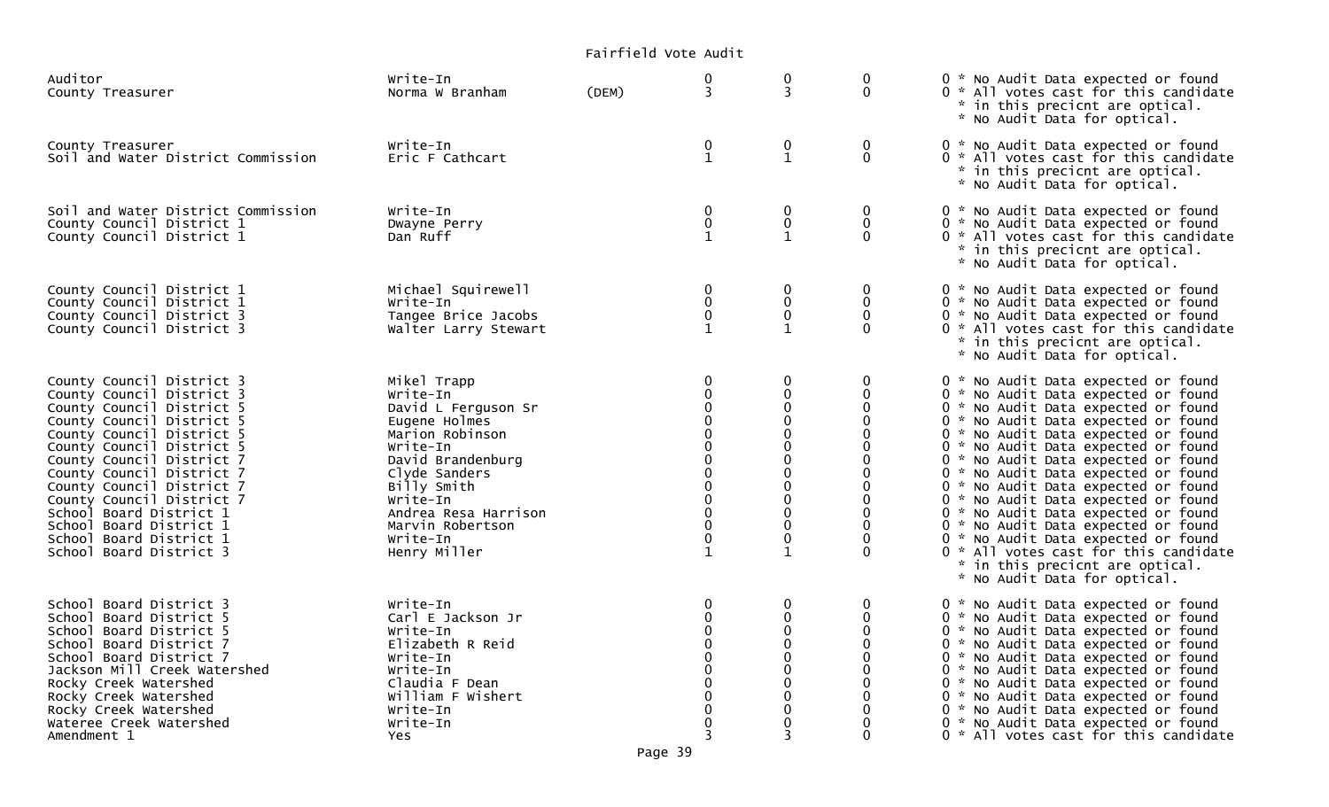|                                                                                                                                                                                                                                                                                                                                                                                                            |                                                                                                                                                                                                                                         | Fairfield Vote Audit |                                                                |                                                                               |                   |                                                                                                                                                                                                                                                                                                                                                                                                                                                                                                                                                                                                                                     |
|------------------------------------------------------------------------------------------------------------------------------------------------------------------------------------------------------------------------------------------------------------------------------------------------------------------------------------------------------------------------------------------------------------|-----------------------------------------------------------------------------------------------------------------------------------------------------------------------------------------------------------------------------------------|----------------------|----------------------------------------------------------------|-------------------------------------------------------------------------------|-------------------|-------------------------------------------------------------------------------------------------------------------------------------------------------------------------------------------------------------------------------------------------------------------------------------------------------------------------------------------------------------------------------------------------------------------------------------------------------------------------------------------------------------------------------------------------------------------------------------------------------------------------------------|
| Auditor<br>County Treasurer                                                                                                                                                                                                                                                                                                                                                                                | Write-In<br>Norma W Branham                                                                                                                                                                                                             | (DEM)                | 0<br>3                                                         | 0<br>3                                                                        | 0<br>$\Omega$     | 0 * No Audit Data expected or found<br>0 * All votes cast for this candidate<br>* in this precicnt are optical.<br>* No Audit Data for optical.                                                                                                                                                                                                                                                                                                                                                                                                                                                                                     |
| County Treasurer<br>Soil and Water District Commission                                                                                                                                                                                                                                                                                                                                                     | Write-In<br>Eric F Cathcart                                                                                                                                                                                                             |                      | 0<br>$\mathbf 1$                                               | 0<br>$\mathbf{1}$                                                             | 0<br>$\mathbf{0}$ | 0 * No Audit Data expected or found<br>0 * All votes cast for this candidate<br>* in this precicnt are optical.<br>* No Audit Data for optical.                                                                                                                                                                                                                                                                                                                                                                                                                                                                                     |
| Soil and Water District Commission<br>County Council District 1<br>County Council District 1                                                                                                                                                                                                                                                                                                               | Write-In<br>Dwayne Perry<br>Dan Ruff                                                                                                                                                                                                    |                      | 0<br>0<br>$\mathbf{1}$                                         | 0<br>$\mathbf 0$<br>$\mathbf{1}$                                              | 0<br>0            | 0 * No Audit Data expected or found<br>0 * No Audit Data expected or found<br>0 * All votes cast for this candidate<br>* in this precicnt are optical.<br>* No Audit Data for optical.                                                                                                                                                                                                                                                                                                                                                                                                                                              |
| County Council District 1<br>County Council District 1<br>County Council District 3<br>County Council District 3                                                                                                                                                                                                                                                                                           | Michael Squirewell<br>Write-In<br>Tangee Brice Jacobs<br>Walter Larry Stewart                                                                                                                                                           |                      | 0<br>0<br>0                                                    | 0<br>0<br>0<br>$\mathbf{1}$                                                   |                   | 0 * No Audit Data expected or found<br>0 * No Audit Data expected or found<br>0 * No Audit Data expected or found<br>0 * All votes cast for this candidate<br>* in this precicnt are optical.<br>* No Audit Data for optical.                                                                                                                                                                                                                                                                                                                                                                                                       |
| County Council District 3<br>County Council District 3<br>County Council District 5<br>County Council District 5<br>County Council District 5<br>County Council District 5<br>County Council District 7<br>County Council District 7<br>County Council District 7<br>County Council District 7<br>School Board District 1<br>School Board District 1<br>School Board District 1<br>School Board District 3 | Mikel Trapp<br>Write-In<br>David L Ferguson Sr<br>Eugene Holmes<br>Marion Robinson<br>Write-In<br>David Brandenburg<br>Clyde Sanders<br>Billy Smith<br>Write-In<br>Andrea Resa Harrison<br>Marvin Robertson<br>Write-In<br>Henry Miller |                      | 0<br>0<br>0<br>0<br>0<br>0<br>0<br>0<br>0<br>0<br>$\mathbf{1}$ | 0<br>0<br>$\mathbf 0$<br>0<br>0<br>0<br>0<br>0<br>0<br>0<br>0<br>$\mathbf{1}$ | 0                 | 0 * No Audit Data expected or found<br>0 * No Audit Data expected or found<br>0 * No Audit Data expected or found<br>0 * No Audit Data expected or found<br>0 * No Audit Data expected or found<br>0 * No Audit Data expected or found<br>0 * No Audit Data expected or found<br>0 * No Audit Data expected or found<br>0 * No Audit Data expected or found<br>0 * No Audit Data expected or found<br>0 * No Audit Data expected or found<br>0 * No Audit Data expected or found<br>0 * No Audit Data expected or found<br>0 * All votes cast for this candidate<br>* in this precicnt are optical.<br>* No Audit Data for optical. |
| School Board District 3<br>School Board District 5<br>School Board District 5<br>School Board District 7<br>School Board District 7<br>Jackson Mill Creek Watershed<br>Rocky Creek Watershed<br>Rocky Creek Watershed<br>Rocky Creek Watershed<br>Wateree Creek Watershed<br>Amendment 1                                                                                                                   | Write-In<br>Carl E Jackson Jr<br>Write-In<br>Elizabeth R Reid<br>Write-In<br>Write-In<br>Claudia F Dean<br>William F Wishert<br>Write-In<br>Write-In<br>Yes                                                                             |                      | 0<br>0<br>U<br>0                                               | 0<br>0<br>$\Omega$<br>0<br>0<br>0<br>0<br>0<br>0                              |                   | 0 * No Audit Data expected or found<br>0 * No Audit Data expected or found<br>0 * No Audit Data expected or found<br>0 * No Audit Data expected or found<br>0 * No Audit Data expected or found<br>0 * No Audit Data expected or found<br>0 * No Audit Data expected or found<br>0 * No Audit Data expected or found<br>0 * No Audit Data expected or found<br>0 * No Audit Data expected or found<br>0 * All votes cast for this candidate                                                                                                                                                                                         |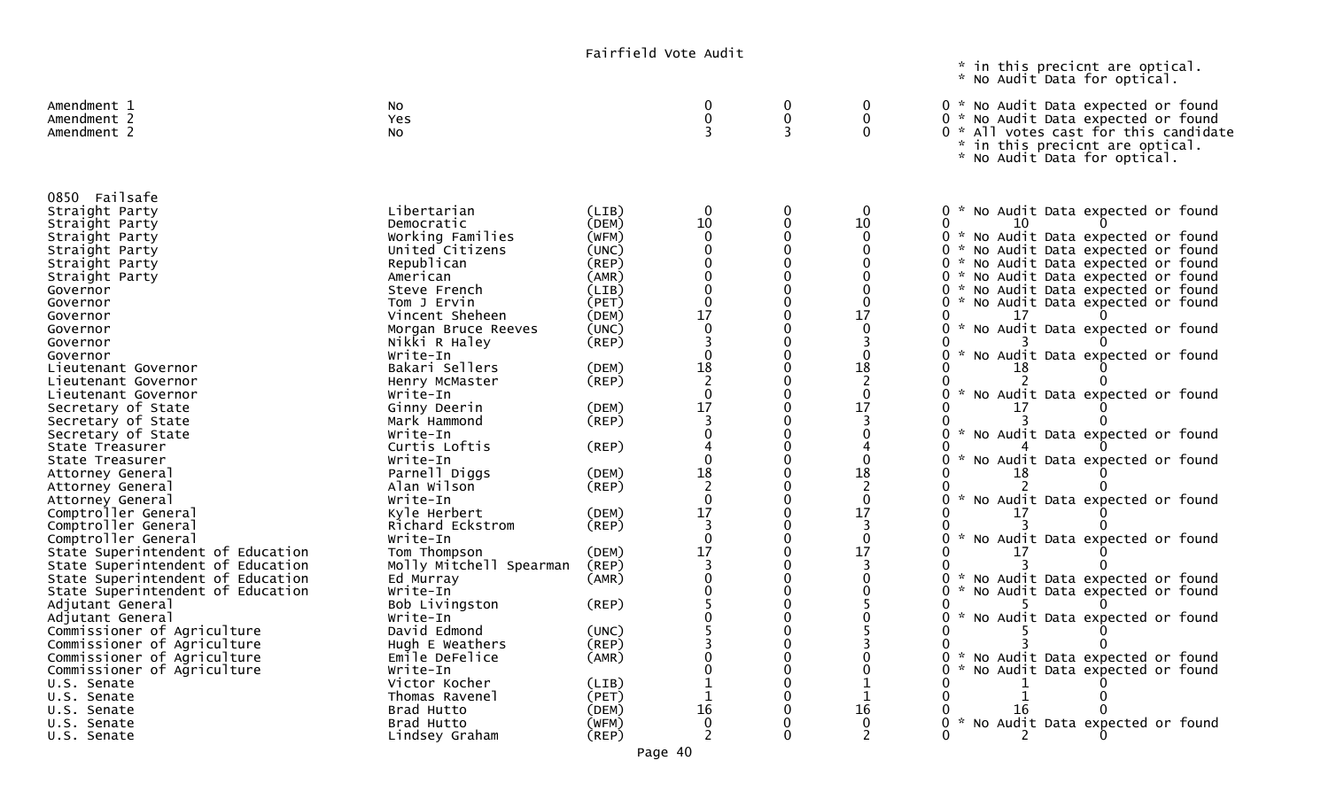\* in this precicnt are optical. \* No Audit Data for optical.

| Amendment 1<br>Amendment 2<br>Amendment 2 | No<br>Yes<br>NO.        |       | ∩<br>$\mathbf 0$                       | $\Omega$<br>0<br>3 | 0<br>$\mathbf{0}$<br>∩ | 0 * No Audit Data expected or found<br>0 * No Audit Data expected or found<br>0 * All votes cast for this candidate<br>in this precicnt are optical.<br>$\mathcal{H}$<br>* No Audit Data for optical. |
|-------------------------------------------|-------------------------|-------|----------------------------------------|--------------------|------------------------|-------------------------------------------------------------------------------------------------------------------------------------------------------------------------------------------------------|
| 0850 Failsafe                             |                         |       |                                        |                    |                        |                                                                                                                                                                                                       |
| Straight Party                            | Libertarian             | (LIB) | 0                                      | 0                  | $\Omega$               | 0 * No Audit Data expected or found                                                                                                                                                                   |
| Straight Party                            | Democratic              | (DEM) | 10                                     | 0                  | 10                     | O<br>10                                                                                                                                                                                               |
| Straight Party                            | Working Families        | (WFM) | $\mathbf{0}$                           | $\Omega$           | $\Omega$               | 0 * No Audit Data expected or found                                                                                                                                                                   |
| Straight Party                            | United Citizens         | (UNC) | $\mathbf 0$                            | $\Omega$           | $\mathbf 0$            | 0 * No Audit Data expected or found                                                                                                                                                                   |
| Straight Party                            | Republican              | (REP) | $\overline{0}$                         | $\Omega$           | $\Omega$               | 0 * No Audit Data expected or found                                                                                                                                                                   |
| Straight Party                            | American                | (AMR) | $\boldsymbol{0}$                       | $\Omega$           | 0                      | 0 * No Audit Data expected or found                                                                                                                                                                   |
| Governor                                  | Steve French            | (LIB) | $\mathbf 0$                            |                    | $\Omega$               | 0 * No Audit Data expected or found                                                                                                                                                                   |
| Governor                                  | Tom J Ervin             | (PET) | $\pmb{0}$                              |                    | $\Omega$               | 0 * No Audit Data expected or found                                                                                                                                                                   |
| Governor                                  | Vincent Sheheen         | (DEM) | 17                                     |                    | 17                     |                                                                                                                                                                                                       |
| Governor                                  | Morgan Bruce Reeves     | (UNC) | $\mathbf 0$                            |                    | $\Omega$               | * No Audit Data expected or found<br>0                                                                                                                                                                |
| Governor                                  | Nikki R Haley           | (REP) | 3                                      |                    |                        |                                                                                                                                                                                                       |
| Governor                                  | Write-In                |       | $\mathbf 0$                            |                    | $\mathbf{0}$           | * No Audit Data expected or found<br>0                                                                                                                                                                |
| Lieutenant Governor                       | Bakari Sellers          | (DEM) | 18                                     |                    | 18                     |                                                                                                                                                                                                       |
| Lieutenant Governor                       | Henry McMaster          | (REP) | $\overline{2}$                         |                    | $\overline{c}$         |                                                                                                                                                                                                       |
| Lieutenant Governor                       | Write-In                |       | $\boldsymbol{0}$                       |                    | $\mathbf{0}$           | * No Audit Data expected or found                                                                                                                                                                     |
| Secretary of State                        | Ginny Deerin            | (DEM) | 17                                     | 0                  | 17                     |                                                                                                                                                                                                       |
| Secretary of State                        | Mark Hammond            | (REP) |                                        |                    |                        |                                                                                                                                                                                                       |
| Secretary of State                        | Write-In                |       | $\Omega$                               |                    | 0                      | * No Audit Data expected or found<br>0                                                                                                                                                                |
| State Treasurer                           | Curtis Loftis           | (REP) |                                        | $\Omega$           |                        |                                                                                                                                                                                                       |
| State Treasurer                           | Write-In                |       | $\mathbf 0$                            | $\Omega$           | $\mathbf{0}$           | * No Audit Data expected or found<br>0                                                                                                                                                                |
| Attorney General                          | Parnell Diggs           | (DEM) | $\begin{array}{c} 18 \\ 2 \end{array}$ | $\Omega$           | 18                     | 18                                                                                                                                                                                                    |
| Attorney General                          | Alan Wilson             | (REP) |                                        | $\Omega$           | $\overline{c}$         |                                                                                                                                                                                                       |
| Attorney General                          | Write-In                |       | $\mathbf 0$                            | $\Omega$           | $\mathbf 0$            | * No Audit Data expected or found<br>0                                                                                                                                                                |
| Comptroller General                       | Kvle Herbert            | (DEM) | 17                                     | $\Omega$           | 17                     | 17                                                                                                                                                                                                    |
| Comptroller General                       | Richard Eckstrom        | (REP) | $\overline{3}$                         | $\Omega$           | 3                      | U                                                                                                                                                                                                     |
| Comptroller General                       | Write-In                |       | $\mathbf{0}$                           | $\Omega$           | $\mathbf 0$            | * No Audit Data expected or found<br>0                                                                                                                                                                |
| State Superintendent of Education         | Tom Thompson            | (DEM) | 17                                     | $\Omega$           | 17                     |                                                                                                                                                                                                       |
| State Superintendent of Education         | Molly Mitchell Spearman | (REP) | $\overline{3}$                         | $\Omega$           | 3                      |                                                                                                                                                                                                       |
| State Superintendent of Education         | Ed Murray               | (AMR) | $\overline{0}$                         | ∩                  | $\Omega$               | * No Audit Data expected or found<br>0.                                                                                                                                                               |
| State Superintendent of Education         | Write-In                |       | $\Omega$                               | ∩                  | $\Omega$               | 0<br>* No Audit Data expected or found                                                                                                                                                                |
| Adjutant General                          | Bob Livingston          | (REP) |                                        |                    |                        | U                                                                                                                                                                                                     |
| Adjutant General                          | Write-In                |       |                                        |                    |                        | * No Audit Data expected or found                                                                                                                                                                     |
| Commissioner of Agriculture               | David Edmond            | (UNC) |                                        |                    |                        |                                                                                                                                                                                                       |
| Commissioner of Agriculture               | Hugh E Weathers         | (REP) |                                        |                    |                        |                                                                                                                                                                                                       |
| Commissioner of Agriculture               | Emile DeFelice          | (AMR) |                                        |                    | 0                      | 0<br>* No Audit Data expected or found                                                                                                                                                                |
| Commissioner of Agriculture               | Write-In                |       |                                        |                    | $\Omega$               | 0<br>* No Audit Data expected or found                                                                                                                                                                |
| U.S. Senate                               | Victor Kocher           | (LIB) |                                        |                    |                        |                                                                                                                                                                                                       |
| U.S. Senate                               | Thomas Ravenel          | (PET) | 1                                      |                    |                        |                                                                                                                                                                                                       |
| U.S. Senate                               | Brad Hutto              | (DEM) | 16                                     |                    | 16                     | 16                                                                                                                                                                                                    |
| U.S. Senate                               | Brad Hutto              | (WFM) | $\mathbf 0$                            |                    | 0                      | No Audit Data expected or found<br>$\mathcal{L}$<br>O.                                                                                                                                                |
| U.S. Senate                               | Lindsey Graham          | (REP) | $\overline{\phantom{a}}$               | $\Omega$           |                        |                                                                                                                                                                                                       |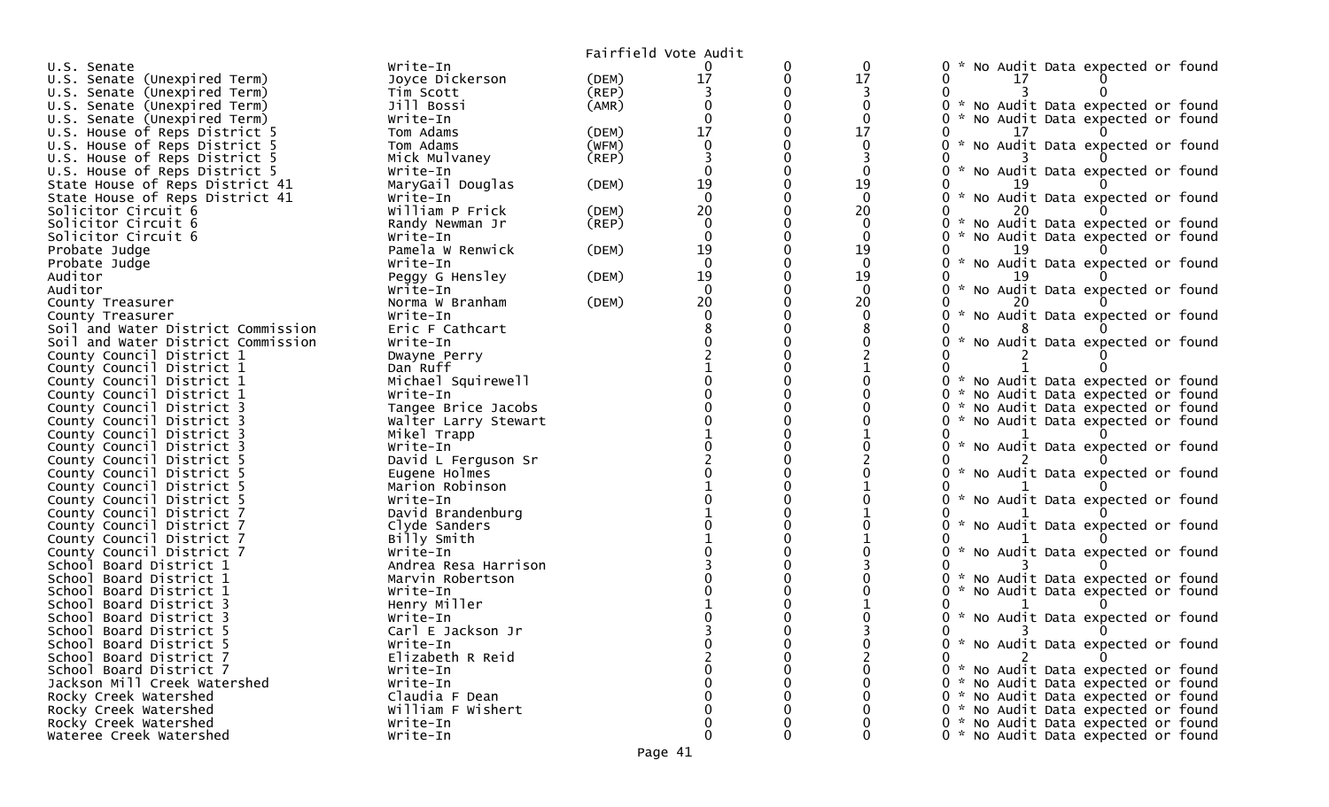|                                                        |                               |             | Fairfield Vote Audit |   |              |                                                             |
|--------------------------------------------------------|-------------------------------|-------------|----------------------|---|--------------|-------------------------------------------------------------|
| U.S. Senate                                            | Write-In                      |             |                      | 0 | 0            | No Audit Data expected or found<br>- 22                     |
| U.S. Senate (Unexpired Term)                           | Joyce Dickerson               | (DEM)       | 17                   |   | 17           |                                                             |
| U.S. Senate (Unexpired Term)                           | Tim Scott                     | $($ REP $)$ |                      |   |              |                                                             |
| U.S. Senate (Unexpired Term)                           | Jill Bossi                    | (AMR)       |                      |   | $\mathbf{0}$ | 0 * No Audit Data expected or found                         |
| U.S. Senate (Unexpired Term)                           | Write-In                      |             |                      |   |              | No Audit Data expected or found                             |
| U.S. House of Reps District 5                          | Tom Adams                     | (DEM)       | 17                   |   | 17           |                                                             |
| U.S. House of Reps District 5                          | Tom Adams                     | (WFM)       |                      |   | $\Omega$     | * No Audit Data expected or found                           |
| U.S. House of Reps District 5                          | Mick Mulvaney                 | $($ REP $)$ |                      |   |              |                                                             |
| U.S. House of Reps District 5                          | Write-In                      |             |                      |   | $\Omega$     | * No Audit Data expected or found                           |
| State House of Reps District 41                        | MaryGail Douglas              | (DEM)       | 19                   |   | 19           |                                                             |
| State House of Reps District 41                        | Write-In                      |             |                      |   | $\Omega$     | $\mathcal{H}$<br>No Audit Data expected or found            |
| Solicitor Circuit 6                                    | William P Frick               | (DEM)       | 20                   |   | 20           |                                                             |
| Solicitor Circuit 6                                    | Randy Newman Jr               | $($ REP $)$ | $\Omega$             |   | $\mathbf{0}$ | No Audit Data expected or found<br>- *                      |
| Solicitor Circuit 6                                    | Write-In                      |             |                      |   | $\Omega$     | No Audit Data expected or found                             |
| Probate Judge                                          | Pamela W Renwick              | (DEM)       | 19                   |   | 19           |                                                             |
| Probate Judge                                          | Write-In                      |             | $\Omega$             |   | $\Omega$     | $\sim$<br>No Audit Data expected or found                   |
| Auditor                                                | Peggy G Hensley               | (DEM)       | 19                   |   | 19           |                                                             |
| Auditor                                                | Write-In                      |             | $\Omega$             |   | $\Omega$     | * No Audit Data expected or found<br>0.                     |
| County Treasurer                                       | Norma W Branham               | (DEM)       | 20                   |   | 20           |                                                             |
| County Treasurer                                       | Write-In                      |             |                      |   | $\Omega$     | No Audit Data expected or found                             |
| Soil and Water District Commission                     | Eric F Cathcart               |             |                      |   |              |                                                             |
| Soil and Water District Commission                     | Write-In                      |             |                      |   |              | $\mathcal{H}$<br>No Audit Data expected or found            |
| County Council District 1                              | Dwayne Perry                  |             |                      |   |              |                                                             |
| County Council District 1                              | Dan Ruff                      |             |                      |   |              |                                                             |
| County Council District 1                              | Michael Squirewell            |             |                      |   |              | 0 * No Audit Data expected or found                         |
| County Council District 1                              | Write-In                      |             |                      |   |              | 0 * No Audit Data expected or found                         |
| County Council District 3                              | Tangee Brice Jacobs           |             |                      |   |              | 0 * No Audit Data expected or found                         |
| County Council District 3                              | Walter Larry Stewart          |             |                      |   |              | 0 * No Audit Data expected or found                         |
| County Council District 3                              | Mikel Trapp                   |             |                      |   |              |                                                             |
| County Council District 3                              | Write-In                      |             |                      |   |              | 0 * No Audit Data expected or found                         |
| County Council District 5                              | David L Ferguson Sr           |             |                      |   |              |                                                             |
| County Council District 5                              | Eugene Holmes                 |             |                      |   |              | No Audit Data expected or found                             |
| County Council District 5                              | Marion Robinson               |             |                      |   |              | $\sim$                                                      |
| County Council District 5<br>County Council District 7 | Write-In<br>David Brandenburg |             |                      |   |              | No Audit Data expected or found                             |
| County Council District 7                              | Clyde Sanders                 |             |                      |   |              | 0 * No Audit Data expected or found                         |
| County Council District 7                              | Billy Smith                   |             |                      |   |              |                                                             |
| County Council District 7                              | Write-In                      |             |                      |   |              | No Audit Data expected or found                             |
| School Board District 1                                | Andrea Resa Harrison          |             |                      |   |              |                                                             |
| School Board District 1                                | Marvin Robertson              |             |                      |   |              | No Audit Data expected or found<br>₩.                       |
| Board District 1<br>School                             | Write-In                      |             |                      |   |              | No Audit Data expected or found                             |
| School Board District 3                                | Henry Miller                  |             |                      |   |              |                                                             |
| School Board District 3                                | Write-In                      |             |                      |   |              | No Audit Data expected or found<br>$\mathcal{H}_\mathrm{c}$ |
| School Board District 5                                | Carl E Jackson Jr             |             |                      |   |              |                                                             |
| School Board District 5                                | Write-In                      |             |                      |   |              | 0 * No Audit Data expected or found                         |
| School Board District 7                                | Elizabeth R Reid              |             |                      |   |              | 0                                                           |
| School Board District 7                                | Write-In                      |             |                      |   |              | 0 * No Audit Data expected or found                         |
| Jackson Mill Creek Watershed                           | Write-In                      |             |                      |   |              | 0 * No Audit Data expected or found                         |
| Rocky Creek Watershed                                  | Claudia F Dean                |             |                      |   |              | 0 * No Audit Data expected or found                         |
| Rocky Creek Watershed                                  | William F Wishert             |             |                      |   |              | 0 * No Audit Data expected or found                         |
| Rocky Creek Watershed                                  | Write-In                      |             |                      |   | 0            | 0 * No Audit Data expected or found                         |
| Wateree Creek Watershed                                | Write-In                      |             | 0                    | 0 | 0            | 0 * No Audit Data expected or found                         |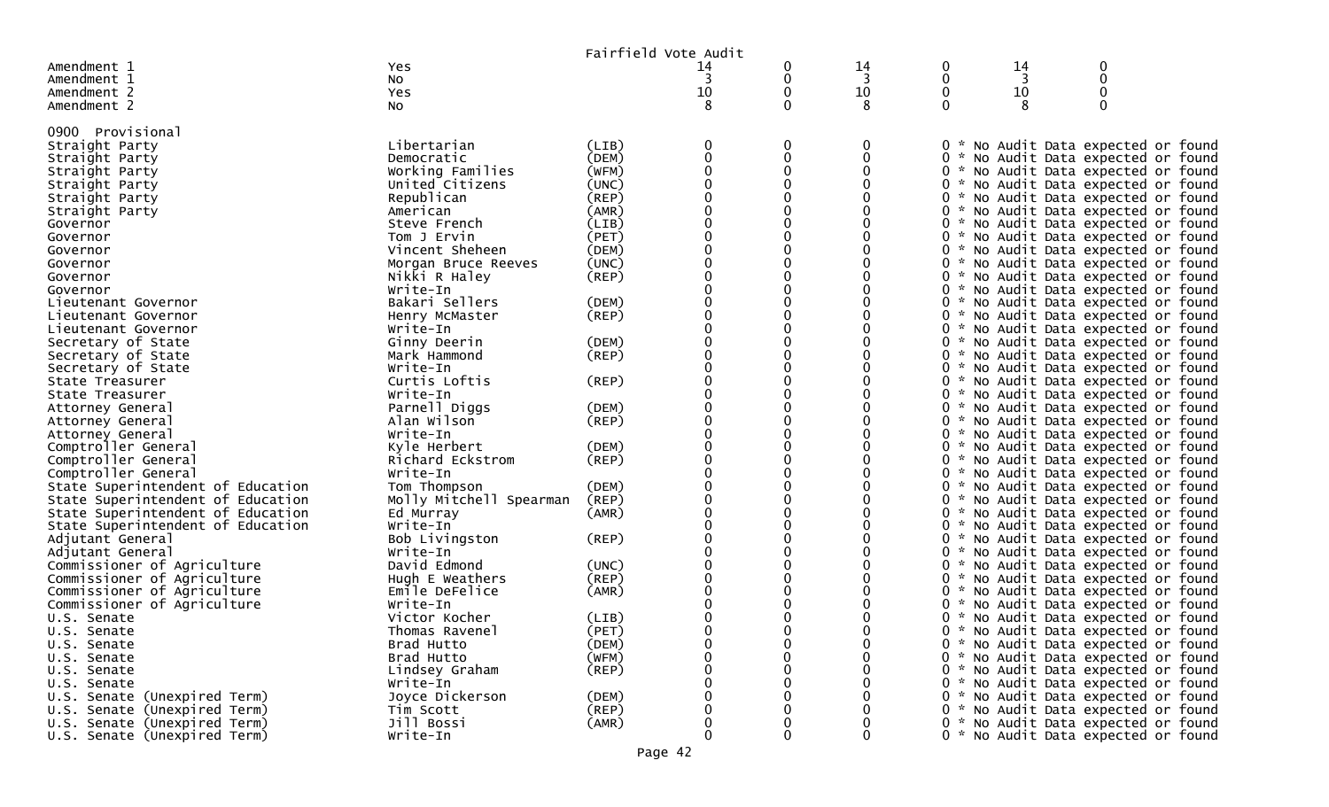|                                    |                         |             | Fairfield Vote Audit |   |    |   |    |                                     |  |
|------------------------------------|-------------------------|-------------|----------------------|---|----|---|----|-------------------------------------|--|
| Amendment 1                        | Yes                     |             | 14                   | 0 | 14 | 0 | 14 | 0                                   |  |
| Amendment 1                        | No                      |             | 3                    | 0 | 3  | 0 | 3  | 0                                   |  |
| Amendment 2                        | Yes                     |             | 10                   |   | 10 | 0 | 10 |                                     |  |
| Amendment 2                        | NO.                     |             | 8                    | 0 | 8  | 0 | 8  | $\Omega$                            |  |
|                                    |                         |             |                      |   |    |   |    |                                     |  |
| 0900 Provisional<br>Straight Party | Libertarian             | (LIB)       |                      | 0 | 0  |   |    | 0 * No Audit Data expected or found |  |
| Straight Party                     | Democratic              | (DEM)       |                      |   | 0  |   |    | 0 * No Audit Data expected or found |  |
| Straight Party                     | Working Families        | (WFM)       |                      |   | 0  |   |    | 0 * No Audit Data expected or found |  |
| Straight Party                     | United Citizens         | (UNC)       |                      |   | 0  |   |    | 0 * No Audit Data expected or found |  |
| Straight Party                     | Republican              | $($ REP $)$ |                      |   |    |   |    | 0 * No Audit Data expected or found |  |
| Straight Party                     | American                | (AMR)       |                      |   |    |   |    | 0 * No Audit Data expected or found |  |
| Governor                           | Steve French            | (LIB)       |                      |   |    |   |    | 0 * No Audit Data expected or found |  |
| Governor                           | Tom J Ervin             | (PET)       |                      |   |    |   |    | 0 * No Audit Data expected or found |  |
| Governor                           | Vincent Sheheen         | (DEM)       |                      | 0 | 0  |   |    | 0 * No Audit Data expected or found |  |
| Governor                           | Morgan Bruce Reeves     | (UNC)       |                      |   |    |   |    | 0 * No Audit Data expected or found |  |
| Governor                           | Nikki R Haley           | $($ REP $)$ |                      |   |    |   |    | 0 * No Audit Data expected or found |  |
| Governor                           | Write-In                |             |                      |   |    |   |    | 0 * No Audit Data expected or found |  |
| Lieutenant Governor                | Bakari Sellers          | (DEM)       |                      |   |    |   |    | 0 * No Audit Data expected or found |  |
| Lieutenant Governor                | Henry McMaster          | (REP)       |                      |   |    |   |    | 0 * No Audit Data expected or found |  |
| Lieutenant Governor                | Write-In                |             |                      |   |    |   |    | 0 * No Audit Data expected or found |  |
| Secretary of State                 | Ginny Deerin            | (DEM)       |                      |   |    |   |    | 0 * No Audit Data expected or found |  |
| Secretary of State                 | Mark Hammond            | (REP)       |                      |   |    |   |    | 0 * No Audit Data expected or found |  |
| Secretary of State                 | Write-In                |             |                      |   |    |   |    | 0 * No Audit Data expected or found |  |
| State Treasurer                    | Curtis Loftis           | (REP)       |                      |   |    |   |    | 0 * No Audit Data expected or found |  |
| State Treasurer                    | Write-In                |             |                      |   |    |   |    | 0 * No Audit Data expected or found |  |
| Attorney General                   | Parnell Diggs           | (DEM)       |                      |   |    |   |    | 0 * No Audit Data expected or found |  |
| Attorney General                   | Alan Wilson             | (REP)       |                      |   |    |   |    | 0 * No Audit Data expected or found |  |
| Attorney General                   | Write-In                |             |                      |   |    |   |    | 0 * No Audit Data expected or found |  |
| Comptroller General                | Kyle Herbert            | (DEM)       |                      |   |    |   |    | 0 * No Audit Data expected or found |  |
| Comptroller General                | Richard Eckstrom        | (REP)       |                      |   |    |   |    | 0 * No Audit Data expected or found |  |
| Comptroller General                | Write-In                |             |                      |   |    |   |    | 0 * No Audit Data expected or found |  |
| State Superintendent of Education  | Tom Thompson            | (DEM)       |                      |   |    |   |    | 0 * No Audit Data expected or found |  |
| State Superintendent of Education  | Molly Mitchell Spearman | (REP)       |                      |   |    |   |    | 0 * No Audit Data expected or found |  |
| State Superintendent of Education  | Ed Murray               | (AMR)       |                      |   |    |   |    | 0 * No Audit Data expected or found |  |
| State Superintendent of Education  | Write-In                |             |                      |   |    |   |    | 0 * No Audit Data expected or found |  |
| Adjutant General                   | Bob Livingston          | (REP)       |                      |   |    |   |    | 0 * No Audit Data expected or found |  |
| Adjutant General                   | Write-In                |             |                      |   |    |   |    | 0 * No Audit Data expected or found |  |
| Commissioner of Agriculture        | David Edmond            | (UNC)       |                      |   |    |   |    | 0 * No Audit Data expected or found |  |
| Commissioner of Agriculture        | Hugh E Weathers         | (REP)       |                      |   |    |   |    | 0 * No Audit Data expected or found |  |
| Commissioner of Agriculture        | Emile DeFelice          | (AMR)       |                      |   |    |   |    | 0 * No Audit Data expected or found |  |
| Commissioner of Agriculture        | Write-In                |             |                      |   |    |   |    | 0 * No Audit Data expected or found |  |
| U.S. Senate                        | Victor Kocher           | (LIB)       |                      |   |    |   |    | 0 * No Audit Data expected or found |  |
| U.S. Senate                        | Thomas Ravenel          | (PET)       |                      |   | U  |   |    | 0 * No Audit Data expected or found |  |
| U.S. Senate                        | Brad Hutto              | (DEM)       |                      |   | 0  |   |    | 0 * No Audit Data expected or found |  |
| U.S. Senate                        | Brad Hutto              | (WFM)       |                      |   | 0  |   |    | 0 * No Audit Data expected or found |  |
| U.S. Senate                        | Lindsey Graham          | (REP)       |                      |   | 0  |   |    | 0 * No Audit Data expected or found |  |
| U.S. Senate                        | Write-In                |             |                      |   | 0  |   |    | 0 * No Audit Data expected or found |  |
| U.S. Senate (Unexpired Term)       | Joyce Dickerson         | (DEM)       |                      |   |    |   |    | 0 * No Audit Data expected or found |  |
| U.S. Senate (Unexpired Term)       | Tim Scott               | (REP)       |                      |   |    |   |    | 0 * No Audit Data expected or found |  |
| U.S. Senate (Unexpired Term)       | Jill Bossi              | (AMR)       |                      |   | 0  |   |    | 0 * No Audit Data expected or found |  |
| U.S. Senate (Unexpired Term)       | Write-In                |             | $\Omega$             | 0 | 0  |   |    | 0 * No Audit Data expected or found |  |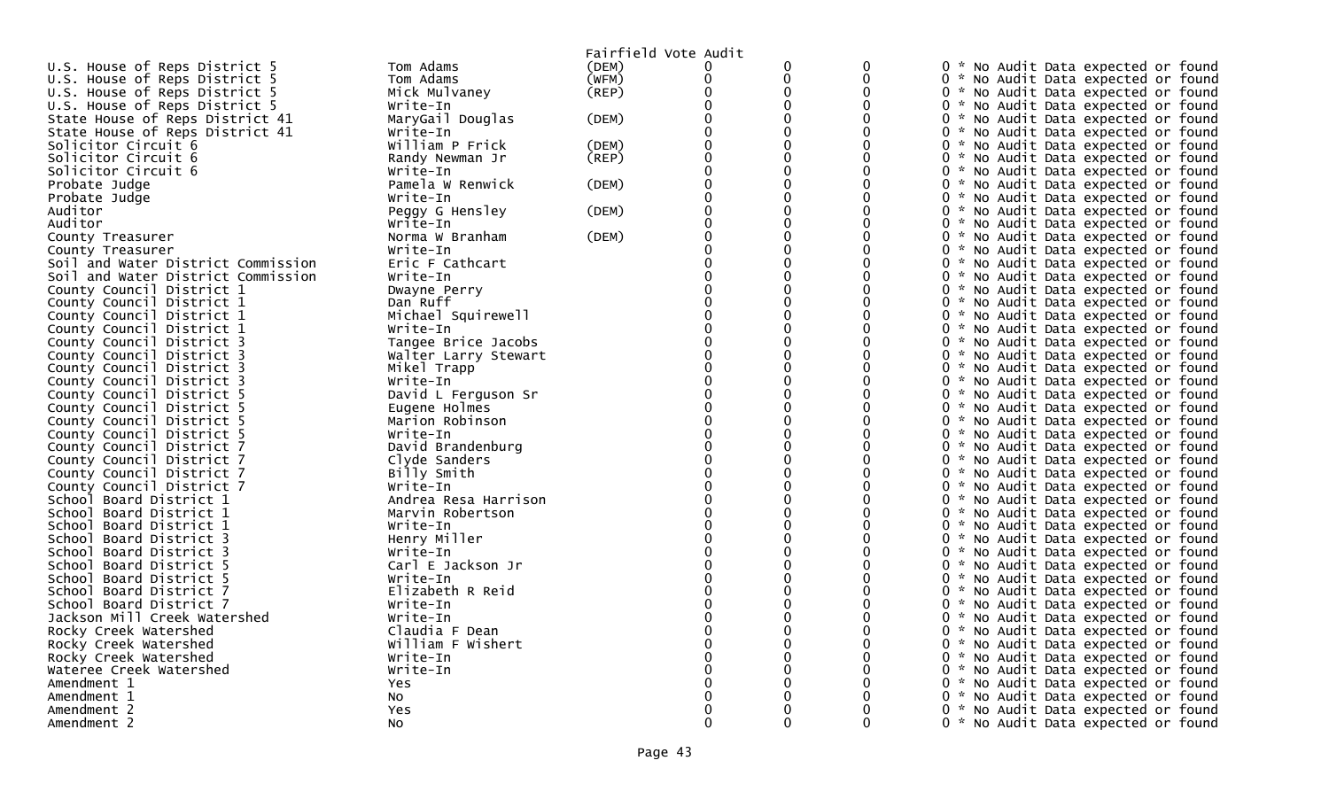|                                    |                      | Fairfield Vote Audit |          |   |   |                                     |
|------------------------------------|----------------------|----------------------|----------|---|---|-------------------------------------|
| U.S. House of Reps District 5      | Tom Adams            | (DEM)                | 0        | 0 | 0 | 0 * No Audit Data expected or found |
| U.S. House of Reps District 5      | Tom Adams            | (WFM)                | $\Omega$ | 0 | 0 | 0 * No Audit Data expected or found |
| U.S. House of Reps District 5      | Mick Mulvaney        | $($ REP $)$          | ∩        | 0 | 0 | 0 * No Audit Data expected or found |
| U.S. House of Reps District 5      | Write-In             |                      |          | 0 | 0 | 0 * No Audit Data expected or found |
| State House of Reps District 41    | MaryGail Douglas     | (DEM)                |          | 0 | 0 | 0 * No Audit Data expected or found |
| State House of Reps District 41    | Write-In             |                      |          |   |   | 0 * No Audit Data expected or found |
| Solicitor Circuit 6                | William P Frick      | (DEM)                |          | 0 | 0 | 0 * No Audit Data expected or found |
| Solicitor Circuit 6                | Randy Newman Jr      | (REP)                |          | 0 | 0 | 0 * No Audit Data expected or found |
| Solicitor Circuit 6                | Write-In             |                      |          | 0 | 0 | 0 * No Audit Data expected or found |
| Probate Judge                      | Pamela W Renwick     | (DEM)                |          |   | 0 | 0 * No Audit Data expected or found |
| Probate Judge                      | Write-In             |                      |          | 0 | O | 0 * No Audit Data expected or found |
| Auditor                            | Peggy G Hensley      | (DEM)                |          |   | 0 | 0 * No Audit Data expected or found |
| Auditor                            | Write-In             |                      |          |   |   | 0 * No Audit Data expected or found |
| County Treasurer                   | Norma W Branham      | (DEM)                |          |   | 0 | 0 * No Audit Data expected or found |
| County Treasurer                   | Write-In             |                      |          |   | 0 | 0 * No Audit Data expected or found |
| Soil and Water District Commission | Eric F Cathcart      |                      |          |   | 0 | 0 * No Audit Data expected or found |
| Soil and Water District Commission | Write-In             |                      |          |   | 0 | 0 * No Audit Data expected or found |
| County Council District 1          | Dwayne Perry         |                      |          |   | O | 0 * No Audit Data expected or found |
| County Council District 1          | Dan Ruff             |                      |          |   | O | 0 * No Audit Data expected or found |
| County Council District 1          | Michael Squirewell   |                      |          |   |   | 0 * No Audit Data expected or found |
| County Council District 1          | Write-In             |                      |          |   | 0 | 0 * No Audit Data expected or found |
| County Council District 3          | Tangee Brice Jacobs  |                      |          |   | 0 | 0 * No Audit Data expected or found |
| County Council District 3          | Walter Larry Stewart |                      |          |   | 0 | 0 * No Audit Data expected or found |
| County Council District 3          | Mikel Trapp          |                      |          |   | 0 | 0 * No Audit Data expected or found |
| County Council District 3          | Write-In             |                      |          |   | 0 | 0 * No Audit Data expected or found |
| County Council District 5          | David L Ferguson Sr  |                      | $\Omega$ |   | 0 | 0 * No Audit Data expected or found |
| County Council District 5          | Eugene Holmes        |                      |          |   | 0 | 0 * No Audit Data expected or found |
| County Council District 5          | Marion Robinson      |                      |          |   | 0 | 0 * No Audit Data expected or found |
| County Council District 5          | Write-In             |                      |          |   |   | 0 * No Audit Data expected or found |
| County Council District 7          | David Brandenburg    |                      | ∩        |   | 0 | 0 * No Audit Data expected or found |
| County Council District 7          | Clyde Sanders        |                      |          |   |   | 0 * No Audit Data expected or found |
| County Council District 7          | Billy Smith          |                      |          |   |   | 0 * No Audit Data expected or found |
| County Council District 7          | Write-In             |                      | $\Omega$ |   | ∩ | 0 * No Audit Data expected or found |
| School Board District 1            | Andrea Resa Harrison |                      |          |   | O | 0 * No Audit Data expected or found |
| School Board District 1            | Marvin Robertson     |                      |          |   | 0 | 0 * No Audit Data expected or found |
| School Board District 1            | Write-In             |                      |          |   |   | 0 * No Audit Data expected or found |
| School Board District 3            | Henry Miller         |                      |          |   | O | 0 * No Audit Data expected or found |
| School Board District 3            | Write-In             |                      |          |   |   | 0 * No Audit Data expected or found |
| School Board District 5            | Carl E Jackson Jr    |                      |          |   |   | 0 * No Audit Data expected or found |
| School Board District 5            | Write-In             |                      |          |   | 0 | 0 * No Audit Data expected or found |
| School Board District 7            | Elizabeth R Reid     |                      |          |   |   | 0 * No Audit Data expected or found |
| School Board District 7            | Write-In             |                      |          |   | 0 | 0 * No Audit Data expected or found |
| Jackson Mill Creek Watershed       | Write-In             |                      |          |   |   | 0 * No Audit Data expected or found |
| Rocky Creek Watershed              | Claudia F Dean       |                      |          |   |   | 0 * No Audit Data expected or found |
| Rocky Creek Watershed              | William F Wishert    |                      |          |   |   | 0 * No Audit Data expected or found |
| Rocky Creek Watershed              | Write-In             |                      |          |   | 0 | 0 * No Audit Data expected or found |
| Wateree Creek Watershed            | Write-In             |                      |          |   | 0 | 0 * No Audit Data expected or found |
| Amendment 1                        | Yes                  |                      |          |   |   | 0 * No Audit Data expected or found |
| Amendment 1                        | NO.                  |                      |          |   |   | 0 * No Audit Data expected or found |
| Amendment 2                        | Yes                  |                      |          |   |   | 0 * No Audit Data expected or found |
| Amendment 2                        | <b>NO</b>            |                      | ∩        | ∩ | 0 | 0 * No Audit Data expected or found |
|                                    |                      |                      |          |   |   |                                     |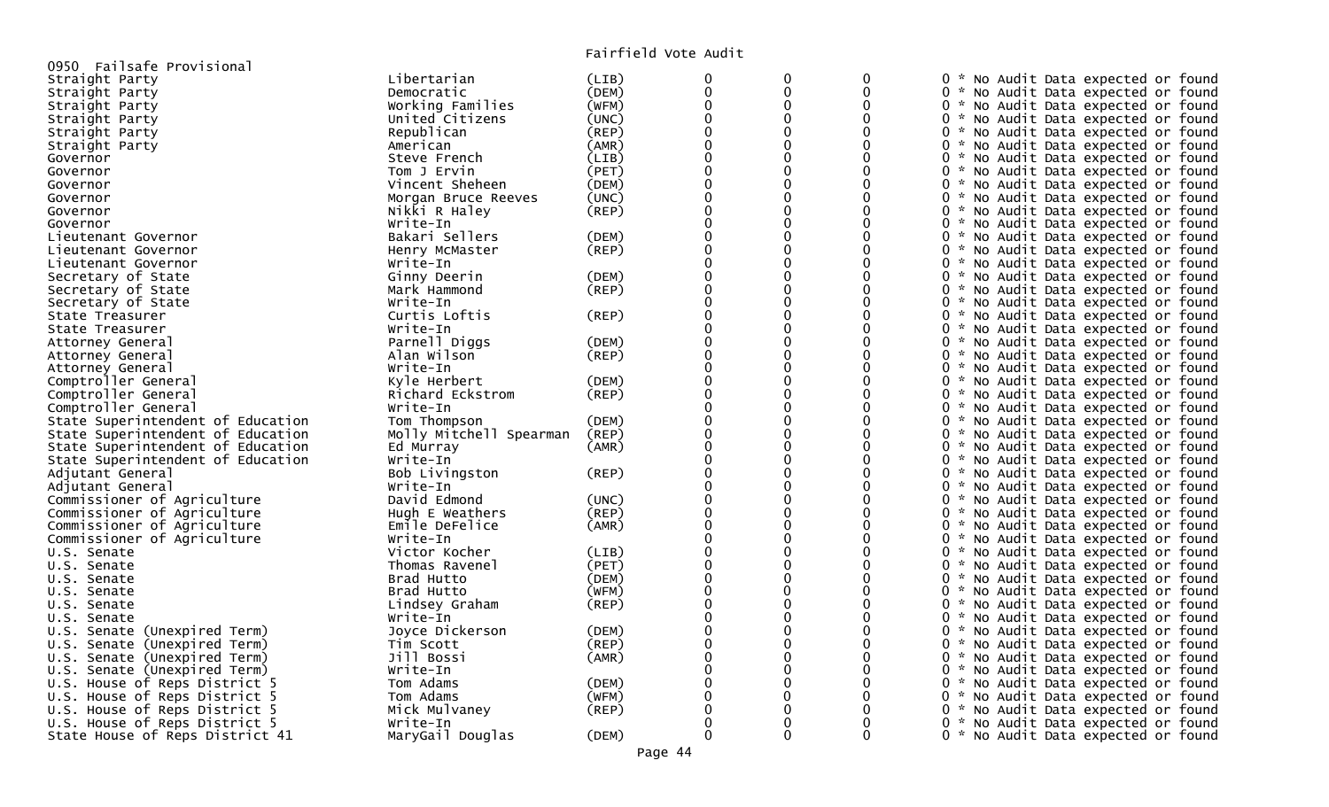| 0950 Failsafe Provisional         |                         |       |             |          |          |                                     |
|-----------------------------------|-------------------------|-------|-------------|----------|----------|-------------------------------------|
| Straight Party                    | Libertarian             | (LIB) | 0           | 0        | 0        | 0 * No Audit Data expected or found |
| Straight Party                    | Democratic              | (DEM) | $\Omega$    | 0        | $\Omega$ | 0 * No Audit Data expected or found |
| Straight Party                    | Working Families        | (WFM) | $\mathbf 0$ | 0        | 0        | 0 * No Audit Data expected or found |
| Straight Party                    | United Citizens         | (UNC) |             |          |          | 0 * No Audit Data expected or found |
| Straight Party                    | Republican              | (REP) |             |          |          | 0 * No Audit Data expected or found |
| Straight Party                    | American                | (AMR) |             |          |          | 0 * No Audit Data expected or found |
| Governor                          | Steve French            | (LIB) |             | 0        | 0        | 0 * No Audit Data expected or found |
| Governor                          | Tom J Ervin             | (PET) |             |          | 0        | 0 * No Audit Data expected or found |
| Governor                          | Vincent Sheheen         | (DEM) |             |          | 0        | 0 * No Audit Data expected or found |
|                                   | Morgan Bruce Reeves     | (UNC) | $\Omega$    | $\Omega$ | 0        |                                     |
| Governor                          |                         |       |             |          |          | 0 * No Audit Data expected or found |
| Governor                          | Nikki R Haley           | (REP) |             |          | U        | 0 * No Audit Data expected or found |
| Governor                          | Write-In                |       |             |          |          | 0 * No Audit Data expected or found |
| Lieutenant Governor               | Bakari Sellers          | (DEM) |             |          | 0        | 0 * No Audit Data expected or found |
| Lieutenant Governor               | Henry McMaster          | (REP) |             | 0        | 0        | 0 * No Audit Data expected or found |
| Lieutenant Governor               | Write-In                |       |             |          |          | 0 * No Audit Data expected or found |
| Secretary of State                | Ginny Deerin            | (DEM) |             |          | 0        | 0 * No Audit Data expected or found |
| Secretary of State                | Mark Hammond            | (REP) |             | 0        | 0        | 0 * No Audit Data expected or found |
| Secretary of State                | Write-In                |       |             |          |          | 0 * No Audit Data expected or found |
| State Treasurer                   | Curtis Loftis           | (REP) |             |          | 0        | 0 * No Audit Data expected or found |
| State Treasurer                   | Write-In                |       |             |          |          | 0 * No Audit Data expected or found |
| Attorney General                  | Parnell Diggs           | (DEM) |             | 0        | 0        | 0 * No Audit Data expected or found |
| Attorney General                  | Alan Wilson             | (REP) |             |          | ∩        | 0 * No Audit Data expected or found |
| Attorney General                  | Write-In                |       |             |          | 0        | 0 * No Audit Data expected or found |
| Comptroller General               | Kyle Herbert            | (DEM) |             | $\Omega$ | 0        | 0 * No Audit Data expected or found |
| Comptroller General               | Richard Eckstrom        | (REP) |             |          |          | 0 * No Audit Data expected or found |
| Comptroller General               | Write-In                |       |             |          | 0        | 0 * No Audit Data expected or found |
| State Superintendent of Education | Tom Thompson            | (DEM) |             |          |          | 0 * No Audit Data expected or found |
| State Superintendent of Education | Molly Mitchell Spearman | (REP) |             | 0        | 0        | 0 * No Audit Data expected or found |
| State Superintendent of Education | Ed Murray               | (AMR) |             |          | ∩        | 0 * No Audit Data expected or found |
| State Superintendent of Education | Write-In                |       |             |          | 0        | 0 * No Audit Data expected or found |
| Adjutant General                  | Bob Livingston          | (REP) |             | $\Omega$ | 0        | 0 * No Audit Data expected or found |
| Adjutant General                  | Write-In                |       |             |          |          | 0 * No Audit Data expected or found |
| Commissioner of Agriculture       | David Edmond            | (UNC) |             |          | 0        | 0 * No Audit Data expected or found |
| Commissioner of Agriculture       | Hugh E Weathers         | (REP) |             |          |          | 0 * No Audit Data expected or found |
| Commissioner of Agriculture       | Emile DeFelice          | (AMR) |             | 0        | 0        | 0 * No Audit Data expected or found |
| Commissioner of Agriculture       | Write-In                |       |             |          | ∩        | 0 * No Audit Data expected or found |
| U.S. Senate                       | Victor Kocher           | (LIB) |             |          | 0        | 0 * No Audit Data expected or found |
| U.S. Senate                       | Thomas Ravenel          | (PET) |             | $\Omega$ | 0        | 0 * No Audit Data expected or found |
| U.S. Senate                       | Brad Hutto              | (DEM) |             |          |          | 0 * No Audit Data expected or found |
| U.S. Senate                       | Brad Hutto              | (WFM) | $\Omega$    | $\Omega$ | 0        | 0 * No Audit Data expected or found |
| U.S. Senate                       | Lindsey Graham          | (REP) |             |          |          | 0 * No Audit Data expected or found |
| U.S. Senate                       | Write-In                |       |             | 0        | 0        | 0 * No Audit Data expected or found |
| U.S. Senate (Unexpired Term)      | Joyce Dickerson         | (DEM) |             |          | ∩        | 0 * No Audit Data expected or found |
| U.S. Senate (Unexpired Term)      | Tim Scott               | (REF) |             |          | 0        | 0 * No Audit Data expected or found |
| U.S. Senate (Unexpired Term)      | Jill Bossi              | (AMR) |             |          | ∩        | 0 * No Audit Data expected or found |
| U.S. Senate (Unexpired Term)      | Write-In                |       |             |          |          | 0 * No Audit Data expected or found |
| U.S. House of Reps District 5     | Tom Adams               | (DEM) |             | 0        |          | 0 * No Audit Data expected or found |
| U.S. House of Reps District 5     | Tom Adams               | (WFM) |             |          |          | 0 * No Audit Data expected or found |
| U.S. House of Reps District 5     | Mick Mulvaney           | (REP) |             | 0        |          | 0 * No Audit Data expected or found |
| U.S. House of Reps District 5     | Write-In                |       |             |          |          | 0 * No Audit Data expected or found |
| State House of Reps District 41   | MaryGail Douglas        | (DEM) | $\Omega$    | $\Omega$ | $\Omega$ | 0 * No Audit Data expected or found |
|                                   |                         |       |             |          |          |                                     |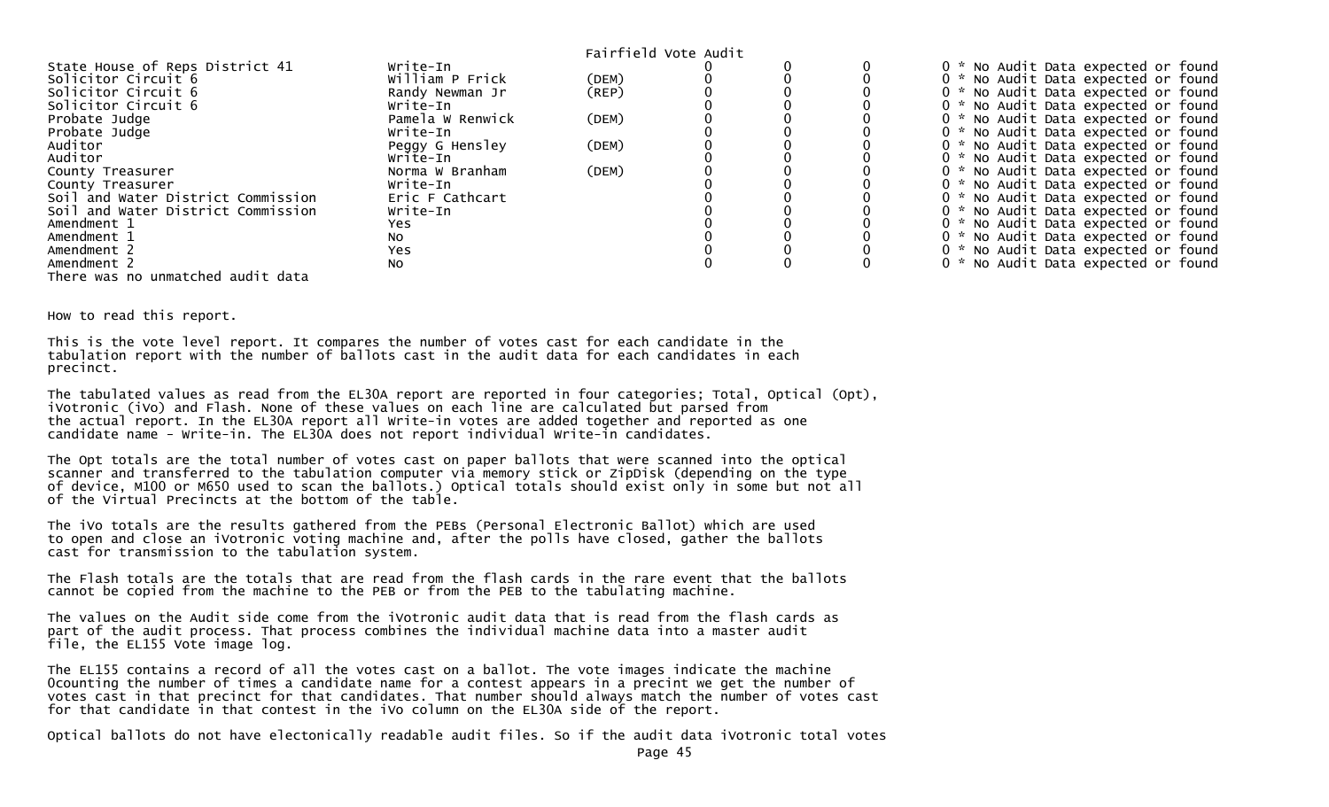|                                    |                  |       | Fairfield Vote Audit |  |                                     |
|------------------------------------|------------------|-------|----------------------|--|-------------------------------------|
| State House of Reps District 41    | Write-In         |       |                      |  | 0 * No Audit Data expected or found |
| Solicitor Circuit 6                | William P Frick  | (DEM) |                      |  | 0 * No Audit Data expected or found |
| Solicitor Circuit 6                | Randy Newman Jr  | (REP) |                      |  | 0 * No Audit Data expected or found |
| Solicitor Circuit 6                | Write-In         |       |                      |  | 0 * No Audit Data expected or found |
| Probate Judge                      | Pamela W Renwick | (DEM) |                      |  | 0 * No Audit Data expected or found |
| Probate Judge                      | Write-In         |       |                      |  | 0 * No Audit Data expected or found |
| Auditor                            | Peggy G Hensley  | (DEM) |                      |  | 0 * No Audit Data expected or found |
| Auditor                            | Write-In         |       |                      |  | 0 * No Audit Data expected or found |
| County Treasurer                   | Norma W Branham  | (DEM) |                      |  | 0 * No Audit Data expected or found |
| County Treasurer                   | Write-In         |       |                      |  | 0 * No Audit Data expected or found |
| Soil and Water District Commission | Eric F Cathcart  |       |                      |  | 0 * No Audit Data expected or found |
| Soil and Water District Commission | Write-In         |       |                      |  | 0 * No Audit Data expected or found |
| Amendment 1                        | Yes              |       |                      |  | 0 * No Audit Data expected or found |
| Amendment 1                        | No.              |       |                      |  | 0 * No Audit Data expected or found |
| Amendment 2                        | Yes              |       |                      |  | 0 * No Audit Data expected or found |
| Amendment 2                        | NO.              |       |                      |  | 0 * No Audit Data expected or found |
| There was no unmatched audit data  |                  |       |                      |  |                                     |

How to read this report.

This is the vote level report. It compares the number of votes cast for each candidate in the tabulation report with the number of ballots cast in the audit data for each candidates in each precinct.

The tabulated values as read from the EL30A report are reported in four categories; Total, Optical (Opt), iVotronic (iVo) and Flash. None of these values on each line are calculated but parsed from the actual report. In the EL30A report all Write-in votes are added together and reported as one candidate name - Write-in. The EL30A does not report individual Write-in candidates.

The Opt totals are the total number of votes cast on paper ballots that were scanned into the optical scanner and transferred to the tabulation computer via memory stick or ZipDisk (depending on the type of device, M100 or M650 used to scan the ballots.) Optical totals should exist only in some but not all of the Virtual Precincts at the bottom of the table.

The iVo totals are the results gathered from the PEBs (Personal Electronic Ballot) which are used to open and close an iVotronic voting machine and, after the polls have closed, gather the ballots cast for transmission to the tabulation system.

The Flash totals are the totals that are read from the flash cards in the rare event that the ballots cannot be copied from the machine to the PEB or from the PEB to the tabulating machine.

The values on the Audit side come from the iVotronic audit data that is read from the flash cards as part of the audit process. That process combines the individual machine data into a master audit file, the EL155 Vote image log.

The EL155 contains a record of all the votes cast on a ballot. The vote images indicate the machine 0counting the number of times a candidate name for a contest appears in a precint we get the number of votes cast in that precinct for that candidates. That number should always match the number of votes cast for that candidate in that contest in the iVo column on the EL30A side of the report.

Optical ballots do not have electonically readable audit files. So if the audit data iVotronic total votes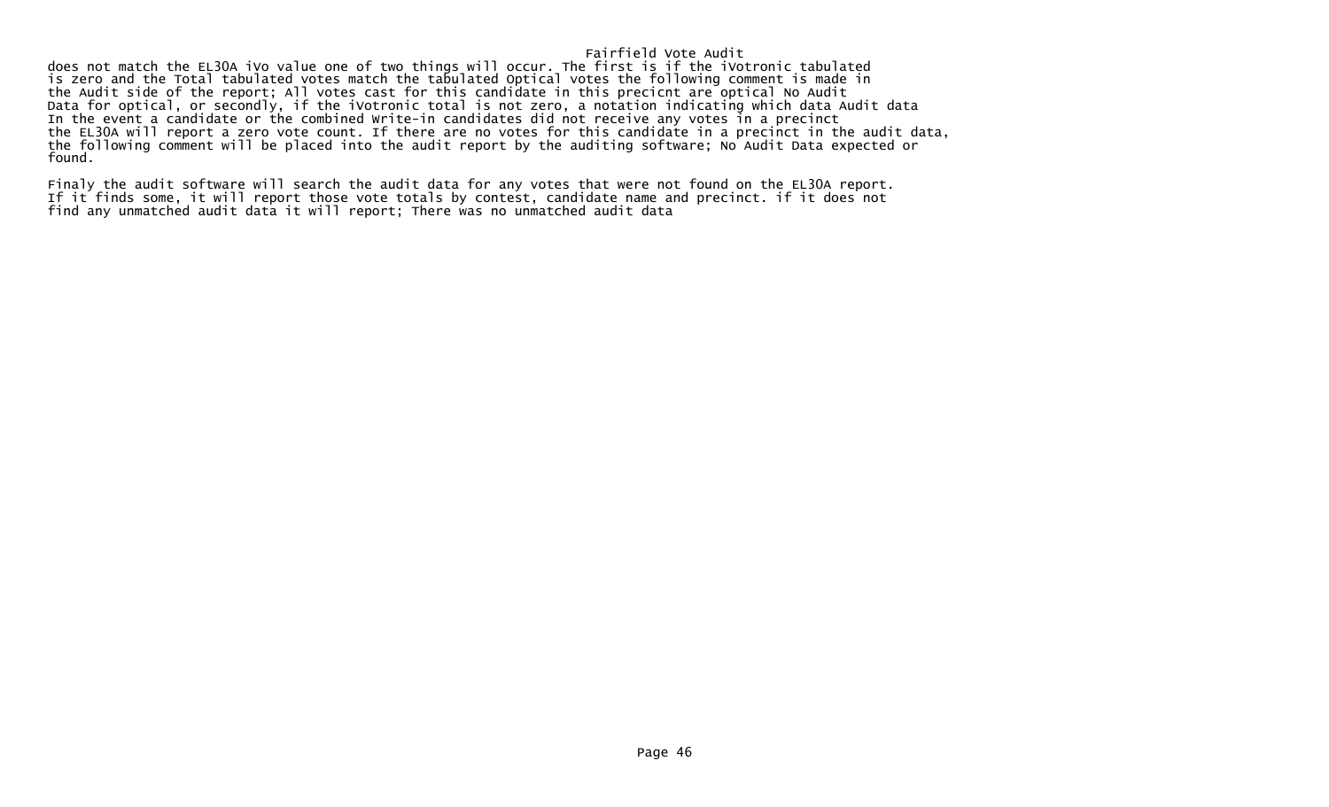does not match the EL30A iVo value one of two things will occur. The first is if the iVotronic tabulated is zero and the Total tabulated votes match the tabulated Optical votes the following comment is made in the Audit side of the report; All votes cast for this candidate in this precicnt are optical No Audit Data for optical, or secondly, if the iVotronic total is not zero, a notation indicating which data Audit data In the event a candidate or the combined Write-in candidates did not receive any votes in a precinct the EL30A will report a zero vote count. If there are no votes for this candidate in a precinct in the audit data, the following comment will be placed into the audit report by the auditing software; No Audit Data expected or found.

Finaly the audit software will search the audit data for any votes that were not found on the EL30A report. If it finds some, it will report those vote totals by contest, candidate name and precinct. if it does not find any unmatched audit data it will report; There was no unmatched audit data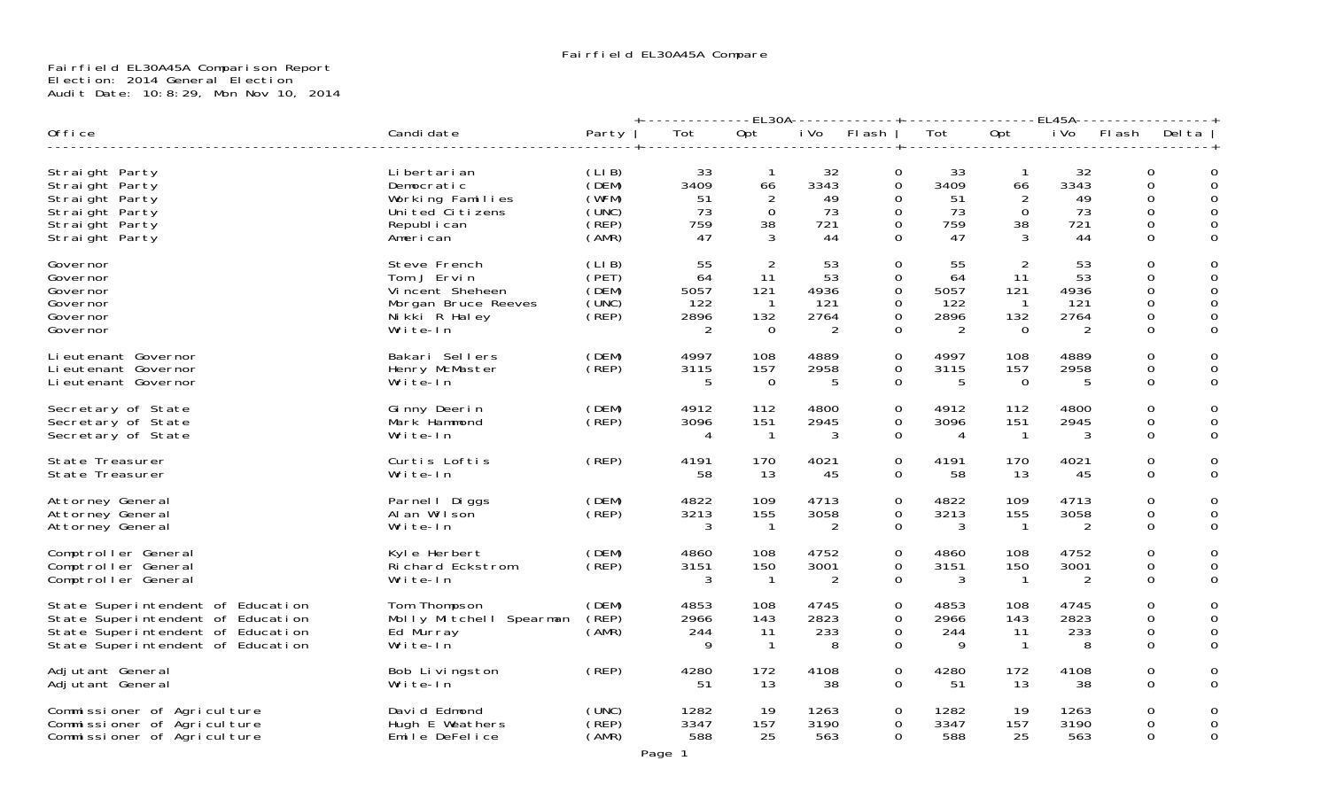# Fairfield EL30A45A Comparison Report Election: 2014 General Election Audit Date: 10:8:29, Mon Nov 10, 2014

|                                                                                                                                                  |                                                                                                    |                                                    |                                      | -EL30A--                                                       |                                      |                                                                           |                                       |                                          | EL45A                                 |          |                                                                                 |
|--------------------------------------------------------------------------------------------------------------------------------------------------|----------------------------------------------------------------------------------------------------|----------------------------------------------------|--------------------------------------|----------------------------------------------------------------|--------------------------------------|---------------------------------------------------------------------------|---------------------------------------|------------------------------------------|---------------------------------------|----------|---------------------------------------------------------------------------------|
| Office                                                                                                                                           | Candi date                                                                                         | Party                                              | Tot                                  | Opt                                                            | i Vo                                 | FI ash                                                                    | Tot                                   | Opt                                      | i Vo                                  | FI ash   | Del ta                                                                          |
| Straight Party<br>Straight Party<br>Straight Party<br>Straight Party<br>Straight Party<br>Straight Party                                         | Li bertari an<br>Democratic<br>Working Families<br>Uni ted Ci ti zens<br>Republ i can<br>American  | (LIB)<br>(DEM)<br>(WFM)<br>(UNC)<br>(REP)<br>(AMR) | -33<br>3409<br>51<br>73<br>759<br>47 | 66<br>$\Omega$<br>38                                           | 32<br>3343<br>49<br>73<br>721<br>44  | 0<br>$\Omega$<br>$\Omega$<br>$\Omega$<br>$\mathbf 0$<br>$\Omega$          | -33<br>3409<br>51<br>73<br>759<br>47  | -1<br>66<br>2<br>$\Omega$<br>38<br>3     | 32<br>3343<br>49<br>73<br>721<br>44   | $\Omega$ | $\Omega$<br>0<br>$\Omega$<br>0<br>0<br>$\Omega$<br>0<br>0<br>0<br>$\Omega$<br>0 |
| Governor<br>Governor<br>Governor<br>Governor<br>Governor<br>Governor                                                                             | Steve French<br>Tom J Ervin<br>Vincent Sheheen<br>Morgan Bruce Reeves<br>Nikki R Haley<br>Write-In | (LIB)<br>(PET)<br>(DEM)<br>(UNC)<br>(REP)          | 55<br>64<br>5057<br>122<br>2896<br>2 | -2<br>11<br>121<br>$\overline{\phantom{1}}$<br>132<br>$\Omega$ | 53<br>53<br>4936<br>121<br>2764<br>2 | $\mathbf 0$<br>$\mathbf 0$<br>$\overline{0}$<br>$\Omega$<br>0<br>$\Omega$ | 55<br>64<br>5057<br>-122<br>2896<br>2 | 2<br>11<br>121<br>- 1<br>132<br>$\Omega$ | 53<br>53<br>4936<br>-121<br>2764<br>2 | $\Omega$ | $\mathbf 0$<br>0<br>0<br>0<br>$\Omega$<br>$\Omega$<br>0<br>0<br>$\Omega$<br>0   |
| Li eutenant Governor<br>Li eutenant Governor<br>Li eutenant Governor                                                                             | Bakari Sellers<br>Henry McMaster<br>Write-In                                                       | (DEM)<br>(REP)                                     | 4997<br>3115<br>5                    | 108<br>157<br>$\Omega$                                         | 4889<br>2958<br>.5                   | 0<br>0<br>$\Omega$                                                        | 4997<br>3115<br>.5                    | 108<br>157<br>$\Omega$                   | 4889<br>2958<br>5                     |          | $\Omega$<br>0<br>0<br>$\Omega$<br>0                                             |
| Secretary of State<br>Secretary of State<br>Secretary of State                                                                                   | Ginny Deerin<br>Mark Hammond<br>Write-In                                                           | (DEM)<br>(REP)                                     | 4912<br>3096<br>4                    | 112<br>151<br>$\overline{1}$                                   | 4800<br>2945<br>3                    | $\mathbf 0$<br>$\mathbf 0$<br>$\Omega$                                    | 4912<br>3096<br>4                     | 112<br>151<br>-1                         | 4800<br>2945<br>3                     |          | $\Omega$<br>0<br>$\Omega$<br>0<br>0<br>$\Omega$                                 |
| State Treasurer<br>State Treasurer                                                                                                               | Curtis Loftis<br>Write-In                                                                          | (REP)                                              | 4191<br>58                           | 170<br>13                                                      | 4021<br>-45                          | $\mathbf 0$<br>$\mathbf 0$                                                | 4191<br>58                            | 170<br>13                                | 4021<br>45                            |          | 0<br>0<br>$\Omega$<br>0                                                         |
| Attorney General<br>Attorney General<br>Attorney General                                                                                         | Parnel   Diggs<br>Al an Wilson<br>Write-In                                                         | (DEM)<br>(REP)                                     | 4822<br>3213<br>3                    | 109<br>155<br>- 1                                              | 4713<br>3058<br>2                    | $\mathbf 0$<br>0<br>$\Omega$                                              | 4822<br>3213<br>3                     | 109<br>155<br>-1                         | 4713<br>3058<br>2                     |          | $\Omega$<br>0<br>0<br>0<br>0<br>$\Omega$                                        |
| Comptroller General<br>Comptroller General<br>Comptroller General                                                                                | Kyle Herbert<br>Richard Eckstrom<br>Write-In                                                       | (DEM)<br>(REP)                                     | 4860<br>3151<br>3                    | 108<br>150<br>$\overline{1}$                                   | 4752<br>3001<br>2                    | $\mathbf 0$<br>$\Omega$<br>$\mathbf 0$                                    | 4860<br>3151<br>3                     | 108<br>150<br>-1                         | 4752<br>3001<br>2                     |          | $\Omega$<br>0<br>0<br>$\Omega$<br>0<br>$\Omega$                                 |
| State Superintendent of Education<br>State Superintendent of Education<br>State Superintendent of Education<br>State Superintendent of Education | Tom Thompson<br>Molly Mitchell Spearman<br>Ed Murray<br>Write-In                                   | (DEM)<br>(REF)<br>(AMR)                            | 4853<br>2966<br>244<br>q             | 108<br>143<br>11<br>$\overline{1}$                             | 4745<br>2823<br>233<br>8             | $\mathbf 0$<br>$\mathbf 0$<br>0<br>$\Omega$                               | 4853<br>2966<br>244<br>9              | 108<br>143<br>11<br>-1                   | 4745<br>2823<br>233<br>8              |          | 0<br>0<br>$\Omega$<br>0<br>0<br>0<br>$\Omega$<br>$\Omega$                       |
| Adjutant General<br>Adjutant General                                                                                                             | Bob Livingston<br>Write-In                                                                         | (REP)                                              | 4280<br>51                           | 172<br>-13                                                     | 4108<br>38                           | $\mathbf 0$<br>$\Omega$                                                   | 4280<br>-51                           | 172<br>13                                | 4108<br>38                            |          | 0<br>0<br>0<br>$\Omega$                                                         |
| Commissioner of Agriculture<br>Commissioner of Agriculture<br>Commissioner of Agriculture                                                        | David Edmond<br>Hugh E Weathers<br>Emile DeFelice                                                  | (UNC)<br>(REP)<br>(AMR)                            | 1282<br>3347<br>588                  | -19<br>157<br>25                                               | 1263<br>3190<br>563                  | $\mathbf 0$<br>0<br>$\Omega$                                              | 1282<br>3347<br>588                   | 19<br>157<br>25                          | 1263<br>3190<br>563                   |          | $\Omega$<br>0<br>0<br>0<br>$\Omega$<br>0                                        |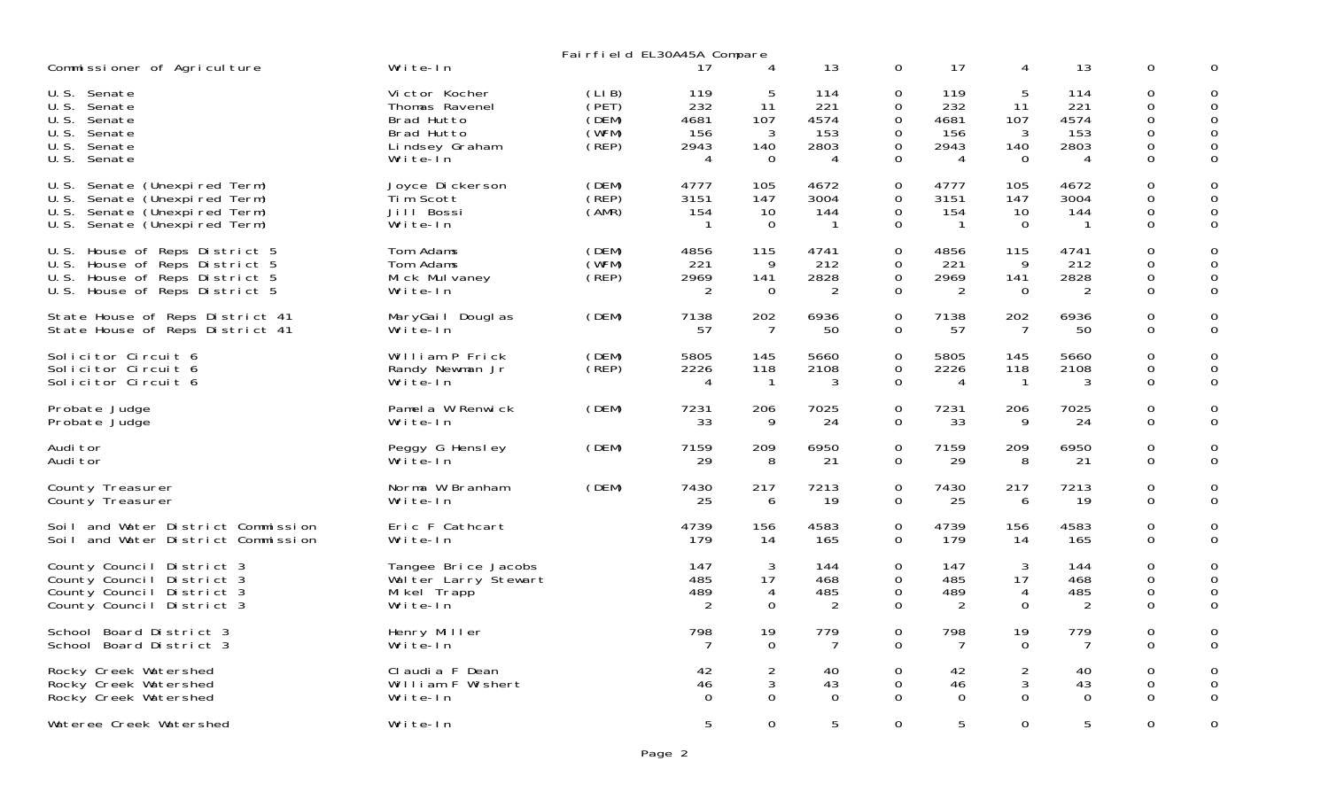| Fairfield EL30A45A Compare                                                                                                               |                                                                                           |                                           |                                        |                                               |                                        |                                                         |                                        |                                              |                                        |                                                                              |                                      |
|------------------------------------------------------------------------------------------------------------------------------------------|-------------------------------------------------------------------------------------------|-------------------------------------------|----------------------------------------|-----------------------------------------------|----------------------------------------|---------------------------------------------------------|----------------------------------------|----------------------------------------------|----------------------------------------|------------------------------------------------------------------------------|--------------------------------------|
| Commissioner of Agriculture                                                                                                              | Write-In                                                                                  |                                           | 17                                     | 4                                             | 13                                     | 0                                                       | 17                                     | 4                                            | 13                                     | 0                                                                            |                                      |
| U.S.<br>Senate<br>U.S.<br>Senate<br>U.S. Senate<br>U.S. Senate<br>U.S. Senate<br>U.S.<br>Senate                                          | Victor Kocher<br>Thomas Ravenel<br>Brad Hutto<br>Brad Hutto<br>Lindsey Graham<br>Write-In | (LIB)<br>(PET)<br>(DEM)<br>(WFM)<br>(REP) | 119<br>232<br>4681<br>156<br>2943<br>4 | 5<br>-11<br>107<br>3<br>140<br>$\overline{0}$ | 114<br>221<br>4574<br>153<br>2803<br>4 | 0<br>$\mathsf{O}$<br>$\mathsf{O}$<br>0<br>$\Omega$<br>0 | 119<br>232<br>4681<br>156<br>2943<br>4 | 5<br>11<br>107<br>3<br>140<br>$\overline{0}$ | 114<br>221<br>4574<br>153<br>2803<br>4 | $\Omega$<br>$\mathsf{O}$<br>$\mathbf 0$<br>0<br>$\mathsf{O}$<br>$\mathsf{O}$ | $\Omega$<br>0<br>0<br>0<br>0         |
| Senate (Unexpired Term)<br>U.S.<br>U.S.<br>Senate (Unexpired Term)<br>Senate (Unexpired Term)<br>U.S.<br>Senate (Unexpired Term)<br>U.S. | Joyce Dickerson<br>Tim Scott<br>Jill Bossi<br>Write-In                                    | (DEM)<br>(REP)<br>(AMR)                   | 4777<br>3151<br>154                    | 105<br>147<br>10<br>$\Omega$                  | 4672<br>3004<br>144<br>$\overline{1}$  | $\Omega$<br>0<br>0<br>$\mathbf 0$                       | 4777<br>3151<br>154<br>-1              | 105<br>147<br>10<br>$\Omega$                 | 4672<br>3004<br>144<br>$\mathbf{1}$    | $\Omega$<br>$\mathsf{O}$<br>0<br>$\Omega$                                    | $\Omega$<br>$\mathbf{O}$<br>0<br>0   |
| House of Reps District 5<br>U.S.<br>U.S. House of Reps District 5<br>U.S. House of Reps District 5<br>U.S. House of Reps District 5      | Tom Adams<br>Tom Adams<br>Mick Mulvaney<br>Write-In                                       | (DEM)<br>(WFM)<br>$($ REP $)$             | 4856<br>221<br>2969<br>2               | 115<br>9<br>141<br>$\overline{0}$             | 4741<br>212<br>2828<br>2               | $\mathbf 0$<br>0<br>$\Omega$<br>$\mathsf{O}$            | 4856<br>221<br>2969<br>2               | 115<br>9<br>141<br>$\mathbf{0}$              | 4741<br>212<br>2828<br>2               | $\mathbf 0$<br>0<br>0<br>$\mathsf{O}$                                        | 0<br>0<br>0<br>$\mathbf 0$           |
| State House of Reps District 41<br>State House of Reps District 41                                                                       | MaryGail Douglas<br>Write-In                                                              | (DEM)                                     | 7138<br>57                             | 202<br>$\overline{7}$                         | 6936<br>50                             | $\mathbf 0$<br>$\Omega$                                 | 7138<br>57                             | 202<br>$\overline{7}$                        | 6936<br>50                             | 0<br>0                                                                       | 0<br>$\mathbf 0$                     |
| Solicitor Circuit 6<br>Solicitor Circuit 6<br>Solicitor Circuit 6                                                                        | William P Frick<br>Randy Newman Jr<br>Write-In                                            | (DEM)<br>(REF)                            | 5805<br>2226<br>4                      | 145<br>118<br>$\overline{1}$                  | 5660<br>2108<br>3                      | $\Omega$<br>$\overline{0}$<br>$\overline{0}$            | 5805<br>2226<br>$\overline{4}$         | 145<br>118<br>$\mathbf{1}$                   | 5660<br>2108<br>3                      | $\Omega$<br>0<br>$\mathsf{O}$                                                | 0<br>0<br>$\mathbf 0$                |
| Probate Judge<br>Probate Judge                                                                                                           | Pamel a W Renwick<br>Write-In                                                             | (DEM)                                     | 7231<br>33                             | 206<br>9                                      | 7025<br>24                             | $\mathbf 0$<br>$\mathbf{0}$                             | 7231<br>33                             | 206<br>9                                     | 7025<br>24                             | $\mathsf{O}$<br>0                                                            | 0<br>$\mathbf 0$                     |
| Audi tor<br>Audi tor                                                                                                                     | Peggy G Hensley<br>Write-In                                                               | (DEM)                                     | 7159<br>29                             | 209<br>8                                      | 6950<br>21                             | 0<br>$\overline{0}$                                     | 7159<br>29                             | 209<br>8                                     | 6950<br>21                             | 0<br>0                                                                       | 0<br>$\mathbf 0$                     |
| County Treasurer<br>County Treasurer                                                                                                     | Norma W Branham<br>Write-In                                                               | (DEM)                                     | 7430<br>25                             | 217<br>6                                      | 7213<br>19                             | $\Omega$<br>$\mathbf 0$                                 | 7430<br>25                             | 217<br>6                                     | 7213<br>19                             | 0<br>0                                                                       | 0<br>$\Omega$                        |
| Soil and Water District Commission<br>Soil and Water District Commission                                                                 | Eric F Cathcart<br>Write-In                                                               |                                           | 4739<br>179                            | 156<br>14                                     | 4583<br>165                            | $\mathbf 0$<br>$\Omega$                                 | 4739<br>179                            | 156<br>14                                    | 4583<br>165                            | $\mathbf{O}$<br>$\mathsf{O}$                                                 | 0<br>0                               |
| County Council District 3<br>County Council District 3<br>County Council District 3<br>County Council District 3                         | Tangee Brice Jacobs<br>Walter Larry Stewart<br>Mikel Trapp<br>Write-In                    |                                           | 147<br>485<br>489<br>2                 | 3<br>17<br>4<br>$\Omega$                      | 144<br>468<br>485<br>2                 | 0<br>$\overline{0}$<br>0<br>0                           | 147<br>485<br>489<br>2                 | 3<br>17<br>4<br>$\Omega$                     | 144<br>468<br>485<br>2                 | 0<br>$\mathsf{O}$<br>0<br>0                                                  | 0<br>$\mathbf 0$<br>0<br>$\mathbf 0$ |
| School Board District 3<br>School Board District 3                                                                                       | Henry Miller<br>Write-In                                                                  |                                           | 798                                    | 19<br>$\Omega$                                | 779<br>7                               | $\mathbf 0$<br>$\overline{0}$                           | 798<br>7                               | 19<br>$\Omega$                               | 779<br>7                               | $\mathsf{O}$<br>$\Omega$                                                     | 0<br>0                               |
| Rocky Creek Watershed<br>Rocky Creek Watershed<br>Rocky Creek Watershed                                                                  | Claudia F Dean<br>William F Wishert<br>Write-In                                           |                                           | 42<br>46<br>$\Omega$                   | $\overline{2}$<br>3<br>$\Omega$               | 40<br>43<br>$\Omega$                   | $\mathbf 0$<br>0<br>$\Omega$                            | 42<br>46<br>$\Omega$                   | $\overline{2}$<br>3<br>$\Omega$              | 40<br>43<br>$\Omega$                   | $\Omega$<br>0<br>$\Omega$                                                    | $\mathbf 0$<br>0<br>0                |
| Wateree Creek Watershed                                                                                                                  | Write-In                                                                                  |                                           | 5                                      | $\mathbf 0$                                   | 5                                      | $\mathbf 0$                                             | 5                                      | $\mathbf 0$                                  | 5                                      | $\mathsf{O}$                                                                 | $\mathbf 0$                          |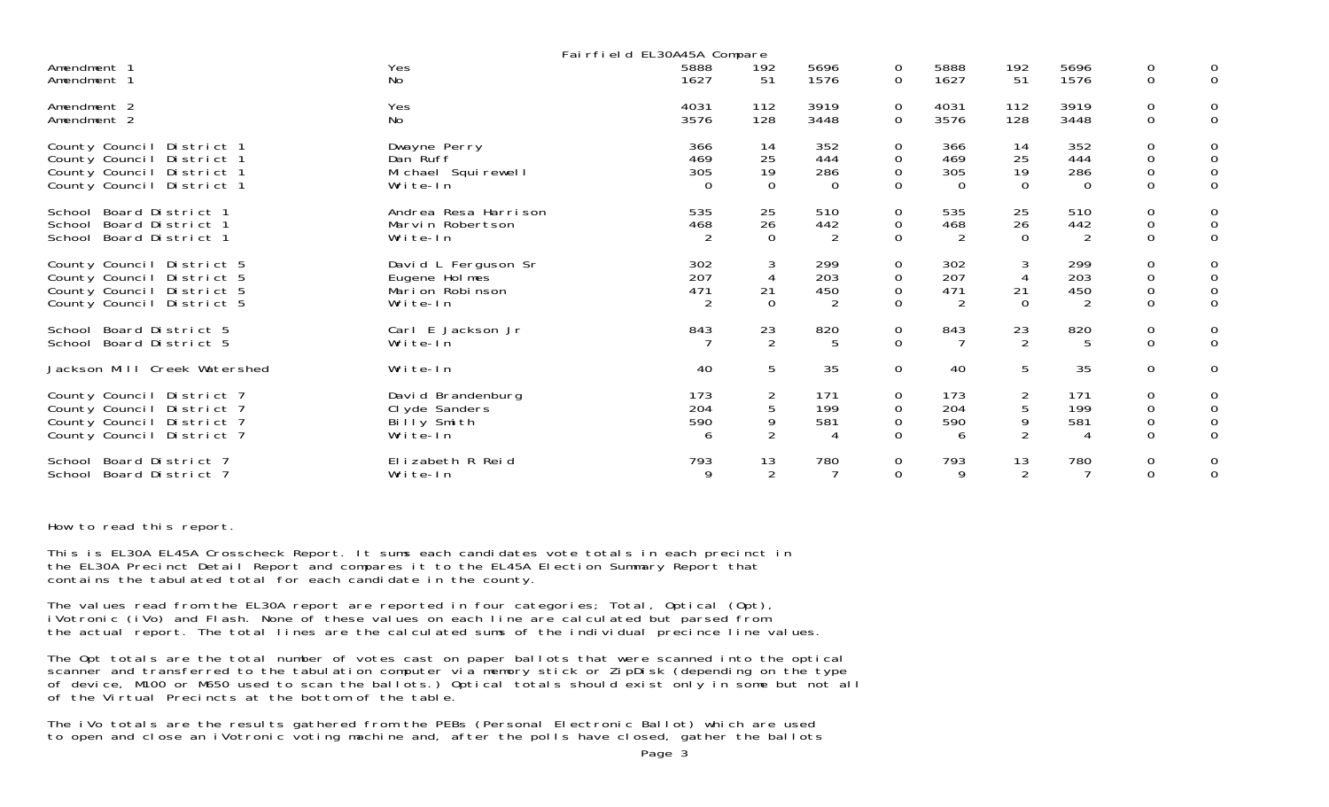| Fairfield EL30A45A Compare                                                                                       |                                                                       |                               |                                          |                               |                                                 |                               |                               |                               |                                                        |                                                                  |
|------------------------------------------------------------------------------------------------------------------|-----------------------------------------------------------------------|-------------------------------|------------------------------------------|-------------------------------|-------------------------------------------------|-------------------------------|-------------------------------|-------------------------------|--------------------------------------------------------|------------------------------------------------------------------|
| Amendment 1<br>Amendment 1                                                                                       | Yes<br>No                                                             | 5888<br>1627                  | 192<br>51                                | 5696<br>1576                  | 0<br>$\Omega$                                   | 5888<br>1627                  | 192<br>51                     | 5696<br>1576                  | $\mathbf 0$<br>$\mathbf 0$                             | $\mathbf{O}$                                                     |
| Amendment 2<br>Amendment 2                                                                                       | Yes<br>No                                                             | 4031<br>3576                  | 112<br>128                               | 3919<br>3448                  | 0<br>$\overline{0}$                             | 4031<br>3576                  | 112<br>128                    | 3919<br>3448                  | 0<br>$\mathbf{O}$                                      | 0<br>$\mathbf{O}$                                                |
| County Council District 1<br>County Council District 1<br>County Council District 1<br>County Council District 1 | Dwayne Perry<br>Dan Ruff<br>Michael Squirewell<br>Write-In            | 366<br>469<br>305<br>$\Omega$ | 14<br>25<br>19<br>$\mathbf 0$            | 352<br>444<br>286<br>$\Omega$ | 0<br>$\mathbf 0$<br>$\mathbf 0$<br>$\mathbf 0$  | 366<br>469<br>305<br>$\Omega$ | 14<br>25<br>19<br>$\mathbf 0$ | 352<br>444<br>286<br>$\Omega$ | 0<br>$\mathbf 0$<br>$\mathsf{O}\xspace$<br>$\mathbf 0$ | 0<br>$\mathbf 0$<br>$\mathsf{O}\xspace$<br>$\mathbf{O}$          |
| School Board District 1<br>School Board District 1<br>School Board District 1                                    | Andrea Resa Harrison<br>Marvin Robertson<br>Write-In                  | 535<br>468                    | 25<br>26<br>$\Omega$                     | 510<br>442<br>$\overline{2}$  | $\mathbf 0$<br>$\overline{O}$<br>$\Omega$       | 535<br>468<br>2               | 25<br>26<br>$\mathbf 0$       | 510<br>442<br>$\overline{2}$  | $\mathbf 0$<br>$\mathsf{O}\xspace$<br>$\mathbf 0$      | 0<br>$\mathsf{O}$<br>$\mathbf{O}$                                |
| County Council District 5<br>County Council District 5<br>County Council District 5<br>County Council District 5 | David L Ferguson Sr<br>Eugene Holmes<br>Mari on Robi nson<br>Write-In | 302<br>207<br>471<br>2        | 3<br>$\overline{4}$<br>21<br>$\mathbf 0$ | 299<br>203<br>450<br>2        | $\mathbf 0$<br>$\mathbf 0$<br>0<br>$\mathsf{O}$ | 302<br>207<br>471<br>2        | 3<br>4<br>21<br>$\mathbf 0$   | 299<br>203<br>450<br>2        | 0<br>$\mathbf 0$<br>$\mathsf{O}\xspace$<br>$\mathbf 0$ | 0<br>0<br>$\mathsf{O}\xspace$<br>$\mathbf{O}$                    |
| School Board District 5<br>School Board District 5                                                               | Carl E Jackson Jr<br>Write-In                                         | 843                           | 23<br>$\overline{2}$                     | 820<br>5                      | $\mathbf 0$<br>$\overline{0}$                   | 843                           | 23<br>2                       | 820<br>5                      | $\mathbf 0$<br>$\mathbf 0$                             | 0<br>$\mathbf{O}$                                                |
| Jackson Mill Creek Watershed                                                                                     | Write-In                                                              | 40                            | 5                                        | 35                            | $\overline{0}$                                  | 40                            | 5                             | 35                            | $\overline{0}$                                         | $\mathsf{O}$                                                     |
| County Council District 7<br>County Council District 7<br>County Council District 7<br>County Council District 7 | David Brandenburg<br>CI yde Sanders<br>Billy Smith<br>Write-In        | 173<br>204<br>590<br>6        | 2<br>5<br>9<br>$\overline{2}$            | 171<br>199<br>581<br>4        | 0<br>$\mathbf 0$<br>$\mathbf 0$<br>$\Omega$     | 173<br>204<br>590<br>6        | $\overline{2}$<br>5<br>9<br>2 | 171<br>199<br>581             | 0<br>0<br>$\mathsf{O}\xspace$<br>$\Omega$              | 0<br>$\begin{smallmatrix}0\0\0\end{smallmatrix}$<br>$\mathbf{O}$ |
| School Board District 7<br>School Board District 7                                                               | Elizabeth R Reid<br>Write-In                                          | 793<br>9                      | 13<br>$\overline{2}$                     | 780                           | $\mathbf 0$<br>$\overline{0}$                   | 793<br>9                      | 13<br>2                       | 780                           | $\mathbf 0$<br>$\mathbf 0$                             | 0<br>$\mathbf{O}$                                                |

#### How to read this report.

This is EL30A EL45A Crosscheck Report. It sums each candidates vote totals in each precinct in the EL30A Precinct Detail Report and compares it to the EL45A Election Summary Report that contains the tabulated total for each candidate in the county.

The values read from the EL30A report are reported in four categories; Total, Optical (Opt), iVotronic (iVo) and Flash. None of these values on each line are calculated but parsed from the actual report. The total lines are the calculated sums of the individual precince line values.

The Opt totals are the total number of votes cast on paper ballots that were scanned into the optical scanner and transferred to the tabulation computer via memory stick or ZipDisk (depending on the type of device, M100 or M650 used to scan the ballots.) Optical totals should exist only in some but not all of the Virtual Precincts at the bottom of the table.

The iVo totals are the results gathered from the PEBs (Personal Electronic Ballot) which are used to open and close an iVotronic voting machine and, after the polls have closed, gather the ballots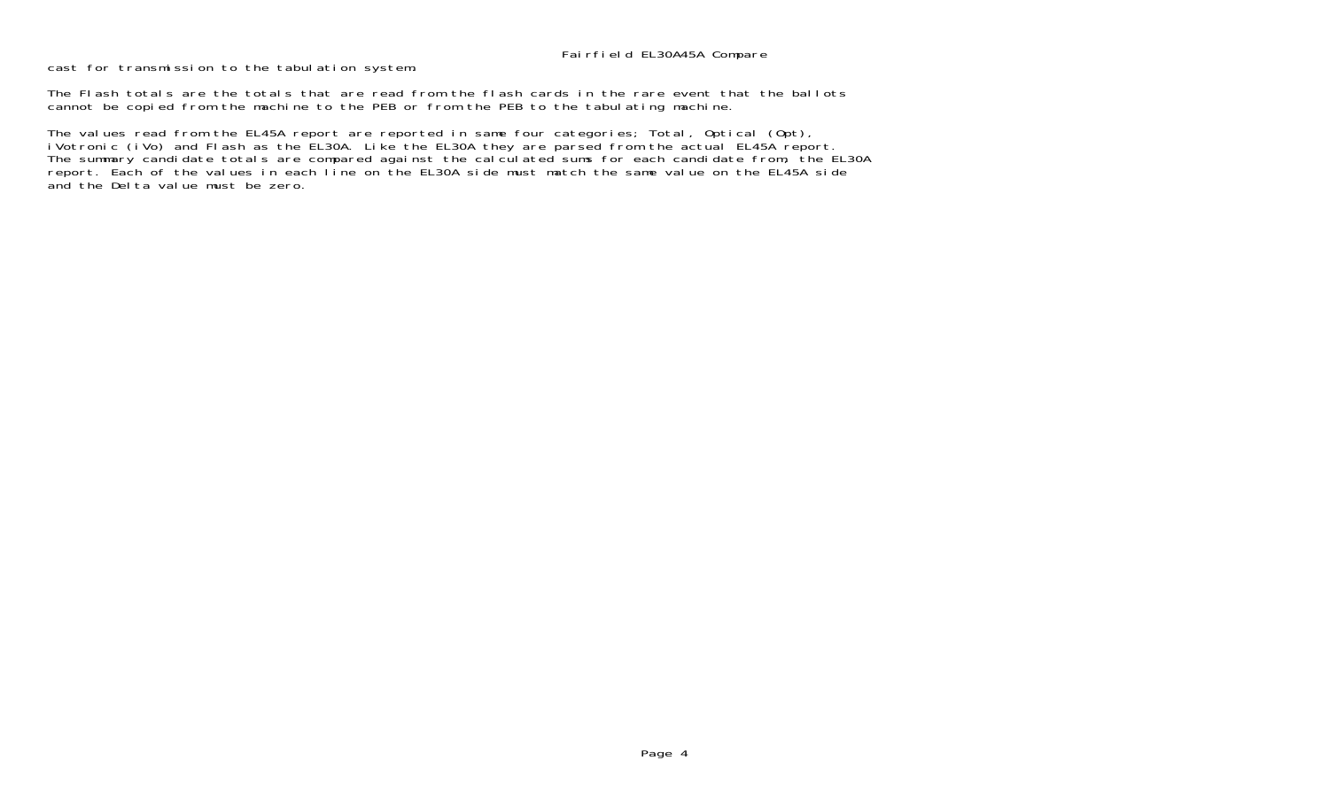cast for transmission to the tabulation system.

The Flash totals are the totals that are read from the flash cards in the rare event that the ballotscannot be copied from the machine to the PEB or from the PEB to the tabulating machine.

The values read from the EL45A report are reported in same four categories; Total, Optical (Opt), iVotronic (iVo) and Flash as the EL30A. Like the EL30A they are parsed from the actual EL45A report. The summary candidate totals are compared against the calculated sums for each candidate from, the EL30A report. Each of the values in each line on the EL30A side must match the same value on the EL45A side and the Delta value must be zero.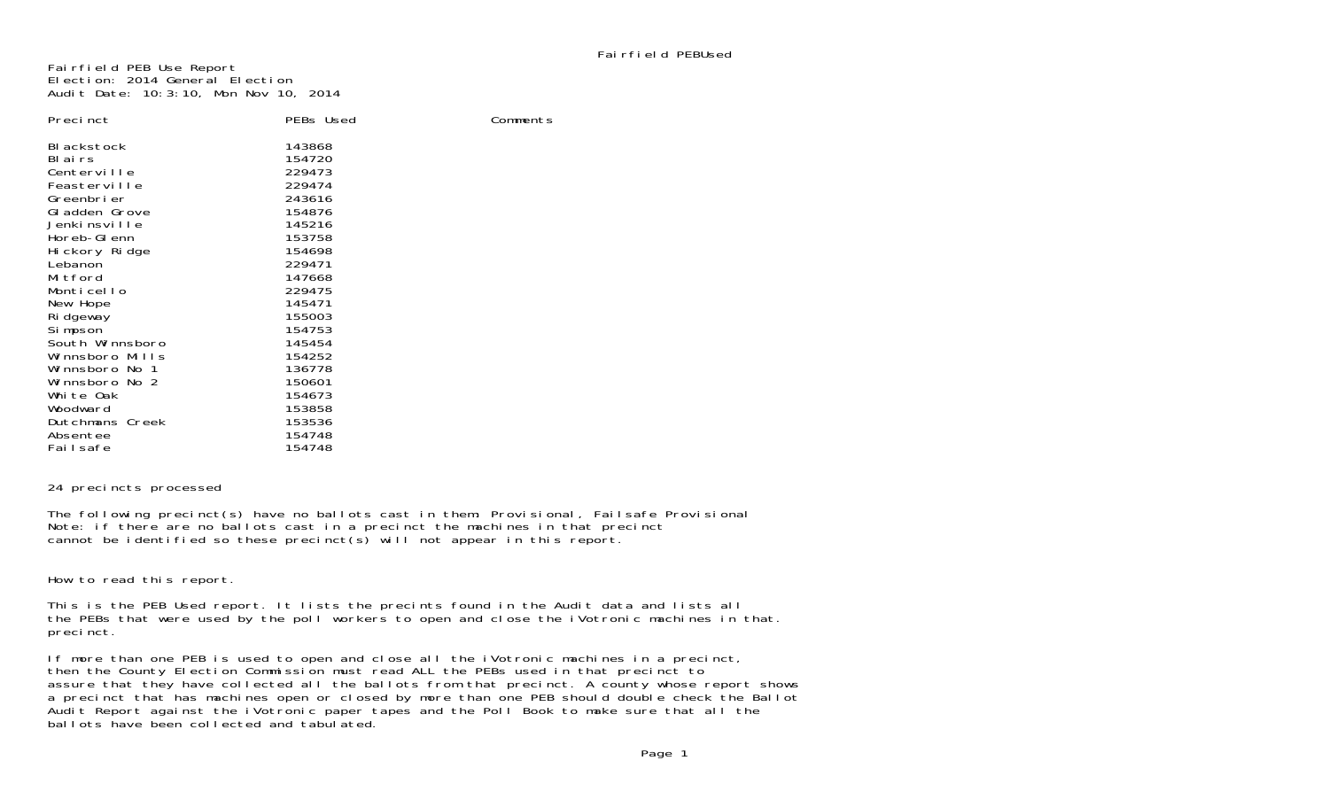Comments

Fairfield PEB Use Report Election: 2014 General ElectionAudit Date: 10:3:10, Mon Nov 10, 2014

| Preci nct                                                                                                                                                                                                                           | PEBs Used                                                                                                                                                    |
|-------------------------------------------------------------------------------------------------------------------------------------------------------------------------------------------------------------------------------------|--------------------------------------------------------------------------------------------------------------------------------------------------------------|
| BI ackstock<br>BI ai rs<br>Centerville<br>Feasterville<br>Greenbrier<br>GI adden Grove<br>Jenkinsville<br>Horeb-GI enn<br>Hi ckory Ridge<br>Lebanon<br>Mitford<br>Monticello<br>New Hope<br>Ri dgeway<br>Simpson<br>South Winnsboro | 143868<br>154720<br>229473<br>229474<br>243616<br>154876<br>145216<br>153758<br>154698<br>229471<br>147668<br>229475<br>145471<br>155003<br>154753<br>145454 |
| Winnsboro Mills                                                                                                                                                                                                                     | 154252<br>136778                                                                                                                                             |
| Winnsboro No 1<br>Winnsboro No 2                                                                                                                                                                                                    | 150601                                                                                                                                                       |
| White Oak<br>Woodward                                                                                                                                                                                                               | 154673<br>153858                                                                                                                                             |
| Dutchmans Creek<br>Absentee                                                                                                                                                                                                         | 153536<br>154748                                                                                                                                             |
| Failsafe                                                                                                                                                                                                                            | 154748                                                                                                                                                       |

### 24 precincts processed

The following precinct(s) have no ballots cast in them: Provisional, Failsafe Provisional Note: if there are no ballots cast in a precinct the machines in that precinct cannot be identified so these precinct(s) will not appear in this report.

How to read this report.

This is the PEB Used report. It lists the precints found in the Audit data and lists all the PEBs that were used by the poll workers to open and close the iVotronic machines in that. precinct.

If more than one PEB is used to open and close all the iVotronic machines in a precinct, then the County Election Commission must read ALL the PEBs used in that precinct to assure that they have collected all the ballots from that precinct. A county whose report shows a precinct that has machines open or closed by more than one PEB should double check the Ballot Audit Report against the iVotronic paper tapes and the Poll Book to make sure that all the ballots have been collected and tabulated.